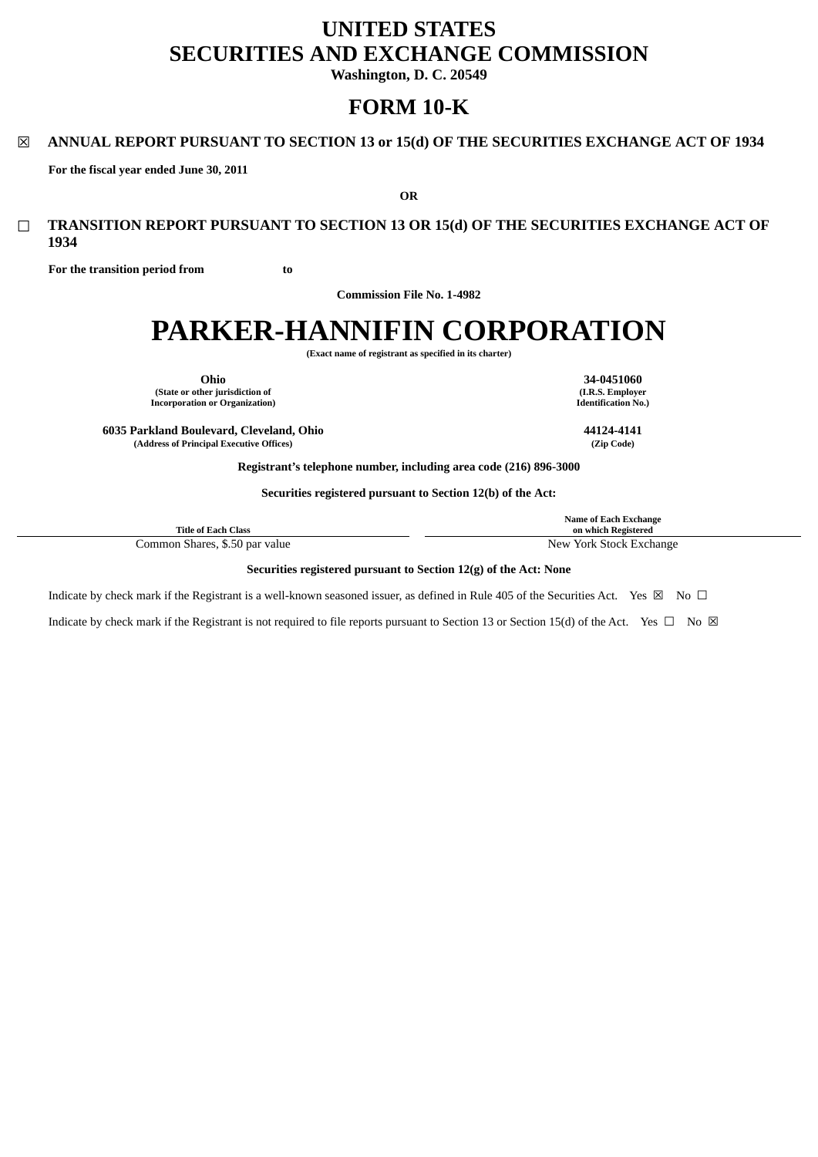# **UNITED STATES SECURITIES AND EXCHANGE COMMISSION**

**Washington, D. C. 20549**

# **FORM 10-K**

# ☒ **ANNUAL REPORT PURSUANT TO SECTION 13 or 15(d) OF THE SECURITIES EXCHANGE ACT OF 1934**

**For the fiscal year ended June 30, 2011**

**OR**

# ☐ **TRANSITION REPORT PURSUANT TO SECTION 13 OR 15(d) OF THE SECURITIES EXCHANGE ACT OF 1934**

**For the transition period from to** 

**Commission File No. 1-4982**

# **PARKER-HANNIFIN CORPORATION**

**(Exact name of registrant as specified in its charter)**

**(State or other jurisdiction of Incorporation or Organization)**

**Ohio 34-0451060 (I.R.S. Employer Identification No.)**

**6035 Parkland Boulevard, Cleveland, Ohio 44124-4141 (Address of Principal Executive Offices) (Zip Code)**

**Registrant's telephone number, including area code (216) 896-3000**

**Securities registered pursuant to Section 12(b) of the Act:**

|                                | Name of Each Exchange   |
|--------------------------------|-------------------------|
| <b>Title of Each Class</b>     | on which Registered     |
| Common Shares, \$.50 par value | New York Stock Exchange |

**Securities registered pursuant to Section 12(g) of the Act: None**

Indicate by check mark if the Registrant is a well-known seasoned issuer, as defined in Rule 405 of the Securities Act. Yes  $\boxtimes$  No  $\Box$ 

Indicate by check mark if the Registrant is not required to file reports pursuant to Section 13 or Section 15(d) of the Act. Yes  $\square$  No  $\boxtimes$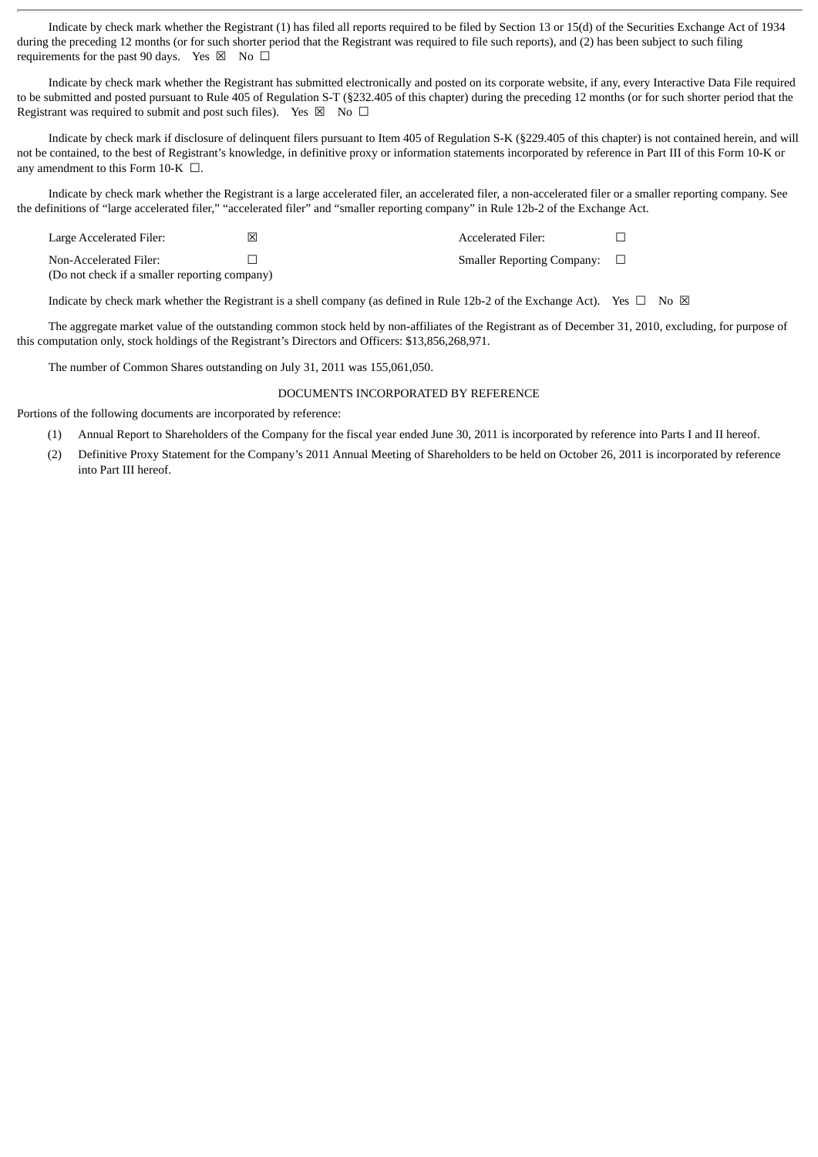Indicate by check mark whether the Registrant (1) has filed all reports required to be filed by Section 13 or 15(d) of the Securities Exchange Act of 1934 during the preceding 12 months (or for such shorter period that the Registrant was required to file such reports), and (2) has been subject to such filing requirements for the past 90 days. Yes  $\boxtimes$  No  $\Box$ 

Indicate by check mark whether the Registrant has submitted electronically and posted on its corporate website, if any, every Interactive Data File required to be submitted and posted pursuant to Rule 405 of Regulation S-T (§232.405 of this chapter) during the preceding 12 months (or for such shorter period that the Registrant was required to submit and post such files). Yes  $\boxtimes$  No  $\Box$ 

Indicate by check mark if disclosure of delinquent filers pursuant to Item 405 of Regulation S-K (§229.405 of this chapter) is not contained herein, and will not be contained, to the best of Registrant's knowledge, in definitive proxy or information statements incorporated by reference in Part III of this Form 10-K or any amendment to this Form 10-K  $\Box$ .

Indicate by check mark whether the Registrant is a large accelerated filer, an accelerated filer, a non-accelerated filer or a smaller reporting company. See the definitions of "large accelerated filer," "accelerated filer" and "smaller reporting company" in Rule 12b-2 of the Exchange Act.

| Large Accelerated Filer:                      | × | Accelerated Filer:                |  |
|-----------------------------------------------|---|-----------------------------------|--|
| Non-Accelerated Filer:                        |   | <b>Smaller Reporting Company:</b> |  |
| (Do not check if a smaller reporting company) |   |                                   |  |

Indicate by check mark whether the Registrant is a shell company (as defined in Rule 12b-2 of the Exchange Act). Yes  $\Box$  No  $\boxtimes$ 

The aggregate market value of the outstanding common stock held by non-affiliates of the Registrant as of December 31, 2010, excluding, for purpose of this computation only, stock holdings of the Registrant's Directors and Officers: \$13,856,268,971.

The number of Common Shares outstanding on July 31, 2011 was 155,061,050.

#### DOCUMENTS INCORPORATED BY REFERENCE

Portions of the following documents are incorporated by reference:

- (1) Annual Report to Shareholders of the Company for the fiscal year ended June 30, 2011 is incorporated by reference into Parts I and II hereof.
- (2) Definitive Proxy Statement for the Company's 2011 Annual Meeting of Shareholders to be held on October 26, 2011 is incorporated by reference into Part III hereof.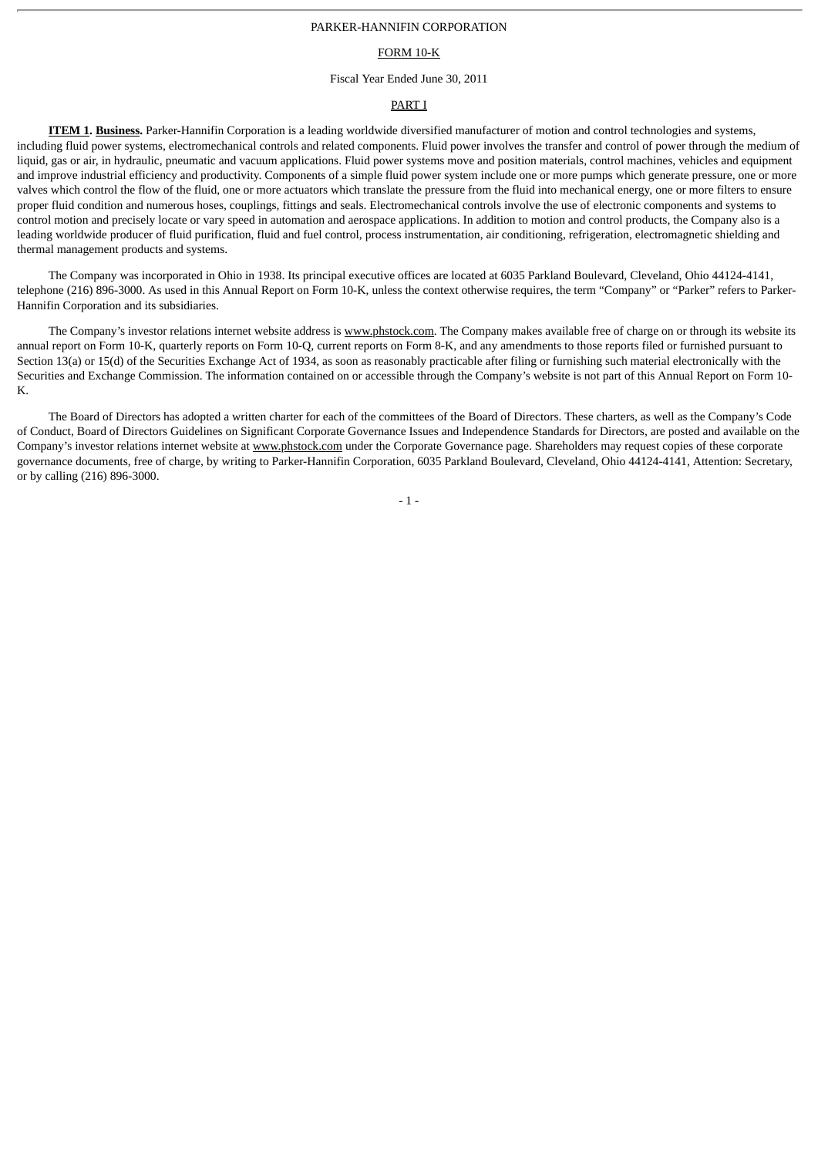# PARKER-HANNIFIN CORPORATION

#### FORM 10-K

#### Fiscal Year Ended June 30, 2011

# PART I

**ITEM 1. Business.** Parker-Hannifin Corporation is a leading worldwide diversified manufacturer of motion and control technologies and systems, including fluid power systems, electromechanical controls and related components. Fluid power involves the transfer and control of power through the medium of liquid, gas or air, in hydraulic, pneumatic and vacuum applications. Fluid power systems move and position materials, control machines, vehicles and equipment and improve industrial efficiency and productivity. Components of a simple fluid power system include one or more pumps which generate pressure, one or more valves which control the flow of the fluid, one or more actuators which translate the pressure from the fluid into mechanical energy, one or more filters to ensure proper fluid condition and numerous hoses, couplings, fittings and seals. Electromechanical controls involve the use of electronic components and systems to control motion and precisely locate or vary speed in automation and aerospace applications. In addition to motion and control products, the Company also is a leading worldwide producer of fluid purification, fluid and fuel control, process instrumentation, air conditioning, refrigeration, electromagnetic shielding and thermal management products and systems.

The Company was incorporated in Ohio in 1938. Its principal executive offices are located at 6035 Parkland Boulevard, Cleveland, Ohio 44124-4141, telephone (216) 896-3000. As used in this Annual Report on Form 10-K, unless the context otherwise requires, the term "Company" or "Parker" refers to Parker-Hannifin Corporation and its subsidiaries.

The Company's investor relations internet website address is www.phstock.com. The Company makes available free of charge on or through its website its annual report on Form 10-K, quarterly reports on Form 10-Q, current reports on Form 8-K, and any amendments to those reports filed or furnished pursuant to Section 13(a) or 15(d) of the Securities Exchange Act of 1934, as soon as reasonably practicable after filing or furnishing such material electronically with the Securities and Exchange Commission. The information contained on or accessible through the Company's website is not part of this Annual Report on Form 10- K.

The Board of Directors has adopted a written charter for each of the committees of the Board of Directors. These charters, as well as the Company's Code of Conduct, Board of Directors Guidelines on Significant Corporate Governance Issues and Independence Standards for Directors, are posted and available on the Company's investor relations internet website at www.phstock.com under the Corporate Governance page. Shareholders may request copies of these corporate governance documents, free of charge, by writing to Parker-Hannifin Corporation, 6035 Parkland Boulevard, Cleveland, Ohio 44124-4141, Attention: Secretary, or by calling (216) 896-3000.

- 1 -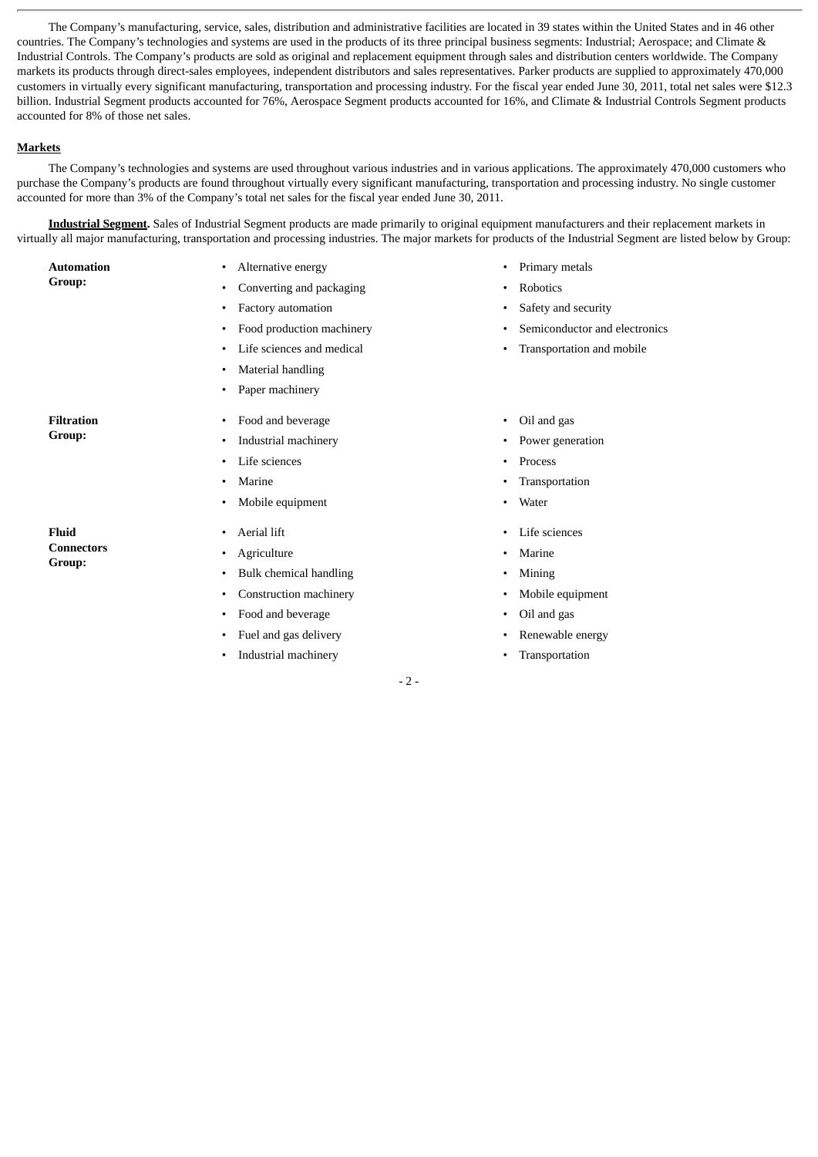The Company's manufacturing, service, sales, distribution and administrative facilities are located in 39 states within the United States and in 46 other countries. The Company's technologies and systems are used in the products of its three principal business segments: Industrial; Aerospace; and Climate & Industrial Controls. The Company's products are sold as original and replacement equipment through sales and distribution centers worldwide. The Company markets its products through direct-sales employees, independent distributors and sales representatives. Parker products are supplied to approximately 470,000 customers in virtually every significant manufacturing, transportation and processing industry. For the fiscal year ended June 30, 2011, total net sales were \$12.3 billion. Industrial Segment products accounted for 76%, Aerospace Segment products accounted for 16%, and Climate & Industrial Controls Segment products accounted for 8% of those net sales.

# **Markets**

The Company's technologies and systems are used throughout various industries and in various applications. The approximately 470,000 customers who purchase the Company's products are found throughout virtually every significant manufacturing, transportation and processing industry. No single customer accounted for more than 3% of the Company's total net sales for the fiscal year ended June 30, 2011.

**Industrial Segment.** Sales of Industrial Segment products are made primarily to original equipment manufacturers and their replacement markets in virtually all major manufacturing, transportation and processing industries. The major markets for products of the Industrial Segment are listed below by Group:

**Automation Group:** • Alternative energy • Converting and packaging Factory automation • Food production machinery • Life sciences and medical • Material handling Paper machinery **Filtration Group:** • Food and beverage • Industrial machinery Life sciences **Marine** • Mobile equipment • Aerial lift • Agriculture

- Primary metals
- Robotics
- Safety and security
- Semiconductor and electronics
- Transportation and mobile
- Oil and gas
- Power generation
- **Process**
- **Transportation**
- Water
- Life sciences
- Marine
- Mining
- Mobile equipment
- Oil and gas
- Renewable energy
- **Transportation**

 $-2-$ 

• Bulk chemical handling Construction machinery • Food and beverage Fuel and gas delivery • Industrial machinery

**Fluid Connectors Group:**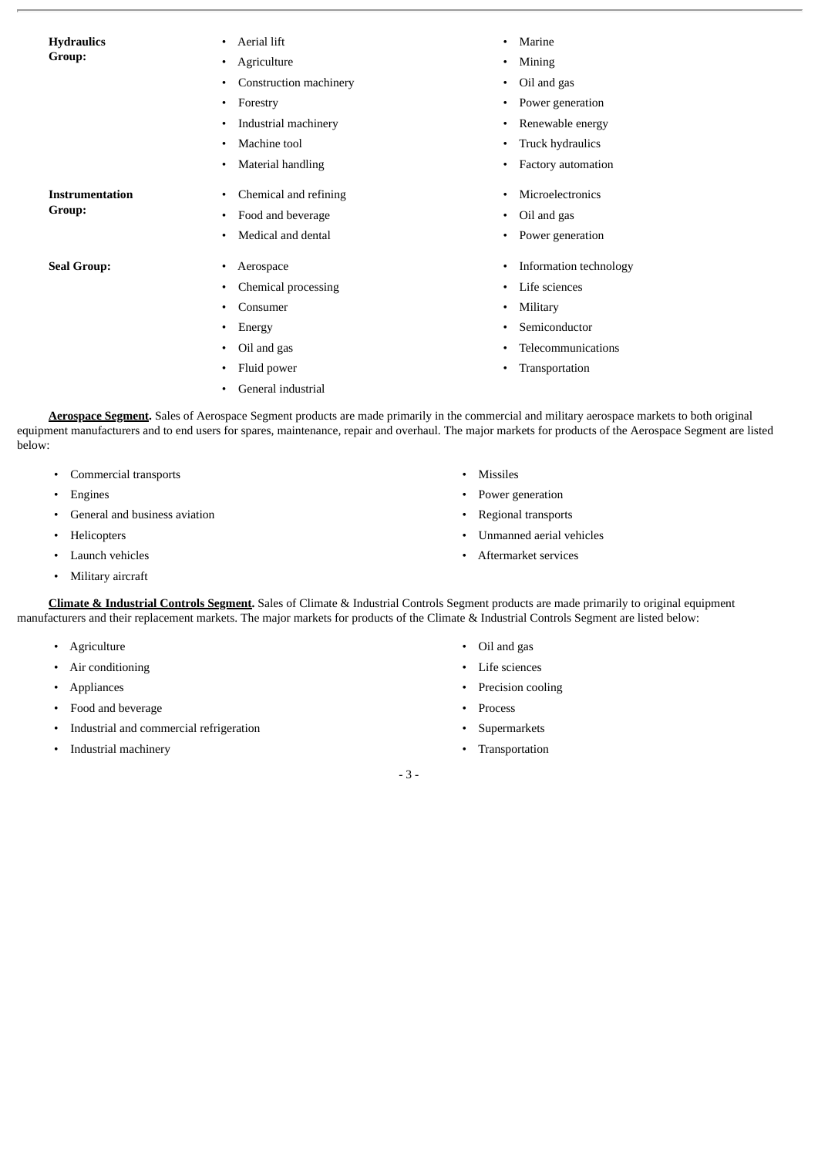| <b>Hydraulics</b>      | Aerial lift<br>$\bullet$            | Marine<br>٠                   |
|------------------------|-------------------------------------|-------------------------------|
| Group:                 | Agriculture<br>$\bullet$            | Mining<br>$\bullet$           |
|                        | Construction machinery<br>$\bullet$ | Oil and gas<br>٠              |
|                        | Forestry<br>$\bullet$               | Power generation<br>$\bullet$ |
|                        | Industrial machinery<br>$\bullet$   | Renewable energy<br>٠         |
|                        | Machine tool<br>$\bullet$           | Truck hydraulics<br>$\bullet$ |
|                        | Material handling<br>$\bullet$      | Factory automation<br>٠       |
| <b>Instrumentation</b> | Chemical and refining<br>$\bullet$  | Microelectronics<br>$\bullet$ |
| Group:                 | Food and beverage<br>$\bullet$      | Oil and gas<br>$\bullet$      |
|                        | Medical and dental<br>$\bullet$     | Power generation<br>٠         |
| <b>Seal Group:</b>     | Aerospace<br>$\bullet$              | Information technology<br>٠   |
|                        | Chemical processing<br>$\bullet$    | Life sciences<br>٠            |
|                        | Consumer<br>$\bullet$               | Military<br>٠                 |
|                        | Energy<br>$\bullet$                 | Semiconductor                 |
|                        | Oil and gas<br>$\bullet$            | Telecommunications<br>٠       |
|                        | Fluid power<br>$\bullet$            | Transportation<br>٠           |

**Aerospace Segment.** Sales of Aerospace Segment products are made primarily in the commercial and military aerospace markets to both original equipment manufacturers and to end users for spares, maintenance, repair and overhaul. The major markets for products of the Aerospace Segment are listed

- General industrial
- 

- Commercial transports
- **Engines**

below:

- General and business aviation
- **Helicopters**
- Launch vehicles
- Military aircraft

**Climate & Industrial Controls Segment.** Sales of Climate & Industrial Controls Segment products are made primarily to original equipment manufacturers and their replacement markets. The major markets for products of the Climate & Industrial Controls Segment are listed below:

- Agriculture
- Air conditioning
- **Appliances**
- Food and beverage
- Industrial and commercial refrigeration
- Industrial machinery
- Missiles
- Power generation
- Regional transports
- Unmanned aerial vehicles
- Aftermarket services
- Oil and gas
- Life sciences
- Precision cooling
- **Process**
- Supermarkets
- **Transportation**

- 3 -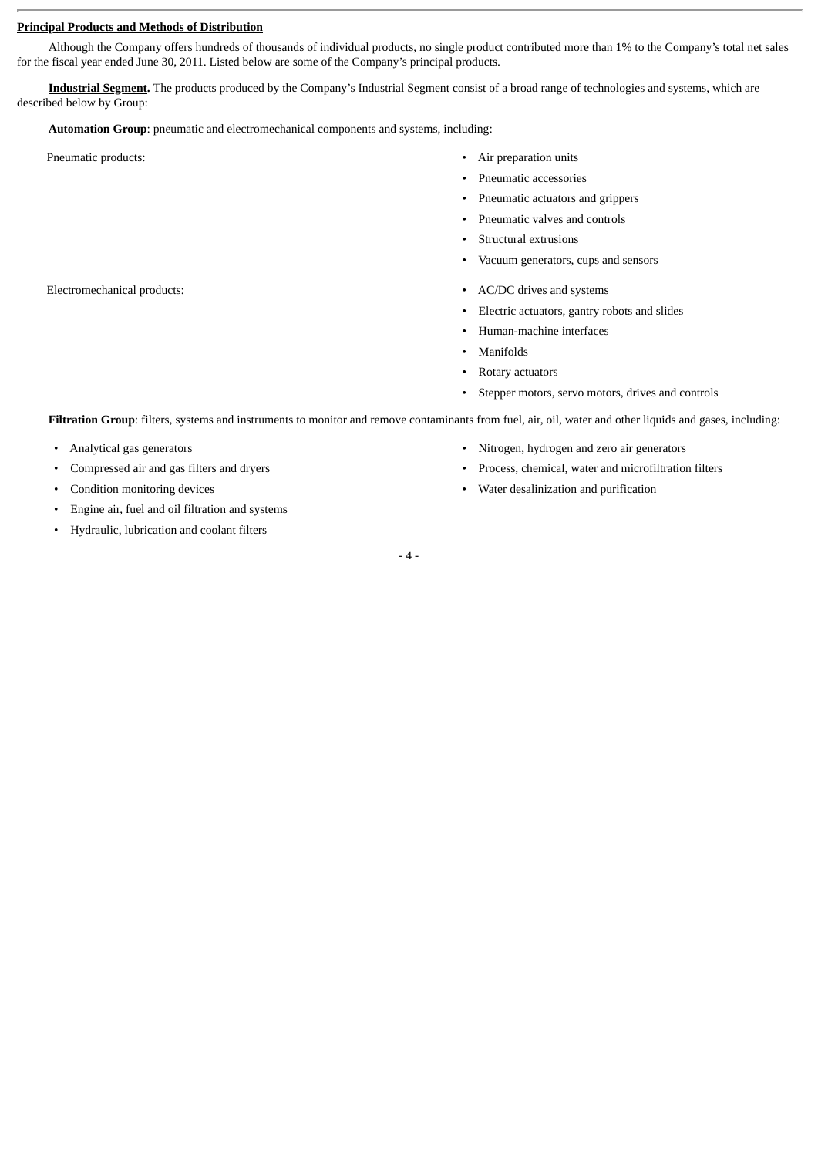# **Principal Products and Methods of Distribution**

Although the Company offers hundreds of thousands of individual products, no single product contributed more than 1% to the Company's total net sales for the fiscal year ended June 30, 2011. Listed below are some of the Company's principal products.

**Industrial Segment.** The products produced by the Company's Industrial Segment consist of a broad range of technologies and systems, which are described below by Group:

**Automation Group**: pneumatic and electromechanical components and systems, including:

Pneumatic products:

- Air preparation units
- Pneumatic accessories
- Pneumatic actuators and grippers
- Pneumatic valves and controls
- Structural extrusions
- Vacuum generators, cups and sensors
- AC/DC drives and systems
- Electric actuators, gantry robots and slides
- Human-machine interfaces
- Manifolds
- Rotary actuators
- Stepper motors, servo motors, drives and controls

Filtration Group: filters, systems and instruments to monitor and remove contaminants from fuel, air, oil, water and other liquids and gases, including:

- Analytical gas generators
- Compressed air and gas filters and dryers
- Condition monitoring devices
- Engine air, fuel and oil filtration and systems
- Hydraulic, lubrication and coolant filters
- Nitrogen, hydrogen and zero air generators
- Process, chemical, water and microfiltration filters
- Water desalinization and purification

- 4 -

Electromechanical products: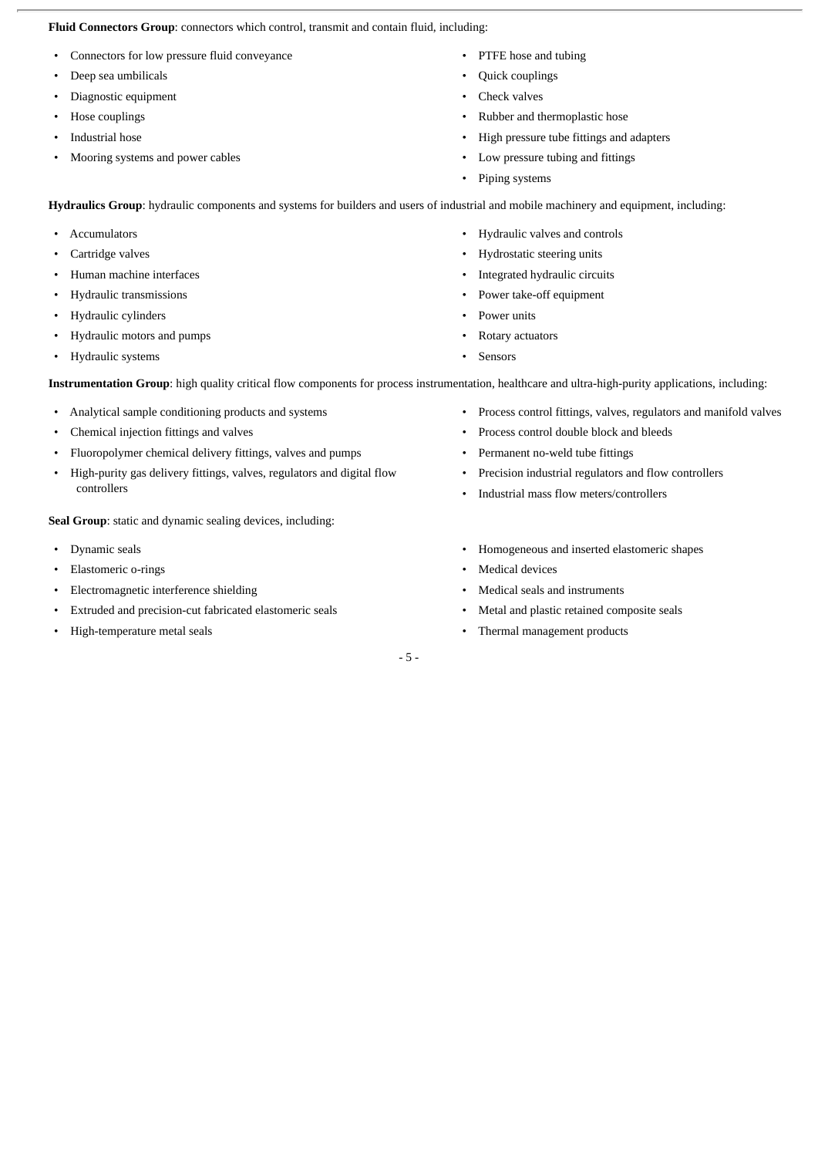# **Fluid Connectors Group**: connectors which control, transmit and contain fluid, including:

- Connectors for low pressure fluid conveyance
- Deep sea umbilicals
- Diagnostic equipment
- Hose couplings
- Industrial hose
- Mooring systems and power cables
- PTFE hose and tubing
- Quick couplings
- Check valves
- Rubber and thermoplastic hose
- High pressure tube fittings and adapters
- Low pressure tubing and fittings

• Hydraulic valves and controls • Hydrostatic steering units • Integrated hydraulic circuits • Power take-off equipment

• Piping systems

Power units Rotary actuators

**Hydraulics Group**: hydraulic components and systems for builders and users of industrial and mobile machinery and equipment, including:

- Accumulators
- Cartridge valves
- Human machine interfaces
- Hydraulic transmissions
- Hydraulic cylinders
- Hydraulic motors and pumps
- Hydraulic systems

**Instrumentation Group**: high quality critical flow components for process instrumentation, healthcare and ultra-high-purity applications, including:

- Analytical sample conditioning products and systems
- Chemical injection fittings and valves
- Fluoropolymer chemical delivery fittings, valves and pumps
- High-purity gas delivery fittings, valves, regulators and digital flow controllers

**Seal Group**: static and dynamic sealing devices, including:

- Dynamic seals
- Elastomeric o-rings
- Electromagnetic interference shielding
- Extruded and precision-cut fabricated elastomeric seals
- High-temperature metal seals
- Sensors
- Process control fittings, valves, regulators and manifold valves
- Process control double block and bleeds
- Permanent no-weld tube fittings
- Precision industrial regulators and flow controllers
- Industrial mass flow meters/controllers
- Homogeneous and inserted elastomeric shapes
- Medical devices
- Medical seals and instruments
- Metal and plastic retained composite seals
- Thermal management products

- 5 -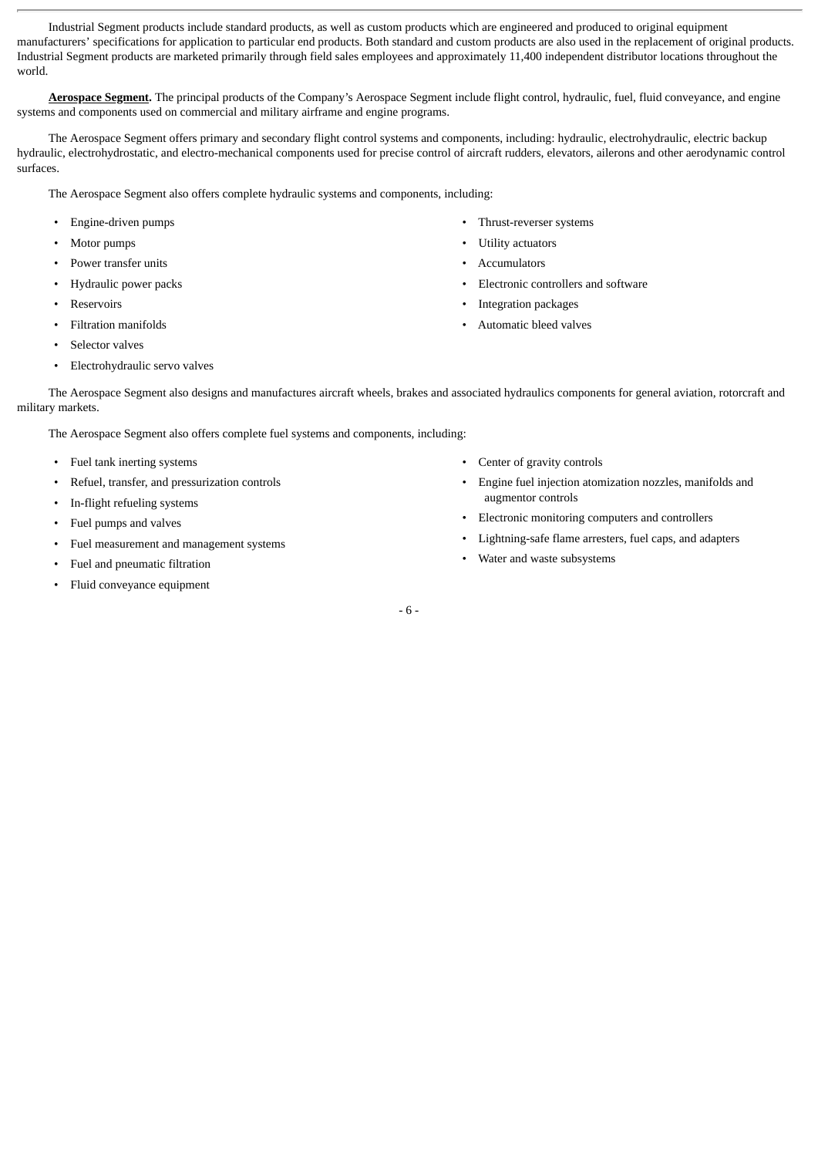Industrial Segment products include standard products, as well as custom products which are engineered and produced to original equipment manufacturers' specifications for application to particular end products. Both standard and custom products are also used in the replacement of original products. Industrial Segment products are marketed primarily through field sales employees and approximately 11,400 independent distributor locations throughout the world.

**Aerospace Segment.** The principal products of the Company's Aerospace Segment include flight control, hydraulic, fuel, fluid conveyance, and engine systems and components used on commercial and military airframe and engine programs.

The Aerospace Segment offers primary and secondary flight control systems and components, including: hydraulic, electrohydraulic, electric backup hydraulic, electrohydrostatic, and electro-mechanical components used for precise control of aircraft rudders, elevators, ailerons and other aerodynamic control surfaces.

The Aerospace Segment also offers complete hydraulic systems and components, including:

- Engine-driven pumps
- Motor pumps
- Power transfer units
- Hydraulic power packs
- **Reservoirs**
- Filtration manifolds
- Selector valves
- Electrohydraulic servo valves
- Thrust-reverser systems
- Utility actuators
- Accumulators
- Electronic controllers and software
- Integration packages
- Automatic bleed valves

The Aerospace Segment also designs and manufactures aircraft wheels, brakes and associated hydraulics components for general aviation, rotorcraft and military markets.

The Aerospace Segment also offers complete fuel systems and components, including:

- Fuel tank inerting systems
- Refuel, transfer, and pressurization controls
- In-flight refueling systems
- Fuel pumps and valves
- Fuel measurement and management systems
- Fuel and pneumatic filtration
- Fluid conveyance equipment
- Center of gravity controls
- Engine fuel injection atomization nozzles, manifolds and augmentor controls
- Electronic monitoring computers and controllers
- Lightning-safe flame arresters, fuel caps, and adapters
- Water and waste subsystems

- 6 -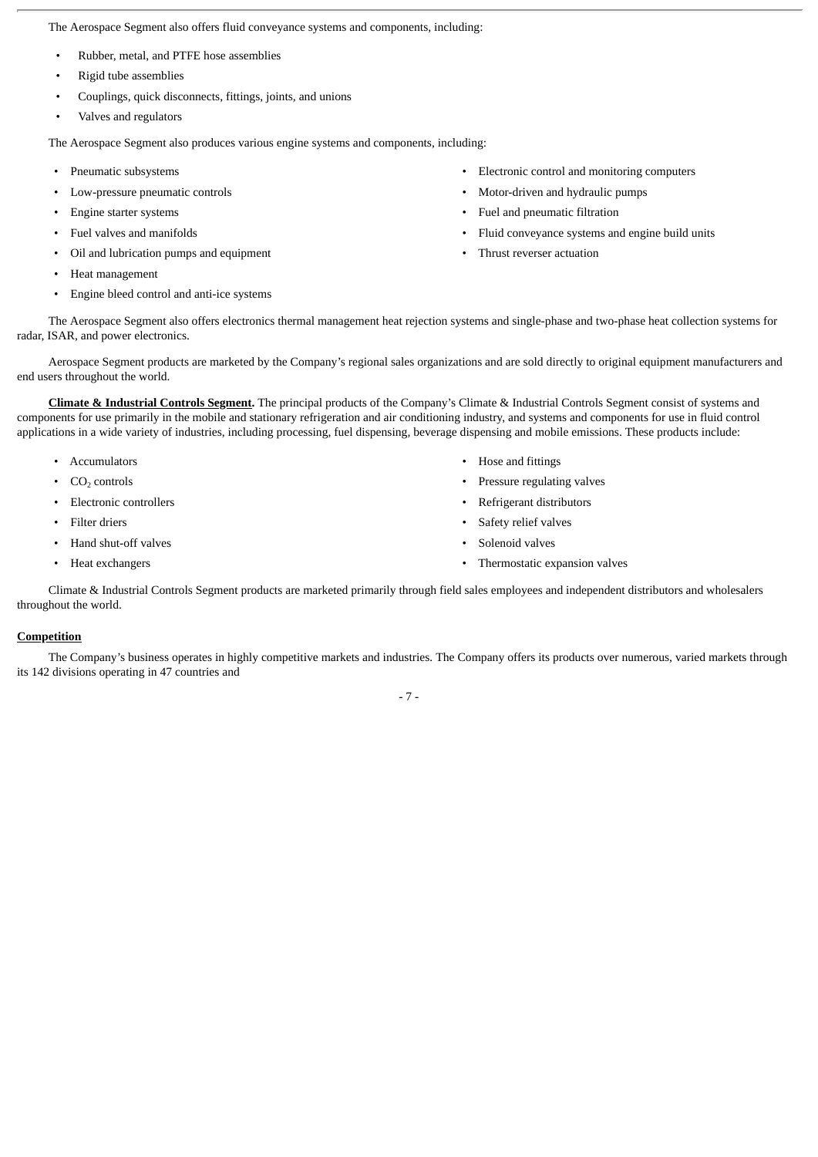The Aerospace Segment also offers fluid conveyance systems and components, including:

- Rubber, metal, and PTFE hose assemblies
- Rigid tube assemblies
- Couplings, quick disconnects, fittings, joints, and unions
- Valves and regulators

The Aerospace Segment also produces various engine systems and components, including:

- Pneumatic subsystems
- Low-pressure pneumatic controls
- Engine starter systems
- Fuel valves and manifolds
- Oil and lubrication pumps and equipment
- Heat management
- Engine bleed control and anti-ice systems
- Electronic control and monitoring computers
- Motor-driven and hydraulic pumps
- Fuel and pneumatic filtration
- Fluid conveyance systems and engine build units
- Thrust reverser actuation

The Aerospace Segment also offers electronics thermal management heat rejection systems and single-phase and two-phase heat collection systems for radar, ISAR, and power electronics.

Aerospace Segment products are marketed by the Company's regional sales organizations and are sold directly to original equipment manufacturers and end users throughout the world.

**Climate & Industrial Controls Segment.** The principal products of the Company's Climate & Industrial Controls Segment consist of systems and components for use primarily in the mobile and stationary refrigeration and air conditioning industry, and systems and components for use in fluid control applications in a wide variety of industries, including processing, fuel dispensing, beverage dispensing and mobile emissions. These products include:

- **Accumulators**
- $CO<sub>2</sub>$  controls
- Electronic controllers
- Filter driers
- Hand shut-off valves
- Heat exchangers
- Hose and fittings
- Pressure regulating valves
- Refrigerant distributors
- Safety relief valves
- Solenoid valves
- Thermostatic expansion valves

Climate & Industrial Controls Segment products are marketed primarily through field sales employees and independent distributors and wholesalers throughout the world.

# **Competition**

The Company's business operates in highly competitive markets and industries. The Company offers its products over numerous, varied markets through its 142 divisions operating in 47 countries and

## - 7 -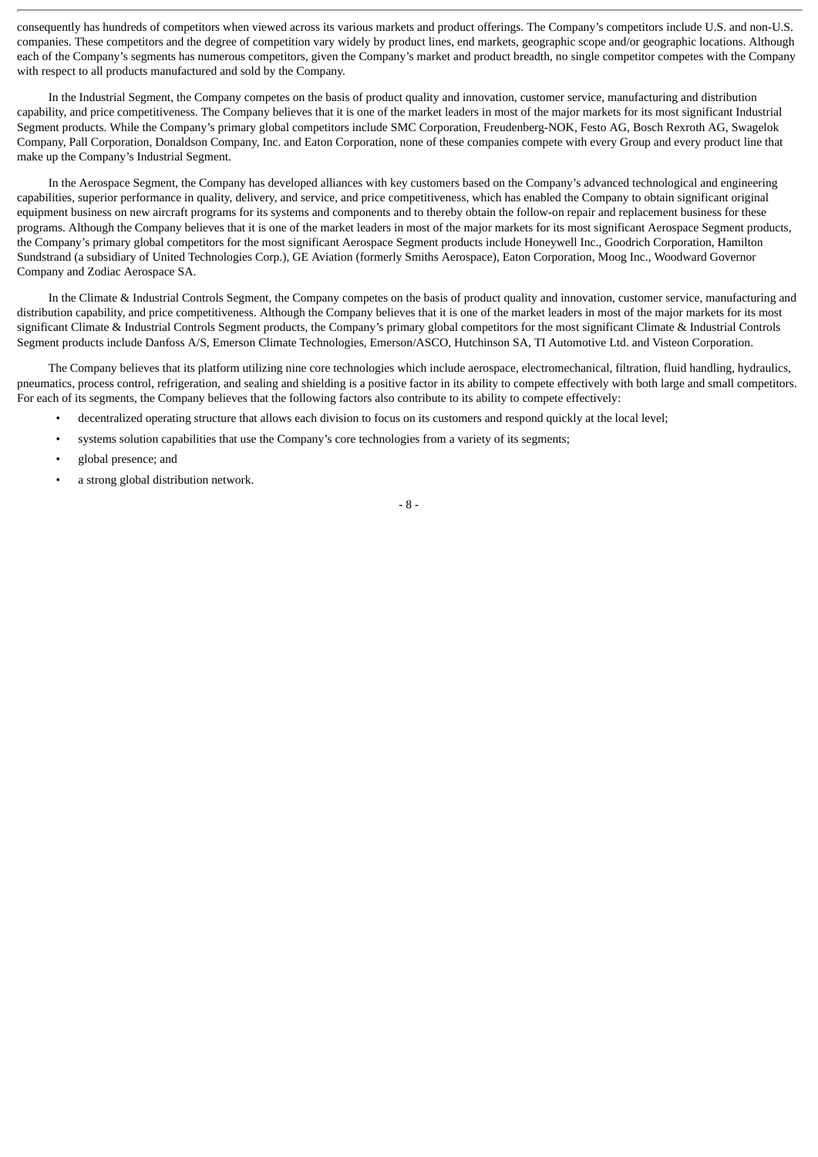consequently has hundreds of competitors when viewed across its various markets and product offerings. The Company's competitors include U.S. and non-U.S. companies. These competitors and the degree of competition vary widely by product lines, end markets, geographic scope and/or geographic locations. Although each of the Company's segments has numerous competitors, given the Company's market and product breadth, no single competitor competes with the Company with respect to all products manufactured and sold by the Company.

In the Industrial Segment, the Company competes on the basis of product quality and innovation, customer service, manufacturing and distribution capability, and price competitiveness. The Company believes that it is one of the market leaders in most of the major markets for its most significant Industrial Segment products. While the Company's primary global competitors include SMC Corporation, Freudenberg-NOK, Festo AG, Bosch Rexroth AG, Swagelok Company, Pall Corporation, Donaldson Company, Inc. and Eaton Corporation, none of these companies compete with every Group and every product line that make up the Company's Industrial Segment.

In the Aerospace Segment, the Company has developed alliances with key customers based on the Company's advanced technological and engineering capabilities, superior performance in quality, delivery, and service, and price competitiveness, which has enabled the Company to obtain significant original equipment business on new aircraft programs for its systems and components and to thereby obtain the follow-on repair and replacement business for these programs. Although the Company believes that it is one of the market leaders in most of the major markets for its most significant Aerospace Segment products, the Company's primary global competitors for the most significant Aerospace Segment products include Honeywell Inc., Goodrich Corporation, Hamilton Sundstrand (a subsidiary of United Technologies Corp.), GE Aviation (formerly Smiths Aerospace), Eaton Corporation, Moog Inc., Woodward Governor Company and Zodiac Aerospace SA.

In the Climate & Industrial Controls Segment, the Company competes on the basis of product quality and innovation, customer service, manufacturing and distribution capability, and price competitiveness. Although the Company believes that it is one of the market leaders in most of the major markets for its most significant Climate & Industrial Controls Segment products, the Company's primary global competitors for the most significant Climate & Industrial Controls Segment products include Danfoss A/S, Emerson Climate Technologies, Emerson/ASCO, Hutchinson SA, TI Automotive Ltd. and Visteon Corporation.

The Company believes that its platform utilizing nine core technologies which include aerospace, electromechanical, filtration, fluid handling, hydraulics, pneumatics, process control, refrigeration, and sealing and shielding is a positive factor in its ability to compete effectively with both large and small competitors. For each of its segments, the Company believes that the following factors also contribute to its ability to compete effectively:

- decentralized operating structure that allows each division to focus on its customers and respond quickly at the local level;
- systems solution capabilities that use the Company's core technologies from a variety of its segments;
- global presence; and
- a strong global distribution network.

- 8 -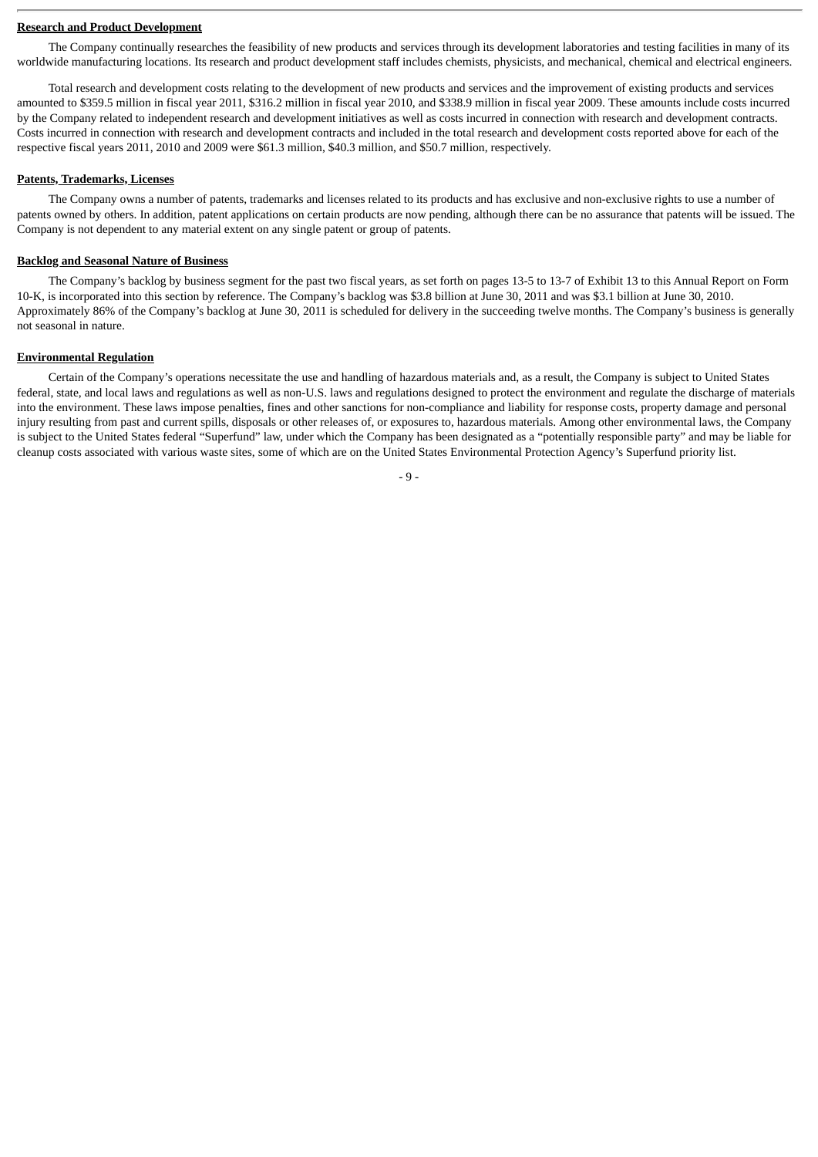#### **Research and Product Development**

The Company continually researches the feasibility of new products and services through its development laboratories and testing facilities in many of its worldwide manufacturing locations. Its research and product development staff includes chemists, physicists, and mechanical, chemical and electrical engineers.

Total research and development costs relating to the development of new products and services and the improvement of existing products and services amounted to \$359.5 million in fiscal year 2011, \$316.2 million in fiscal year 2010, and \$338.9 million in fiscal year 2009. These amounts include costs incurred by the Company related to independent research and development initiatives as well as costs incurred in connection with research and development contracts. Costs incurred in connection with research and development contracts and included in the total research and development costs reported above for each of the respective fiscal years 2011, 2010 and 2009 were \$61.3 million, \$40.3 million, and \$50.7 million, respectively.

#### **Patents, Trademarks, Licenses**

The Company owns a number of patents, trademarks and licenses related to its products and has exclusive and non-exclusive rights to use a number of patents owned by others. In addition, patent applications on certain products are now pending, although there can be no assurance that patents will be issued. The Company is not dependent to any material extent on any single patent or group of patents.

#### **Backlog and Seasonal Nature of Business**

The Company's backlog by business segment for the past two fiscal years, as set forth on pages 13-5 to 13-7 of Exhibit 13 to this Annual Report on Form 10-K, is incorporated into this section by reference. The Company's backlog was \$3.8 billion at June 30, 2011 and was \$3.1 billion at June 30, 2010. Approximately 86% of the Company's backlog at June 30, 2011 is scheduled for delivery in the succeeding twelve months. The Company's business is generally not seasonal in nature.

#### **Environmental Regulation**

Certain of the Company's operations necessitate the use and handling of hazardous materials and, as a result, the Company is subject to United States federal, state, and local laws and regulations as well as non-U.S. laws and regulations designed to protect the environment and regulate the discharge of materials into the environment. These laws impose penalties, fines and other sanctions for non-compliance and liability for response costs, property damage and personal injury resulting from past and current spills, disposals or other releases of, or exposures to, hazardous materials. Among other environmental laws, the Company is subject to the United States federal "Superfund" law, under which the Company has been designated as a "potentially responsible party" and may be liable for cleanup costs associated with various waste sites, some of which are on the United States Environmental Protection Agency's Superfund priority list.

 $-9 -$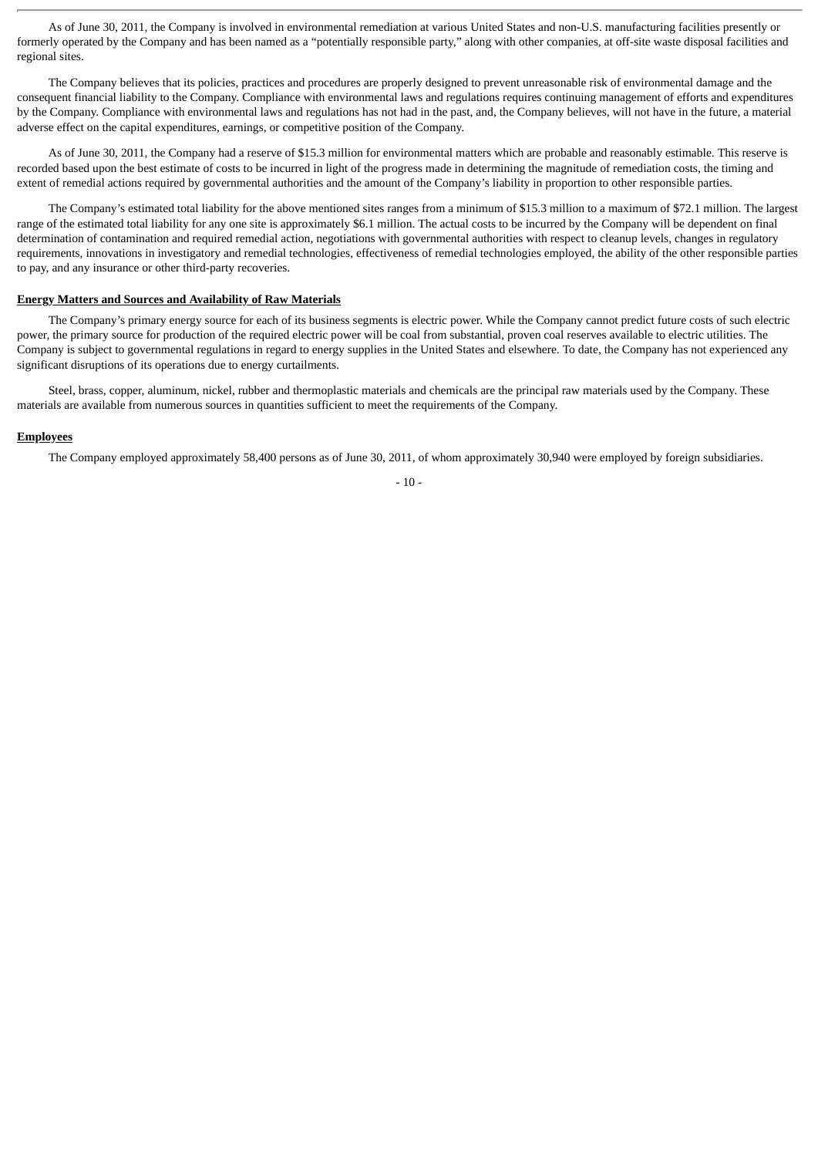As of June 30, 2011, the Company is involved in environmental remediation at various United States and non-U.S. manufacturing facilities presently or formerly operated by the Company and has been named as a "potentially responsible party," along with other companies, at off-site waste disposal facilities and regional sites.

The Company believes that its policies, practices and procedures are properly designed to prevent unreasonable risk of environmental damage and the consequent financial liability to the Company. Compliance with environmental laws and regulations requires continuing management of efforts and expenditures by the Company. Compliance with environmental laws and regulations has not had in the past, and, the Company believes, will not have in the future, a material adverse effect on the capital expenditures, earnings, or competitive position of the Company.

As of June 30, 2011, the Company had a reserve of \$15.3 million for environmental matters which are probable and reasonably estimable. This reserve is recorded based upon the best estimate of costs to be incurred in light of the progress made in determining the magnitude of remediation costs, the timing and extent of remedial actions required by governmental authorities and the amount of the Company's liability in proportion to other responsible parties.

The Company's estimated total liability for the above mentioned sites ranges from a minimum of \$15.3 million to a maximum of \$72.1 million. The largest range of the estimated total liability for any one site is approximately \$6.1 million. The actual costs to be incurred by the Company will be dependent on final determination of contamination and required remedial action, negotiations with governmental authorities with respect to cleanup levels, changes in regulatory requirements, innovations in investigatory and remedial technologies, effectiveness of remedial technologies employed, the ability of the other responsible parties to pay, and any insurance or other third-party recoveries.

#### **Energy Matters and Sources and Availability of Raw Materials**

The Company's primary energy source for each of its business segments is electric power. While the Company cannot predict future costs of such electric power, the primary source for production of the required electric power will be coal from substantial, proven coal reserves available to electric utilities. The Company is subject to governmental regulations in regard to energy supplies in the United States and elsewhere. To date, the Company has not experienced any significant disruptions of its operations due to energy curtailments.

Steel, brass, copper, aluminum, nickel, rubber and thermoplastic materials and chemicals are the principal raw materials used by the Company. These materials are available from numerous sources in quantities sufficient to meet the requirements of the Company.

# **Employees**

The Company employed approximately 58,400 persons as of June 30, 2011, of whom approximately 30,940 were employed by foreign subsidiaries.

 $-10-$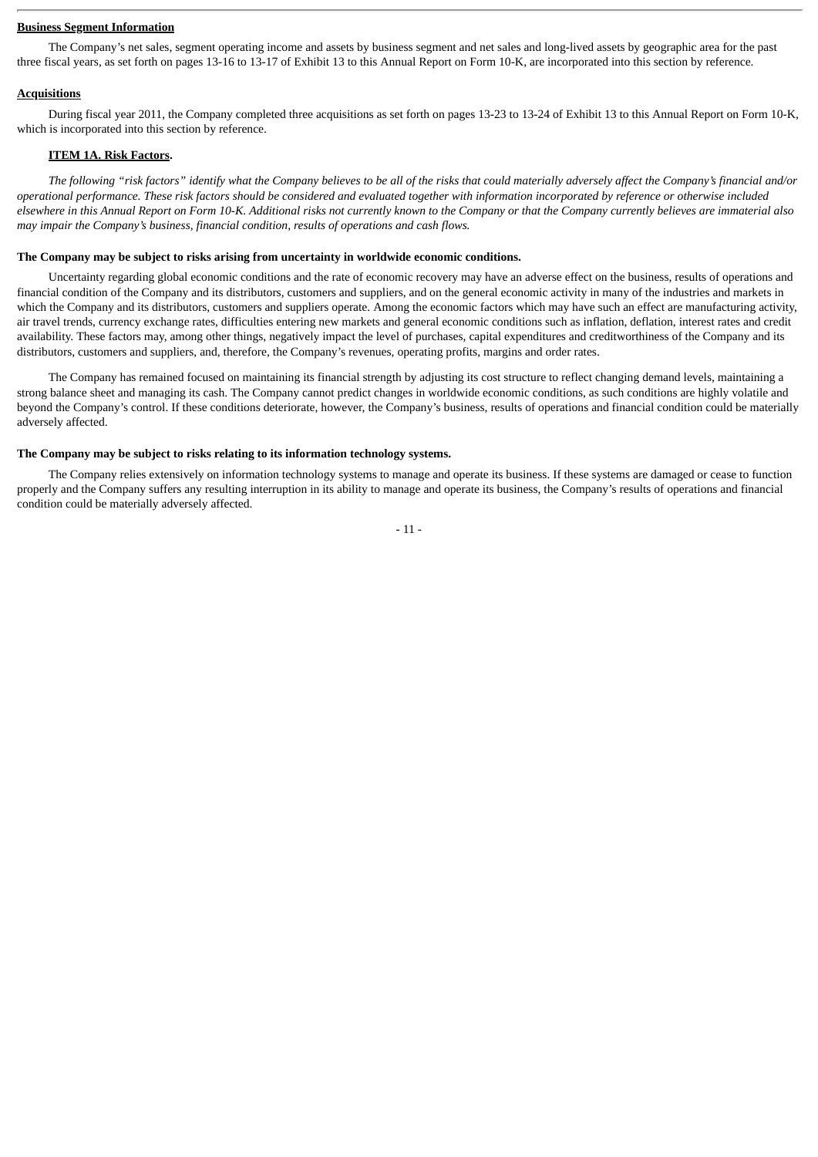#### **Business Segment Information**

The Company's net sales, segment operating income and assets by business segment and net sales and long-lived assets by geographic area for the past three fiscal years, as set forth on pages 13-16 to 13-17 of Exhibit 13 to this Annual Report on Form 10-K, are incorporated into this section by reference.

#### **Acquisitions**

During fiscal year 2011, the Company completed three acquisitions as set forth on pages 13-23 to 13-24 of Exhibit 13 to this Annual Report on Form 10-K, which is incorporated into this section by reference.

#### **ITEM 1A. Risk Factors.**

*The following "risk factors" identify what the Company believes to be all of the risks that could materially adversely affect the Company's financial and/or operational performance. These risk factors should be considered and evaluated together with information incorporated by reference or otherwise included elsewhere in this Annual Report on Form 10-K. Additional risks not currently known to the Company or that the Company currently believes are immaterial also may impair the Company's business, financial condition, results of operations and cash flows.*

#### **The Company may be subject to risks arising from uncertainty in worldwide economic conditions.**

Uncertainty regarding global economic conditions and the rate of economic recovery may have an adverse effect on the business, results of operations and financial condition of the Company and its distributors, customers and suppliers, and on the general economic activity in many of the industries and markets in which the Company and its distributors, customers and suppliers operate. Among the economic factors which may have such an effect are manufacturing activity, air travel trends, currency exchange rates, difficulties entering new markets and general economic conditions such as inflation, deflation, interest rates and credit availability. These factors may, among other things, negatively impact the level of purchases, capital expenditures and creditworthiness of the Company and its distributors, customers and suppliers, and, therefore, the Company's revenues, operating profits, margins and order rates.

The Company has remained focused on maintaining its financial strength by adjusting its cost structure to reflect changing demand levels, maintaining a strong balance sheet and managing its cash. The Company cannot predict changes in worldwide economic conditions, as such conditions are highly volatile and beyond the Company's control. If these conditions deteriorate, however, the Company's business, results of operations and financial condition could be materially adversely affected.

#### **The Company may be subject to risks relating to its information technology systems.**

The Company relies extensively on information technology systems to manage and operate its business. If these systems are damaged or cease to function properly and the Company suffers any resulting interruption in its ability to manage and operate its business, the Company's results of operations and financial condition could be materially adversely affected.

- 11 -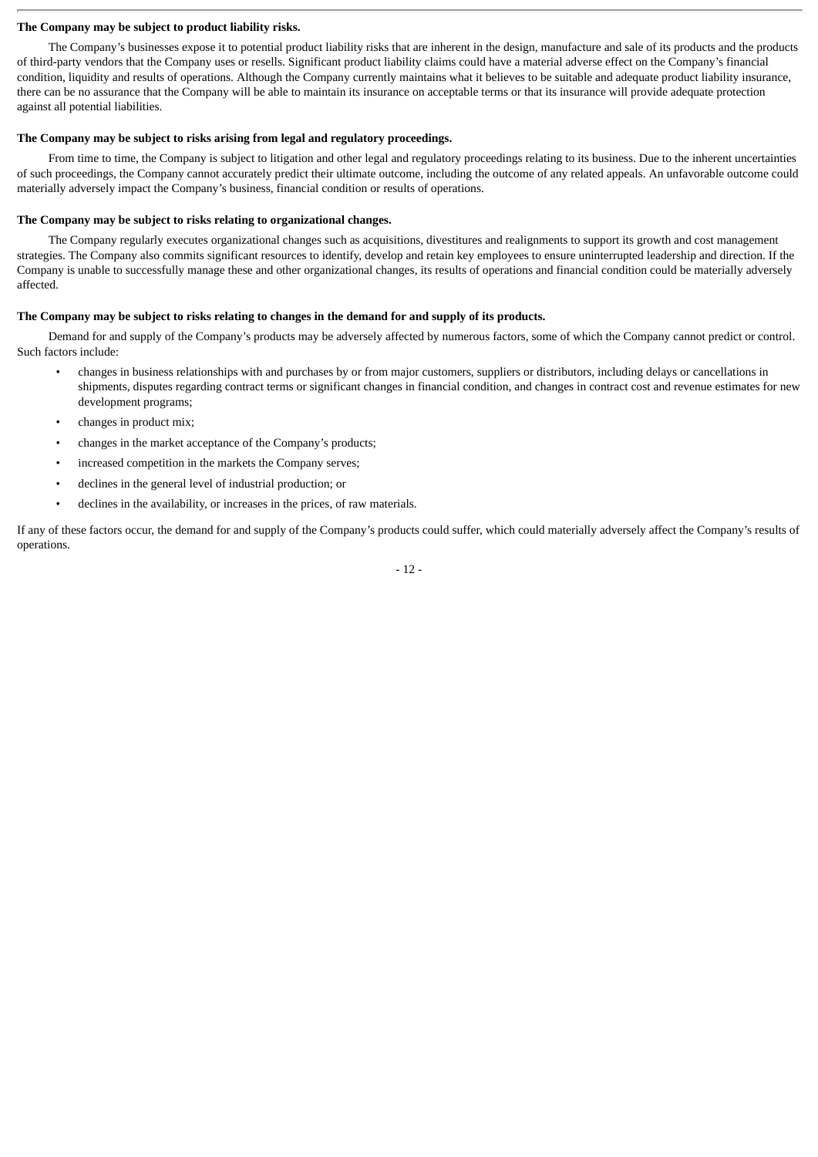#### **The Company may be subject to product liability risks.**

The Company's businesses expose it to potential product liability risks that are inherent in the design, manufacture and sale of its products and the products of third-party vendors that the Company uses or resells. Significant product liability claims could have a material adverse effect on the Company's financial condition, liquidity and results of operations. Although the Company currently maintains what it believes to be suitable and adequate product liability insurance, there can be no assurance that the Company will be able to maintain its insurance on acceptable terms or that its insurance will provide adequate protection against all potential liabilities.

#### **The Company may be subject to risks arising from legal and regulatory proceedings.**

From time to time, the Company is subject to litigation and other legal and regulatory proceedings relating to its business. Due to the inherent uncertainties of such proceedings, the Company cannot accurately predict their ultimate outcome, including the outcome of any related appeals. An unfavorable outcome could materially adversely impact the Company's business, financial condition or results of operations.

#### **The Company may be subject to risks relating to organizational changes.**

The Company regularly executes organizational changes such as acquisitions, divestitures and realignments to support its growth and cost management strategies. The Company also commits significant resources to identify, develop and retain key employees to ensure uninterrupted leadership and direction. If the Company is unable to successfully manage these and other organizational changes, its results of operations and financial condition could be materially adversely affected.

# **The Company may be subject to risks relating to changes in the demand for and supply of its products.**

Demand for and supply of the Company's products may be adversely affected by numerous factors, some of which the Company cannot predict or control. Such factors include:

- changes in business relationships with and purchases by or from major customers, suppliers or distributors, including delays or cancellations in shipments, disputes regarding contract terms or significant changes in financial condition, and changes in contract cost and revenue estimates for new development programs;
- changes in product mix;
- changes in the market acceptance of the Company's products;
- increased competition in the markets the Company serves:
- declines in the general level of industrial production; or
- declines in the availability, or increases in the prices, of raw materials.

If any of these factors occur, the demand for and supply of the Company's products could suffer, which could materially adversely affect the Company's results of operations.

- 12 -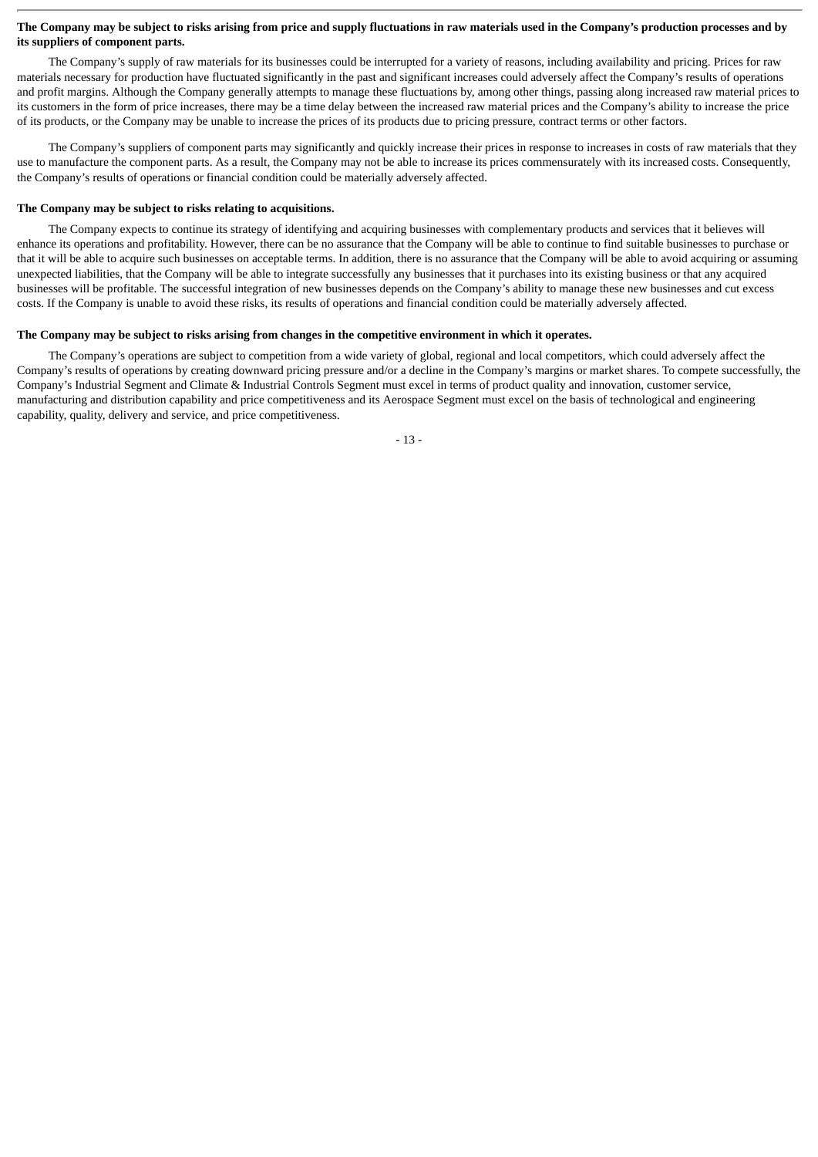## **The Company may be subject to risks arising from price and supply fluctuations in raw materials used in the Company's production processes and by its suppliers of component parts.**

The Company's supply of raw materials for its businesses could be interrupted for a variety of reasons, including availability and pricing. Prices for raw materials necessary for production have fluctuated significantly in the past and significant increases could adversely affect the Company's results of operations and profit margins. Although the Company generally attempts to manage these fluctuations by, among other things, passing along increased raw material prices to its customers in the form of price increases, there may be a time delay between the increased raw material prices and the Company's ability to increase the price of its products, or the Company may be unable to increase the prices of its products due to pricing pressure, contract terms or other factors.

The Company's suppliers of component parts may significantly and quickly increase their prices in response to increases in costs of raw materials that they use to manufacture the component parts. As a result, the Company may not be able to increase its prices commensurately with its increased costs. Consequently, the Company's results of operations or financial condition could be materially adversely affected.

#### **The Company may be subject to risks relating to acquisitions.**

The Company expects to continue its strategy of identifying and acquiring businesses with complementary products and services that it believes will enhance its operations and profitability. However, there can be no assurance that the Company will be able to continue to find suitable businesses to purchase or that it will be able to acquire such businesses on acceptable terms. In addition, there is no assurance that the Company will be able to avoid acquiring or assuming unexpected liabilities, that the Company will be able to integrate successfully any businesses that it purchases into its existing business or that any acquired businesses will be profitable. The successful integration of new businesses depends on the Company's ability to manage these new businesses and cut excess costs. If the Company is unable to avoid these risks, its results of operations and financial condition could be materially adversely affected.

#### **The Company may be subject to risks arising from changes in the competitive environment in which it operates.**

The Company's operations are subject to competition from a wide variety of global, regional and local competitors, which could adversely affect the Company's results of operations by creating downward pricing pressure and/or a decline in the Company's margins or market shares. To compete successfully, the Company's Industrial Segment and Climate & Industrial Controls Segment must excel in terms of product quality and innovation, customer service, manufacturing and distribution capability and price competitiveness and its Aerospace Segment must excel on the basis of technological and engineering capability, quality, delivery and service, and price competitiveness.

- 13 -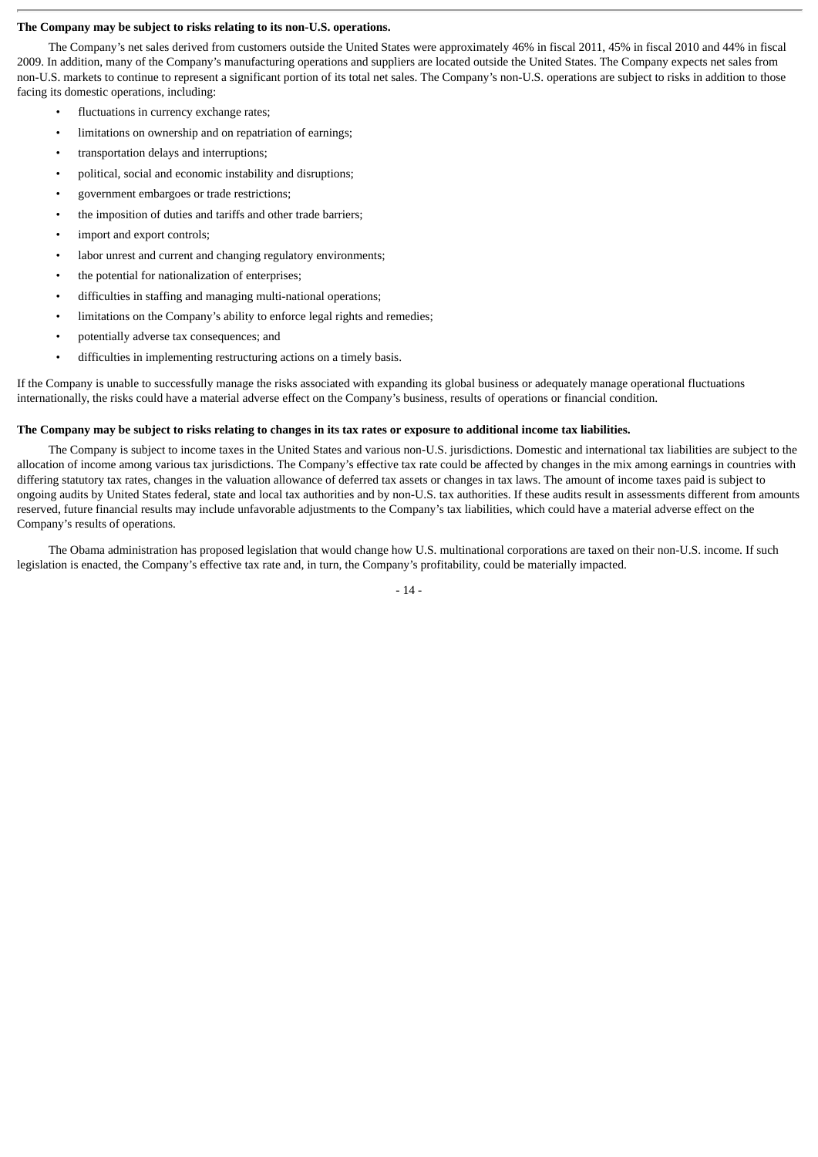# **The Company may be subject to risks relating to its non-U.S. operations.**

The Company's net sales derived from customers outside the United States were approximately 46% in fiscal 2011, 45% in fiscal 2010 and 44% in fiscal 2009. In addition, many of the Company's manufacturing operations and suppliers are located outside the United States. The Company expects net sales from non-U.S. markets to continue to represent a significant portion of its total net sales. The Company's non-U.S. operations are subject to risks in addition to those facing its domestic operations, including:

- fluctuations in currency exchange rates;
- limitations on ownership and on repatriation of earnings;
- transportation delays and interruptions;
- political, social and economic instability and disruptions;
- government embargoes or trade restrictions;
- the imposition of duties and tariffs and other trade barriers;
- import and export controls;
- labor unrest and current and changing regulatory environments;
- the potential for nationalization of enterprises;
- difficulties in staffing and managing multi-national operations;
- limitations on the Company's ability to enforce legal rights and remedies;
- potentially adverse tax consequences; and
- difficulties in implementing restructuring actions on a timely basis.

If the Company is unable to successfully manage the risks associated with expanding its global business or adequately manage operational fluctuations internationally, the risks could have a material adverse effect on the Company's business, results of operations or financial condition.

# **The Company may be subject to risks relating to changes in its tax rates or exposure to additional income tax liabilities.**

The Company is subject to income taxes in the United States and various non-U.S. jurisdictions. Domestic and international tax liabilities are subject to the allocation of income among various tax jurisdictions. The Company's effective tax rate could be affected by changes in the mix among earnings in countries with differing statutory tax rates, changes in the valuation allowance of deferred tax assets or changes in tax laws. The amount of income taxes paid is subject to ongoing audits by United States federal, state and local tax authorities and by non-U.S. tax authorities. If these audits result in assessments different from amounts reserved, future financial results may include unfavorable adjustments to the Company's tax liabilities, which could have a material adverse effect on the Company's results of operations.

The Obama administration has proposed legislation that would change how U.S. multinational corporations are taxed on their non-U.S. income. If such legislation is enacted, the Company's effective tax rate and, in turn, the Company's profitability, could be materially impacted.

- 14 -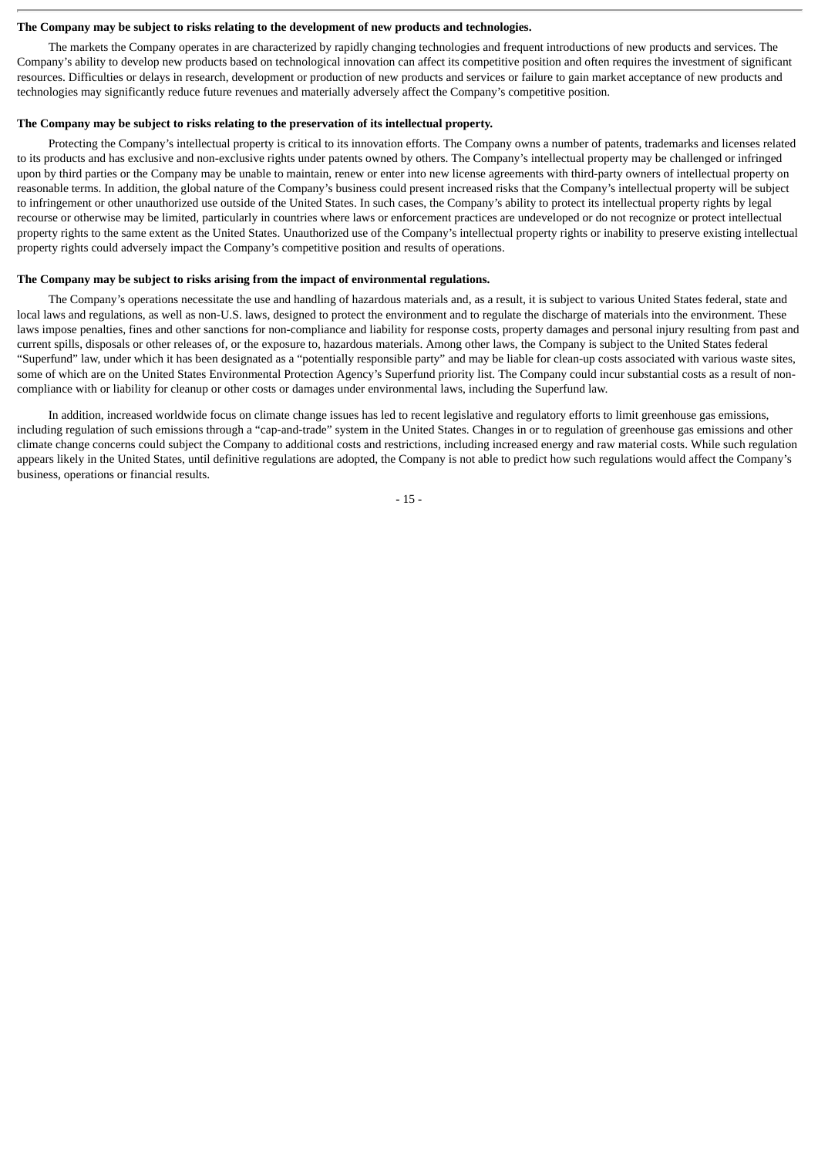#### **The Company may be subject to risks relating to the development of new products and technologies.**

The markets the Company operates in are characterized by rapidly changing technologies and frequent introductions of new products and services. The Company's ability to develop new products based on technological innovation can affect its competitive position and often requires the investment of significant resources. Difficulties or delays in research, development or production of new products and services or failure to gain market acceptance of new products and technologies may significantly reduce future revenues and materially adversely affect the Company's competitive position.

#### **The Company may be subject to risks relating to the preservation of its intellectual property.**

Protecting the Company's intellectual property is critical to its innovation efforts. The Company owns a number of patents, trademarks and licenses related to its products and has exclusive and non-exclusive rights under patents owned by others. The Company's intellectual property may be challenged or infringed upon by third parties or the Company may be unable to maintain, renew or enter into new license agreements with third-party owners of intellectual property on reasonable terms. In addition, the global nature of the Company's business could present increased risks that the Company's intellectual property will be subject to infringement or other unauthorized use outside of the United States. In such cases, the Company's ability to protect its intellectual property rights by legal recourse or otherwise may be limited, particularly in countries where laws or enforcement practices are undeveloped or do not recognize or protect intellectual property rights to the same extent as the United States. Unauthorized use of the Company's intellectual property rights or inability to preserve existing intellectual property rights could adversely impact the Company's competitive position and results of operations.

#### **The Company may be subject to risks arising from the impact of environmental regulations.**

The Company's operations necessitate the use and handling of hazardous materials and, as a result, it is subject to various United States federal, state and local laws and regulations, as well as non-U.S. laws, designed to protect the environment and to regulate the discharge of materials into the environment. These laws impose penalties, fines and other sanctions for non-compliance and liability for response costs, property damages and personal injury resulting from past and current spills, disposals or other releases of, or the exposure to, hazardous materials. Among other laws, the Company is subject to the United States federal "Superfund" law, under which it has been designated as a "potentially responsible party" and may be liable for clean-up costs associated with various waste sites, some of which are on the United States Environmental Protection Agency's Superfund priority list. The Company could incur substantial costs as a result of noncompliance with or liability for cleanup or other costs or damages under environmental laws, including the Superfund law.

In addition, increased worldwide focus on climate change issues has led to recent legislative and regulatory efforts to limit greenhouse gas emissions, including regulation of such emissions through a "cap-and-trade" system in the United States. Changes in or to regulation of greenhouse gas emissions and other climate change concerns could subject the Company to additional costs and restrictions, including increased energy and raw material costs. While such regulation appears likely in the United States, until definitive regulations are adopted, the Company is not able to predict how such regulations would affect the Company's business, operations or financial results.

- 15 -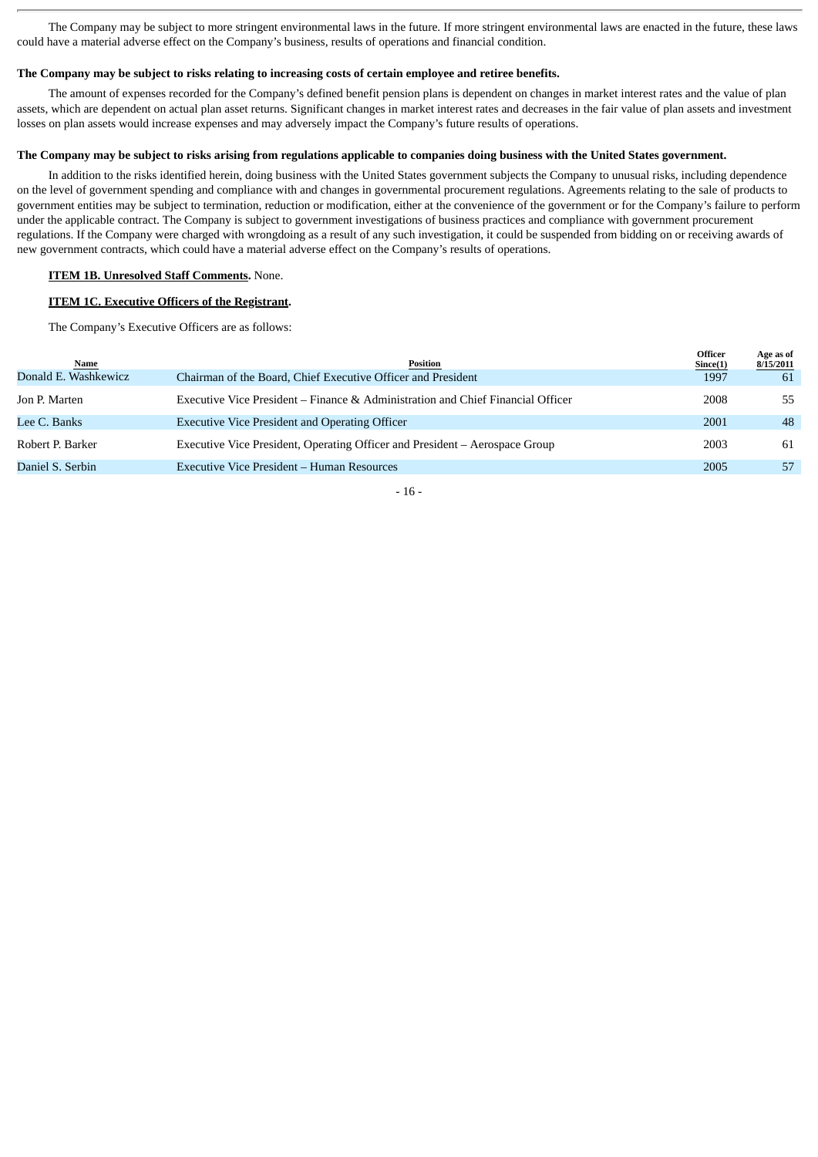The Company may be subject to more stringent environmental laws in the future. If more stringent environmental laws are enacted in the future, these laws could have a material adverse effect on the Company's business, results of operations and financial condition.

# **The Company may be subject to risks relating to increasing costs of certain employee and retiree benefits.**

The amount of expenses recorded for the Company's defined benefit pension plans is dependent on changes in market interest rates and the value of plan assets, which are dependent on actual plan asset returns. Significant changes in market interest rates and decreases in the fair value of plan assets and investment losses on plan assets would increase expenses and may adversely impact the Company's future results of operations.

## **The Company may be subject to risks arising from regulations applicable to companies doing business with the United States government.**

In addition to the risks identified herein, doing business with the United States government subjects the Company to unusual risks, including dependence on the level of government spending and compliance with and changes in governmental procurement regulations. Agreements relating to the sale of products to government entities may be subject to termination, reduction or modification, either at the convenience of the government or for the Company's failure to perform under the applicable contract. The Company is subject to government investigations of business practices and compliance with government procurement regulations. If the Company were charged with wrongdoing as a result of any such investigation, it could be suspended from bidding on or receiving awards of new government contracts, which could have a material adverse effect on the Company's results of operations.

# **ITEM 1B. Unresolved Staff Comments.** None.

# **ITEM 1C. Executive Officers of the Registrant.**

The Company's Executive Officers are as follows:

| Name                 | Position                                                                        | <b>Officer</b><br>Since(1) | Age as of<br>8/15/2011 |
|----------------------|---------------------------------------------------------------------------------|----------------------------|------------------------|
| Donald E. Washkewicz | Chairman of the Board, Chief Executive Officer and President                    | 1997                       | -61                    |
| Jon P. Marten        | Executive Vice President – Finance & Administration and Chief Financial Officer | 2008                       | 55                     |
| Lee C. Banks         | <b>Executive Vice President and Operating Officer</b>                           | 2001                       | 48                     |
| Robert P. Barker     | Executive Vice President, Operating Officer and President – Aerospace Group     | 2003                       | 61                     |
| Daniel S. Serbin     | Executive Vice President - Human Resources                                      | 2005                       | 57                     |

<sup>- 16 -</sup>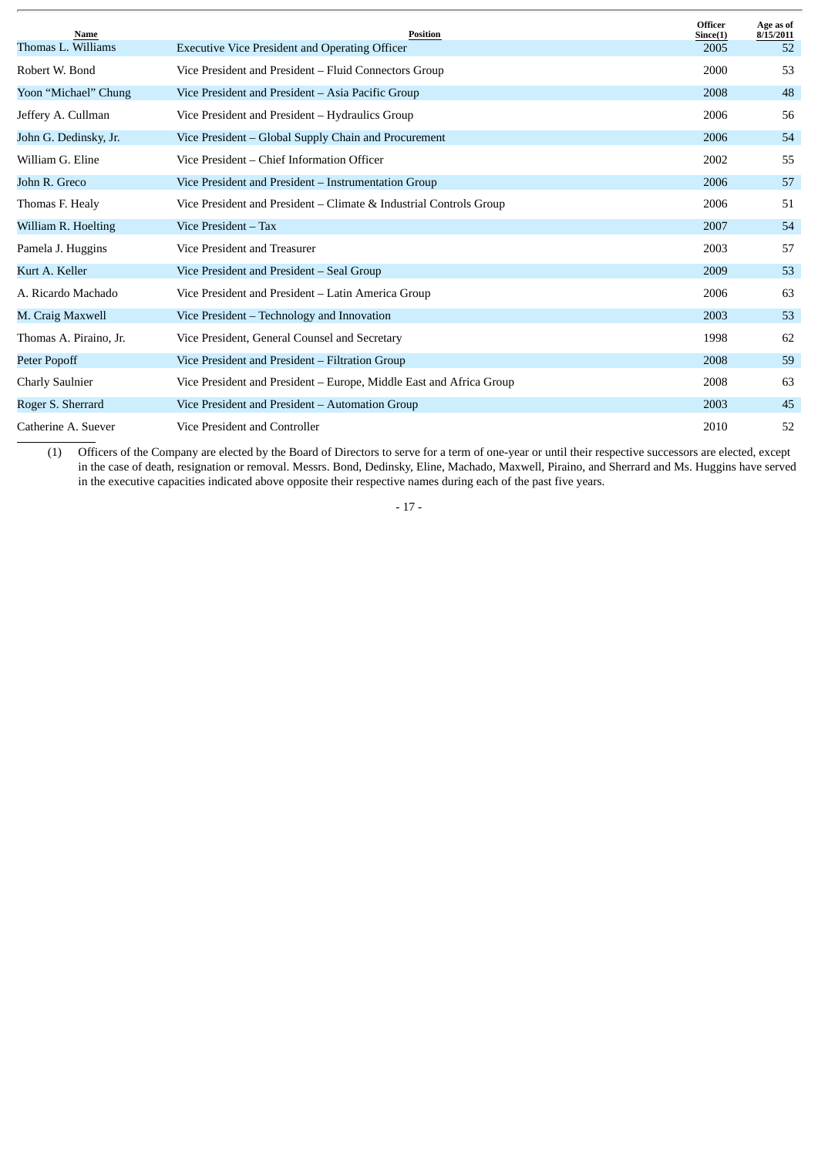| Name                   | <b>Position</b>                                                     | <b>Officer</b><br>Since(1) | Age as of<br>8/15/2011 |
|------------------------|---------------------------------------------------------------------|----------------------------|------------------------|
| Thomas L. Williams     | <b>Executive Vice President and Operating Officer</b>               | 2005                       | 52                     |
| Robert W. Bond         | Vice President and President - Fluid Connectors Group               | 2000                       | 53                     |
| Yoon "Michael" Chung   | Vice President and President - Asia Pacific Group                   | 2008                       | 48                     |
| Jeffery A. Cullman     | Vice President and President – Hydraulics Group                     | 2006                       | 56                     |
| John G. Dedinsky, Jr.  | Vice President – Global Supply Chain and Procurement                | 2006                       | 54                     |
| William G. Eline       | Vice President – Chief Information Officer                          | 2002                       | 55                     |
| John R. Greco          | Vice President and President – Instrumentation Group                | 2006                       | 57                     |
| Thomas F. Healy        | Vice President and President – Climate & Industrial Controls Group  | 2006                       | 51                     |
| William R. Hoelting    | Vice President - Tax                                                | 2007                       | 54                     |
| Pamela J. Huggins      | Vice President and Treasurer                                        | 2003                       | 57                     |
| Kurt A. Keller         | Vice President and President - Seal Group                           | 2009                       | 53                     |
| A. Ricardo Machado     | Vice President and President - Latin America Group                  | 2006                       | 63                     |
| M. Craig Maxwell       | Vice President – Technology and Innovation                          | 2003                       | 53                     |
| Thomas A. Piraino, Jr. | Vice President, General Counsel and Secretary                       | 1998                       | 62                     |
| Peter Popoff           | Vice President and President - Filtration Group                     | 2008                       | 59                     |
| Charly Saulnier        | Vice President and President – Europe, Middle East and Africa Group | 2008                       | 63                     |
| Roger S. Sherrard      | Vice President and President - Automation Group                     | 2003                       | 45                     |
| Catherine A. Suever    | Vice President and Controller                                       | 2010                       | 52                     |

(1) Officers of the Company are elected by the Board of Directors to serve for a term of one-year or until their respective successors are elected, except in the case of death, resignation or removal. Messrs. Bond, Dedinsky, Eline, Machado, Maxwell, Piraino, and Sherrard and Ms. Huggins have served in the executive capacities indicated above opposite their respective names during each of the past five years.

- 17 -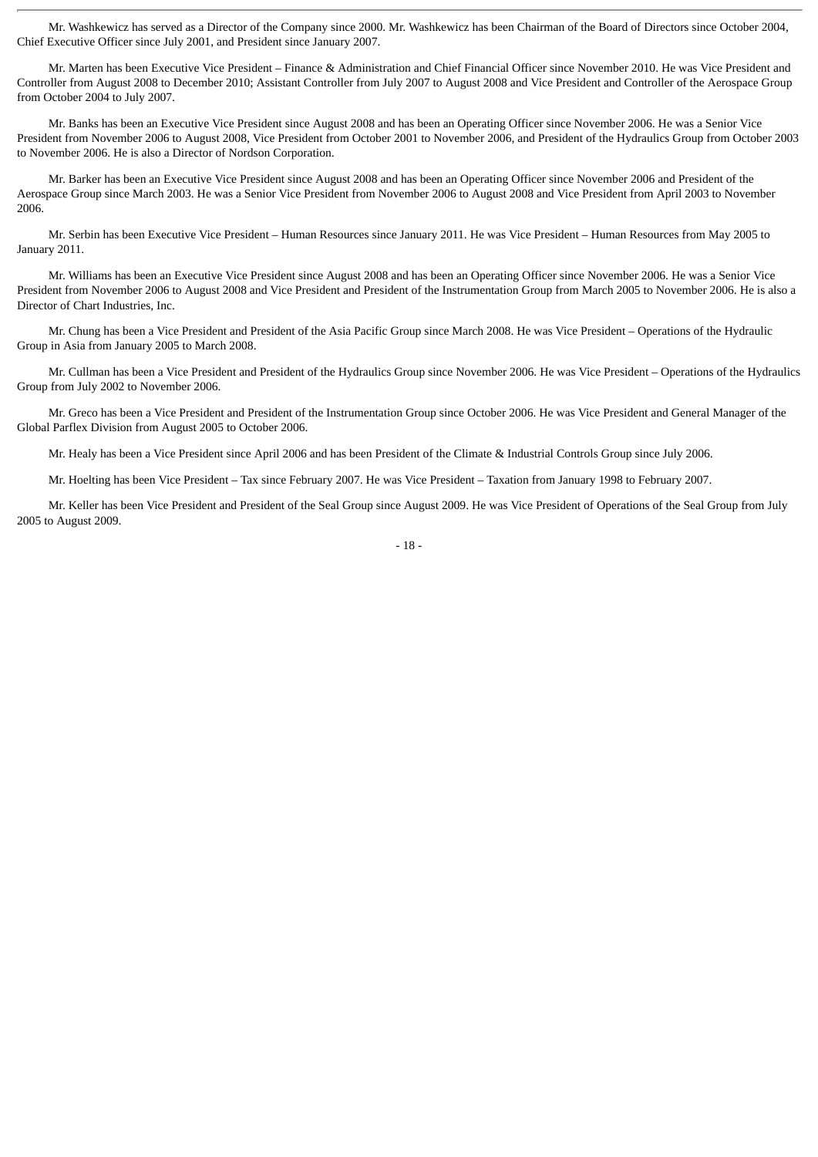Mr. Washkewicz has served as a Director of the Company since 2000. Mr. Washkewicz has been Chairman of the Board of Directors since October 2004, Chief Executive Officer since July 2001, and President since January 2007.

Mr. Marten has been Executive Vice President – Finance & Administration and Chief Financial Officer since November 2010. He was Vice President and Controller from August 2008 to December 2010; Assistant Controller from July 2007 to August 2008 and Vice President and Controller of the Aerospace Group from October 2004 to July 2007.

Mr. Banks has been an Executive Vice President since August 2008 and has been an Operating Officer since November 2006. He was a Senior Vice President from November 2006 to August 2008, Vice President from October 2001 to November 2006, and President of the Hydraulics Group from October 2003 to November 2006. He is also a Director of Nordson Corporation.

Mr. Barker has been an Executive Vice President since August 2008 and has been an Operating Officer since November 2006 and President of the Aerospace Group since March 2003. He was a Senior Vice President from November 2006 to August 2008 and Vice President from April 2003 to November 2006.

Mr. Serbin has been Executive Vice President – Human Resources since January 2011. He was Vice President – Human Resources from May 2005 to January 2011.

Mr. Williams has been an Executive Vice President since August 2008 and has been an Operating Officer since November 2006. He was a Senior Vice President from November 2006 to August 2008 and Vice President and President of the Instrumentation Group from March 2005 to November 2006. He is also a Director of Chart Industries, Inc.

Mr. Chung has been a Vice President and President of the Asia Pacific Group since March 2008. He was Vice President – Operations of the Hydraulic Group in Asia from January 2005 to March 2008.

Mr. Cullman has been a Vice President and President of the Hydraulics Group since November 2006. He was Vice President – Operations of the Hydraulics Group from July 2002 to November 2006.

Mr. Greco has been a Vice President and President of the Instrumentation Group since October 2006. He was Vice President and General Manager of the Global Parflex Division from August 2005 to October 2006.

Mr. Healy has been a Vice President since April 2006 and has been President of the Climate & Industrial Controls Group since July 2006.

Mr. Hoelting has been Vice President – Tax since February 2007. He was Vice President – Taxation from January 1998 to February 2007.

Mr. Keller has been Vice President and President of the Seal Group since August 2009. He was Vice President of Operations of the Seal Group from July 2005 to August 2009.

- 18 -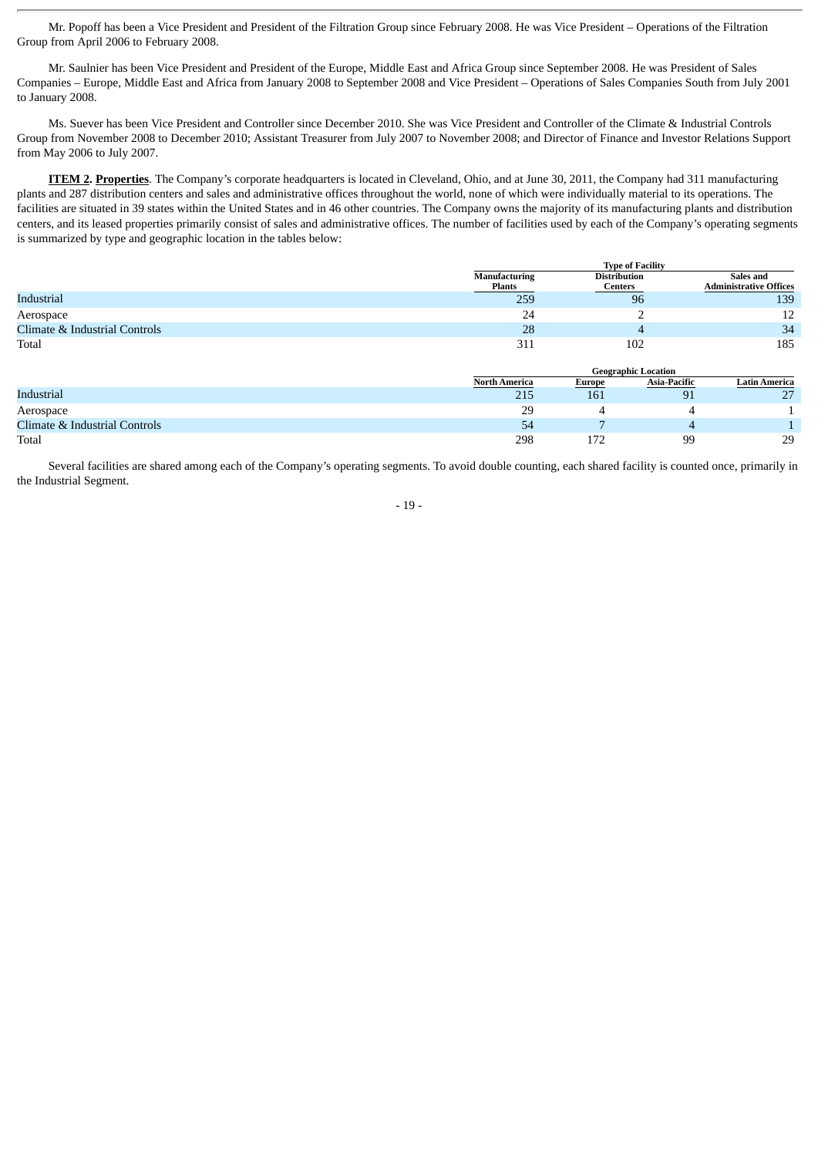Mr. Popoff has been a Vice President and President of the Filtration Group since February 2008. He was Vice President – Operations of the Filtration Group from April 2006 to February 2008.

Mr. Saulnier has been Vice President and President of the Europe, Middle East and Africa Group since September 2008. He was President of Sales Companies – Europe, Middle East and Africa from January 2008 to September 2008 and Vice President – Operations of Sales Companies South from July 2001 to January 2008.

Ms. Suever has been Vice President and Controller since December 2010. She was Vice President and Controller of the Climate & Industrial Controls Group from November 2008 to December 2010; Assistant Treasurer from July 2007 to November 2008; and Director of Finance and Investor Relations Support from May 2006 to July 2007.

**ITEM 2. Properties**. The Company's corporate headquarters is located in Cleveland, Ohio, and at June 30, 2011, the Company had 311 manufacturing plants and 287 distribution centers and sales and administrative offices throughout the world, none of which were individually material to its operations. The facilities are situated in 39 states within the United States and in 46 other countries. The Company owns the majority of its manufacturing plants and distribution centers, and its leased properties primarily consist of sales and administrative offices. The number of facilities used by each of the Company's operating segments is summarized by type and geographic location in the tables below:

|                               |               | <b>Type of Facility</b> |                               |
|-------------------------------|---------------|-------------------------|-------------------------------|
|                               | Manufacturing | <b>Distribution</b>     | Sales and                     |
|                               | <b>Plants</b> | <b>Centers</b>          | <b>Administrative Offices</b> |
| Industrial                    | 259           | 96                      | 139                           |
| Aerospace                     | 24            |                         | 1 <sub>2</sub><br>ᅩ           |
| Climate & Industrial Controls | 28            |                         | 34                            |
| Total                         | 311           | 102                     | 185                           |

|                               |                      | <b>Geographic Location</b> |                     |               |
|-------------------------------|----------------------|----------------------------|---------------------|---------------|
|                               | <b>North America</b> | Europe                     | <b>Asia-Pacific</b> | Latin America |
| <b>Industrial</b>             | 215                  | 161                        | 91                  | 77<br>$\sim$  |
| Aerospace                     | 29                   |                            |                     |               |
| Climate & Industrial Controls | 54                   |                            |                     |               |
| Total                         | 298                  | $-$                        | 99                  | 29            |

Several facilities are shared among each of the Company's operating segments. To avoid double counting, each shared facility is counted once, primarily in the Industrial Segment.

- 19 -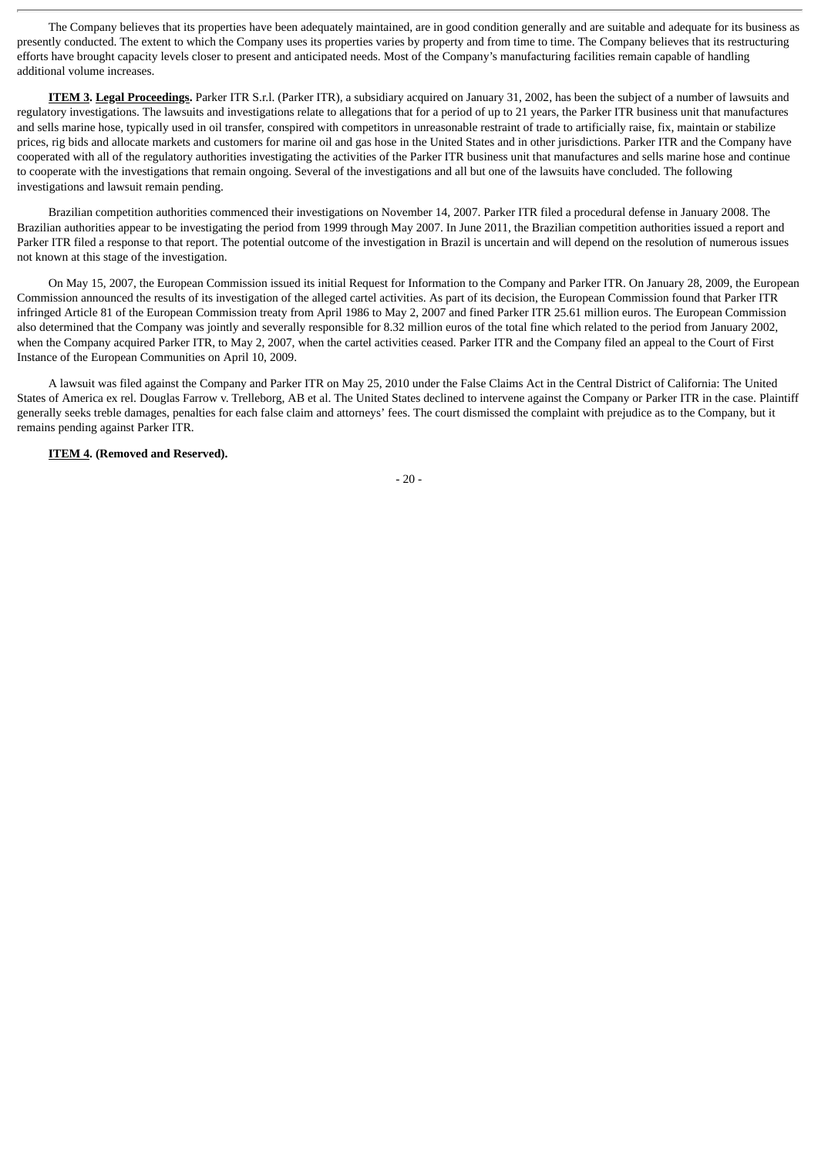The Company believes that its properties have been adequately maintained, are in good condition generally and are suitable and adequate for its business as presently conducted. The extent to which the Company uses its properties varies by property and from time to time. The Company believes that its restructuring efforts have brought capacity levels closer to present and anticipated needs. Most of the Company's manufacturing facilities remain capable of handling additional volume increases.

**ITEM 3. Legal Proceedings.** Parker ITR S.r.l. (Parker ITR), a subsidiary acquired on January 31, 2002, has been the subject of a number of lawsuits and regulatory investigations. The lawsuits and investigations relate to allegations that for a period of up to 21 years, the Parker ITR business unit that manufactures and sells marine hose, typically used in oil transfer, conspired with competitors in unreasonable restraint of trade to artificially raise, fix, maintain or stabilize prices, rig bids and allocate markets and customers for marine oil and gas hose in the United States and in other jurisdictions. Parker ITR and the Company have cooperated with all of the regulatory authorities investigating the activities of the Parker ITR business unit that manufactures and sells marine hose and continue to cooperate with the investigations that remain ongoing. Several of the investigations and all but one of the lawsuits have concluded. The following investigations and lawsuit remain pending.

Brazilian competition authorities commenced their investigations on November 14, 2007. Parker ITR filed a procedural defense in January 2008. The Brazilian authorities appear to be investigating the period from 1999 through May 2007. In June 2011, the Brazilian competition authorities issued a report and Parker ITR filed a response to that report. The potential outcome of the investigation in Brazil is uncertain and will depend on the resolution of numerous issues not known at this stage of the investigation.

On May 15, 2007, the European Commission issued its initial Request for Information to the Company and Parker ITR. On January 28, 2009, the European Commission announced the results of its investigation of the alleged cartel activities. As part of its decision, the European Commission found that Parker ITR infringed Article 81 of the European Commission treaty from April 1986 to May 2, 2007 and fined Parker ITR 25.61 million euros. The European Commission also determined that the Company was jointly and severally responsible for 8.32 million euros of the total fine which related to the period from January 2002, when the Company acquired Parker ITR, to May 2, 2007, when the cartel activities ceased. Parker ITR and the Company filed an appeal to the Court of First Instance of the European Communities on April 10, 2009.

A lawsuit was filed against the Company and Parker ITR on May 25, 2010 under the False Claims Act in the Central District of California: The United States of America ex rel. Douglas Farrow v. Trelleborg, AB et al. The United States declined to intervene against the Company or Parker ITR in the case. Plaintiff generally seeks treble damages, penalties for each false claim and attorneys' fees. The court dismissed the complaint with prejudice as to the Company, but it remains pending against Parker ITR.

**ITEM 4. (Removed and Reserved).**

- 20 -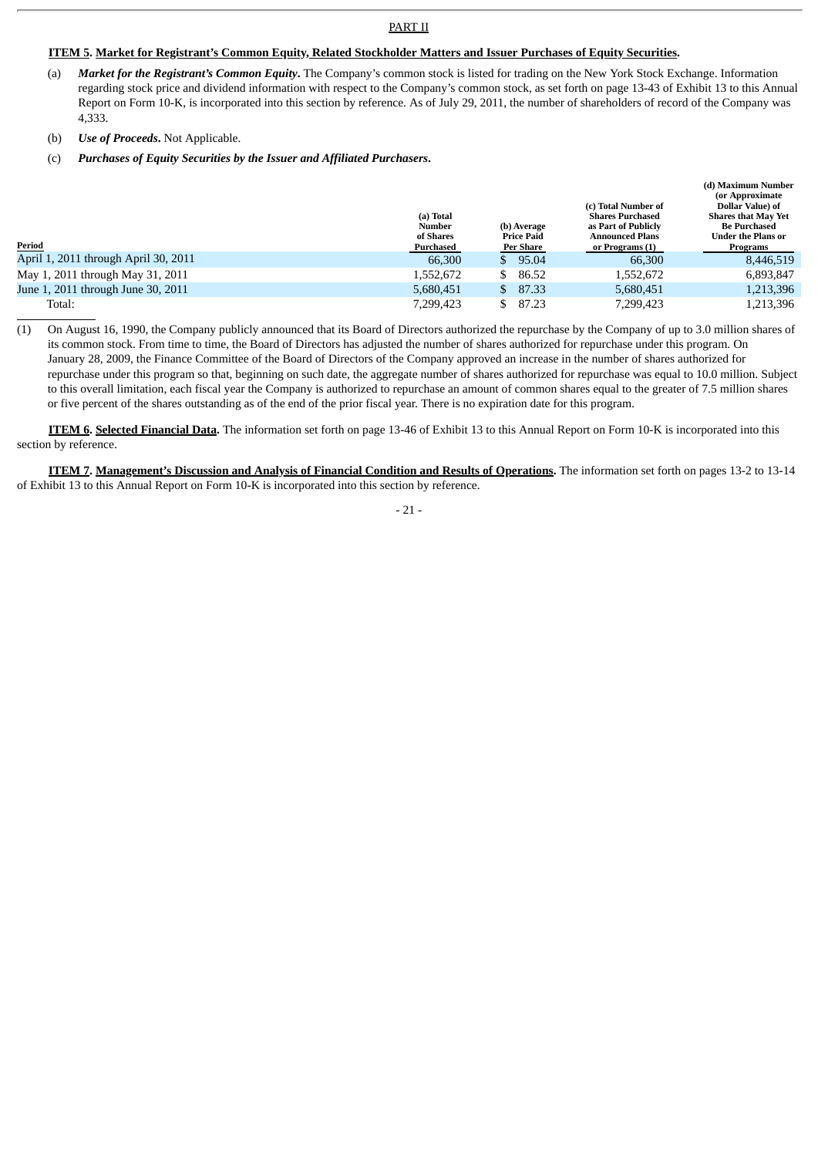#### PART II

# **ITEM 5. Market for Registrant's Common Equity, Related Stockholder Matters and Issuer Purchases of Equity Securities.**

- (a) *Market for the Registrant's Common Equity***.** The Company's common stock is listed for trading on the New York Stock Exchange. Information regarding stock price and dividend information with respect to the Company's common stock, as set forth on page 13-43 of Exhibit 13 to this Annual Report on Form 10-K, is incorporated into this section by reference. As of July 29, 2011, the number of shareholders of record of the Company was 4,333.
- (b) *Use of Proceeds***.** Not Applicable.
- (c) *Purchases of Equity Securities by the Issuer and Affiliated Purchasers***.**

|                                      | (a) Total<br>Number<br>of Shares | (b) Average<br><b>Price Paid</b> | (c) Total Number of<br><b>Shares Purchased</b><br>as Part of Publicly<br><b>Announced Plans</b> | (d) Maximum Number<br>(or Approximate)<br>Dollar Value) of<br><b>Shares that May Yet</b><br><b>Be Purchased</b><br>Under the Plans or |
|--------------------------------------|----------------------------------|----------------------------------|-------------------------------------------------------------------------------------------------|---------------------------------------------------------------------------------------------------------------------------------------|
| Period                               | Purchased                        | Per Share                        | or Programs (1)                                                                                 | Programs                                                                                                                              |
| April 1, 2011 through April 30, 2011 | 66,300                           | 95.04                            | 66,300                                                                                          | 8,446,519                                                                                                                             |
| May 1, 2011 through May 31, 2011     | 1,552,672                        | 86.52                            | 1,552,672                                                                                       | 6,893,847                                                                                                                             |
| June 1, 2011 through June 30, 2011   | 5,680,451                        | 87.33<br>S.                      | 5,680,451                                                                                       | 1,213,396                                                                                                                             |
| Total:                               | 7,299,423                        | 87.23                            | 7,299,423                                                                                       | 1,213,396                                                                                                                             |

(1) On August 16, 1990, the Company publicly announced that its Board of Directors authorized the repurchase by the Company of up to 3.0 million shares of its common stock. From time to time, the Board of Directors has adjusted the number of shares authorized for repurchase under this program. On January 28, 2009, the Finance Committee of the Board of Directors of the Company approved an increase in the number of shares authorized for repurchase under this program so that, beginning on such date, the aggregate number of shares authorized for repurchase was equal to 10.0 million. Subject to this overall limitation, each fiscal year the Company is authorized to repurchase an amount of common shares equal to the greater of 7.5 million shares or five percent of the shares outstanding as of the end of the prior fiscal year. There is no expiration date for this program.

**ITEM 6. Selected Financial Data.** The information set forth on page 13-46 of Exhibit 13 to this Annual Report on Form 10-K is incorporated into this section by reference.

**ITEM 7. Management's Discussion and Analysis of Financial Condition and Results of Operations.** The information set forth on pages 13-2 to 13-14 of Exhibit 13 to this Annual Report on Form 10-K is incorporated into this section by reference.

- 21 -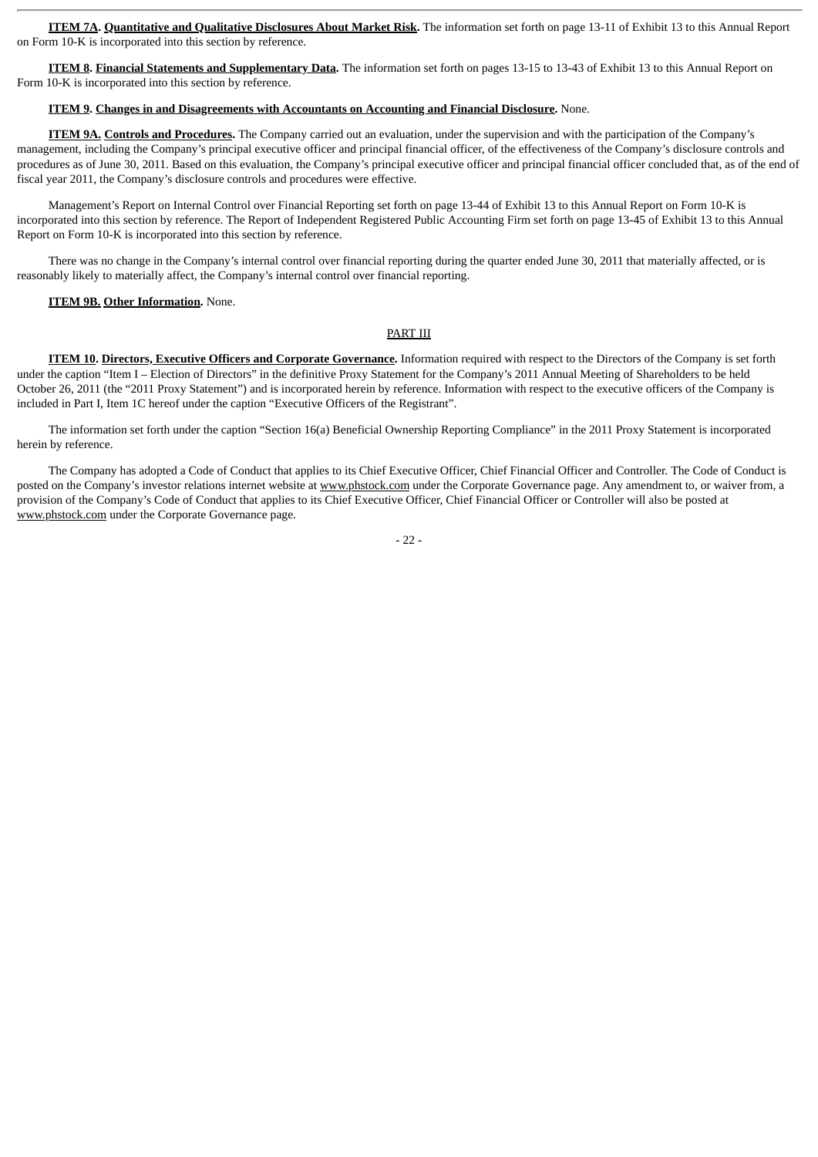**ITEM 7A. Quantitative and Qualitative Disclosures About Market Risk.** The information set forth on page 13-11 of Exhibit 13 to this Annual Report on Form 10-K is incorporated into this section by reference.

**ITEM 8. Financial Statements and Supplementary Data.** The information set forth on pages 13-15 to 13-43 of Exhibit 13 to this Annual Report on Form 10-K is incorporated into this section by reference.

# **ITEM 9. Changes in and Disagreements with Accountants on Accounting and Financial Disclosure.** None.

**ITEM 9A. Controls and Procedures.** The Company carried out an evaluation, under the supervision and with the participation of the Company's management, including the Company's principal executive officer and principal financial officer, of the effectiveness of the Company's disclosure controls and procedures as of June 30, 2011. Based on this evaluation, the Company's principal executive officer and principal financial officer concluded that, as of the end of fiscal year 2011, the Company's disclosure controls and procedures were effective.

Management's Report on Internal Control over Financial Reporting set forth on page 13-44 of Exhibit 13 to this Annual Report on Form 10-K is incorporated into this section by reference. The Report of Independent Registered Public Accounting Firm set forth on page 13-45 of Exhibit 13 to this Annual Report on Form 10-K is incorporated into this section by reference.

There was no change in the Company's internal control over financial reporting during the quarter ended June 30, 2011 that materially affected, or is reasonably likely to materially affect, the Company's internal control over financial reporting.

#### **ITEM 9B. Other Information.** None.

# PART III

**ITEM 10. Directors, Executive Officers and Corporate Governance.** Information required with respect to the Directors of the Company is set forth under the caption "Item I – Election of Directors" in the definitive Proxy Statement for the Company's 2011 Annual Meeting of Shareholders to be held October 26, 2011 (the "2011 Proxy Statement") and is incorporated herein by reference. Information with respect to the executive officers of the Company is included in Part I, Item 1C hereof under the caption "Executive Officers of the Registrant".

The information set forth under the caption "Section 16(a) Beneficial Ownership Reporting Compliance" in the 2011 Proxy Statement is incorporated herein by reference.

The Company has adopted a Code of Conduct that applies to its Chief Executive Officer, Chief Financial Officer and Controller. The Code of Conduct is posted on the Company's investor relations internet website at www.phstock.com under the Corporate Governance page. Any amendment to, or waiver from, a provision of the Company's Code of Conduct that applies to its Chief Executive Officer, Chief Financial Officer or Controller will also be posted at www.phstock.com under the Corporate Governance page.

- 22 -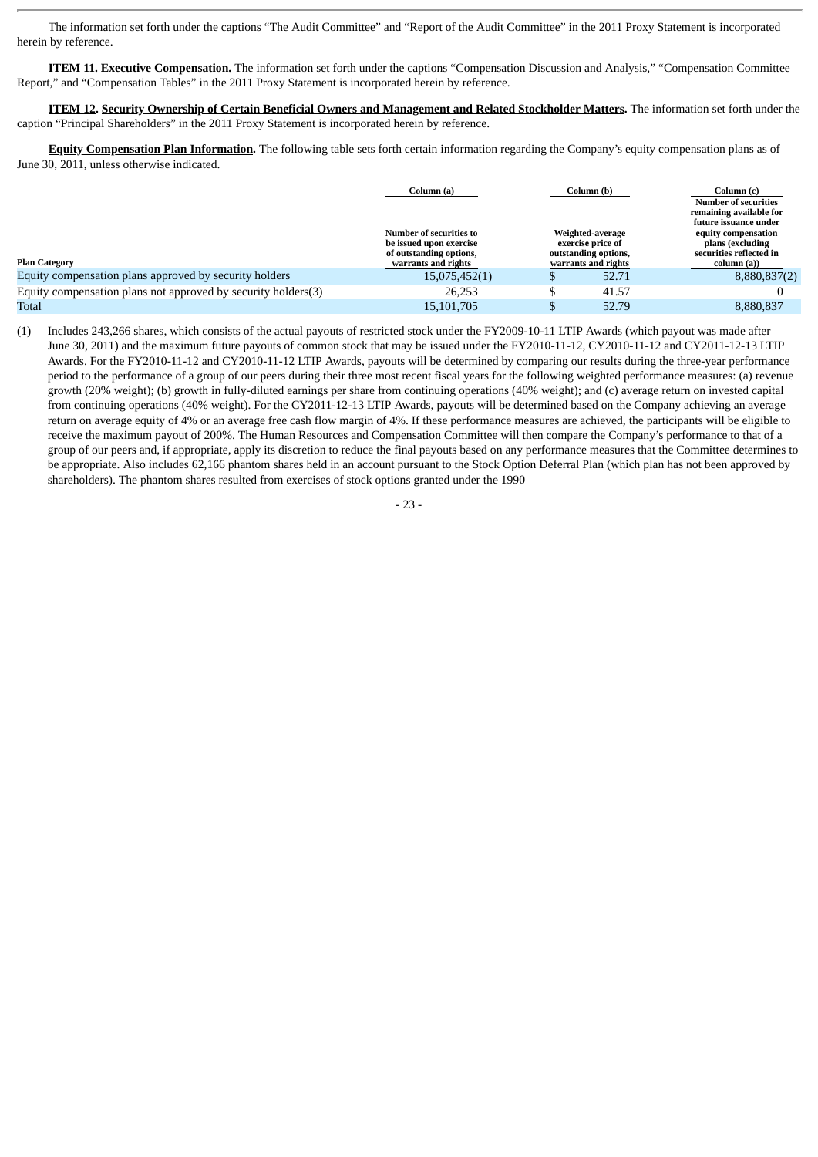The information set forth under the captions "The Audit Committee" and "Report of the Audit Committee" in the 2011 Proxy Statement is incorporated herein by reference.

**ITEM 11. Executive Compensation.** The information set forth under the captions "Compensation Discussion and Analysis," "Compensation Committee Report," and "Compensation Tables" in the 2011 Proxy Statement is incorporated herein by reference.

**ITEM 12. Security Ownership of Certain Beneficial Owners and Management and Related Stockholder Matters.** The information set forth under the caption "Principal Shareholders" in the 2011 Proxy Statement is incorporated herein by reference.

**Equity Compensation Plan Information.** The following table sets forth certain information regarding the Company's equity compensation plans as of June 30, 2011, unless otherwise indicated.

|                                                               | Column (a)                                                                                           | Column (b)                                                                           | Column (c)<br><b>Number of securities</b><br>remaining available for<br>future issuance under |
|---------------------------------------------------------------|------------------------------------------------------------------------------------------------------|--------------------------------------------------------------------------------------|-----------------------------------------------------------------------------------------------|
| <b>Plan Category</b>                                          | Number of securities to<br>be issued upon exercise<br>of outstanding options,<br>warrants and rights | Weighted-average<br>exercise price of<br>outstanding options,<br>warrants and rights | equity compensation<br>plans (excluding<br>securities reflected in<br>column (a))             |
| Equity compensation plans approved by security holders        | 15,075,452(1)                                                                                        | 52.71                                                                                | 8,880,837(2)                                                                                  |
| Equity compensation plans not approved by security holders(3) | 26,253                                                                                               | 41.57                                                                                |                                                                                               |
| Total                                                         | 15, 101, 705                                                                                         | 52.79                                                                                | 8,880,837                                                                                     |

(1) Includes 243,266 shares, which consists of the actual payouts of restricted stock under the FY2009-10-11 LTIP Awards (which payout was made after June 30, 2011) and the maximum future payouts of common stock that may be issued under the FY2010-11-12, CY2010-11-12 and CY2011-12-13 LTIP Awards. For the FY2010-11-12 and CY2010-11-12 LTIP Awards, payouts will be determined by comparing our results during the three-year performance period to the performance of a group of our peers during their three most recent fiscal years for the following weighted performance measures: (a) revenue growth (20% weight); (b) growth in fully-diluted earnings per share from continuing operations (40% weight); and (c) average return on invested capital from continuing operations (40% weight). For the CY2011-12-13 LTIP Awards, payouts will be determined based on the Company achieving an average return on average equity of 4% or an average free cash flow margin of 4%. If these performance measures are achieved, the participants will be eligible to receive the maximum payout of 200%. The Human Resources and Compensation Committee will then compare the Company's performance to that of a group of our peers and, if appropriate, apply its discretion to reduce the final payouts based on any performance measures that the Committee determines to be appropriate. Also includes 62,166 phantom shares held in an account pursuant to the Stock Option Deferral Plan (which plan has not been approved by shareholders). The phantom shares resulted from exercises of stock options granted under the 1990

- 23 -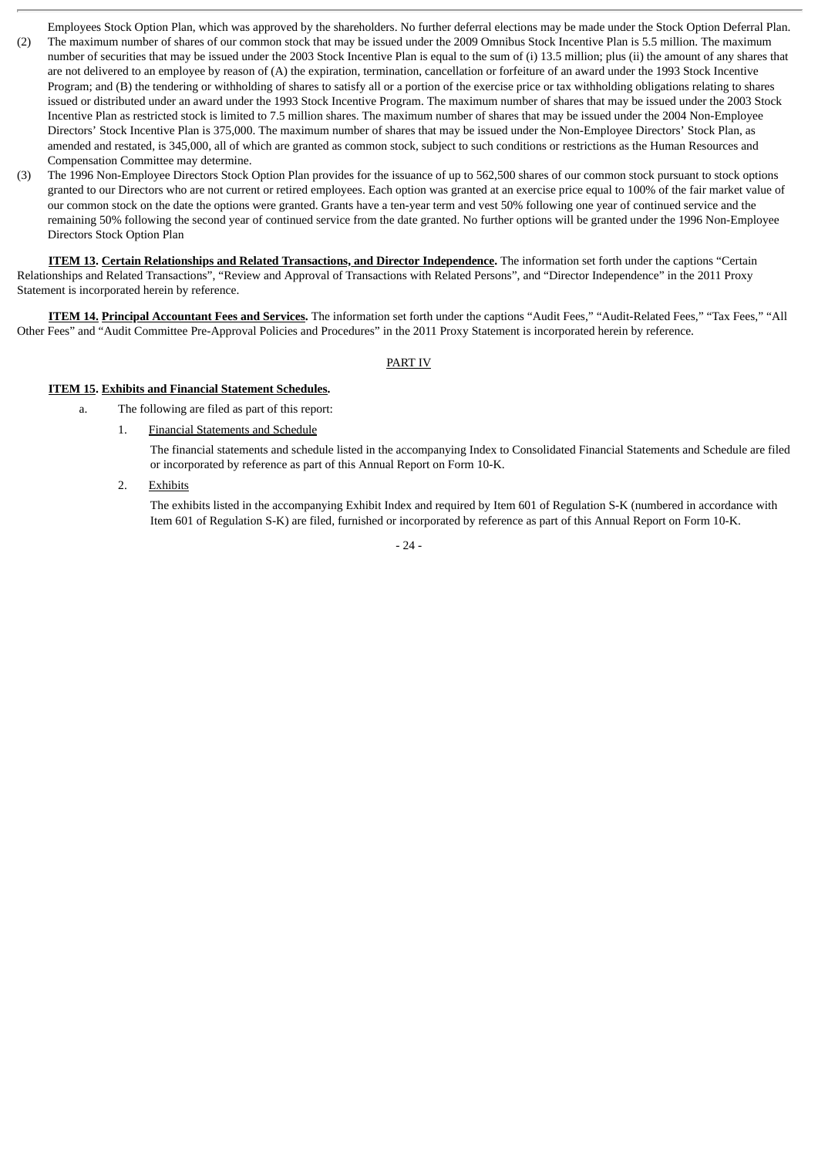Employees Stock Option Plan, which was approved by the shareholders. No further deferral elections may be made under the Stock Option Deferral Plan. (2) The maximum number of shares of our common stock that may be issued under the 2009 Omnibus Stock Incentive Plan is 5.5 million. The maximum number of securities that may be issued under the 2003 Stock Incentive Plan is equal to the sum of (i) 13.5 million; plus (ii) the amount of any shares that are not delivered to an employee by reason of (A) the expiration, termination, cancellation or forfeiture of an award under the 1993 Stock Incentive Program; and (B) the tendering or withholding of shares to satisfy all or a portion of the exercise price or tax withholding obligations relating to shares issued or distributed under an award under the 1993 Stock Incentive Program. The maximum number of shares that may be issued under the 2003 Stock Incentive Plan as restricted stock is limited to 7.5 million shares. The maximum number of shares that may be issued under the 2004 Non-Employee Directors' Stock Incentive Plan is 375,000. The maximum number of shares that may be issued under the Non-Employee Directors' Stock Plan, as amended and restated, is 345,000, all of which are granted as common stock, subject to such conditions or restrictions as the Human Resources and Compensation Committee may determine.

(3) The 1996 Non-Employee Directors Stock Option Plan provides for the issuance of up to 562,500 shares of our common stock pursuant to stock options granted to our Directors who are not current or retired employees. Each option was granted at an exercise price equal to 100% of the fair market value of our common stock on the date the options were granted. Grants have a ten-year term and vest 50% following one year of continued service and the remaining 50% following the second year of continued service from the date granted. No further options will be granted under the 1996 Non-Employee Directors Stock Option Plan

**ITEM 13. Certain Relationships and Related Transactions, and Director Independence.** The information set forth under the captions "Certain Relationships and Related Transactions", "Review and Approval of Transactions with Related Persons", and "Director Independence" in the 2011 Proxy Statement is incorporated herein by reference.

**ITEM 14. Principal Accountant Fees and Services.** The information set forth under the captions "Audit Fees," "Audit-Related Fees," "Tax Fees," "All Other Fees" and "Audit Committee Pre-Approval Policies and Procedures" in the 2011 Proxy Statement is incorporated herein by reference.

# PART IV

# **ITEM 15. Exhibits and Financial Statement Schedules.**

- a. The following are filed as part of this report:
	- 1. Financial Statements and Schedule

The financial statements and schedule listed in the accompanying Index to Consolidated Financial Statements and Schedule are filed or incorporated by reference as part of this Annual Report on Form 10-K.

2. Exhibits

The exhibits listed in the accompanying Exhibit Index and required by Item 601 of Regulation S-K (numbered in accordance with Item 601 of Regulation S-K) are filed, furnished or incorporated by reference as part of this Annual Report on Form 10-K.

- 24 -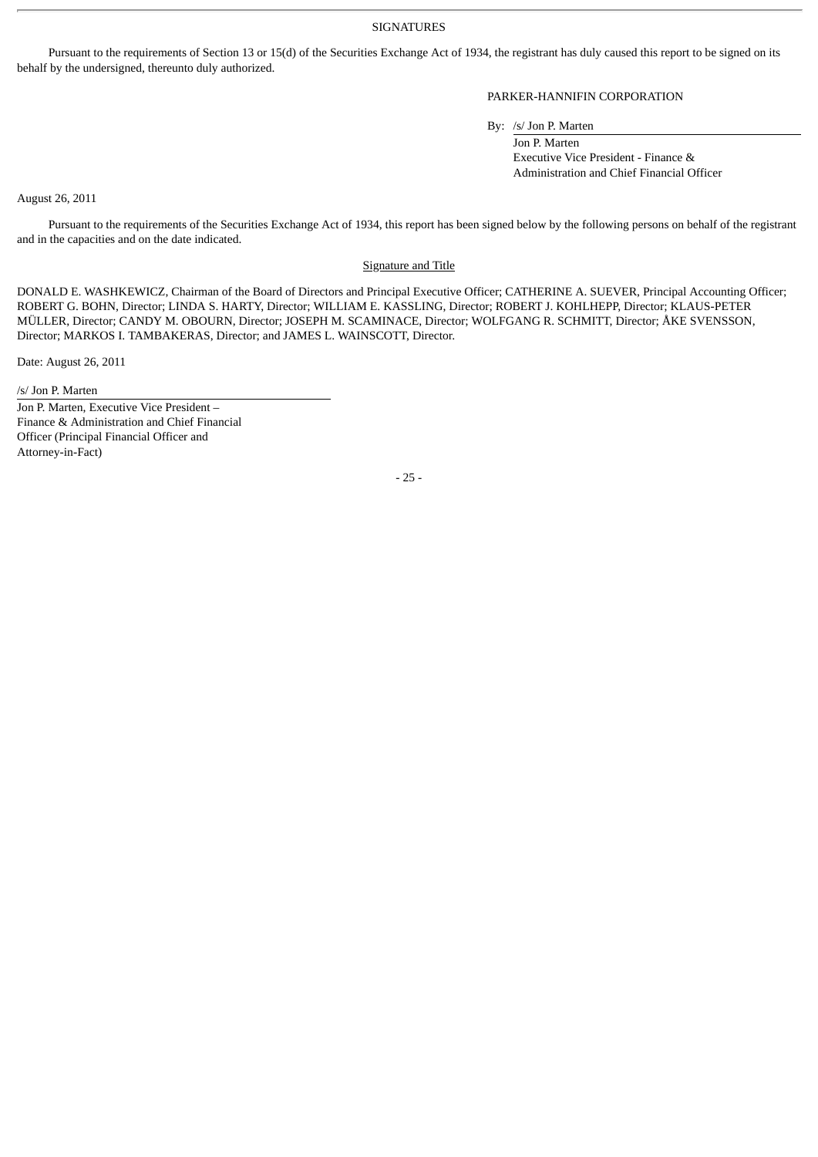**SIGNATURES** 

Pursuant to the requirements of Section 13 or 15(d) of the Securities Exchange Act of 1934, the registrant has duly caused this report to be signed on its behalf by the undersigned, thereunto duly authorized.

# PARKER-HANNIFIN CORPORATION

By: /s/ Jon P. Marten

Jon P. Marten Executive Vice President - Finance & Administration and Chief Financial Officer

August 26, 2011

Pursuant to the requirements of the Securities Exchange Act of 1934, this report has been signed below by the following persons on behalf of the registrant and in the capacities and on the date indicated.

#### Signature and Title

DONALD E. WASHKEWICZ, Chairman of the Board of Directors and Principal Executive Officer; CATHERINE A. SUEVER, Principal Accounting Officer; ROBERT G. BOHN, Director; LINDA S. HARTY, Director; WILLIAM E. KASSLING, Director; ROBERT J. KOHLHEPP, Director; KLAUS-PETER MÜLLER, Director; CANDY M. OBOURN, Director; JOSEPH M. SCAMINACE, Director; WOLFGANG R. SCHMITT, Director; ÅKE SVENSSON, Director; MARKOS I. TAMBAKERAS, Director; and JAMES L. WAINSCOTT, Director.

Date: August 26, 2011

/s/ Jon P. Marten

Jon P. Marten, Executive Vice President – Finance & Administration and Chief Financial Officer (Principal Financial Officer and Attorney-in-Fact)

- 25 -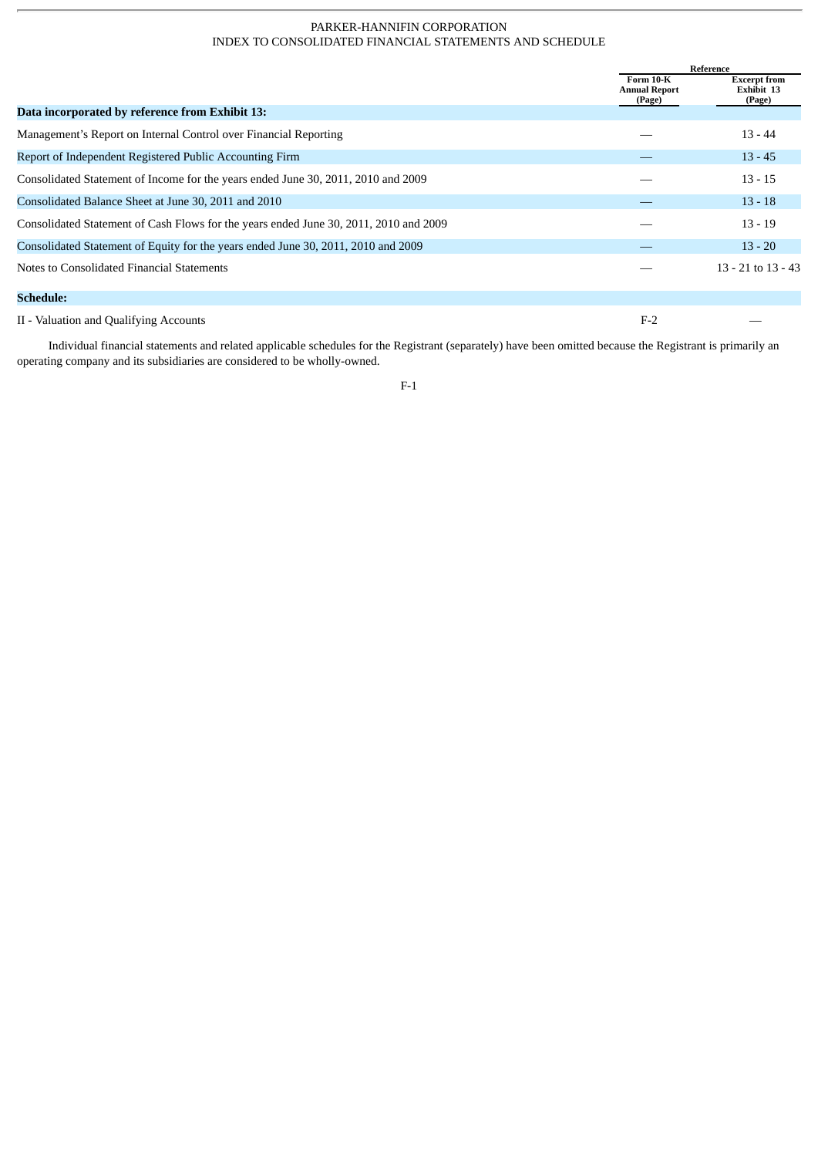# PARKER-HANNIFIN CORPORATION INDEX TO CONSOLIDATED FINANCIAL STATEMENTS AND SCHEDULE

|                                                                                       |                                             | Reference                                   |
|---------------------------------------------------------------------------------------|---------------------------------------------|---------------------------------------------|
|                                                                                       | Form 10-K<br><b>Annual Report</b><br>(Page) | <b>Excerpt from</b><br>Exhibit 13<br>(Page) |
| Data incorporated by reference from Exhibit 13:                                       |                                             |                                             |
| Management's Report on Internal Control over Financial Reporting                      |                                             | $13 - 44$                                   |
| Report of Independent Registered Public Accounting Firm                               |                                             | $13 - 45$                                   |
| Consolidated Statement of Income for the years ended June 30, 2011, 2010 and 2009     |                                             | $13 - 15$                                   |
| Consolidated Balance Sheet at June 30, 2011 and 2010                                  |                                             | $13 - 18$                                   |
| Consolidated Statement of Cash Flows for the years ended June 30, 2011, 2010 and 2009 |                                             | $13 - 19$                                   |
| Consolidated Statement of Equity for the years ended June 30, 2011, 2010 and 2009     |                                             | $13 - 20$                                   |
| Notes to Consolidated Financial Statements                                            |                                             | 13 - 21 to 13 - 43                          |
| <b>Schedule:</b>                                                                      |                                             |                                             |
|                                                                                       |                                             |                                             |

II - Valuation and Qualifying Accounts F-2

Individual financial statements and related applicable schedules for the Registrant (separately) have been omitted because the Registrant is primarily an operating company and its subsidiaries are considered to be wholly-owned.

F-1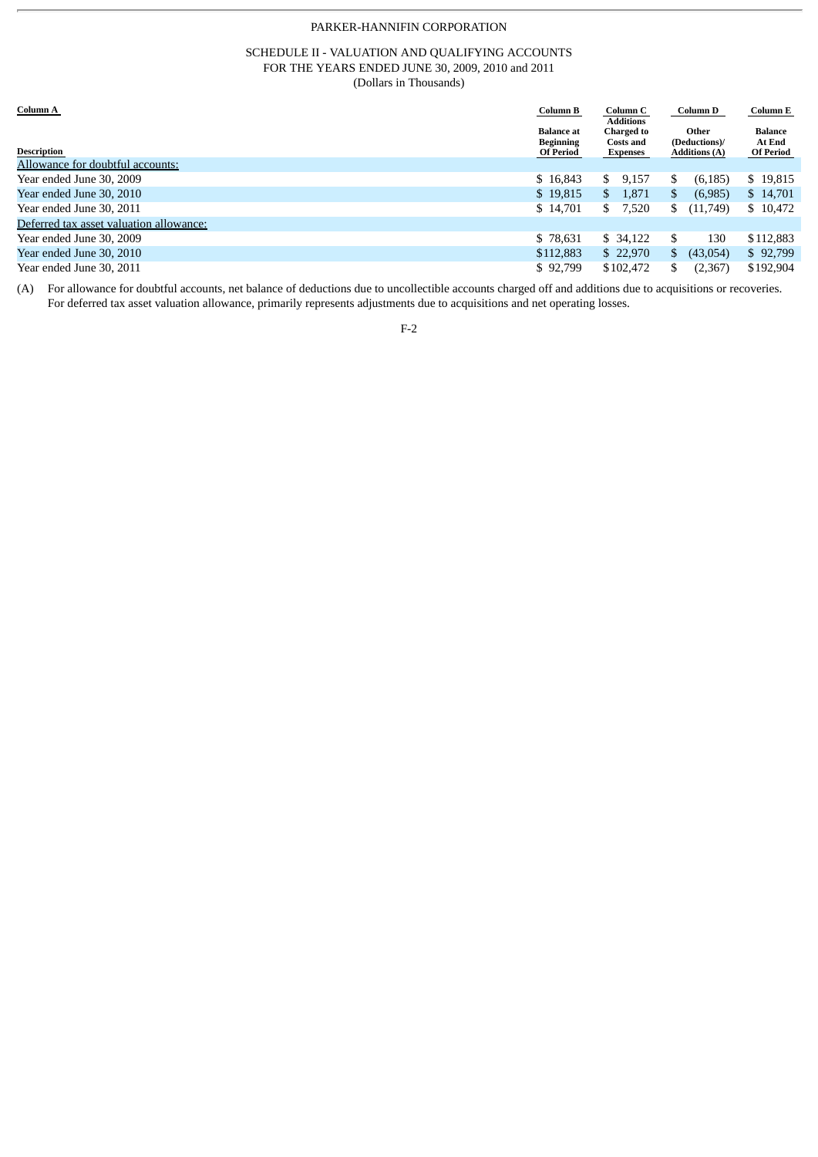# PARKER-HANNIFIN CORPORATION

# SCHEDULE II - VALUATION AND QUALIFYING ACCOUNTS FOR THE YEARS ENDED JUNE 30, 2009, 2010 and 2011 (Dollars in Thousands)

| Column A                                | Column B                              | Column <sub>C</sub><br><b>Additions</b> | Column D               | Column E                 |
|-----------------------------------------|---------------------------------------|-----------------------------------------|------------------------|--------------------------|
|                                         | <b>Balance</b> at<br><b>Beginning</b> | <b>Charged to</b><br>Costs and          | Other<br>(Deductions)/ | <b>Balance</b><br>At End |
| <b>Description</b>                      | <b>Of Period</b>                      | <b>Expenses</b>                         | <b>Additions (A)</b>   | <b>Of Period</b>         |
| Allowance for doubtful accounts:        |                                       |                                         |                        |                          |
| Year ended June 30, 2009                | \$16.843                              | 9,157<br>S.                             | (6, 185)<br>S.         | \$19,815                 |
| Year ended June 30, 2010                | \$19,815                              | 1,871<br>\$                             | (6,985)                | \$14,701                 |
| Year ended June 30, 2011                | \$14,701                              | 7,520<br>S                              | (11,749)<br>S.         | \$10,472                 |
| Deferred tax asset valuation allowance: |                                       |                                         |                        |                          |
| Year ended June 30, 2009                | \$78,631                              | \$34.122                                | 130                    | \$112,883                |
| Year ended June 30, 2010                | \$112,883                             | \$22,970                                | (43,054)               | \$92,799                 |
| Year ended June 30, 2011                | \$92,799                              | \$102,472                               | (2,367)                | \$192,904                |

(A) For allowance for doubtful accounts, net balance of deductions due to uncollectible accounts charged off and additions due to acquisitions or recoveries. For deferred tax asset valuation allowance, primarily represents adjustments due to acquisitions and net operating losses.

F-2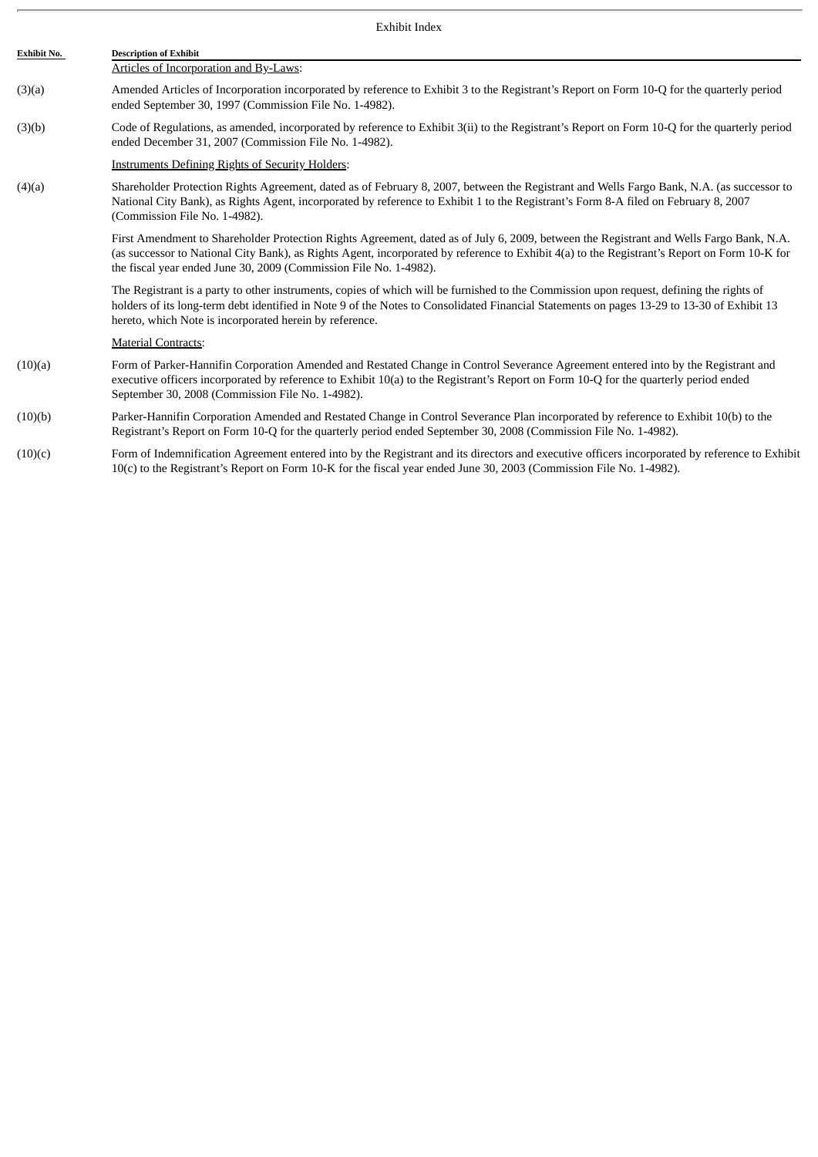|             | Exhibit Index                                                                                                                                                                                                                                                                                                                                                |
|-------------|--------------------------------------------------------------------------------------------------------------------------------------------------------------------------------------------------------------------------------------------------------------------------------------------------------------------------------------------------------------|
| Exhibit No. | <b>Description of Exhibit</b><br>Articles of Incorporation and By-Laws:                                                                                                                                                                                                                                                                                      |
| (3)(a)      | Amended Articles of Incorporation incorporated by reference to Exhibit 3 to the Registrant's Report on Form 10-Q for the quarterly period<br>ended September 30, 1997 (Commission File No. 1-4982).                                                                                                                                                          |
| (3)(b)      | Code of Regulations, as amended, incorporated by reference to Exhibit 3(ii) to the Registrant's Report on Form 10-Q for the quarterly period<br>ended December 31, 2007 (Commission File No. 1-4982).                                                                                                                                                        |
|             | <b>Instruments Defining Rights of Security Holders:</b>                                                                                                                                                                                                                                                                                                      |
| (4)(a)      | Shareholder Protection Rights Agreement, dated as of February 8, 2007, between the Registrant and Wells Fargo Bank, N.A. (as successor to<br>National City Bank), as Rights Agent, incorporated by reference to Exhibit 1 to the Registrant's Form 8-A filed on February 8, 2007<br>(Commission File No. 1-4982).                                            |
|             | First Amendment to Shareholder Protection Rights Agreement, dated as of July 6, 2009, between the Registrant and Wells Fargo Bank, N.A.<br>(as successor to National City Bank), as Rights Agent, incorporated by reference to Exhibit 4(a) to the Registrant's Report on Form 10-K for<br>the fiscal year ended June 30, 2009 (Commission File No. 1-4982). |
|             | The Registrant is a party to other instruments, copies of which will be furnished to the Commission upon request, defining the rights of<br>holders of its long-term debt identified in Note 9 of the Notes to Consolidated Financial Statements on pages 13-29 to 13-30 of Exhibit 13<br>hereto, which Note is incorporated herein by reference.            |
|             | <b>Material Contracts:</b>                                                                                                                                                                                                                                                                                                                                   |
| (10)(a)     | Form of Parker-Hannifin Corporation Amended and Restated Change in Control Severance Agreement entered into by the Registrant and<br>executive officers incorporated by reference to Exhibit 10(a) to the Registrant's Report on Form 10-Q for the quarterly period ended<br>September 30, 2008 (Commission File No. 1-4982).                                |
| (10)(b)     | Parker-Hannifin Corporation Amended and Restated Change in Control Severance Plan incorporated by reference to Exhibit 10(b) to the<br>Registrant's Report on Form 10-Q for the quarterly period ended September 30, 2008 (Commission File No. 1-4982).                                                                                                      |
| (10)(c)     | Form of Indemnification Agreement entered into by the Registrant and its directors and executive officers incorporated by reference to Exhibit<br>10(c) to the Registrant's Report on Form 10-K for the fiscal year ended June 30, 2003 (Commission File No. 1-4982).                                                                                        |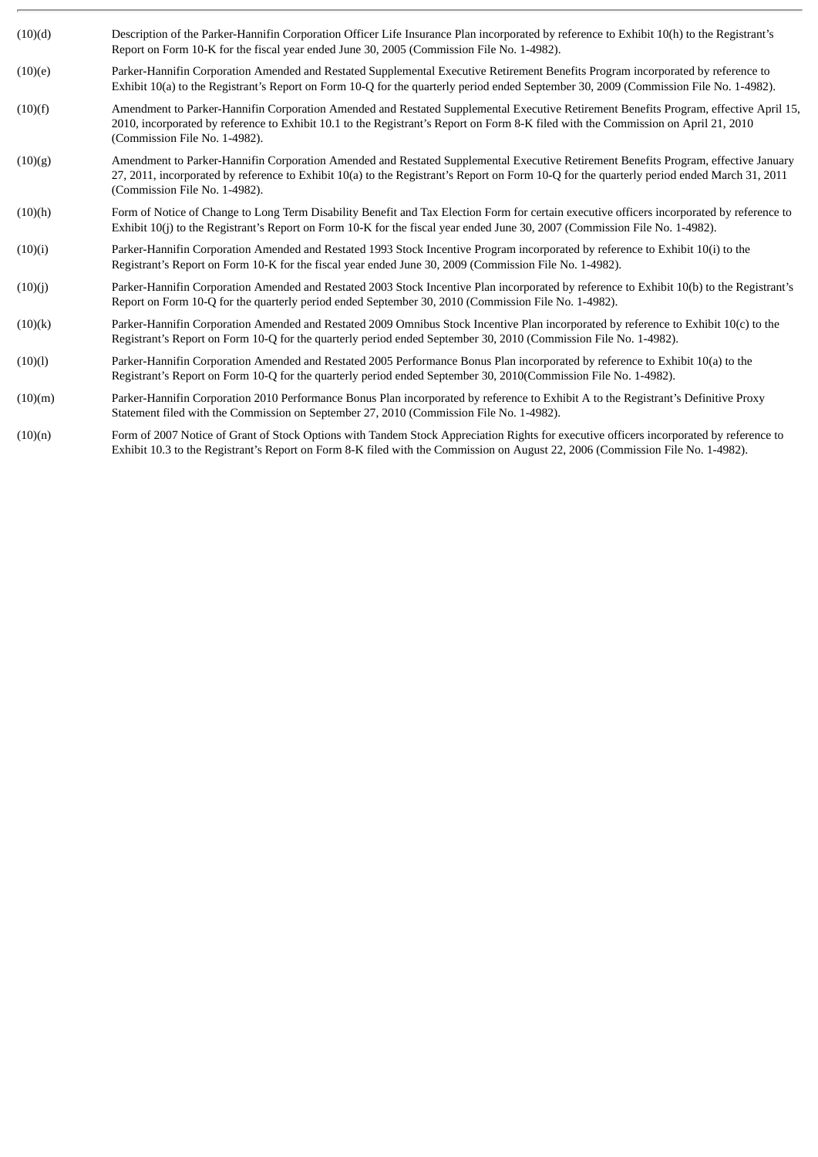| (10)(d) | Description of the Parker-Hannifin Corporation Officer Life Insurance Plan incorporated by reference to Exhibit 10(h) to the Registrant's<br>Report on Form 10-K for the fiscal year ended June 30, 2005 (Commission File No. 1-4982).                                                                             |
|---------|--------------------------------------------------------------------------------------------------------------------------------------------------------------------------------------------------------------------------------------------------------------------------------------------------------------------|
| (10)(e) | Parker-Hannifin Corporation Amended and Restated Supplemental Executive Retirement Benefits Program incorporated by reference to<br>Exhibit 10(a) to the Registrant's Report on Form 10-Q for the quarterly period ended September 30, 2009 (Commission File No. 1-4982).                                          |
| (10)(f) | Amendment to Parker-Hannifin Corporation Amended and Restated Supplemental Executive Retirement Benefits Program, effective April 15,<br>2010, incorporated by reference to Exhibit 10.1 to the Registrant's Report on Form 8-K filed with the Commission on April 21, 2010<br>(Commission File No. 1-4982).       |
| (10)(g) | Amendment to Parker-Hannifin Corporation Amended and Restated Supplemental Executive Retirement Benefits Program, effective January<br>27, 2011, incorporated by reference to Exhibit 10(a) to the Registrant's Report on Form 10-Q for the quarterly period ended March 31, 2011<br>(Commission File No. 1-4982). |
| (10)(h) | Form of Notice of Change to Long Term Disability Benefit and Tax Election Form for certain executive officers incorporated by reference to<br>Exhibit 10(j) to the Registrant's Report on Form 10-K for the fiscal year ended June 30, 2007 (Commission File No. 1-4982).                                          |
| (10)(i) | Parker-Hannifin Corporation Amended and Restated 1993 Stock Incentive Program incorporated by reference to Exhibit 10(i) to the<br>Registrant's Report on Form 10-K for the fiscal year ended June 30, 2009 (Commission File No. 1-4982).                                                                          |
| (10)(j) | Parker-Hannifin Corporation Amended and Restated 2003 Stock Incentive Plan incorporated by reference to Exhibit 10(b) to the Registrant's<br>Report on Form 10-Q for the quarterly period ended September 30, 2010 (Commission File No. 1-4982).                                                                   |
| (10)(k) | Parker-Hannifin Corporation Amended and Restated 2009 Omnibus Stock Incentive Plan incorporated by reference to Exhibit 10(c) to the<br>Registrant's Report on Form 10-Q for the quarterly period ended September 30, 2010 (Commission File No. 1-4982).                                                           |
| (10)(l) | Parker-Hannifin Corporation Amended and Restated 2005 Performance Bonus Plan incorporated by reference to Exhibit 10(a) to the<br>Registrant's Report on Form 10-Q for the quarterly period ended September 30, 2010(Commission File No. 1-4982).                                                                  |
| (10)(m) | Parker-Hannifin Corporation 2010 Performance Bonus Plan incorporated by reference to Exhibit A to the Registrant's Definitive Proxy<br>Statement filed with the Commission on September 27, 2010 (Commission File No. 1-4982).                                                                                     |

 $(10)(n)$ Form of 2007 Notice of Grant of Stock Options with Tandem Stock Appreciation Rights for executive officers incorporated by reference to Exhibit 10.3 to the Registrant's Report on Form 8-K filed with the Commission on August 22, 2006 (Commission File No. 1-4982).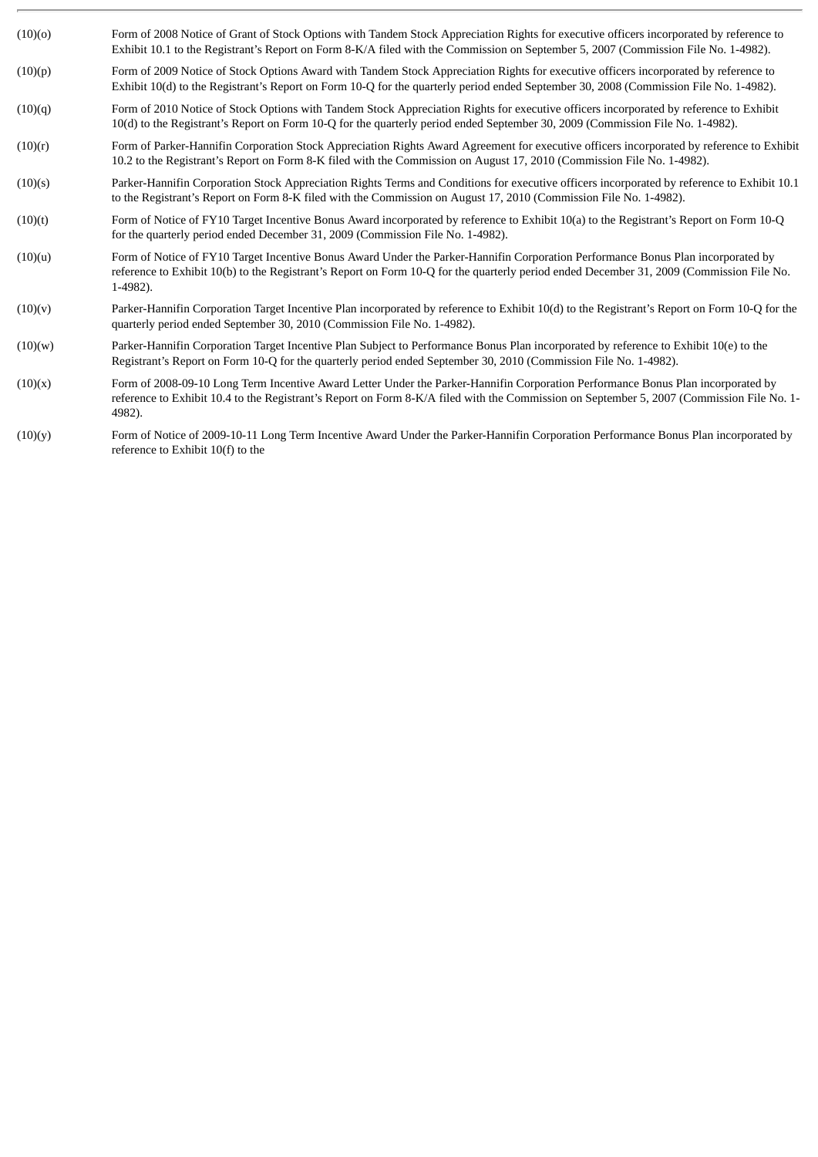| (10)(0) | Form of 2008 Notice of Grant of Stock Options with Tandem Stock Appreciation Rights for executive officers incorporated by reference to<br>Exhibit 10.1 to the Registrant's Report on Form 8-K/A filed with the Commission on September 5, 2007 (Commission File No. 1-4982).               |
|---------|---------------------------------------------------------------------------------------------------------------------------------------------------------------------------------------------------------------------------------------------------------------------------------------------|
| (10)(p) | Form of 2009 Notice of Stock Options Award with Tandem Stock Appreciation Rights for executive officers incorporated by reference to<br>Exhibit 10(d) to the Registrant's Report on Form 10-Q for the quarterly period ended September 30, 2008 (Commission File No. 1-4982).               |
| (10)(q) | Form of 2010 Notice of Stock Options with Tandem Stock Appreciation Rights for executive officers incorporated by reference to Exhibit<br>10(d) to the Registrant's Report on Form 10-Q for the quarterly period ended September 30, 2009 (Commission File No. 1-4982).                     |
| (10)(r) | Form of Parker-Hannifin Corporation Stock Appreciation Rights Award Agreement for executive officers incorporated by reference to Exhibit<br>10.2 to the Registrant's Report on Form 8-K filed with the Commission on August 17, 2010 (Commission File No. 1-4982).                         |
| (10)(s) | Parker-Hannifin Corporation Stock Appreciation Rights Terms and Conditions for executive officers incorporated by reference to Exhibit 10.1<br>to the Registrant's Report on Form 8-K filed with the Commission on August 17, 2010 (Commission File No. 1-4982).                            |
| (10)(t) | Form of Notice of FY10 Target Incentive Bonus Award incorporated by reference to Exhibit 10(a) to the Registrant's Report on Form 10-Q<br>for the quarterly period ended December 31, 2009 (Commission File No. 1-4982).                                                                    |
| (10)(u) | Form of Notice of FY10 Target Incentive Bonus Award Under the Parker-Hannifin Corporation Performance Bonus Plan incorporated by<br>reference to Exhibit 10(b) to the Registrant's Report on Form 10-Q for the quarterly period ended December 31, 2009 (Commission File No.<br>$1-4982$ ). |
| (10)(v) | Parker-Hannifin Corporation Target Incentive Plan incorporated by reference to Exhibit 10(d) to the Registrant's Report on Form 10-Q for the<br>quarterly period ended September 30, 2010 (Commission File No. 1-4982).                                                                     |
| (10)(w) | Parker-Hannifin Corporation Target Incentive Plan Subject to Performance Bonus Plan incorporated by reference to Exhibit 10(e) to the<br>Registrant's Report on Form 10-Q for the quarterly period ended September 30, 2010 (Commission File No. 1-4982).                                   |
| (10)(x) | Form of 2008-09-10 Long Term Incentive Award Letter Under the Parker-Hannifin Corporation Performance Bonus Plan incorporated by<br>reference to Exhibit 10.4 to the Registrant's Report on Form 8-K/A filed with the Commission on September 5, 2007 (Commission File No. 1-<br>4982).     |
| (10)(y) | Form of Notice of 2009-10-11 Long Term Incentive Award Under the Parker-Hannifin Corporation Performance Bonus Plan incorporated by                                                                                                                                                         |

reference to Exhibit 10(f) to the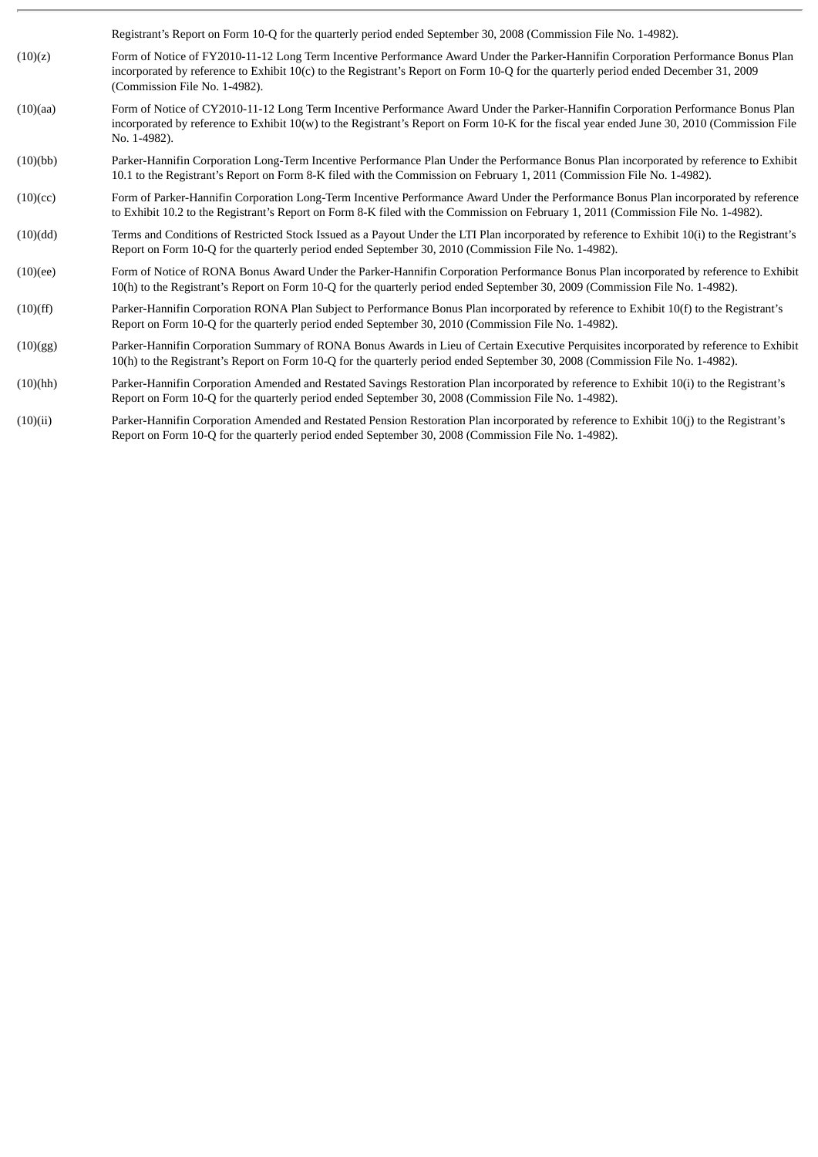|          | Registrant's Report on Form 10-Q for the quarterly period ended September 30, 2008 (Commission File No. 1-4982).                                                                                                                                                                                          |
|----------|-----------------------------------------------------------------------------------------------------------------------------------------------------------------------------------------------------------------------------------------------------------------------------------------------------------|
| (10)(z)  | Form of Notice of FY2010-11-12 Long Term Incentive Performance Award Under the Parker-Hannifin Corporation Performance Bonus Plan<br>incorporated by reference to Exhibit 10(c) to the Registrant's Report on Form 10-Q for the quarterly period ended December 31, 2009<br>(Commission File No. 1-4982). |
| (10)(aa) | Form of Notice of CY2010-11-12 Long Term Incentive Performance Award Under the Parker-Hannifin Corporation Performance Bonus Plan<br>incorporated by reference to Exhibit 10(w) to the Registrant's Report on Form 10-K for the fiscal year ended June 30, 2010 (Commission File<br>No. 1-4982).          |
| (10)(bb) | Parker-Hannifin Corporation Long-Term Incentive Performance Plan Under the Performance Bonus Plan incorporated by reference to Exhibit<br>10.1 to the Registrant's Report on Form 8-K filed with the Commission on February 1, 2011 (Commission File No. 1-4982).                                         |
| (10)(cc) | Form of Parker-Hannifin Corporation Long-Term Incentive Performance Award Under the Performance Bonus Plan incorporated by reference<br>to Exhibit 10.2 to the Registrant's Report on Form 8-K filed with the Commission on February 1, 2011 (Commission File No. 1-4982).                                |
| (10)(dd) | Terms and Conditions of Restricted Stock Issued as a Payout Under the LTI Plan incorporated by reference to Exhibit 10(i) to the Registrant's<br>Report on Form 10-Q for the quarterly period ended September 30, 2010 (Commission File No. 1-4982).                                                      |
| (10)(ee) | Form of Notice of RONA Bonus Award Under the Parker-Hannifin Corporation Performance Bonus Plan incorporated by reference to Exhibit<br>10(h) to the Registrant's Report on Form 10-Q for the quarterly period ended September 30, 2009 (Commission File No. 1-4982).                                     |
| (10)(ff) | Parker-Hannifin Corporation RONA Plan Subject to Performance Bonus Plan incorporated by reference to Exhibit 10(f) to the Registrant's<br>Report on Form 10-Q for the quarterly period ended September 30, 2010 (Commission File No. 1-4982).                                                             |
| (10)(gg) | Parker-Hannifin Corporation Summary of RONA Bonus Awards in Lieu of Certain Executive Perquisites incorporated by reference to Exhibit<br>10(h) to the Registrant's Report on Form 10-Q for the quarterly period ended September 30, 2008 (Commission File No. 1-4982).                                   |
| (10)(hh) | Parker-Hannifin Corporation Amended and Restated Savings Restoration Plan incorporated by reference to Exhibit 10(i) to the Registrant's<br>Report on Form 10-Q for the quarterly period ended September 30, 2008 (Commission File No. 1-4982).                                                           |
| (10)(ii) | Parker-Hannifin Corporation Amended and Restated Pension Restoration Plan incorporated by reference to Exhibit 10(j) to the Registrant's<br>Report on Form 10-Q for the quarterly period ended September 30, 2008 (Commission File No. 1-4982).                                                           |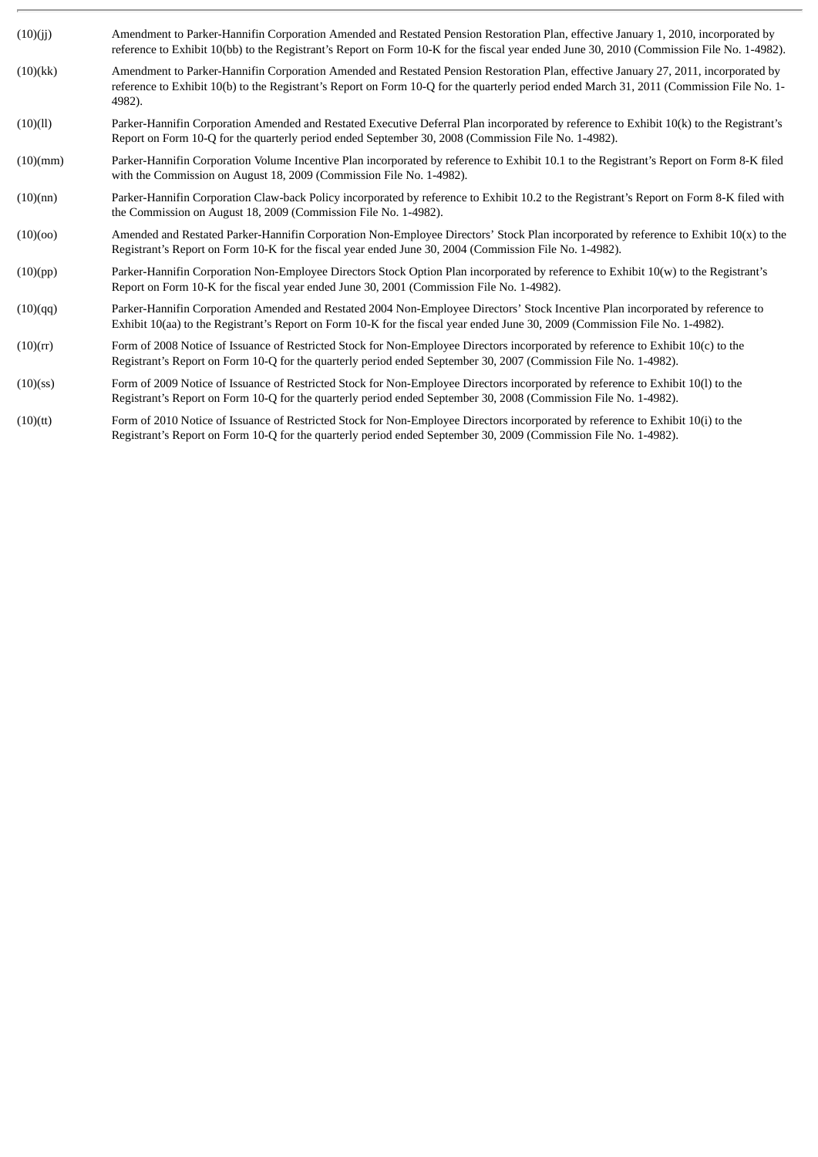| (10)(jj) | Amendment to Parker-Hannifin Corporation Amended and Restated Pension Restoration Plan, effective January 1, 2010, incorporated by<br>reference to Exhibit 10(bb) to the Registrant's Report on Form 10-K for the fiscal year ended June 30, 2010 (Commission File No. 1-4982).           |
|----------|-------------------------------------------------------------------------------------------------------------------------------------------------------------------------------------------------------------------------------------------------------------------------------------------|
| (10)(kk) | Amendment to Parker-Hannifin Corporation Amended and Restated Pension Restoration Plan, effective January 27, 2011, incorporated by<br>reference to Exhibit 10(b) to the Registrant's Report on Form 10-Q for the quarterly period ended March 31, 2011 (Commission File No. 1-<br>4982). |
| (10)(ll) | Parker-Hannifin Corporation Amended and Restated Executive Deferral Plan incorporated by reference to Exhibit 10(k) to the Registrant's<br>Report on Form 10-Q for the quarterly period ended September 30, 2008 (Commission File No. 1-4982).                                            |
| (10)(mm) | Parker-Hannifin Corporation Volume Incentive Plan incorporated by reference to Exhibit 10.1 to the Registrant's Report on Form 8-K filed<br>with the Commission on August 18, 2009 (Commission File No. 1-4982).                                                                          |
| (10)(nn) | Parker-Hannifin Corporation Claw-back Policy incorporated by reference to Exhibit 10.2 to the Registrant's Report on Form 8-K filed with<br>the Commission on August 18, 2009 (Commission File No. 1-4982).                                                                               |
| (10)(00) | Amended and Restated Parker-Hannifin Corporation Non-Employee Directors' Stock Plan incorporated by reference to Exhibit 10(x) to the<br>Registrant's Report on Form 10-K for the fiscal year ended June 30, 2004 (Commission File No. 1-4982).                                           |
| (10)(pp) | Parker-Hannifin Corporation Non-Employee Directors Stock Option Plan incorporated by reference to Exhibit 10(w) to the Registrant's<br>Report on Form 10-K for the fiscal year ended June 30, 2001 (Commission File No. 1-4982).                                                          |
| (10)(qq) | Parker-Hannifin Corporation Amended and Restated 2004 Non-Employee Directors' Stock Incentive Plan incorporated by reference to<br>Exhibit 10(aa) to the Registrant's Report on Form 10-K for the fiscal year ended June 30, 2009 (Commission File No. 1-4982).                           |
| (10)(rr) | Form of 2008 Notice of Issuance of Restricted Stock for Non-Employee Directors incorporated by reference to Exhibit 10(c) to the<br>Registrant's Report on Form 10-Q for the quarterly period ended September 30, 2007 (Commission File No. 1-4982).                                      |
| (10)(ss) | Form of 2009 Notice of Issuance of Restricted Stock for Non-Employee Directors incorporated by reference to Exhibit 10(1) to the<br>Registrant's Report on Form 10-Q for the quarterly period ended September 30, 2008 (Commission File No. 1-4982).                                      |
| (10)(tt) | Form of 2010 Notice of Issuance of Restricted Stock for Non-Employee Directors incorporated by reference to Exhibit 10(i) to the<br>$10001$ 1 1 1 1 1 1 1 0 1 0 0 0 0 0 $(0 + 1 - 0.1)$ 1 1 $(0.00)$                                                                                      |

Registrant's Report on Form 10-Q for the quarterly period ended September 30, 2009 (Commission File No. 1-4982).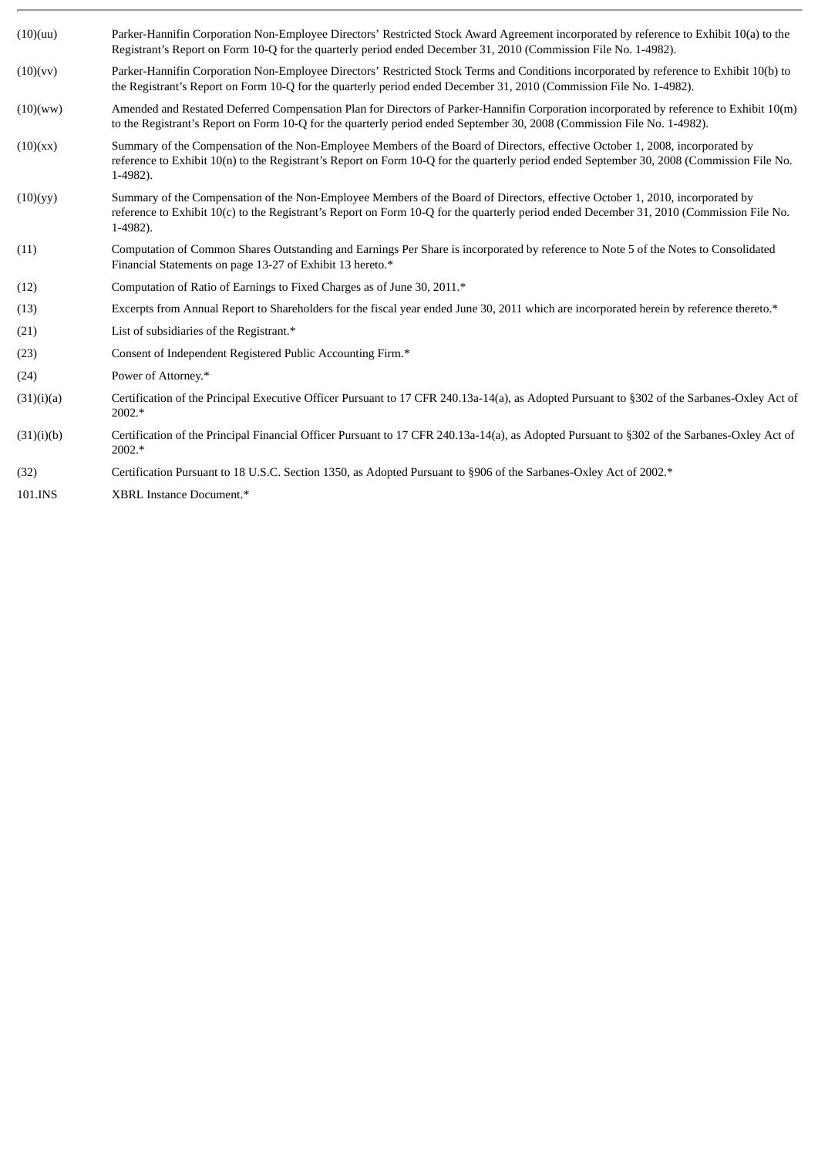| (10)(uu)   | Parker-Hannifin Corporation Non-Employee Directors' Restricted Stock Award Agreement incorporated by reference to Exhibit 10(a) to the<br>Registrant's Report on Form 10-Q for the quarterly period ended December 31, 2010 (Commission File No. 1-4982).                                 |
|------------|-------------------------------------------------------------------------------------------------------------------------------------------------------------------------------------------------------------------------------------------------------------------------------------------|
| (10)(vv)   | Parker-Hannifin Corporation Non-Employee Directors' Restricted Stock Terms and Conditions incorporated by reference to Exhibit 10(b) to<br>the Registrant's Report on Form 10-Q for the quarterly period ended December 31, 2010 (Commission File No. 1-4982).                            |
| (10)(ww)   | Amended and Restated Deferred Compensation Plan for Directors of Parker-Hannifin Corporation incorporated by reference to Exhibit 10(m)<br>to the Registrant's Report on Form 10-Q for the quarterly period ended September 30, 2008 (Commission File No. 1-4982).                        |
| (10)(xx)   | Summary of the Compensation of the Non-Employee Members of the Board of Directors, effective October 1, 2008, incorporated by<br>reference to Exhibit 10(n) to the Registrant's Report on Form 10-Q for the quarterly period ended September 30, 2008 (Commission File No.<br>$1-4982$ ). |
| (10)(yy)   | Summary of the Compensation of the Non-Employee Members of the Board of Directors, effective October 1, 2010, incorporated by<br>reference to Exhibit 10(c) to the Registrant's Report on Form 10-Q for the quarterly period ended December 31, 2010 (Commission File No.<br>1-4982).     |
| (11)       | Computation of Common Shares Outstanding and Earnings Per Share is incorporated by reference to Note 5 of the Notes to Consolidated<br>Financial Statements on page 13-27 of Exhibit 13 hereto.*                                                                                          |
| (12)       | Computation of Ratio of Earnings to Fixed Charges as of June 30, 2011.*                                                                                                                                                                                                                   |
| (13)       | Excerpts from Annual Report to Shareholders for the fiscal year ended June 30, 2011 which are incorporated herein by reference thereto.*                                                                                                                                                  |
| (21)       | List of subsidiaries of the Registrant.*                                                                                                                                                                                                                                                  |
| (23)       | Consent of Independent Registered Public Accounting Firm.*                                                                                                                                                                                                                                |
| (24)       | Power of Attorney.*                                                                                                                                                                                                                                                                       |
| (31)(i)(a) | Certification of the Principal Executive Officer Pursuant to 17 CFR 240.13a-14(a), as Adopted Pursuant to §302 of the Sarbanes-Oxley Act of<br>2002.*                                                                                                                                     |
| (31)(i)(b) | Certification of the Principal Financial Officer Pursuant to 17 CFR 240.13a-14(a), as Adopted Pursuant to §302 of the Sarbanes-Oxley Act of<br>2002.*                                                                                                                                     |
| (32)       | Certification Pursuant to 18 U.S.C. Section 1350, as Adopted Pursuant to §906 of the Sarbanes-Oxley Act of 2002.*                                                                                                                                                                         |
| 101.INS    | XBRL Instance Document.*                                                                                                                                                                                                                                                                  |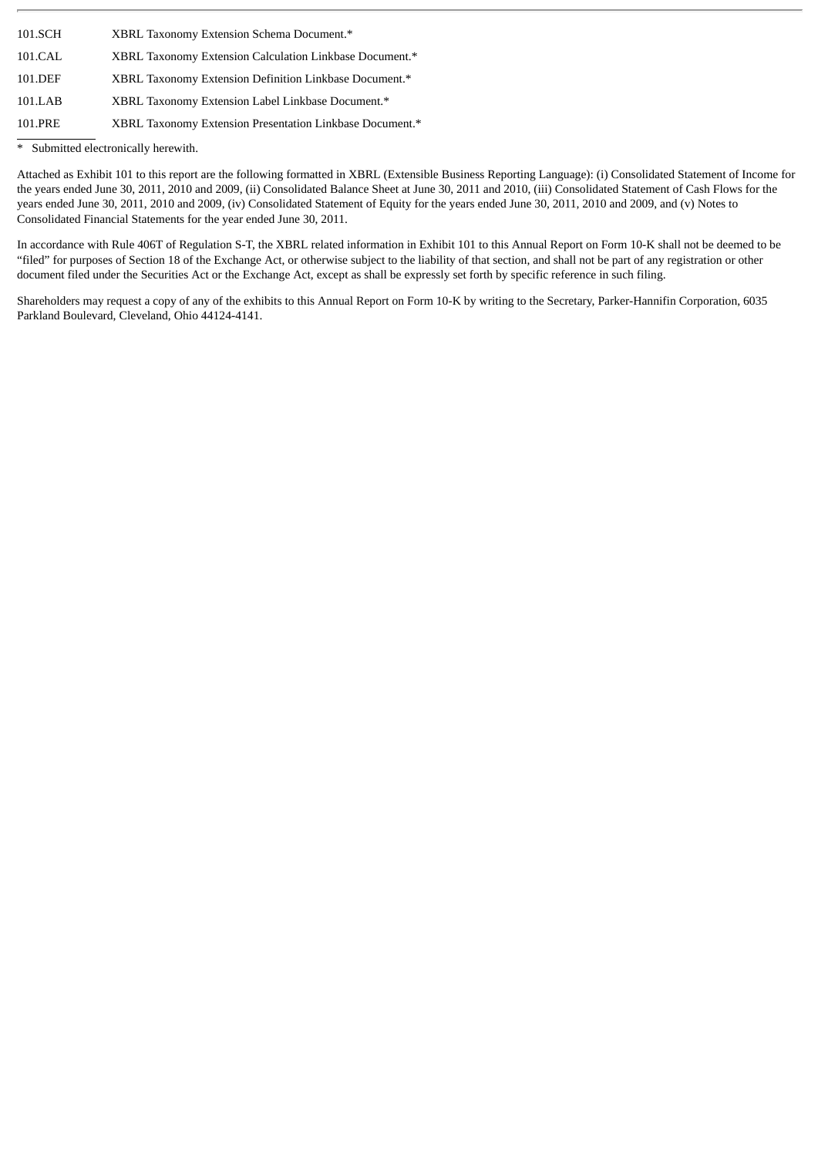| 101.SCH | XBRL Taxonomy Extension Schema Document.*                |
|---------|----------------------------------------------------------|
| 101.CAL | XBRL Taxonomy Extension Calculation Linkbase Document.*  |
| 101.DEF | XBRL Taxonomy Extension Definition Linkbase Document.*   |
| 101.LAB | XBRL Taxonomy Extension Label Linkbase Document.*        |
| 101.PRE | XBRL Taxonomy Extension Presentation Linkbase Document.* |

\* Submitted electronically herewith.

Attached as Exhibit 101 to this report are the following formatted in XBRL (Extensible Business Reporting Language): (i) Consolidated Statement of Income for the years ended June 30, 2011, 2010 and 2009, (ii) Consolidated Balance Sheet at June 30, 2011 and 2010, (iii) Consolidated Statement of Cash Flows for the years ended June 30, 2011, 2010 and 2009, (iv) Consolidated Statement of Equity for the years ended June 30, 2011, 2010 and 2009, and (v) Notes to Consolidated Financial Statements for the year ended June 30, 2011.

In accordance with Rule 406T of Regulation S-T, the XBRL related information in Exhibit 101 to this Annual Report on Form 10-K shall not be deemed to be "filed" for purposes of Section 18 of the Exchange Act, or otherwise subject to the liability of that section, and shall not be part of any registration or other document filed under the Securities Act or the Exchange Act, except as shall be expressly set forth by specific reference in such filing.

Shareholders may request a copy of any of the exhibits to this Annual Report on Form 10-K by writing to the Secretary, Parker-Hannifin Corporation, 6035 Parkland Boulevard, Cleveland, Ohio 44124-4141.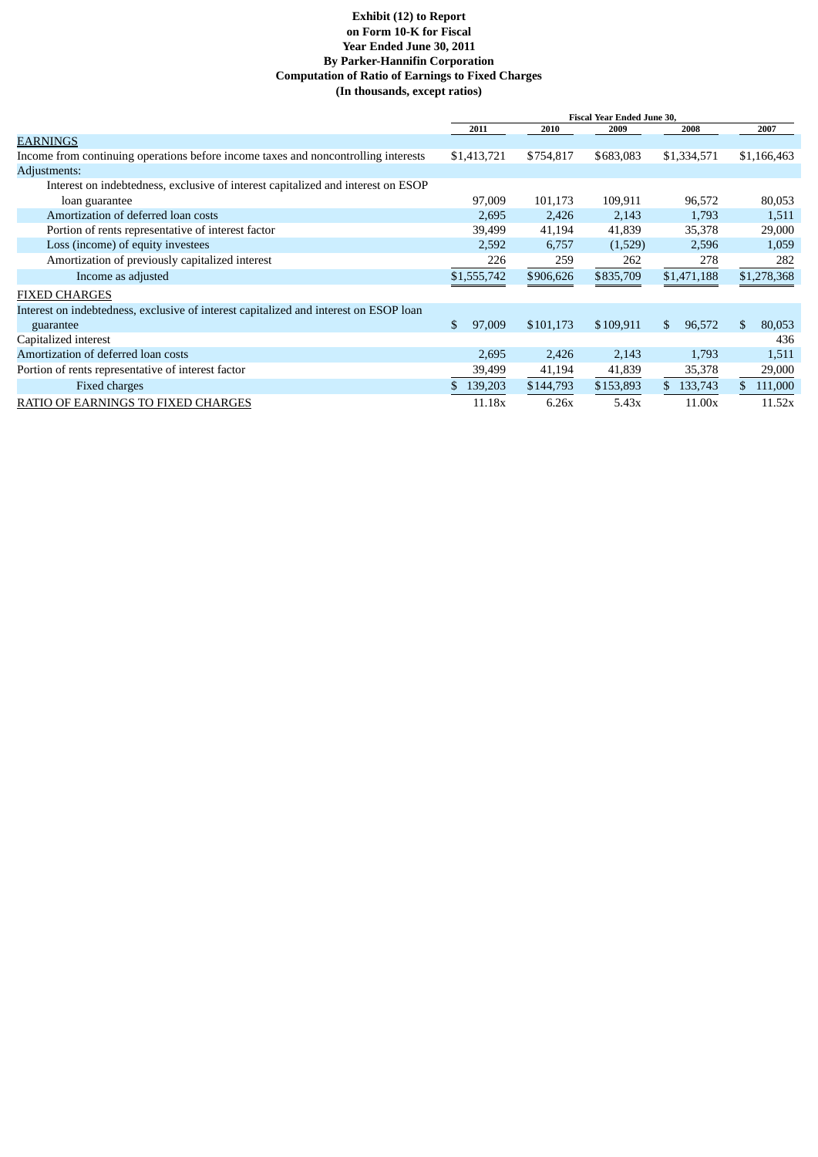# **Exhibit (12) to Report on Form 10-K for Fiscal Year Ended June 30, 2011 By Parker-Hannifin Corporation Computation of Ratio of Earnings to Fixed Charges (In thousands, except ratios)**

|                                                                                       | <b>Fiscal Year Ended June 30,</b> |           |           |                           |                        |
|---------------------------------------------------------------------------------------|-----------------------------------|-----------|-----------|---------------------------|------------------------|
|                                                                                       | 2011                              | 2010      | 2009      | 2008                      | 2007                   |
| <b>EARNINGS</b>                                                                       |                                   |           |           |                           |                        |
| Income from continuing operations before income taxes and noncontrolling interests    | \$1,413,721                       | \$754,817 | \$683,083 | \$1,334,571               | \$1,166,463            |
| Adjustments:                                                                          |                                   |           |           |                           |                        |
| Interest on indebtedness, exclusive of interest capitalized and interest on ESOP      |                                   |           |           |                           |                        |
| loan guarantee                                                                        | 97,009                            | 101,173   | 109,911   | 96,572                    | 80,053                 |
| Amortization of deferred loan costs                                                   | 2,695                             | 2,426     | 2,143     | 1,793                     | 1,511                  |
| Portion of rents representative of interest factor                                    | 39,499                            | 41,194    | 41,839    | 35,378                    | 29,000                 |
| Loss (income) of equity investees                                                     | 2,592                             | 6,757     | (1,529)   | 2,596                     | 1,059                  |
| Amortization of previously capitalized interest                                       | 226                               | 259       | 262       | 278                       | 282                    |
| Income as adjusted                                                                    | \$1,555,742                       | \$906,626 | \$835,709 | \$1,471,188               | \$1,278,368            |
| <b>FIXED CHARGES</b>                                                                  |                                   |           |           |                           |                        |
| Interest on indebtedness, exclusive of interest capitalized and interest on ESOP loan |                                   |           |           |                           |                        |
| guarantee                                                                             | \$<br>97,009                      | \$101,173 | \$109,911 | \$<br>96,572              | $\mathbf{s}$<br>80,053 |
| Capitalized interest                                                                  |                                   |           |           |                           | 436                    |
| Amortization of deferred loan costs                                                   | 2,695                             | 2,426     | 2,143     | 1,793                     | 1,511                  |
| Portion of rents representative of interest factor                                    | 39,499                            | 41,194    | 41,839    | 35,378                    | 29,000                 |
| <b>Fixed charges</b>                                                                  | 139,203                           | \$144,793 | \$153,893 | 133,743<br>$\mathbb{S}^-$ | \$<br>111,000          |
| RATIO OF EARNINGS TO FIXED CHARGES                                                    | 11.18x                            | 6.26x     | 5.43x     | 11.00x                    | 11.52x                 |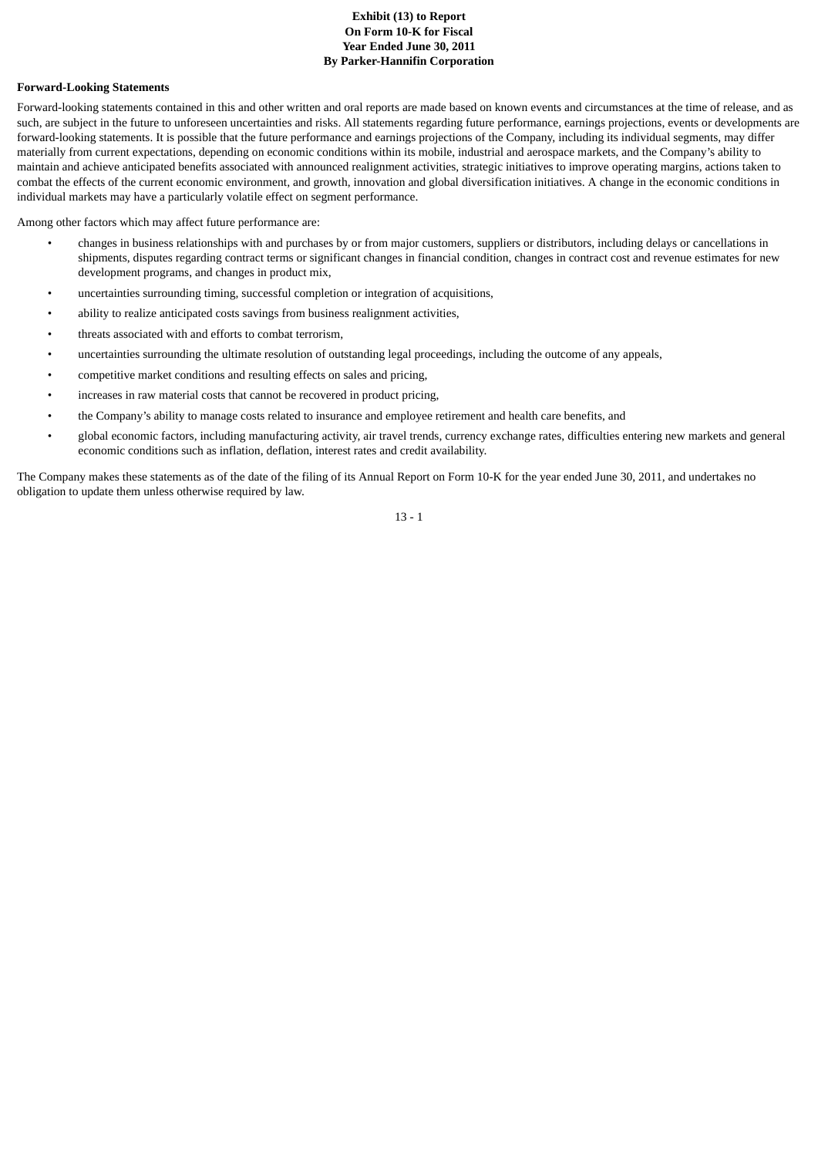## **Exhibit (13) to Report On Form 10-K for Fiscal Year Ended June 30, 2011 By Parker-Hannifin Corporation**

### **Forward-Looking Statements**

Forward-looking statements contained in this and other written and oral reports are made based on known events and circumstances at the time of release, and as such, are subject in the future to unforeseen uncertainties and risks. All statements regarding future performance, earnings projections, events or developments are forward-looking statements. It is possible that the future performance and earnings projections of the Company, including its individual segments, may differ materially from current expectations, depending on economic conditions within its mobile, industrial and aerospace markets, and the Company's ability to maintain and achieve anticipated benefits associated with announced realignment activities, strategic initiatives to improve operating margins, actions taken to combat the effects of the current economic environment, and growth, innovation and global diversification initiatives. A change in the economic conditions in individual markets may have a particularly volatile effect on segment performance.

Among other factors which may affect future performance are:

- changes in business relationships with and purchases by or from major customers, suppliers or distributors, including delays or cancellations in shipments, disputes regarding contract terms or significant changes in financial condition, changes in contract cost and revenue estimates for new development programs, and changes in product mix,
- uncertainties surrounding timing, successful completion or integration of acquisitions,
- ability to realize anticipated costs savings from business realignment activities,
- threats associated with and efforts to combat terrorism,
- uncertainties surrounding the ultimate resolution of outstanding legal proceedings, including the outcome of any appeals,
- competitive market conditions and resulting effects on sales and pricing,
- increases in raw material costs that cannot be recovered in product pricing,
- the Company's ability to manage costs related to insurance and employee retirement and health care benefits, and
- global economic factors, including manufacturing activity, air travel trends, currency exchange rates, difficulties entering new markets and general economic conditions such as inflation, deflation, interest rates and credit availability.

The Company makes these statements as of the date of the filing of its Annual Report on Form 10-K for the year ended June 30, 2011, and undertakes no obligation to update them unless otherwise required by law.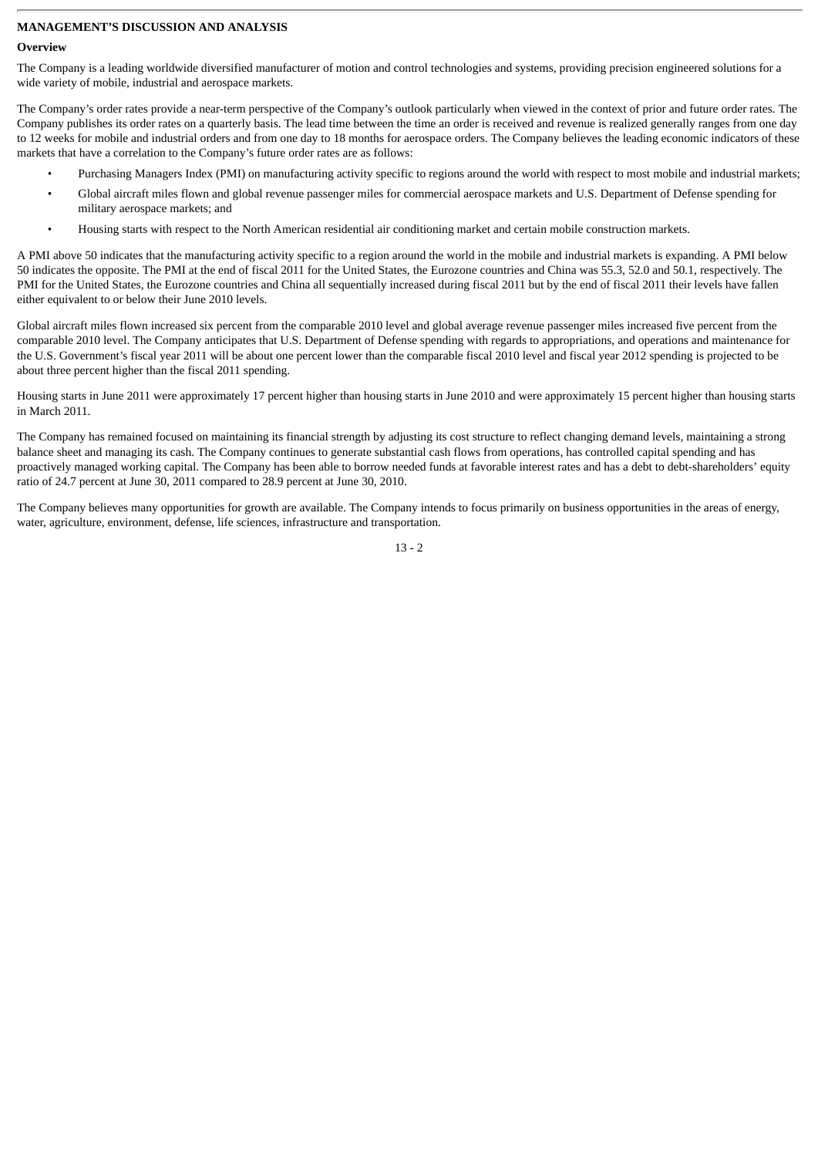# **MANAGEMENT'S DISCUSSION AND ANALYSIS**

### **Overview**

The Company is a leading worldwide diversified manufacturer of motion and control technologies and systems, providing precision engineered solutions for a wide variety of mobile, industrial and aerospace markets.

The Company's order rates provide a near-term perspective of the Company's outlook particularly when viewed in the context of prior and future order rates. The Company publishes its order rates on a quarterly basis. The lead time between the time an order is received and revenue is realized generally ranges from one day to 12 weeks for mobile and industrial orders and from one day to 18 months for aerospace orders. The Company believes the leading economic indicators of these markets that have a correlation to the Company's future order rates are as follows:

- Purchasing Managers Index (PMI) on manufacturing activity specific to regions around the world with respect to most mobile and industrial markets;
- Global aircraft miles flown and global revenue passenger miles for commercial aerospace markets and U.S. Department of Defense spending for military aerospace markets; and
- Housing starts with respect to the North American residential air conditioning market and certain mobile construction markets.

A PMI above 50 indicates that the manufacturing activity specific to a region around the world in the mobile and industrial markets is expanding. A PMI below 50 indicates the opposite. The PMI at the end of fiscal 2011 for the United States, the Eurozone countries and China was 55.3, 52.0 and 50.1, respectively. The PMI for the United States, the Eurozone countries and China all sequentially increased during fiscal 2011 but by the end of fiscal 2011 their levels have fallen either equivalent to or below their June 2010 levels.

Global aircraft miles flown increased six percent from the comparable 2010 level and global average revenue passenger miles increased five percent from the comparable 2010 level. The Company anticipates that U.S. Department of Defense spending with regards to appropriations, and operations and maintenance for the U.S. Government's fiscal year 2011 will be about one percent lower than the comparable fiscal 2010 level and fiscal year 2012 spending is projected to be about three percent higher than the fiscal 2011 spending.

Housing starts in June 2011 were approximately 17 percent higher than housing starts in June 2010 and were approximately 15 percent higher than housing starts in March 2011.

The Company has remained focused on maintaining its financial strength by adjusting its cost structure to reflect changing demand levels, maintaining a strong balance sheet and managing its cash. The Company continues to generate substantial cash flows from operations, has controlled capital spending and has proactively managed working capital. The Company has been able to borrow needed funds at favorable interest rates and has a debt to debt-shareholders' equity ratio of 24.7 percent at June 30, 2011 compared to 28.9 percent at June 30, 2010.

The Company believes many opportunities for growth are available. The Company intends to focus primarily on business opportunities in the areas of energy, water, agriculture, environment, defense, life sciences, infrastructure and transportation.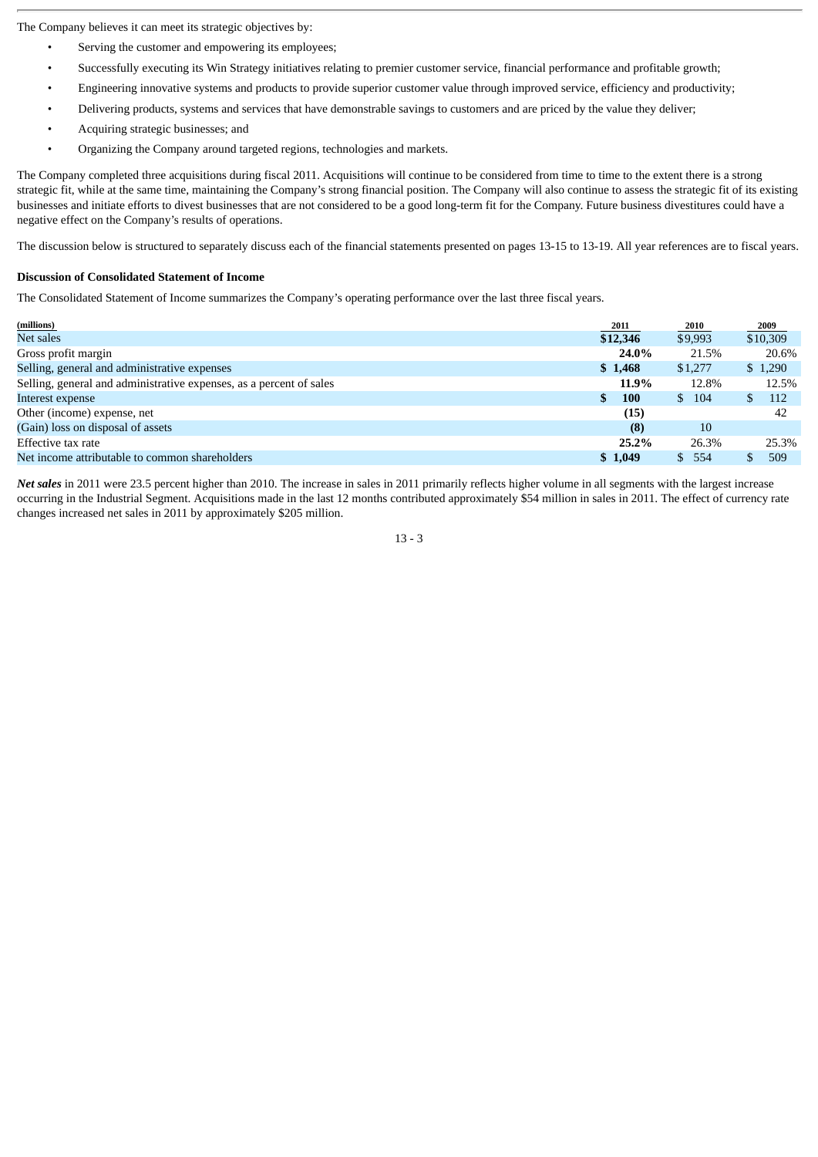The Company believes it can meet its strategic objectives by:

- Serving the customer and empowering its employees;
- Successfully executing its Win Strategy initiatives relating to premier customer service, financial performance and profitable growth;
- Engineering innovative systems and products to provide superior customer value through improved service, efficiency and productivity;
- Delivering products, systems and services that have demonstrable savings to customers and are priced by the value they deliver;
- Acquiring strategic businesses; and
- Organizing the Company around targeted regions, technologies and markets.

The Company completed three acquisitions during fiscal 2011. Acquisitions will continue to be considered from time to time to the extent there is a strong strategic fit, while at the same time, maintaining the Company's strong financial position. The Company will also continue to assess the strategic fit of its existing businesses and initiate efforts to divest businesses that are not considered to be a good long-term fit for the Company. Future business divestitures could have a negative effect on the Company's results of operations.

The discussion below is structured to separately discuss each of the financial statements presented on pages 13-15 to 13-19. All year references are to fiscal years.

### **Discussion of Consolidated Statement of Income**

The Consolidated Statement of Income summarizes the Company's operating performance over the last three fiscal years.

| (millions)                                                          | 2011              | 2010       | 2009                |
|---------------------------------------------------------------------|-------------------|------------|---------------------|
| Net sales                                                           | \$12,346          | \$9,993    | \$10,309            |
| Gross profit margin                                                 | 24.0%             | 21.5%      | 20.6%               |
| Selling, general and administrative expenses                        | \$1,468           | \$1,277    | \$1,290             |
| Selling, general and administrative expenses, as a percent of sales | 11.9%             | 12.8%      | 12.5%               |
| Interest expense                                                    | \$.<br><b>100</b> | 104<br>S.  | 112<br><sup>S</sup> |
| Other (income) expense, net                                         | (15)              |            | 42                  |
| (Gain) loss on disposal of assets                                   | (8)               | 10         |                     |
| Effective tax rate                                                  | 25.2%             | 26.3%      | 25.3%               |
| Net income attributable to common shareholders                      | \$1,049           | SS.<br>554 | 509                 |

*Net sales* in 2011 were 23.5 percent higher than 2010. The increase in sales in 2011 primarily reflects higher volume in all segments with the largest increase occurring in the Industrial Segment. Acquisitions made in the last 12 months contributed approximately \$54 million in sales in 2011. The effect of currency rate changes increased net sales in 2011 by approximately \$205 million.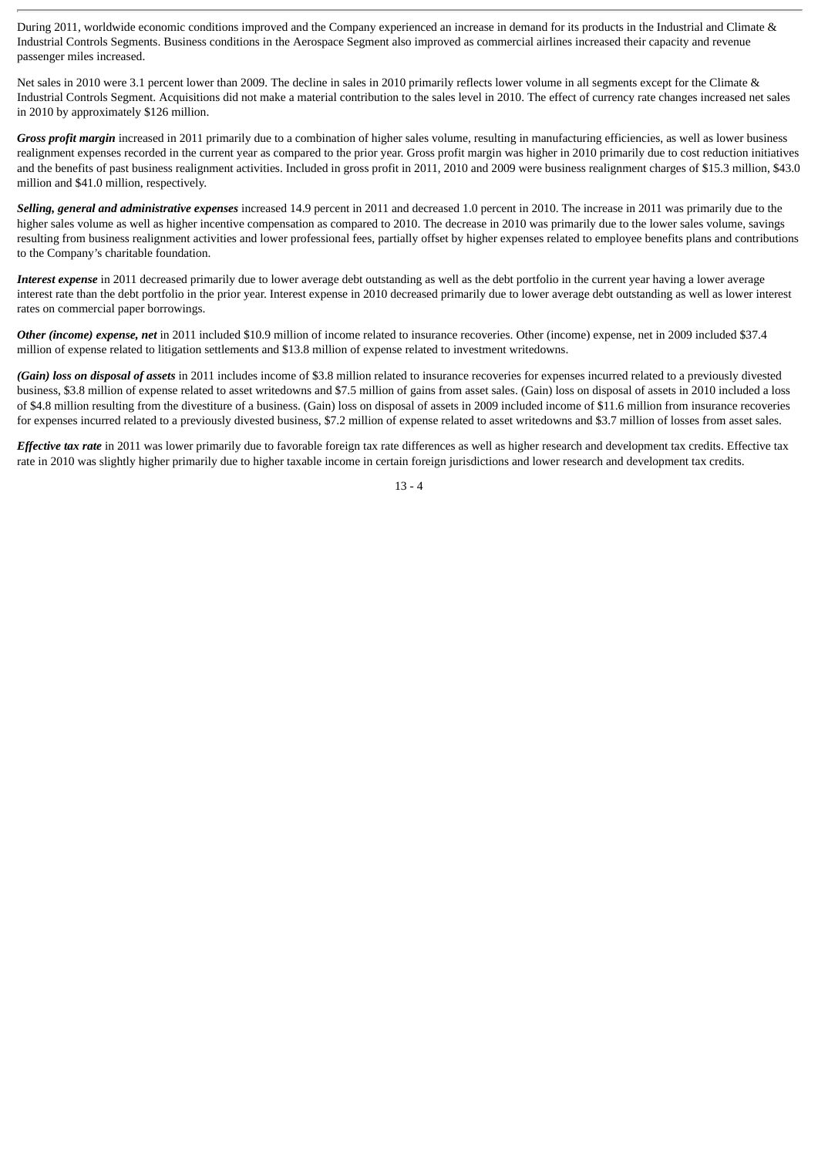During 2011, worldwide economic conditions improved and the Company experienced an increase in demand for its products in the Industrial and Climate & Industrial Controls Segments. Business conditions in the Aerospace Segment also improved as commercial airlines increased their capacity and revenue passenger miles increased.

Net sales in 2010 were 3.1 percent lower than 2009. The decline in sales in 2010 primarily reflects lower volume in all segments except for the Climate & Industrial Controls Segment. Acquisitions did not make a material contribution to the sales level in 2010. The effect of currency rate changes increased net sales in 2010 by approximately \$126 million.

*Gross profit margin* increased in 2011 primarily due to a combination of higher sales volume, resulting in manufacturing efficiencies, as well as lower business realignment expenses recorded in the current year as compared to the prior year. Gross profit margin was higher in 2010 primarily due to cost reduction initiatives and the benefits of past business realignment activities. Included in gross profit in 2011, 2010 and 2009 were business realignment charges of \$15.3 million, \$43.0 million and \$41.0 million, respectively.

*Selling, general and administrative expenses* increased 14.9 percent in 2011 and decreased 1.0 percent in 2010. The increase in 2011 was primarily due to the higher sales volume as well as higher incentive compensation as compared to 2010. The decrease in 2010 was primarily due to the lower sales volume, savings resulting from business realignment activities and lower professional fees, partially offset by higher expenses related to employee benefits plans and contributions to the Company's charitable foundation.

*Interest expense* in 2011 decreased primarily due to lower average debt outstanding as well as the debt portfolio in the current year having a lower average interest rate than the debt portfolio in the prior year. Interest expense in 2010 decreased primarily due to lower average debt outstanding as well as lower interest rates on commercial paper borrowings.

*Other (income) expense, net* in 2011 included \$10.9 million of income related to insurance recoveries. Other (income) expense, net in 2009 included \$37.4 million of expense related to litigation settlements and \$13.8 million of expense related to investment writedowns.

*(Gain) loss on disposal of assets* in 2011 includes income of \$3.8 million related to insurance recoveries for expenses incurred related to a previously divested business, \$3.8 million of expense related to asset writedowns and \$7.5 million of gains from asset sales. (Gain) loss on disposal of assets in 2010 included a loss of \$4.8 million resulting from the divestiture of a business. (Gain) loss on disposal of assets in 2009 included income of \$11.6 million from insurance recoveries for expenses incurred related to a previously divested business, \$7.2 million of expense related to asset writedowns and \$3.7 million of losses from asset sales.

*Effective tax rate* in 2011 was lower primarily due to favorable foreign tax rate differences as well as higher research and development tax credits. Effective tax rate in 2010 was slightly higher primarily due to higher taxable income in certain foreign jurisdictions and lower research and development tax credits.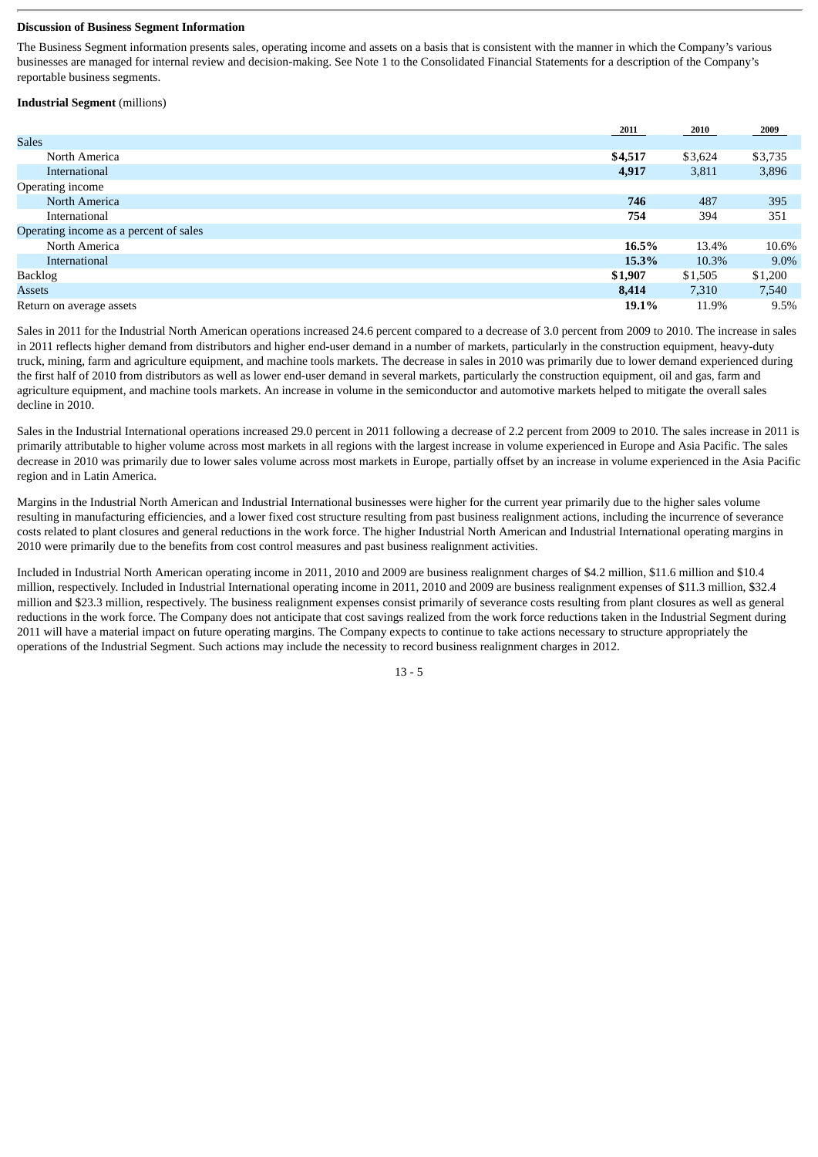### **Discussion of Business Segment Information**

The Business Segment information presents sales, operating income and assets on a basis that is consistent with the manner in which the Company's various businesses are managed for internal review and decision-making. See Note 1 to the Consolidated Financial Statements for a description of the Company's reportable business segments.

## **Industrial Segment** (millions)

|                                        | 2011    | 2010    | 2009    |
|----------------------------------------|---------|---------|---------|
| <b>Sales</b>                           |         |         |         |
| North America                          | \$4,517 | \$3,624 | \$3,735 |
| International                          | 4,917   | 3,811   | 3,896   |
| Operating income                       |         |         |         |
| North America                          | 746     | 487     | 395     |
| International                          | 754     | 394     | 351     |
| Operating income as a percent of sales |         |         |         |
| North America                          | 16.5%   | 13.4%   | 10.6%   |
| International                          | 15.3%   | 10.3%   | $9.0\%$ |
| <b>Backlog</b>                         | \$1,907 | \$1,505 | \$1,200 |
| Assets                                 | 8,414   | 7,310   | 7,540   |
| Return on average assets               | 19.1%   | 11.9%   | 9.5%    |

Sales in 2011 for the Industrial North American operations increased 24.6 percent compared to a decrease of 3.0 percent from 2009 to 2010. The increase in sales in 2011 reflects higher demand from distributors and higher end-user demand in a number of markets, particularly in the construction equipment, heavy-duty truck, mining, farm and agriculture equipment, and machine tools markets. The decrease in sales in 2010 was primarily due to lower demand experienced during the first half of 2010 from distributors as well as lower end-user demand in several markets, particularly the construction equipment, oil and gas, farm and agriculture equipment, and machine tools markets. An increase in volume in the semiconductor and automotive markets helped to mitigate the overall sales decline in 2010.

Sales in the Industrial International operations increased 29.0 percent in 2011 following a decrease of 2.2 percent from 2009 to 2010. The sales increase in 2011 is primarily attributable to higher volume across most markets in all regions with the largest increase in volume experienced in Europe and Asia Pacific. The sales decrease in 2010 was primarily due to lower sales volume across most markets in Europe, partially offset by an increase in volume experienced in the Asia Pacific region and in Latin America.

Margins in the Industrial North American and Industrial International businesses were higher for the current year primarily due to the higher sales volume resulting in manufacturing efficiencies, and a lower fixed cost structure resulting from past business realignment actions, including the incurrence of severance costs related to plant closures and general reductions in the work force. The higher Industrial North American and Industrial International operating margins in 2010 were primarily due to the benefits from cost control measures and past business realignment activities.

Included in Industrial North American operating income in 2011, 2010 and 2009 are business realignment charges of \$4.2 million, \$11.6 million and \$10.4 million, respectively. Included in Industrial International operating income in 2011, 2010 and 2009 are business realignment expenses of \$11.3 million, \$32.4 million and \$23.3 million, respectively. The business realignment expenses consist primarily of severance costs resulting from plant closures as well as general reductions in the work force. The Company does not anticipate that cost savings realized from the work force reductions taken in the Industrial Segment during 2011 will have a material impact on future operating margins. The Company expects to continue to take actions necessary to structure appropriately the operations of the Industrial Segment. Such actions may include the necessity to record business realignment charges in 2012.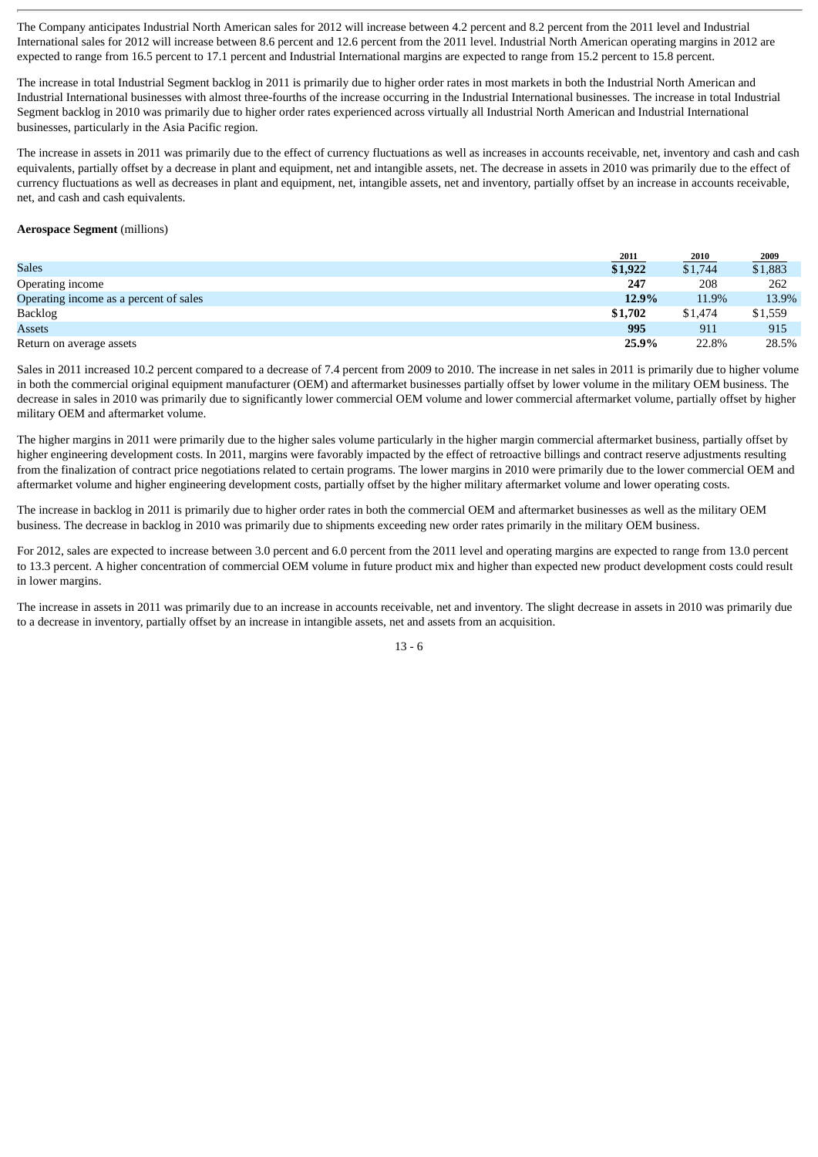The Company anticipates Industrial North American sales for 2012 will increase between 4.2 percent and 8.2 percent from the 2011 level and Industrial International sales for 2012 will increase between 8.6 percent and 12.6 percent from the 2011 level. Industrial North American operating margins in 2012 are expected to range from 16.5 percent to 17.1 percent and Industrial International margins are expected to range from 15.2 percent to 15.8 percent.

The increase in total Industrial Segment backlog in 2011 is primarily due to higher order rates in most markets in both the Industrial North American and Industrial International businesses with almost three-fourths of the increase occurring in the Industrial International businesses. The increase in total Industrial Segment backlog in 2010 was primarily due to higher order rates experienced across virtually all Industrial North American and Industrial International businesses, particularly in the Asia Pacific region.

The increase in assets in 2011 was primarily due to the effect of currency fluctuations as well as increases in accounts receivable, net, inventory and cash and cash equivalents, partially offset by a decrease in plant and equipment, net and intangible assets, net. The decrease in assets in 2010 was primarily due to the effect of currency fluctuations as well as decreases in plant and equipment, net, intangible assets, net and inventory, partially offset by an increase in accounts receivable, net, and cash and cash equivalents.

### **Aerospace Segment** (millions)

|                                        | <u>2011</u>         | 2010    |                       |
|----------------------------------------|---------------------|---------|-----------------------|
| <b>Sales</b>                           | $\overline{$1,922}$ | \$1,744 | $\frac{2009}{$1,883}$ |
| Operating income                       | 247                 | 208     | 262                   |
| Operating income as a percent of sales | 12.9%               | 11.9%   | 13.9%                 |
| <b>Backlog</b>                         | \$1,702             | \$1,474 | \$1,559               |
| Assets                                 | 995                 | 911     | 915                   |
| Return on average assets               | 25.9%               | 22.8%   | 28.5%                 |

Sales in 2011 increased 10.2 percent compared to a decrease of 7.4 percent from 2009 to 2010. The increase in net sales in 2011 is primarily due to higher volume in both the commercial original equipment manufacturer (OEM) and aftermarket businesses partially offset by lower volume in the military OEM business. The decrease in sales in 2010 was primarily due to significantly lower commercial OEM volume and lower commercial aftermarket volume, partially offset by higher military OEM and aftermarket volume.

The higher margins in 2011 were primarily due to the higher sales volume particularly in the higher margin commercial aftermarket business, partially offset by higher engineering development costs. In 2011, margins were favorably impacted by the effect of retroactive billings and contract reserve adjustments resulting from the finalization of contract price negotiations related to certain programs. The lower margins in 2010 were primarily due to the lower commercial OEM and aftermarket volume and higher engineering development costs, partially offset by the higher military aftermarket volume and lower operating costs.

The increase in backlog in 2011 is primarily due to higher order rates in both the commercial OEM and aftermarket businesses as well as the military OEM business. The decrease in backlog in 2010 was primarily due to shipments exceeding new order rates primarily in the military OEM business.

For 2012, sales are expected to increase between 3.0 percent and 6.0 percent from the 2011 level and operating margins are expected to range from 13.0 percent to 13.3 percent. A higher concentration of commercial OEM volume in future product mix and higher than expected new product development costs could result in lower margins.

The increase in assets in 2011 was primarily due to an increase in accounts receivable, net and inventory. The slight decrease in assets in 2010 was primarily due to a decrease in inventory, partially offset by an increase in intangible assets, net and assets from an acquisition.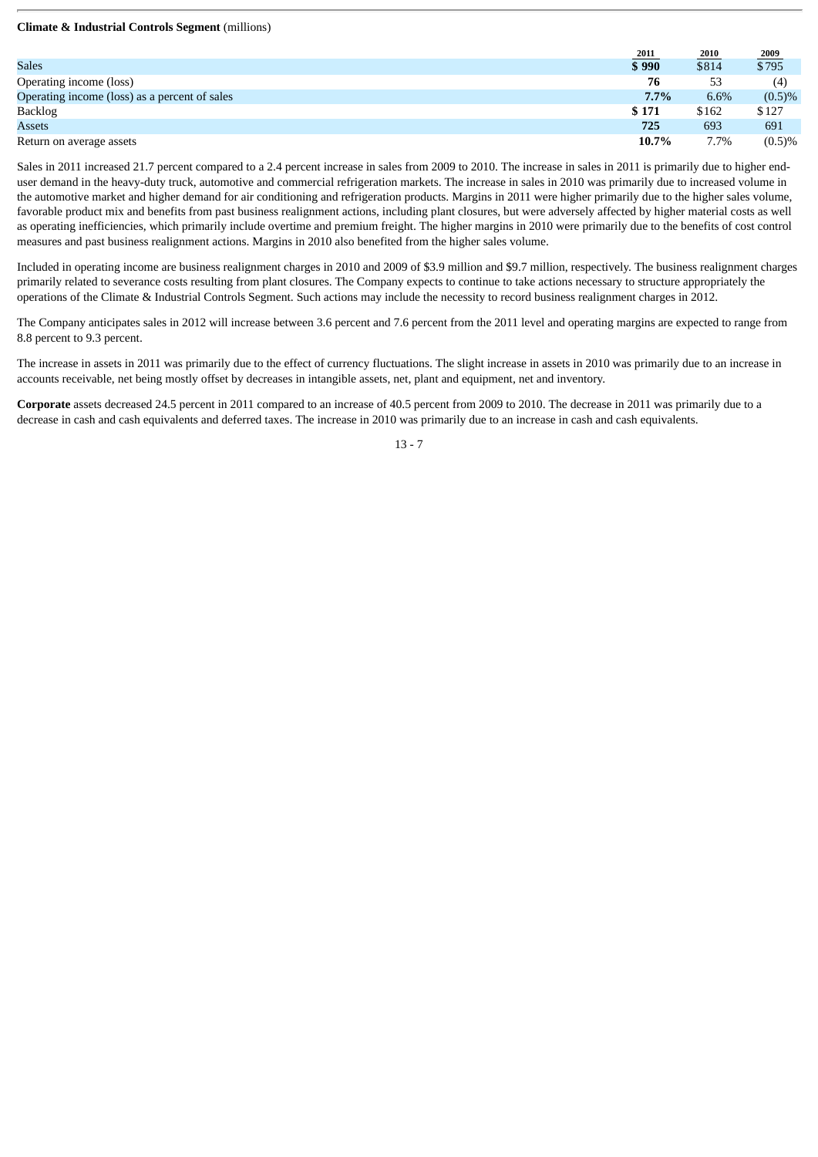### **Climate & Industrial Controls Segment** (millions)

|                                               | 2011  | 2010  | 2009      |
|-----------------------------------------------|-------|-------|-----------|
| <b>Sales</b>                                  | \$990 | \$814 | \$795     |
| Operating income (loss)                       | 76    | 53    | (4)       |
| Operating income (loss) as a percent of sales | 7.7%  | 6.6%  | $(0.5)\%$ |
| <b>Backlog</b>                                | \$171 | \$162 | \$127     |
| <b>Assets</b>                                 | 725   | 693   | 691       |
| Return on average assets                      | 10.7% | 7.7%  | $(0.5)\%$ |

Sales in 2011 increased 21.7 percent compared to a 2.4 percent increase in sales from 2009 to 2010. The increase in sales in 2011 is primarily due to higher enduser demand in the heavy-duty truck, automotive and commercial refrigeration markets. The increase in sales in 2010 was primarily due to increased volume in the automotive market and higher demand for air conditioning and refrigeration products. Margins in 2011 were higher primarily due to the higher sales volume, favorable product mix and benefits from past business realignment actions, including plant closures, but were adversely affected by higher material costs as well as operating inefficiencies, which primarily include overtime and premium freight. The higher margins in 2010 were primarily due to the benefits of cost control measures and past business realignment actions. Margins in 2010 also benefited from the higher sales volume.

Included in operating income are business realignment charges in 2010 and 2009 of \$3.9 million and \$9.7 million, respectively. The business realignment charges primarily related to severance costs resulting from plant closures. The Company expects to continue to take actions necessary to structure appropriately the operations of the Climate & Industrial Controls Segment. Such actions may include the necessity to record business realignment charges in 2012.

The Company anticipates sales in 2012 will increase between 3.6 percent and 7.6 percent from the 2011 level and operating margins are expected to range from 8.8 percent to 9.3 percent.

The increase in assets in 2011 was primarily due to the effect of currency fluctuations. The slight increase in assets in 2010 was primarily due to an increase in accounts receivable, net being mostly offset by decreases in intangible assets, net, plant and equipment, net and inventory.

**Corporate** assets decreased 24.5 percent in 2011 compared to an increase of 40.5 percent from 2009 to 2010. The decrease in 2011 was primarily due to a decrease in cash and cash equivalents and deferred taxes. The increase in 2010 was primarily due to an increase in cash and cash equivalents.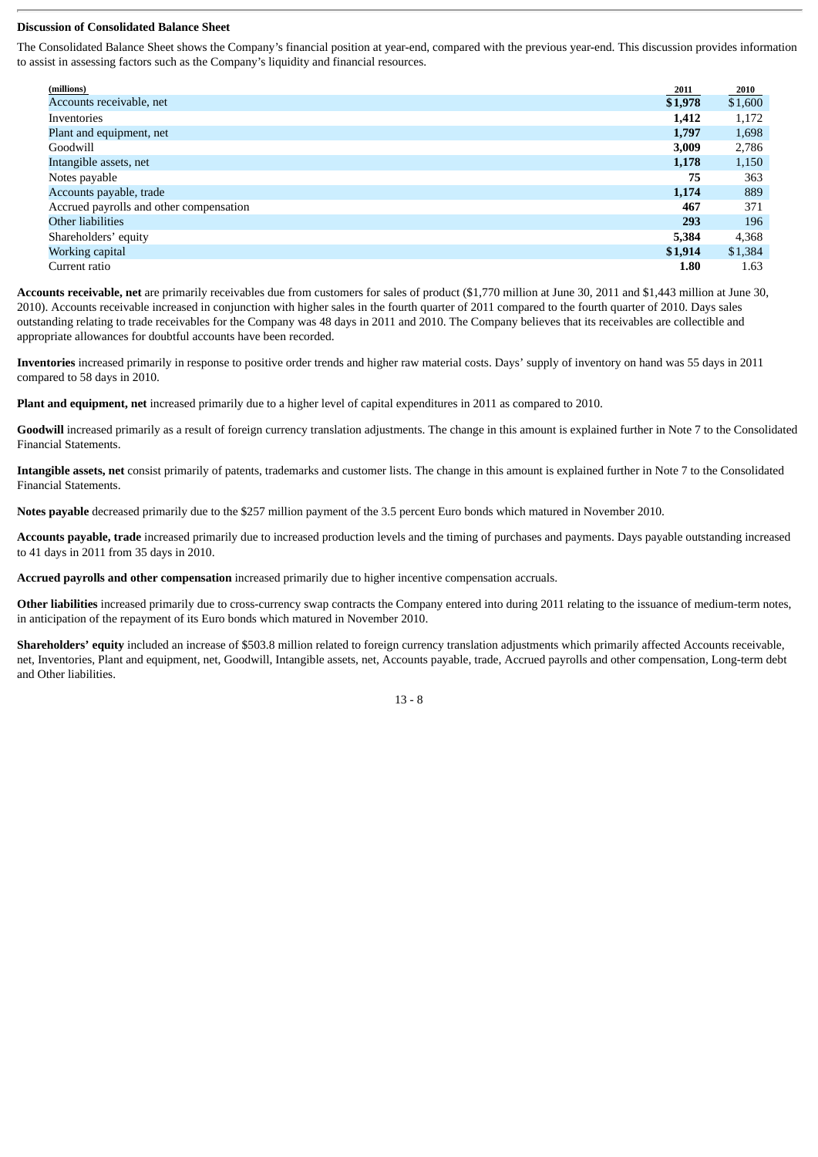## **Discussion of Consolidated Balance Sheet**

The Consolidated Balance Sheet shows the Company's financial position at year-end, compared with the previous year-end. This discussion provides information to assist in assessing factors such as the Company's liquidity and financial resources.

| (millions)                              | 2011    | 2010    |
|-----------------------------------------|---------|---------|
| Accounts receivable, net                | \$1,978 | \$1,600 |
| Inventories                             | 1,412   | 1,172   |
| Plant and equipment, net                | 1,797   | 1,698   |
| Goodwill                                | 3,009   | 2,786   |
| Intangible assets, net                  | 1,178   | 1,150   |
| Notes payable                           | 75      | 363     |
| Accounts payable, trade                 | 1,174   | 889     |
| Accrued payrolls and other compensation | 467     | 371     |
| Other liabilities                       | 293     | 196     |
| Shareholders' equity                    | 5,384   | 4,368   |
| Working capital                         | \$1,914 | \$1,384 |
| Current ratio                           | 1.80    | 1.63    |

**Accounts receivable, net** are primarily receivables due from customers for sales of product (\$1,770 million at June 30, 2011 and \$1,443 million at June 30, 2010). Accounts receivable increased in conjunction with higher sales in the fourth quarter of 2011 compared to the fourth quarter of 2010. Days sales outstanding relating to trade receivables for the Company was 48 days in 2011 and 2010. The Company believes that its receivables are collectible and appropriate allowances for doubtful accounts have been recorded.

**Inventories** increased primarily in response to positive order trends and higher raw material costs. Days' supply of inventory on hand was 55 days in 2011 compared to 58 days in 2010.

**Plant and equipment, net** increased primarily due to a higher level of capital expenditures in 2011 as compared to 2010.

Goodwill increased primarily as a result of foreign currency translation adjustments. The change in this amount is explained further in Note 7 to the Consolidated Financial Statements.

**Intangible assets, net** consist primarily of patents, trademarks and customer lists. The change in this amount is explained further in Note 7 to the Consolidated Financial Statements.

**Notes payable** decreased primarily due to the \$257 million payment of the 3.5 percent Euro bonds which matured in November 2010.

**Accounts payable, trade** increased primarily due to increased production levels and the timing of purchases and payments. Days payable outstanding increased to 41 days in 2011 from 35 days in 2010.

**Accrued payrolls and other compensation** increased primarily due to higher incentive compensation accruals.

**Other liabilities** increased primarily due to cross-currency swap contracts the Company entered into during 2011 relating to the issuance of medium-term notes, in anticipation of the repayment of its Euro bonds which matured in November 2010.

**Shareholders' equity** included an increase of \$503.8 million related to foreign currency translation adjustments which primarily affected Accounts receivable, net, Inventories, Plant and equipment, net, Goodwill, Intangible assets, net, Accounts payable, trade, Accrued payrolls and other compensation, Long-term debt and Other liabilities.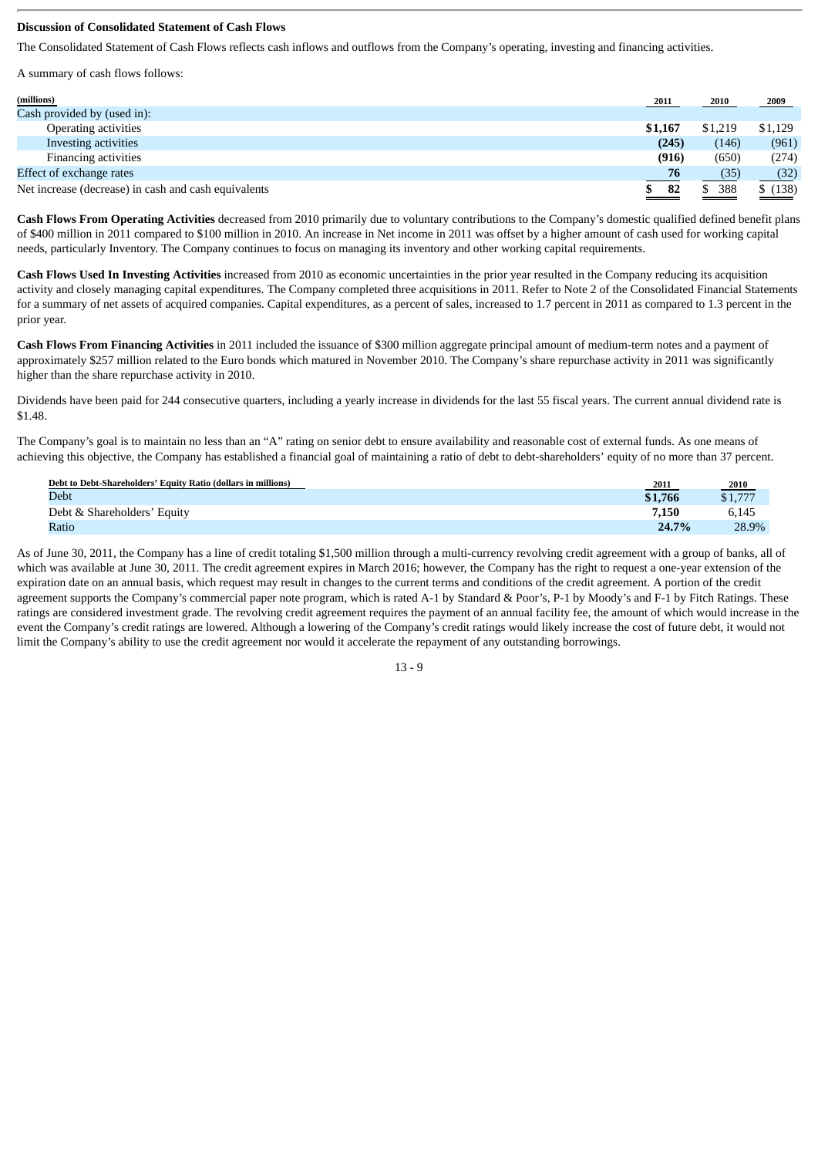# **Discussion of Consolidated Statement of Cash Flows**

The Consolidated Statement of Cash Flows reflects cash inflows and outflows from the Company's operating, investing and financing activities.

A summary of cash flows follows:

| (millions)                                           | 2011     | 2010    | 2009     |
|------------------------------------------------------|----------|---------|----------|
| Cash provided by (used in):                          |          |         |          |
| <b>Operating activities</b>                          | \$1,167  | \$1,219 | \$1,129  |
| Investing activities                                 | (245)    | (146)   | (961)    |
| <b>Financing activities</b>                          | (916)    | (650)   | (274)    |
| Effect of exchange rates                             | 76       | (35)    | (32)     |
| Net increase (decrease) in cash and cash equivalents | 82<br>\$ | 388     | \$ (138) |

**Cash Flows From Operating Activities** decreased from 2010 primarily due to voluntary contributions to the Company's domestic qualified defined benefit plans of \$400 million in 2011 compared to \$100 million in 2010. An increase in Net income in 2011 was offset by a higher amount of cash used for working capital needs, particularly Inventory. The Company continues to focus on managing its inventory and other working capital requirements.

**Cash Flows Used In Investing Activities** increased from 2010 as economic uncertainties in the prior year resulted in the Company reducing its acquisition activity and closely managing capital expenditures. The Company completed three acquisitions in 2011. Refer to Note 2 of the Consolidated Financial Statements for a summary of net assets of acquired companies. Capital expenditures, as a percent of sales, increased to 1.7 percent in 2011 as compared to 1.3 percent in the prior year.

**Cash Flows From Financing Activities** in 2011 included the issuance of \$300 million aggregate principal amount of medium-term notes and a payment of approximately \$257 million related to the Euro bonds which matured in November 2010. The Company's share repurchase activity in 2011 was significantly higher than the share repurchase activity in 2010.

Dividends have been paid for 244 consecutive quarters, including a yearly increase in dividends for the last 55 fiscal years. The current annual dividend rate is \$1.48.

The Company's goal is to maintain no less than an "A" rating on senior debt to ensure availability and reasonable cost of external funds. As one means of achieving this objective, the Company has established a financial goal of maintaining a ratio of debt to debt-shareholders' equity of no more than 37 percent.

| Debt to Debt-Shareholders' Equity Ratio (dollars in millions) | 2011    | 2010    |
|---------------------------------------------------------------|---------|---------|
| <b>Debt</b>                                                   | \$1,766 | \$1,777 |
| Debt & Shareholders' Equity                                   | 7.150   | 6.145   |
| Ratio                                                         | 24.7%   | 28.9%   |

As of June 30, 2011, the Company has a line of credit totaling \$1,500 million through a multi-currency revolving credit agreement with a group of banks, all of which was available at June 30, 2011. The credit agreement expires in March 2016; however, the Company has the right to request a one-year extension of the expiration date on an annual basis, which request may result in changes to the current terms and conditions of the credit agreement. A portion of the credit agreement supports the Company's commercial paper note program, which is rated A-1 by Standard & Poor's, P-1 by Moody's and F-1 by Fitch Ratings. These ratings are considered investment grade. The revolving credit agreement requires the payment of an annual facility fee, the amount of which would increase in the event the Company's credit ratings are lowered. Although a lowering of the Company's credit ratings would likely increase the cost of future debt, it would not limit the Company's ability to use the credit agreement nor would it accelerate the repayment of any outstanding borrowings.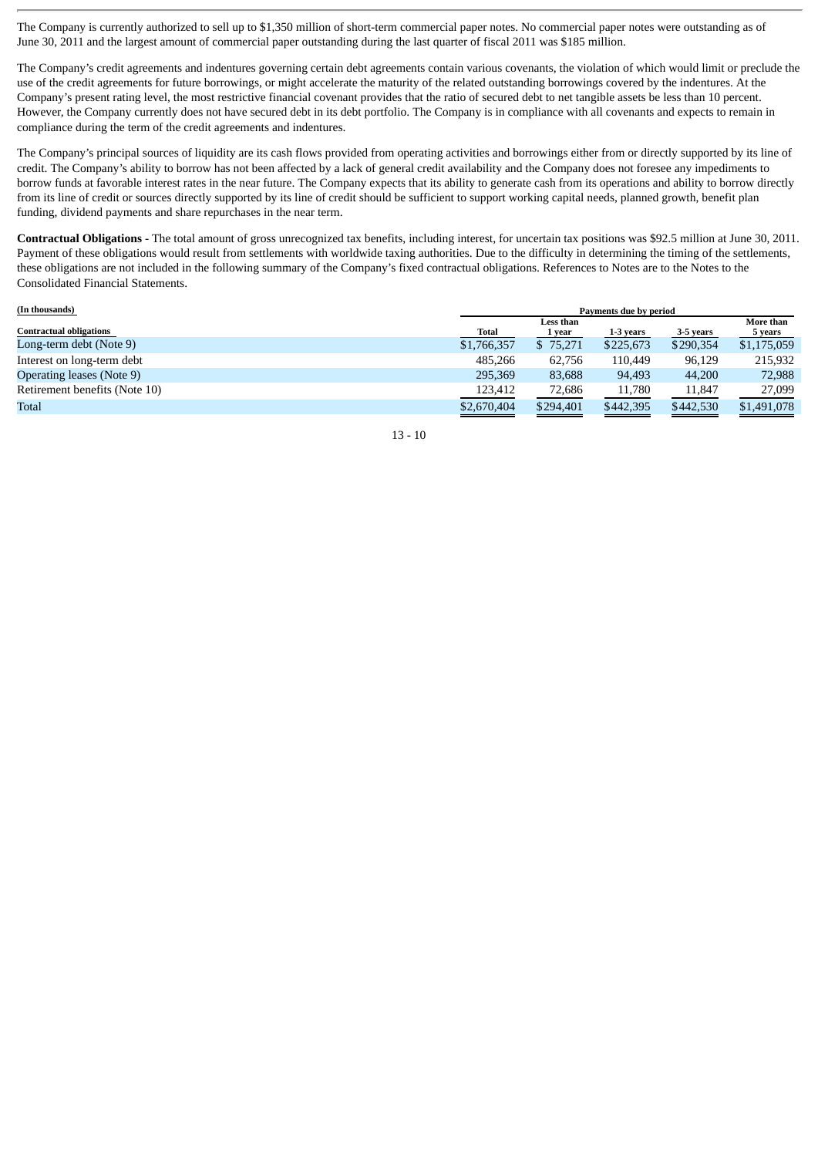The Company is currently authorized to sell up to \$1,350 million of short-term commercial paper notes. No commercial paper notes were outstanding as of June 30, 2011 and the largest amount of commercial paper outstanding during the last quarter of fiscal 2011 was \$185 million.

The Company's credit agreements and indentures governing certain debt agreements contain various covenants, the violation of which would limit or preclude the use of the credit agreements for future borrowings, or might accelerate the maturity of the related outstanding borrowings covered by the indentures. At the Company's present rating level, the most restrictive financial covenant provides that the ratio of secured debt to net tangible assets be less than 10 percent. However, the Company currently does not have secured debt in its debt portfolio. The Company is in compliance with all covenants and expects to remain in compliance during the term of the credit agreements and indentures.

The Company's principal sources of liquidity are its cash flows provided from operating activities and borrowings either from or directly supported by its line of credit. The Company's ability to borrow has not been affected by a lack of general credit availability and the Company does not foresee any impediments to borrow funds at favorable interest rates in the near future. The Company expects that its ability to generate cash from its operations and ability to borrow directly from its line of credit or sources directly supported by its line of credit should be sufficient to support working capital needs, planned growth, benefit plan funding, dividend payments and share repurchases in the near term.

**Contractual Obligations** - The total amount of gross unrecognized tax benefits, including interest, for uncertain tax positions was \$92.5 million at June 30, 2011. Payment of these obligations would result from settlements with worldwide taxing authorities. Due to the difficulty in determining the timing of the settlements, these obligations are not included in the following summary of the Company's fixed contractual obligations. References to Notes are to the Notes to the Consolidated Financial Statements.

| (In thousands)                 | Payments due by period |           |           |           |             |
|--------------------------------|------------------------|-----------|-----------|-----------|-------------|
|                                |                        | Less than |           |           | More than   |
| <b>Contractual obligations</b> | <b>Total</b>           | 1 year    | 1-3 years | 3-5 years | 5 years     |
| Long-term debt (Note 9)        | \$1,766,357            | \$75,271  | \$225.673 | \$290,354 | \$1,175,059 |
| Interest on long-term debt     | 485,266                | 62.756    | 110,449   | 96,129    | 215,932     |
| Operating leases (Note 9)      | 295,369                | 83,688    | 94,493    | 44,200    | 72,988      |
| Retirement benefits (Note 10)  | 123.412                | 72.686    | 11,780    | 11,847    | 27,099      |
| Total                          | \$2,670,404            | \$294,401 | \$442,395 | \$442,530 | \$1,491,078 |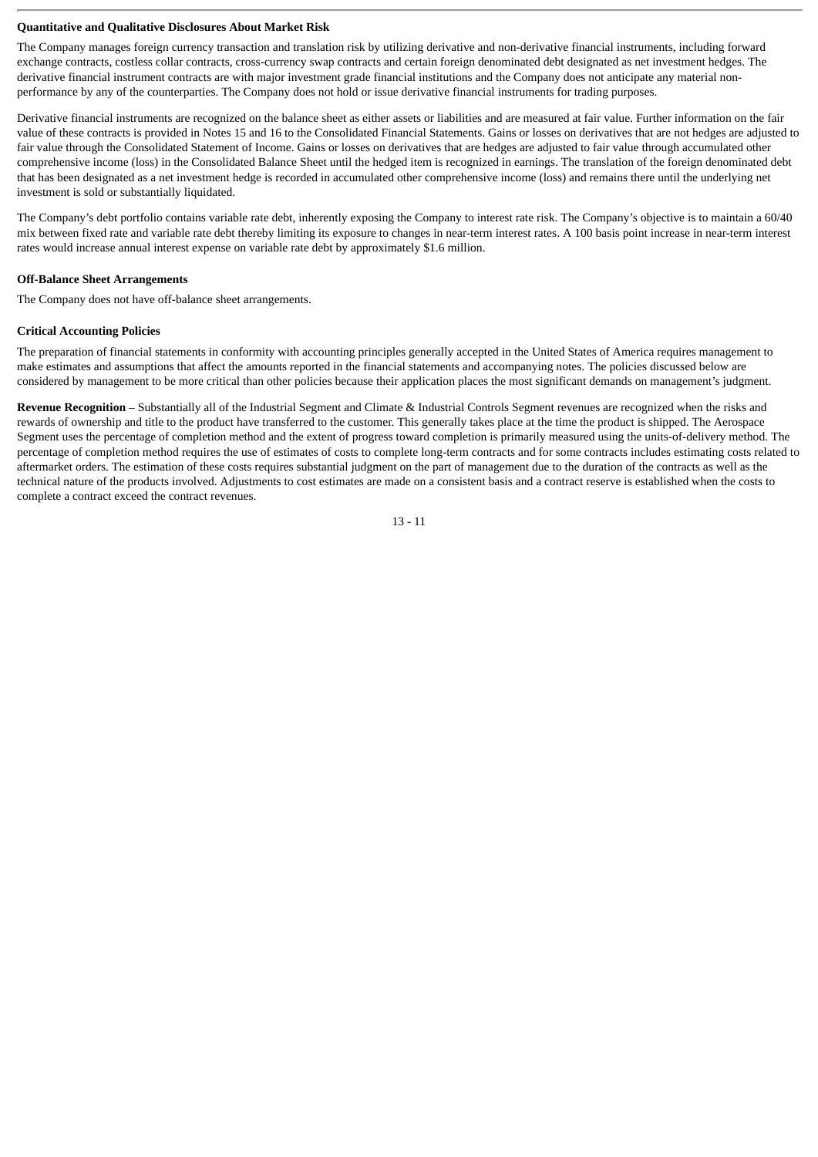## **Quantitative and Qualitative Disclosures About Market Risk**

The Company manages foreign currency transaction and translation risk by utilizing derivative and non-derivative financial instruments, including forward exchange contracts, costless collar contracts, cross-currency swap contracts and certain foreign denominated debt designated as net investment hedges. The derivative financial instrument contracts are with major investment grade financial institutions and the Company does not anticipate any material nonperformance by any of the counterparties. The Company does not hold or issue derivative financial instruments for trading purposes.

Derivative financial instruments are recognized on the balance sheet as either assets or liabilities and are measured at fair value. Further information on the fair value of these contracts is provided in Notes 15 and 16 to the Consolidated Financial Statements. Gains or losses on derivatives that are not hedges are adjusted to fair value through the Consolidated Statement of Income. Gains or losses on derivatives that are hedges are adjusted to fair value through accumulated other comprehensive income (loss) in the Consolidated Balance Sheet until the hedged item is recognized in earnings. The translation of the foreign denominated debt that has been designated as a net investment hedge is recorded in accumulated other comprehensive income (loss) and remains there until the underlying net investment is sold or substantially liquidated.

The Company's debt portfolio contains variable rate debt, inherently exposing the Company to interest rate risk. The Company's objective is to maintain a 60/40 mix between fixed rate and variable rate debt thereby limiting its exposure to changes in near-term interest rates. A 100 basis point increase in near-term interest rates would increase annual interest expense on variable rate debt by approximately \$1.6 million.

### **Off-Balance Sheet Arrangements**

The Company does not have off-balance sheet arrangements.

### **Critical Accounting Policies**

The preparation of financial statements in conformity with accounting principles generally accepted in the United States of America requires management to make estimates and assumptions that affect the amounts reported in the financial statements and accompanying notes. The policies discussed below are considered by management to be more critical than other policies because their application places the most significant demands on management's judgment.

**Revenue Recognition** – Substantially all of the Industrial Segment and Climate & Industrial Controls Segment revenues are recognized when the risks and rewards of ownership and title to the product have transferred to the customer. This generally takes place at the time the product is shipped. The Aerospace Segment uses the percentage of completion method and the extent of progress toward completion is primarily measured using the units-of-delivery method. The percentage of completion method requires the use of estimates of costs to complete long-term contracts and for some contracts includes estimating costs related to aftermarket orders. The estimation of these costs requires substantial judgment on the part of management due to the duration of the contracts as well as the technical nature of the products involved. Adjustments to cost estimates are made on a consistent basis and a contract reserve is established when the costs to complete a contract exceed the contract revenues.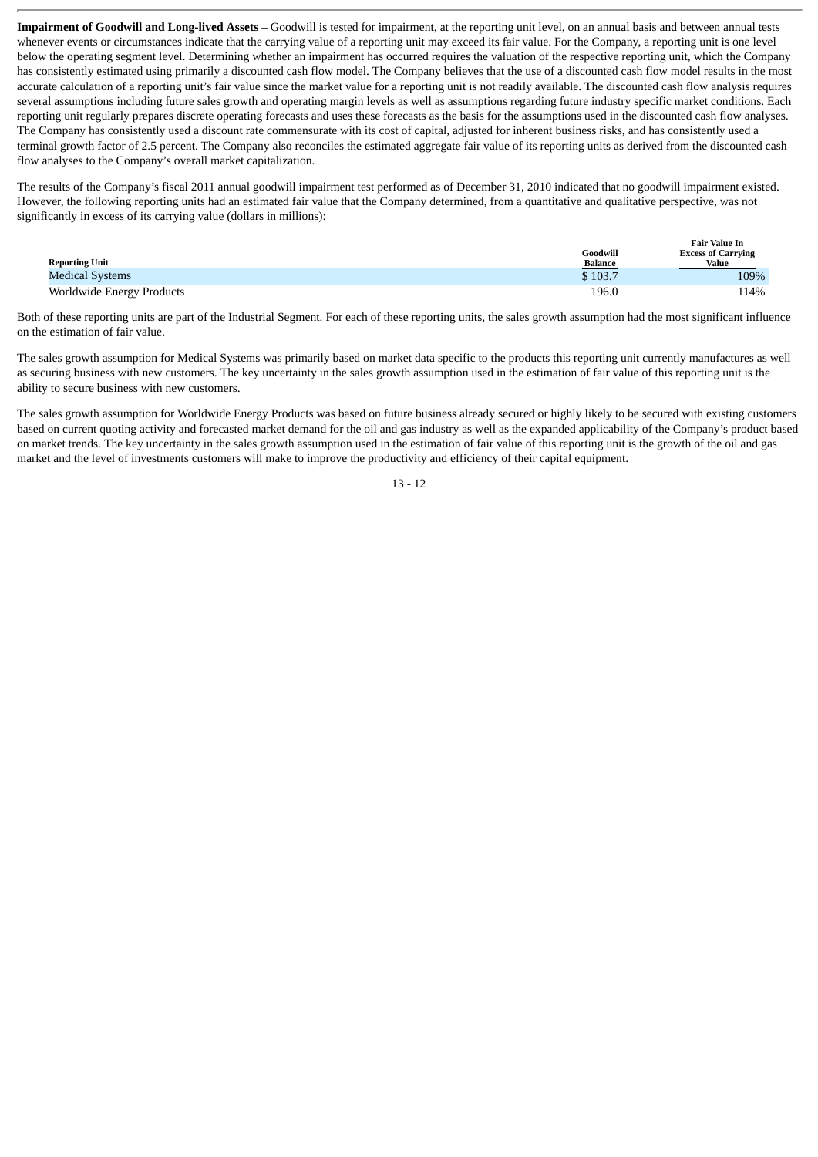**Impairment of Goodwill and Long-lived Assets** – Goodwill is tested for impairment, at the reporting unit level, on an annual basis and between annual tests whenever events or circumstances indicate that the carrying value of a reporting unit may exceed its fair value. For the Company, a reporting unit is one level below the operating segment level. Determining whether an impairment has occurred requires the valuation of the respective reporting unit, which the Company has consistently estimated using primarily a discounted cash flow model. The Company believes that the use of a discounted cash flow model results in the most accurate calculation of a reporting unit's fair value since the market value for a reporting unit is not readily available. The discounted cash flow analysis requires several assumptions including future sales growth and operating margin levels as well as assumptions regarding future industry specific market conditions. Each reporting unit regularly prepares discrete operating forecasts and uses these forecasts as the basis for the assumptions used in the discounted cash flow analyses. The Company has consistently used a discount rate commensurate with its cost of capital, adjusted for inherent business risks, and has consistently used a terminal growth factor of 2.5 percent. The Company also reconciles the estimated aggregate fair value of its reporting units as derived from the discounted cash flow analyses to the Company's overall market capitalization.

The results of the Company's fiscal 2011 annual goodwill impairment test performed as of December 31, 2010 indicated that no goodwill impairment existed. However, the following reporting units had an estimated fair value that the Company determined, from a quantitative and qualitative perspective, was not significantly in excess of its carrying value (dollars in millions):

|                           |                | ган уаше ш                |
|---------------------------|----------------|---------------------------|
|                           | Goodwill       | <b>Excess of Carrying</b> |
| <b>Reporting Unit</b>     | <b>Balance</b> | Value                     |
| <b>Medical Systems</b>    | \$103.7        | 109%                      |
| Worldwide Energy Products | 196.0          | 114%                      |

**Fair Value In**

Both of these reporting units are part of the Industrial Segment. For each of these reporting units, the sales growth assumption had the most significant influence on the estimation of fair value.

The sales growth assumption for Medical Systems was primarily based on market data specific to the products this reporting unit currently manufactures as well as securing business with new customers. The key uncertainty in the sales growth assumption used in the estimation of fair value of this reporting unit is the ability to secure business with new customers.

The sales growth assumption for Worldwide Energy Products was based on future business already secured or highly likely to be secured with existing customers based on current quoting activity and forecasted market demand for the oil and gas industry as well as the expanded applicability of the Company's product based on market trends. The key uncertainty in the sales growth assumption used in the estimation of fair value of this reporting unit is the growth of the oil and gas market and the level of investments customers will make to improve the productivity and efficiency of their capital equipment.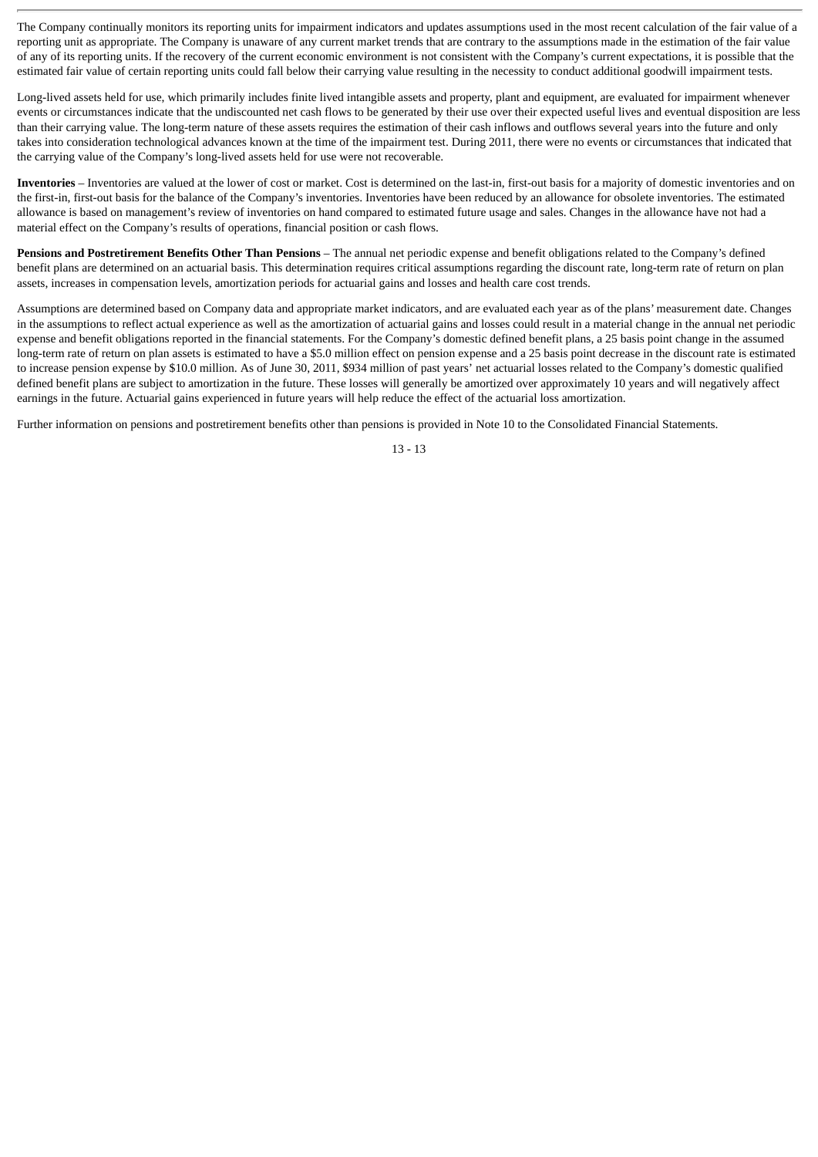The Company continually monitors its reporting units for impairment indicators and updates assumptions used in the most recent calculation of the fair value of a reporting unit as appropriate. The Company is unaware of any current market trends that are contrary to the assumptions made in the estimation of the fair value of any of its reporting units. If the recovery of the current economic environment is not consistent with the Company's current expectations, it is possible that the estimated fair value of certain reporting units could fall below their carrying value resulting in the necessity to conduct additional goodwill impairment tests.

Long-lived assets held for use, which primarily includes finite lived intangible assets and property, plant and equipment, are evaluated for impairment whenever events or circumstances indicate that the undiscounted net cash flows to be generated by their use over their expected useful lives and eventual disposition are less than their carrying value. The long-term nature of these assets requires the estimation of their cash inflows and outflows several years into the future and only takes into consideration technological advances known at the time of the impairment test. During 2011, there were no events or circumstances that indicated that the carrying value of the Company's long-lived assets held for use were not recoverable.

**Inventories** – Inventories are valued at the lower of cost or market. Cost is determined on the last-in, first-out basis for a majority of domestic inventories and on the first-in, first-out basis for the balance of the Company's inventories. Inventories have been reduced by an allowance for obsolete inventories. The estimated allowance is based on management's review of inventories on hand compared to estimated future usage and sales. Changes in the allowance have not had a material effect on the Company's results of operations, financial position or cash flows.

**Pensions and Postretirement Benefits Other Than Pensions** – The annual net periodic expense and benefit obligations related to the Company's defined benefit plans are determined on an actuarial basis. This determination requires critical assumptions regarding the discount rate, long-term rate of return on plan assets, increases in compensation levels, amortization periods for actuarial gains and losses and health care cost trends.

Assumptions are determined based on Company data and appropriate market indicators, and are evaluated each year as of the plans' measurement date. Changes in the assumptions to reflect actual experience as well as the amortization of actuarial gains and losses could result in a material change in the annual net periodic expense and benefit obligations reported in the financial statements. For the Company's domestic defined benefit plans, a 25 basis point change in the assumed long-term rate of return on plan assets is estimated to have a \$5.0 million effect on pension expense and a 25 basis point decrease in the discount rate is estimated to increase pension expense by \$10.0 million. As of June 30, 2011, \$934 million of past years' net actuarial losses related to the Company's domestic qualified defined benefit plans are subject to amortization in the future. These losses will generally be amortized over approximately 10 years and will negatively affect earnings in the future. Actuarial gains experienced in future years will help reduce the effect of the actuarial loss amortization.

Further information on pensions and postretirement benefits other than pensions is provided in Note 10 to the Consolidated Financial Statements.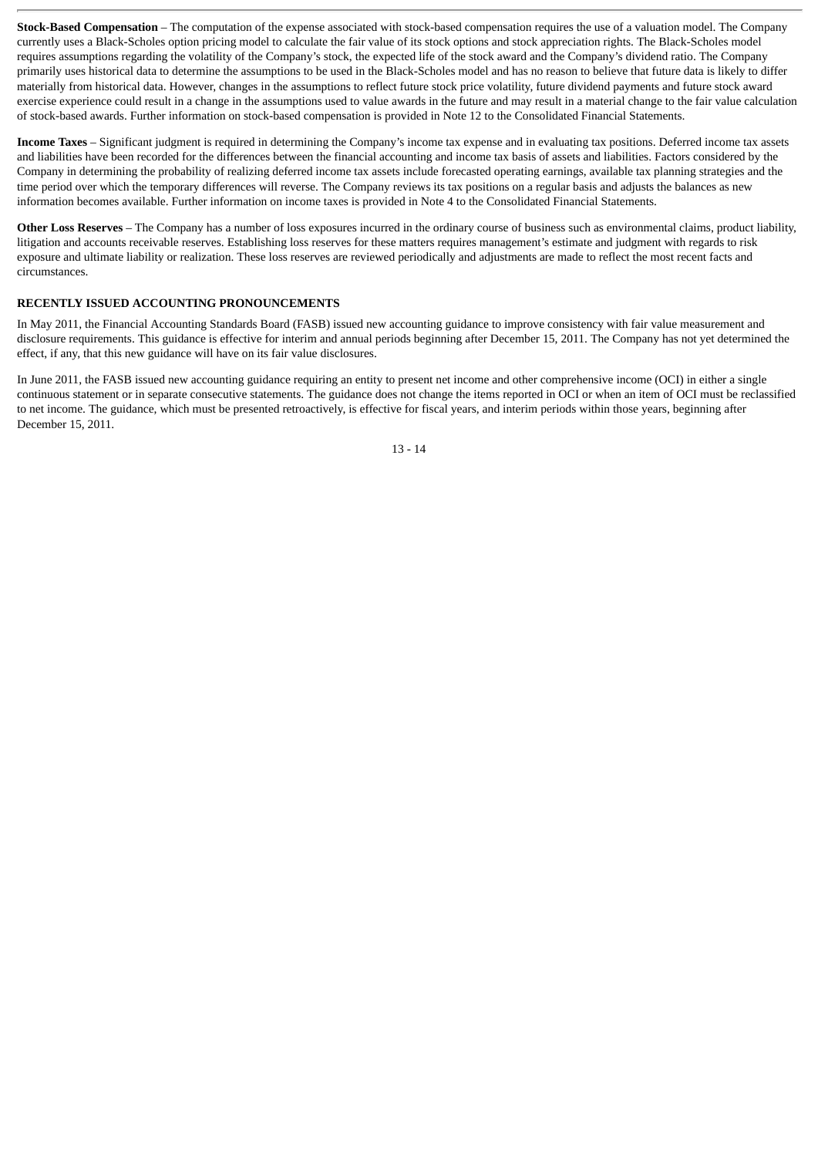**Stock-Based Compensation** – The computation of the expense associated with stock-based compensation requires the use of a valuation model. The Company currently uses a Black-Scholes option pricing model to calculate the fair value of its stock options and stock appreciation rights. The Black-Scholes model requires assumptions regarding the volatility of the Company's stock, the expected life of the stock award and the Company's dividend ratio. The Company primarily uses historical data to determine the assumptions to be used in the Black-Scholes model and has no reason to believe that future data is likely to differ materially from historical data. However, changes in the assumptions to reflect future stock price volatility, future dividend payments and future stock award exercise experience could result in a change in the assumptions used to value awards in the future and may result in a material change to the fair value calculation of stock-based awards. Further information on stock-based compensation is provided in Note 12 to the Consolidated Financial Statements.

**Income Taxes** – Significant judgment is required in determining the Company's income tax expense and in evaluating tax positions. Deferred income tax assets and liabilities have been recorded for the differences between the financial accounting and income tax basis of assets and liabilities. Factors considered by the Company in determining the probability of realizing deferred income tax assets include forecasted operating earnings, available tax planning strategies and the time period over which the temporary differences will reverse. The Company reviews its tax positions on a regular basis and adjusts the balances as new information becomes available. Further information on income taxes is provided in Note 4 to the Consolidated Financial Statements.

**Other Loss Reserves** – The Company has a number of loss exposures incurred in the ordinary course of business such as environmental claims, product liability, litigation and accounts receivable reserves. Establishing loss reserves for these matters requires management's estimate and judgment with regards to risk exposure and ultimate liability or realization. These loss reserves are reviewed periodically and adjustments are made to reflect the most recent facts and circumstances.

# **RECENTLY ISSUED ACCOUNTING PRONOUNCEMENTS**

In May 2011, the Financial Accounting Standards Board (FASB) issued new accounting guidance to improve consistency with fair value measurement and disclosure requirements. This guidance is effective for interim and annual periods beginning after December 15, 2011. The Company has not yet determined the effect, if any, that this new guidance will have on its fair value disclosures.

In June 2011, the FASB issued new accounting guidance requiring an entity to present net income and other comprehensive income (OCI) in either a single continuous statement or in separate consecutive statements. The guidance does not change the items reported in OCI or when an item of OCI must be reclassified to net income. The guidance, which must be presented retroactively, is effective for fiscal years, and interim periods within those years, beginning after December 15, 2011.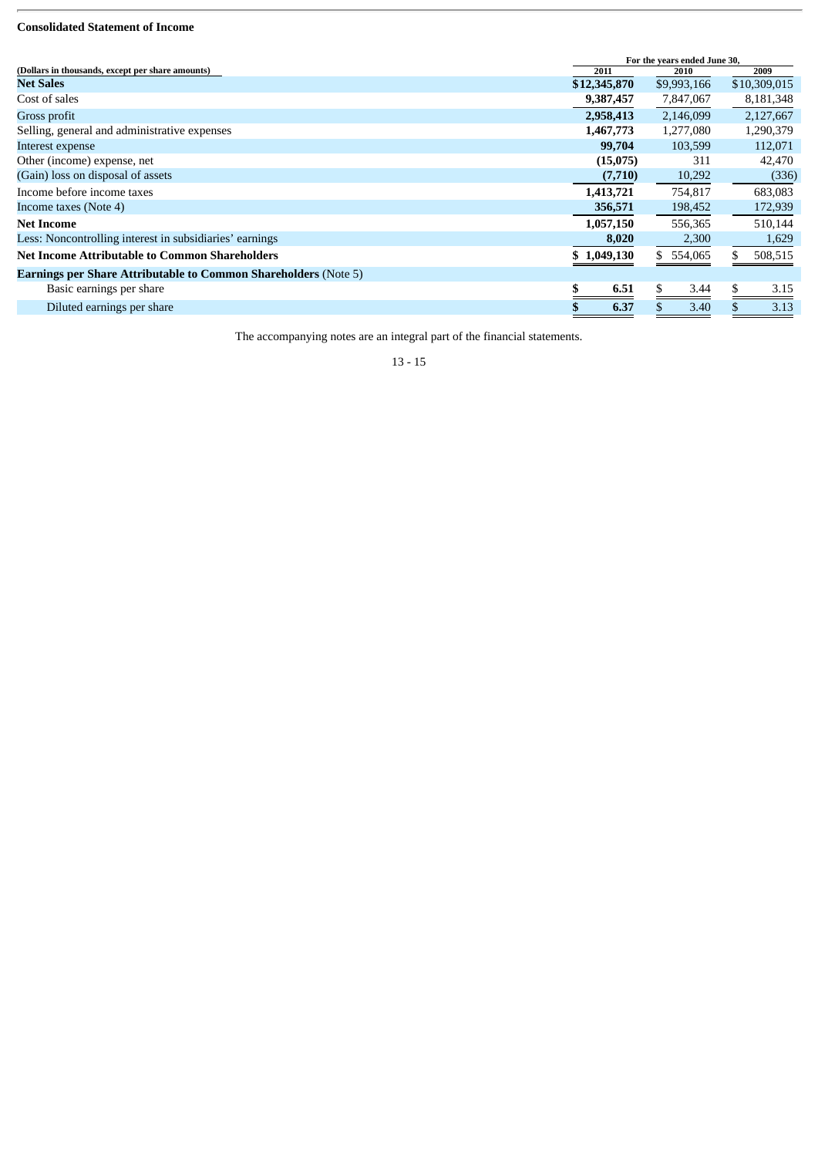# **Consolidated Statement of Income**

|                                                                        | For the years ended June 30, |               |                |
|------------------------------------------------------------------------|------------------------------|---------------|----------------|
| (Dollars in thousands, except per share amounts)                       | 2011                         | 2010          | 2009           |
| <b>Net Sales</b>                                                       | \$12,345,870                 | \$9,993,166   | \$10,309,015   |
| Cost of sales                                                          | 9,387,457                    | 7,847,067     | 8,181,348      |
| Gross profit                                                           | 2,958,413                    | 2,146,099     | 2,127,667      |
| Selling, general and administrative expenses                           | 1,467,773                    | 1,277,080     | 1,290,379      |
| Interest expense                                                       | 99,704                       | 103.599       | 112,071        |
| Other (income) expense, net                                            | (15,075)                     | 311           | 42,470         |
| (Gain) loss on disposal of assets                                      | (7,710)                      | 10,292        | (336)          |
| Income before income taxes                                             | 1,413,721                    | 754,817       | 683,083        |
| Income taxes (Note 4)                                                  | 356,571                      | 198,452       | 172,939        |
| <b>Net Income</b>                                                      | 1,057,150                    | 556,365       | 510,144        |
| Less: Noncontrolling interest in subsidiaries' earnings                | 8,020                        | 2,300         | 1,629          |
| <b>Net Income Attributable to Common Shareholders</b>                  | \$1,049,130                  | 554,065<br>S. | 508,515<br>\$. |
| <b>Earnings per Share Attributable to Common Shareholders (Note 5)</b> |                              |               |                |
| Basic earnings per share                                               | 6.51                         | 3.44          | \$<br>3.15     |
| Diluted earnings per share                                             | 6.37                         | 3.40          | 3.13           |

The accompanying notes are an integral part of the financial statements.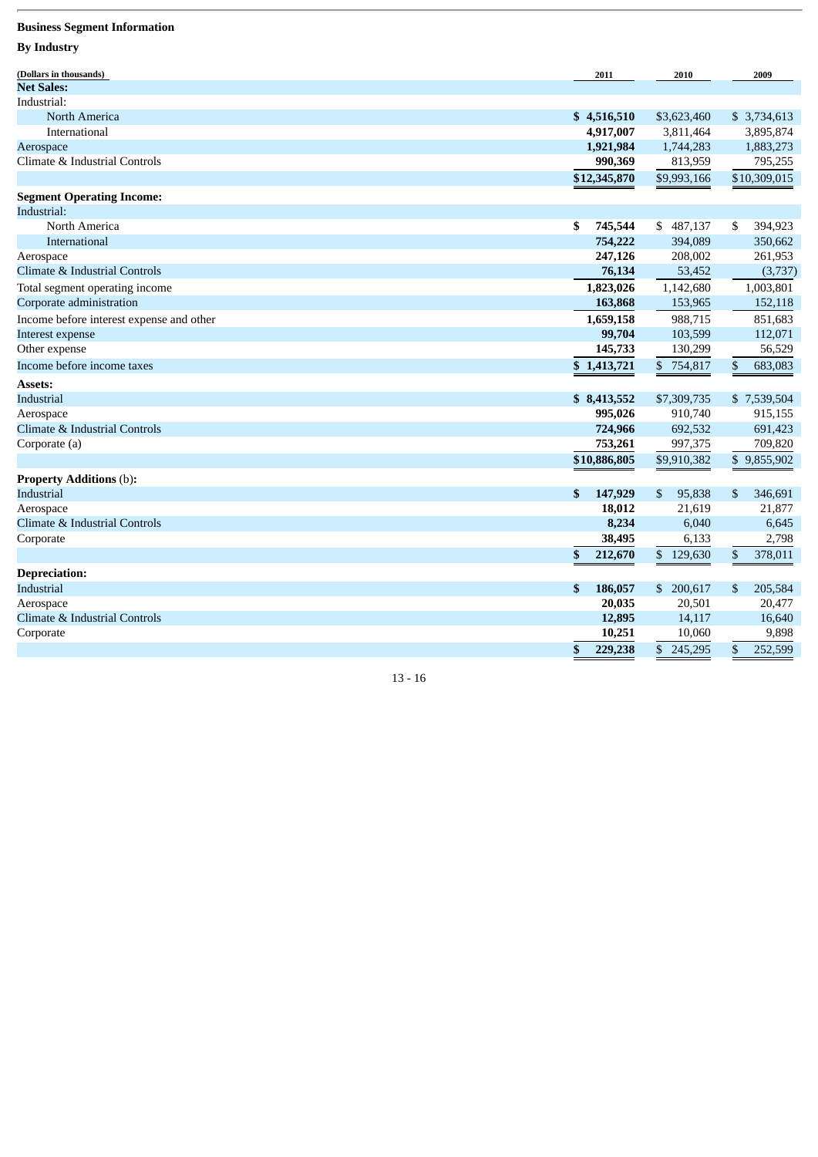# **Business Segment Information**

**By Industry**

| (Dollars in thousands)                   | 2011          | 2010         | 2009            |
|------------------------------------------|---------------|--------------|-----------------|
| <b>Net Sales:</b>                        |               |              |                 |
| Industrial:                              |               |              |                 |
| North America                            | \$4,516,510   | \$3,623,460  | \$ 3,734,613    |
| International                            | 4,917,007     | 3,811,464    | 3,895,874       |
| Aerospace                                | 1,921,984     | 1,744,283    | 1,883,273       |
| Climate & Industrial Controls            | 990,369       | 813,959      | 795,255         |
|                                          | \$12,345,870  | \$9,993,166  | \$10,309,015    |
| <b>Segment Operating Income:</b>         |               |              |                 |
| Industrial:                              |               |              |                 |
| North America                            | \$<br>745,544 | \$487,137    | \$<br>394,923   |
| International                            | 754,222       | 394,089      | 350,662         |
| Aerospace                                | 247,126       | 208,002      | 261,953         |
| Climate & Industrial Controls            | 76,134        | 53,452       | (3,737)         |
| Total segment operating income           | 1,823,026     | 1,142,680    | 1,003,801       |
| Corporate administration                 | 163,868       | 153,965      | 152,118         |
| Income before interest expense and other | 1,659,158     | 988,715      | 851,683         |
| Interest expense                         | 99,704        | 103,599      | 112,071         |
| Other expense                            | 145,733       | 130,299      | 56,529          |
| Income before income taxes               | \$1,413,721   | \$754,817    | $\$$<br>683,083 |
| <b>Assets:</b>                           |               |              |                 |
| Industrial                               | \$8,413,552   | \$7,309,735  | \$7,539,504     |
| Aerospace                                | 995,026       | 910,740      | 915,155         |
| Climate & Industrial Controls            | 724,966       | 692,532      | 691,423         |
| Corporate (a)                            | 753,261       | 997,375      | 709,820         |
|                                          | \$10,886,805  | \$9,910,382  | \$9,855,902     |
| <b>Property Additions (b):</b>           |               |              |                 |
| Industrial                               | \$<br>147,929 | \$<br>95,838 | \$<br>346,691   |
| Aerospace                                | 18,012        | 21,619       | 21,877          |
| Climate & Industrial Controls            | 8,234         | 6,040        | 6,645           |
| Corporate                                | 38,495        | 6,133        | 2,798           |
|                                          | \$<br>212,670 | \$129,630    | \$<br>378,011   |
| <b>Depreciation:</b>                     |               |              |                 |
| Industrial                               | \$<br>186,057 | \$ 200,617   | \$<br>205,584   |
| Aerospace                                | 20,035        | 20,501       | 20,477          |
| Climate & Industrial Controls            | 12,895        | 14,117       | 16,640          |
| Corporate                                | 10,251        | 10,060       | 9,898           |
|                                          | \$<br>229,238 | \$245,295    | \$<br>252,599   |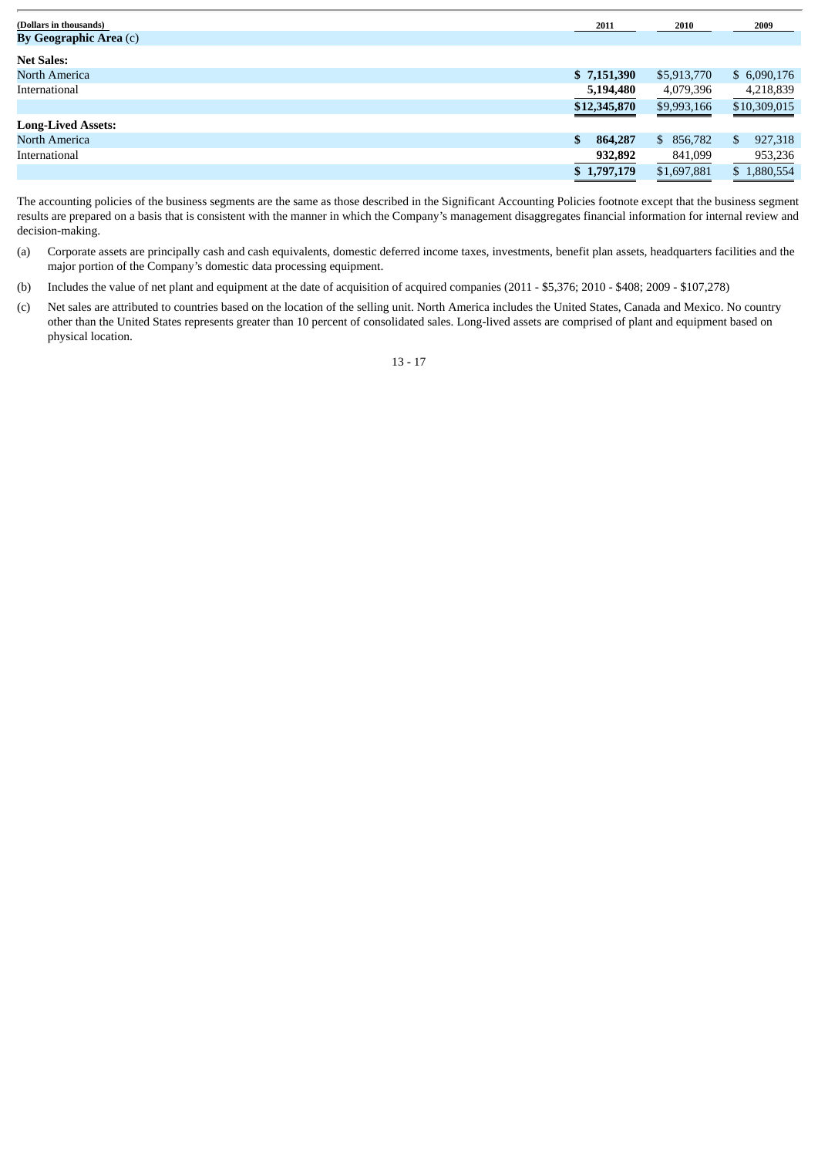| (Dollars in thousands)    | 2011          | 2010          | 2009           |
|---------------------------|---------------|---------------|----------------|
| By Geographic Area (c)    |               |               |                |
| <b>Net Sales:</b>         |               |               |                |
| North America             | \$7,151,390   | \$5,913,770   | \$6,090,176    |
| International             | 5,194,480     | 4,079,396     | 4,218,839      |
|                           | \$12,345,870  | \$9,993,166   | \$10,309,015   |
| <b>Long-Lived Assets:</b> |               |               |                |
| North America             | \$<br>864,287 | 856,782<br>\$ | 927,318<br>\$. |
| International             | 932,892       | 841,099       | 953,236        |
|                           | \$1,797,179   | \$1,697,881   | \$1,880,554    |

The accounting policies of the business segments are the same as those described in the Significant Accounting Policies footnote except that the business segment results are prepared on a basis that is consistent with the manner in which the Company's management disaggregates financial information for internal review and decision-making.

- (a) Corporate assets are principally cash and cash equivalents, domestic deferred income taxes, investments, benefit plan assets, headquarters facilities and the major portion of the Company's domestic data processing equipment.
- (b) Includes the value of net plant and equipment at the date of acquisition of acquired companies (2011 \$5,376; 2010 \$408; 2009 \$107,278)
- (c) Net sales are attributed to countries based on the location of the selling unit. North America includes the United States, Canada and Mexico. No country other than the United States represents greater than 10 percent of consolidated sales. Long-lived assets are comprised of plant and equipment based on physical location.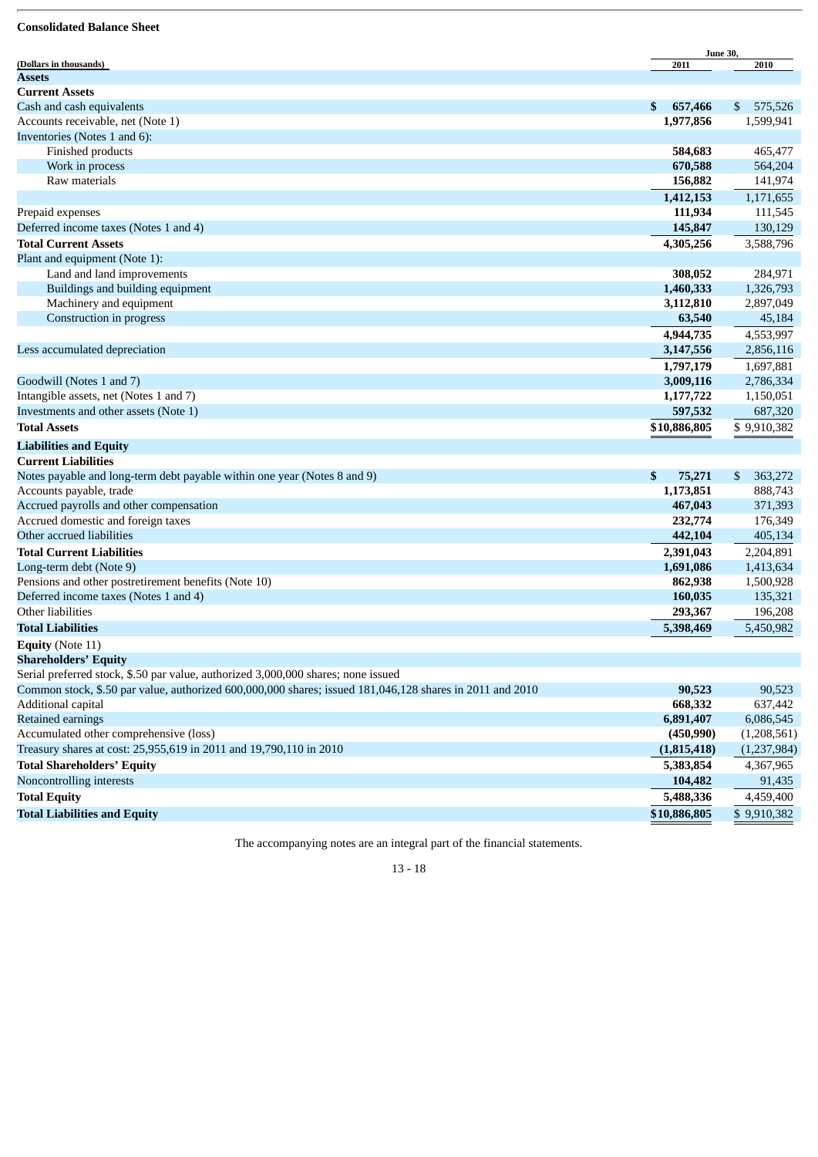# **Consolidated Balance Sheet**

|                                                                                                          | <b>June 30,</b> |               |
|----------------------------------------------------------------------------------------------------------|-----------------|---------------|
| (Dollars in thousands)                                                                                   | 2011            | 2010          |
| <b>Assets</b>                                                                                            |                 |               |
| <b>Current Assets</b>                                                                                    |                 |               |
| Cash and cash equivalents                                                                                | \$<br>657,466   | 575,526<br>\$ |
| Accounts receivable, net (Note 1)                                                                        | 1,977,856       | 1,599,941     |
| Inventories (Notes 1 and 6):                                                                             |                 |               |
| Finished products                                                                                        | 584,683         | 465,477       |
| Work in process                                                                                          | 670,588         | 564,204       |
| Raw materials                                                                                            | 156,882         | 141,974       |
|                                                                                                          | 1,412,153       | 1,171,655     |
| Prepaid expenses                                                                                         | 111,934         | 111,545       |
| Deferred income taxes (Notes 1 and 4)                                                                    | 145,847         | 130,129       |
| <b>Total Current Assets</b>                                                                              | 4,305,256       | 3,588,796     |
| Plant and equipment (Note 1):                                                                            |                 |               |
| Land and land improvements                                                                               | 308,052         | 284,971       |
| Buildings and building equipment                                                                         | 1,460,333       | 1,326,793     |
| Machinery and equipment                                                                                  | 3,112,810       | 2,897,049     |
| Construction in progress                                                                                 | 63,540          | 45,184        |
|                                                                                                          | 4,944,735       | 4,553,997     |
| Less accumulated depreciation                                                                            | 3,147,556       | 2,856,116     |
|                                                                                                          | 1,797,179       | 1,697,881     |
| Goodwill (Notes 1 and 7)                                                                                 | 3,009,116       | 2,786,334     |
| Intangible assets, net (Notes 1 and 7)                                                                   | 1,177,722       | 1,150,051     |
| Investments and other assets (Note 1)                                                                    | 597,532         | 687,320       |
| <b>Total Assets</b>                                                                                      | \$10,886,805    | \$9,910,382   |
|                                                                                                          |                 |               |
| <b>Liabilities and Equity</b>                                                                            |                 |               |
| <b>Current Liabilities</b>                                                                               |                 |               |
| Notes payable and long-term debt payable within one year (Notes 8 and 9)                                 | \$<br>75,271    | \$<br>363,272 |
| Accounts payable, trade                                                                                  | 1,173,851       | 888,743       |
| Accrued payrolls and other compensation                                                                  | 467,043         | 371,393       |
| Accrued domestic and foreign taxes<br>Other accrued liabilities                                          | 232,774         | 176,349       |
|                                                                                                          | 442,104         | 405,134       |
| <b>Total Current Liabilities</b>                                                                         | 2,391,043       | 2,204,891     |
| Long-term debt (Note 9)                                                                                  | 1,691,086       | 1,413,634     |
| Pensions and other postretirement benefits (Note 10)                                                     | 862,938         | 1,500,928     |
| Deferred income taxes (Notes 1 and 4)                                                                    | 160,035         | 135,321       |
| Other liabilities                                                                                        | 293,367         | 196,208       |
| <b>Total Liabilities</b>                                                                                 | 5,398,469       | 5,450,982     |
| <b>Equity</b> (Note 11)                                                                                  |                 |               |
| <b>Shareholders' Equity</b>                                                                              |                 |               |
| Serial preferred stock, \$.50 par value, authorized 3,000,000 shares; none issued                        |                 |               |
| Common stock, \$.50 par value, authorized 600,000,000 shares; issued 181,046,128 shares in 2011 and 2010 | 90,523          | 90,523        |
| Additional capital                                                                                       | 668,332         | 637,442       |
| <b>Retained earnings</b>                                                                                 | 6,891,407       | 6,086,545     |
| Accumulated other comprehensive (loss)                                                                   | (450, 990)      | (1,208,561)   |
| Treasury shares at cost: 25,955,619 in 2011 and 19,790,110 in 2010                                       | (1,815,418)     | (1,237,984)   |
| <b>Total Shareholders' Equity</b>                                                                        | 5,383,854       | 4,367,965     |
| Noncontrolling interests                                                                                 | 104,482         | 91,435        |
| <b>Total Equity</b>                                                                                      | 5,488,336       | 4,459,400     |
| <b>Total Liabilities and Equity</b>                                                                      | \$10,886,805    | \$9,910,382   |

The accompanying notes are an integral part of the financial statements.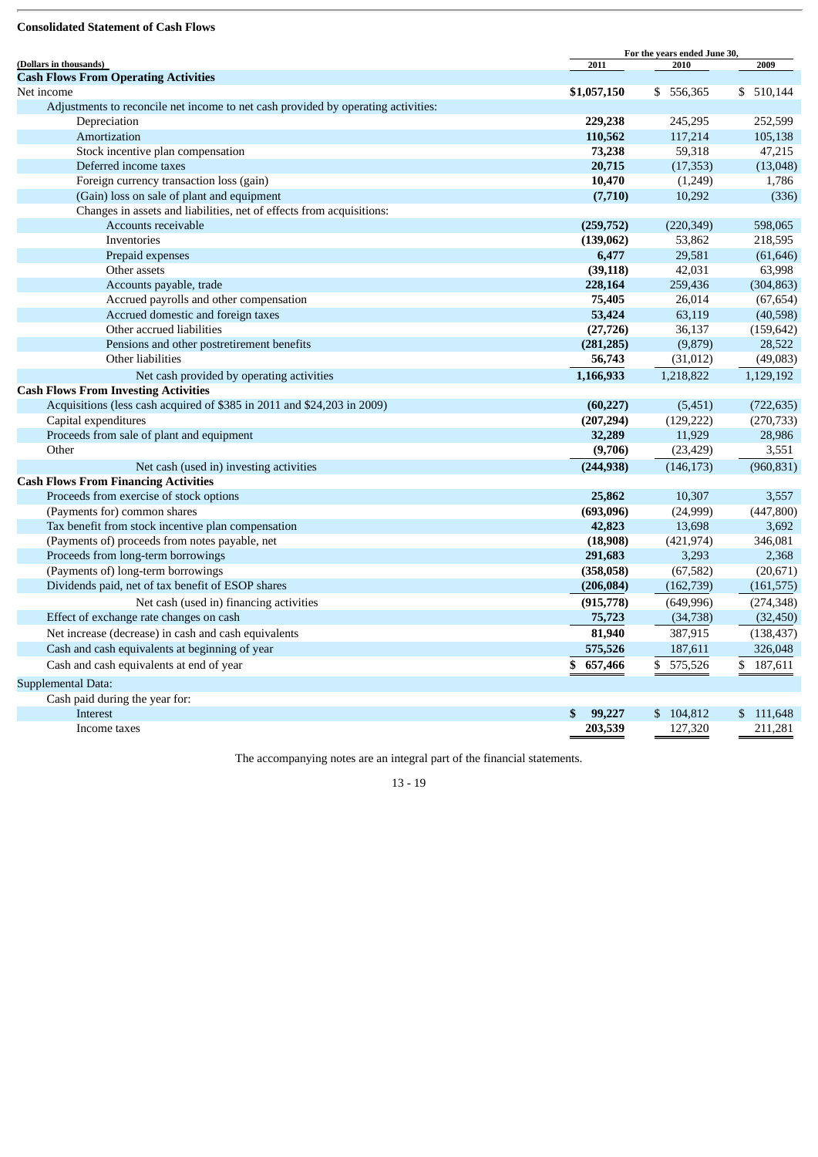# **Consolidated Statement of Cash Flows**

| (Dollars in thousands)<br>2011<br>2009<br>2010<br><b>Cash Flows From Operating Activities</b><br>Net income<br>\$1,057,150<br>\$556,365<br>\$510,144<br>Adjustments to reconcile net income to net cash provided by operating activities:<br>229,238<br>252,599<br>Depreciation<br>245,295<br>110,562<br>117,214<br>105,138<br>Amortization<br>Stock incentive plan compensation<br>73,238<br>59,318<br>47,215<br>20,715<br>(17, 353)<br>Deferred income taxes<br>(13,048)<br>10,470<br>Foreign currency transaction loss (gain)<br>(1,249)<br>1,786<br>10,292<br>(Gain) loss on sale of plant and equipment<br>(7,710)<br>(336)<br>Changes in assets and liabilities, net of effects from acquisitions:<br>598,065<br>Accounts receivable<br>(259, 752)<br>(220, 349)<br>53,862<br>Inventories<br>(139,062)<br>218,595<br>6,477<br>29,581<br>Prepaid expenses<br>(61, 646)<br>42,031<br>63,998<br>Other assets<br>(39, 118)<br>259,436<br>Accounts payable, trade<br>228,164<br>(304, 863)<br>Accrued payrolls and other compensation<br>75,405<br>26,014<br>(67, 654)<br>53,424<br>Accrued domestic and foreign taxes<br>63,119<br>(40,598)<br>Other accrued liabilities<br>(27, 726)<br>36,137<br>(159, 642)<br>Pensions and other postretirement benefits<br>(9,879)<br>28,522<br>(281, 285)<br>56,743<br>Other liabilities<br>(31, 012)<br>(49,083)<br>1,166,933<br>1,218,822<br>1,129,192<br>Net cash provided by operating activities<br><b>Cash Flows From Investing Activities</b><br>Acquisitions (less cash acquired of \$385 in 2011 and \$24,203 in 2009)<br>(60, 227)<br>(722, 635)<br>(5,451)<br>Capital expenditures<br>(207, 294)<br>(270, 733)<br>(129, 222)<br>Proceeds from sale of plant and equipment<br>32,289<br>11,929<br>28,986<br>Other<br>(9,706)<br>(23, 429)<br>3,551<br>(244, 938)<br>(960, 831)<br>(146, 173)<br>Net cash (used in) investing activities<br>Proceeds from exercise of stock options<br>25,862<br>10,307<br>3,557<br>(Payments for) common shares<br>(693,096)<br>(24,999)<br>(447,800)<br>Tax benefit from stock incentive plan compensation<br>42,823<br>13,698<br>3,692<br>(Payments of) proceeds from notes payable, net<br>(18,908)<br>(421, 974)<br>346,081<br>Proceeds from long-term borrowings<br>291,683<br>3,293<br>2,368<br>(Payments of) long-term borrowings<br>(358, 058)<br>(67, 582)<br>(20, 671)<br>Dividends paid, net of tax benefit of ESOP shares<br>(206, 084)<br>(162, 739)<br>(161, 575)<br>(915, 778)<br>(649, 996)<br>(274, 348)<br>Net cash (used in) financing activities<br>Effect of exchange rate changes on cash<br>75,723<br>(34, 738)<br>(32, 450)<br>81,940<br>Net increase (decrease) in cash and cash equivalents<br>387,915<br>(138, 437)<br>Cash and cash equivalents at beginning of year<br>575,526<br>187,611<br>326,048<br>Cash and cash equivalents at end of year<br>657,466<br>\$ 575,526<br>\$187,611<br>\$<br><b>Supplemental Data:</b><br>Cash paid during the year for:<br>Interest<br>\$<br>99,227<br>\$104,812<br>\$111,648<br>203,539<br>127,320<br>211,281<br>Income taxes |                                             | For the years ended June 30, |  |  |
|----------------------------------------------------------------------------------------------------------------------------------------------------------------------------------------------------------------------------------------------------------------------------------------------------------------------------------------------------------------------------------------------------------------------------------------------------------------------------------------------------------------------------------------------------------------------------------------------------------------------------------------------------------------------------------------------------------------------------------------------------------------------------------------------------------------------------------------------------------------------------------------------------------------------------------------------------------------------------------------------------------------------------------------------------------------------------------------------------------------------------------------------------------------------------------------------------------------------------------------------------------------------------------------------------------------------------------------------------------------------------------------------------------------------------------------------------------------------------------------------------------------------------------------------------------------------------------------------------------------------------------------------------------------------------------------------------------------------------------------------------------------------------------------------------------------------------------------------------------------------------------------------------------------------------------------------------------------------------------------------------------------------------------------------------------------------------------------------------------------------------------------------------------------------------------------------------------------------------------------------------------------------------------------------------------------------------------------------------------------------------------------------------------------------------------------------------------------------------------------------------------------------------------------------------------------------------------------------------------------------------------------------------------------------------------------------------------------------------------------------------------------------------------------------------------------------------------------------------------------------------------------------------------------------------------------------------------------------------------------------------------------------------------------------------------------------------------|---------------------------------------------|------------------------------|--|--|
|                                                                                                                                                                                                                                                                                                                                                                                                                                                                                                                                                                                                                                                                                                                                                                                                                                                                                                                                                                                                                                                                                                                                                                                                                                                                                                                                                                                                                                                                                                                                                                                                                                                                                                                                                                                                                                                                                                                                                                                                                                                                                                                                                                                                                                                                                                                                                                                                                                                                                                                                                                                                                                                                                                                                                                                                                                                                                                                                                                                                                                                                                  |                                             |                              |  |  |
|                                                                                                                                                                                                                                                                                                                                                                                                                                                                                                                                                                                                                                                                                                                                                                                                                                                                                                                                                                                                                                                                                                                                                                                                                                                                                                                                                                                                                                                                                                                                                                                                                                                                                                                                                                                                                                                                                                                                                                                                                                                                                                                                                                                                                                                                                                                                                                                                                                                                                                                                                                                                                                                                                                                                                                                                                                                                                                                                                                                                                                                                                  |                                             |                              |  |  |
|                                                                                                                                                                                                                                                                                                                                                                                                                                                                                                                                                                                                                                                                                                                                                                                                                                                                                                                                                                                                                                                                                                                                                                                                                                                                                                                                                                                                                                                                                                                                                                                                                                                                                                                                                                                                                                                                                                                                                                                                                                                                                                                                                                                                                                                                                                                                                                                                                                                                                                                                                                                                                                                                                                                                                                                                                                                                                                                                                                                                                                                                                  |                                             |                              |  |  |
|                                                                                                                                                                                                                                                                                                                                                                                                                                                                                                                                                                                                                                                                                                                                                                                                                                                                                                                                                                                                                                                                                                                                                                                                                                                                                                                                                                                                                                                                                                                                                                                                                                                                                                                                                                                                                                                                                                                                                                                                                                                                                                                                                                                                                                                                                                                                                                                                                                                                                                                                                                                                                                                                                                                                                                                                                                                                                                                                                                                                                                                                                  |                                             |                              |  |  |
|                                                                                                                                                                                                                                                                                                                                                                                                                                                                                                                                                                                                                                                                                                                                                                                                                                                                                                                                                                                                                                                                                                                                                                                                                                                                                                                                                                                                                                                                                                                                                                                                                                                                                                                                                                                                                                                                                                                                                                                                                                                                                                                                                                                                                                                                                                                                                                                                                                                                                                                                                                                                                                                                                                                                                                                                                                                                                                                                                                                                                                                                                  |                                             |                              |  |  |
|                                                                                                                                                                                                                                                                                                                                                                                                                                                                                                                                                                                                                                                                                                                                                                                                                                                                                                                                                                                                                                                                                                                                                                                                                                                                                                                                                                                                                                                                                                                                                                                                                                                                                                                                                                                                                                                                                                                                                                                                                                                                                                                                                                                                                                                                                                                                                                                                                                                                                                                                                                                                                                                                                                                                                                                                                                                                                                                                                                                                                                                                                  |                                             |                              |  |  |
|                                                                                                                                                                                                                                                                                                                                                                                                                                                                                                                                                                                                                                                                                                                                                                                                                                                                                                                                                                                                                                                                                                                                                                                                                                                                                                                                                                                                                                                                                                                                                                                                                                                                                                                                                                                                                                                                                                                                                                                                                                                                                                                                                                                                                                                                                                                                                                                                                                                                                                                                                                                                                                                                                                                                                                                                                                                                                                                                                                                                                                                                                  |                                             |                              |  |  |
|                                                                                                                                                                                                                                                                                                                                                                                                                                                                                                                                                                                                                                                                                                                                                                                                                                                                                                                                                                                                                                                                                                                                                                                                                                                                                                                                                                                                                                                                                                                                                                                                                                                                                                                                                                                                                                                                                                                                                                                                                                                                                                                                                                                                                                                                                                                                                                                                                                                                                                                                                                                                                                                                                                                                                                                                                                                                                                                                                                                                                                                                                  |                                             |                              |  |  |
|                                                                                                                                                                                                                                                                                                                                                                                                                                                                                                                                                                                                                                                                                                                                                                                                                                                                                                                                                                                                                                                                                                                                                                                                                                                                                                                                                                                                                                                                                                                                                                                                                                                                                                                                                                                                                                                                                                                                                                                                                                                                                                                                                                                                                                                                                                                                                                                                                                                                                                                                                                                                                                                                                                                                                                                                                                                                                                                                                                                                                                                                                  |                                             |                              |  |  |
|                                                                                                                                                                                                                                                                                                                                                                                                                                                                                                                                                                                                                                                                                                                                                                                                                                                                                                                                                                                                                                                                                                                                                                                                                                                                                                                                                                                                                                                                                                                                                                                                                                                                                                                                                                                                                                                                                                                                                                                                                                                                                                                                                                                                                                                                                                                                                                                                                                                                                                                                                                                                                                                                                                                                                                                                                                                                                                                                                                                                                                                                                  |                                             |                              |  |  |
|                                                                                                                                                                                                                                                                                                                                                                                                                                                                                                                                                                                                                                                                                                                                                                                                                                                                                                                                                                                                                                                                                                                                                                                                                                                                                                                                                                                                                                                                                                                                                                                                                                                                                                                                                                                                                                                                                                                                                                                                                                                                                                                                                                                                                                                                                                                                                                                                                                                                                                                                                                                                                                                                                                                                                                                                                                                                                                                                                                                                                                                                                  |                                             |                              |  |  |
|                                                                                                                                                                                                                                                                                                                                                                                                                                                                                                                                                                                                                                                                                                                                                                                                                                                                                                                                                                                                                                                                                                                                                                                                                                                                                                                                                                                                                                                                                                                                                                                                                                                                                                                                                                                                                                                                                                                                                                                                                                                                                                                                                                                                                                                                                                                                                                                                                                                                                                                                                                                                                                                                                                                                                                                                                                                                                                                                                                                                                                                                                  |                                             |                              |  |  |
|                                                                                                                                                                                                                                                                                                                                                                                                                                                                                                                                                                                                                                                                                                                                                                                                                                                                                                                                                                                                                                                                                                                                                                                                                                                                                                                                                                                                                                                                                                                                                                                                                                                                                                                                                                                                                                                                                                                                                                                                                                                                                                                                                                                                                                                                                                                                                                                                                                                                                                                                                                                                                                                                                                                                                                                                                                                                                                                                                                                                                                                                                  |                                             |                              |  |  |
|                                                                                                                                                                                                                                                                                                                                                                                                                                                                                                                                                                                                                                                                                                                                                                                                                                                                                                                                                                                                                                                                                                                                                                                                                                                                                                                                                                                                                                                                                                                                                                                                                                                                                                                                                                                                                                                                                                                                                                                                                                                                                                                                                                                                                                                                                                                                                                                                                                                                                                                                                                                                                                                                                                                                                                                                                                                                                                                                                                                                                                                                                  |                                             |                              |  |  |
|                                                                                                                                                                                                                                                                                                                                                                                                                                                                                                                                                                                                                                                                                                                                                                                                                                                                                                                                                                                                                                                                                                                                                                                                                                                                                                                                                                                                                                                                                                                                                                                                                                                                                                                                                                                                                                                                                                                                                                                                                                                                                                                                                                                                                                                                                                                                                                                                                                                                                                                                                                                                                                                                                                                                                                                                                                                                                                                                                                                                                                                                                  |                                             |                              |  |  |
|                                                                                                                                                                                                                                                                                                                                                                                                                                                                                                                                                                                                                                                                                                                                                                                                                                                                                                                                                                                                                                                                                                                                                                                                                                                                                                                                                                                                                                                                                                                                                                                                                                                                                                                                                                                                                                                                                                                                                                                                                                                                                                                                                                                                                                                                                                                                                                                                                                                                                                                                                                                                                                                                                                                                                                                                                                                                                                                                                                                                                                                                                  |                                             |                              |  |  |
|                                                                                                                                                                                                                                                                                                                                                                                                                                                                                                                                                                                                                                                                                                                                                                                                                                                                                                                                                                                                                                                                                                                                                                                                                                                                                                                                                                                                                                                                                                                                                                                                                                                                                                                                                                                                                                                                                                                                                                                                                                                                                                                                                                                                                                                                                                                                                                                                                                                                                                                                                                                                                                                                                                                                                                                                                                                                                                                                                                                                                                                                                  |                                             |                              |  |  |
|                                                                                                                                                                                                                                                                                                                                                                                                                                                                                                                                                                                                                                                                                                                                                                                                                                                                                                                                                                                                                                                                                                                                                                                                                                                                                                                                                                                                                                                                                                                                                                                                                                                                                                                                                                                                                                                                                                                                                                                                                                                                                                                                                                                                                                                                                                                                                                                                                                                                                                                                                                                                                                                                                                                                                                                                                                                                                                                                                                                                                                                                                  |                                             |                              |  |  |
|                                                                                                                                                                                                                                                                                                                                                                                                                                                                                                                                                                                                                                                                                                                                                                                                                                                                                                                                                                                                                                                                                                                                                                                                                                                                                                                                                                                                                                                                                                                                                                                                                                                                                                                                                                                                                                                                                                                                                                                                                                                                                                                                                                                                                                                                                                                                                                                                                                                                                                                                                                                                                                                                                                                                                                                                                                                                                                                                                                                                                                                                                  |                                             |                              |  |  |
|                                                                                                                                                                                                                                                                                                                                                                                                                                                                                                                                                                                                                                                                                                                                                                                                                                                                                                                                                                                                                                                                                                                                                                                                                                                                                                                                                                                                                                                                                                                                                                                                                                                                                                                                                                                                                                                                                                                                                                                                                                                                                                                                                                                                                                                                                                                                                                                                                                                                                                                                                                                                                                                                                                                                                                                                                                                                                                                                                                                                                                                                                  |                                             |                              |  |  |
|                                                                                                                                                                                                                                                                                                                                                                                                                                                                                                                                                                                                                                                                                                                                                                                                                                                                                                                                                                                                                                                                                                                                                                                                                                                                                                                                                                                                                                                                                                                                                                                                                                                                                                                                                                                                                                                                                                                                                                                                                                                                                                                                                                                                                                                                                                                                                                                                                                                                                                                                                                                                                                                                                                                                                                                                                                                                                                                                                                                                                                                                                  |                                             |                              |  |  |
|                                                                                                                                                                                                                                                                                                                                                                                                                                                                                                                                                                                                                                                                                                                                                                                                                                                                                                                                                                                                                                                                                                                                                                                                                                                                                                                                                                                                                                                                                                                                                                                                                                                                                                                                                                                                                                                                                                                                                                                                                                                                                                                                                                                                                                                                                                                                                                                                                                                                                                                                                                                                                                                                                                                                                                                                                                                                                                                                                                                                                                                                                  |                                             |                              |  |  |
|                                                                                                                                                                                                                                                                                                                                                                                                                                                                                                                                                                                                                                                                                                                                                                                                                                                                                                                                                                                                                                                                                                                                                                                                                                                                                                                                                                                                                                                                                                                                                                                                                                                                                                                                                                                                                                                                                                                                                                                                                                                                                                                                                                                                                                                                                                                                                                                                                                                                                                                                                                                                                                                                                                                                                                                                                                                                                                                                                                                                                                                                                  |                                             |                              |  |  |
|                                                                                                                                                                                                                                                                                                                                                                                                                                                                                                                                                                                                                                                                                                                                                                                                                                                                                                                                                                                                                                                                                                                                                                                                                                                                                                                                                                                                                                                                                                                                                                                                                                                                                                                                                                                                                                                                                                                                                                                                                                                                                                                                                                                                                                                                                                                                                                                                                                                                                                                                                                                                                                                                                                                                                                                                                                                                                                                                                                                                                                                                                  |                                             |                              |  |  |
|                                                                                                                                                                                                                                                                                                                                                                                                                                                                                                                                                                                                                                                                                                                                                                                                                                                                                                                                                                                                                                                                                                                                                                                                                                                                                                                                                                                                                                                                                                                                                                                                                                                                                                                                                                                                                                                                                                                                                                                                                                                                                                                                                                                                                                                                                                                                                                                                                                                                                                                                                                                                                                                                                                                                                                                                                                                                                                                                                                                                                                                                                  |                                             |                              |  |  |
|                                                                                                                                                                                                                                                                                                                                                                                                                                                                                                                                                                                                                                                                                                                                                                                                                                                                                                                                                                                                                                                                                                                                                                                                                                                                                                                                                                                                                                                                                                                                                                                                                                                                                                                                                                                                                                                                                                                                                                                                                                                                                                                                                                                                                                                                                                                                                                                                                                                                                                                                                                                                                                                                                                                                                                                                                                                                                                                                                                                                                                                                                  |                                             |                              |  |  |
|                                                                                                                                                                                                                                                                                                                                                                                                                                                                                                                                                                                                                                                                                                                                                                                                                                                                                                                                                                                                                                                                                                                                                                                                                                                                                                                                                                                                                                                                                                                                                                                                                                                                                                                                                                                                                                                                                                                                                                                                                                                                                                                                                                                                                                                                                                                                                                                                                                                                                                                                                                                                                                                                                                                                                                                                                                                                                                                                                                                                                                                                                  |                                             |                              |  |  |
|                                                                                                                                                                                                                                                                                                                                                                                                                                                                                                                                                                                                                                                                                                                                                                                                                                                                                                                                                                                                                                                                                                                                                                                                                                                                                                                                                                                                                                                                                                                                                                                                                                                                                                                                                                                                                                                                                                                                                                                                                                                                                                                                                                                                                                                                                                                                                                                                                                                                                                                                                                                                                                                                                                                                                                                                                                                                                                                                                                                                                                                                                  |                                             |                              |  |  |
|                                                                                                                                                                                                                                                                                                                                                                                                                                                                                                                                                                                                                                                                                                                                                                                                                                                                                                                                                                                                                                                                                                                                                                                                                                                                                                                                                                                                                                                                                                                                                                                                                                                                                                                                                                                                                                                                                                                                                                                                                                                                                                                                                                                                                                                                                                                                                                                                                                                                                                                                                                                                                                                                                                                                                                                                                                                                                                                                                                                                                                                                                  | <b>Cash Flows From Financing Activities</b> |                              |  |  |
|                                                                                                                                                                                                                                                                                                                                                                                                                                                                                                                                                                                                                                                                                                                                                                                                                                                                                                                                                                                                                                                                                                                                                                                                                                                                                                                                                                                                                                                                                                                                                                                                                                                                                                                                                                                                                                                                                                                                                                                                                                                                                                                                                                                                                                                                                                                                                                                                                                                                                                                                                                                                                                                                                                                                                                                                                                                                                                                                                                                                                                                                                  |                                             |                              |  |  |
|                                                                                                                                                                                                                                                                                                                                                                                                                                                                                                                                                                                                                                                                                                                                                                                                                                                                                                                                                                                                                                                                                                                                                                                                                                                                                                                                                                                                                                                                                                                                                                                                                                                                                                                                                                                                                                                                                                                                                                                                                                                                                                                                                                                                                                                                                                                                                                                                                                                                                                                                                                                                                                                                                                                                                                                                                                                                                                                                                                                                                                                                                  |                                             |                              |  |  |
|                                                                                                                                                                                                                                                                                                                                                                                                                                                                                                                                                                                                                                                                                                                                                                                                                                                                                                                                                                                                                                                                                                                                                                                                                                                                                                                                                                                                                                                                                                                                                                                                                                                                                                                                                                                                                                                                                                                                                                                                                                                                                                                                                                                                                                                                                                                                                                                                                                                                                                                                                                                                                                                                                                                                                                                                                                                                                                                                                                                                                                                                                  |                                             |                              |  |  |
|                                                                                                                                                                                                                                                                                                                                                                                                                                                                                                                                                                                                                                                                                                                                                                                                                                                                                                                                                                                                                                                                                                                                                                                                                                                                                                                                                                                                                                                                                                                                                                                                                                                                                                                                                                                                                                                                                                                                                                                                                                                                                                                                                                                                                                                                                                                                                                                                                                                                                                                                                                                                                                                                                                                                                                                                                                                                                                                                                                                                                                                                                  |                                             |                              |  |  |
|                                                                                                                                                                                                                                                                                                                                                                                                                                                                                                                                                                                                                                                                                                                                                                                                                                                                                                                                                                                                                                                                                                                                                                                                                                                                                                                                                                                                                                                                                                                                                                                                                                                                                                                                                                                                                                                                                                                                                                                                                                                                                                                                                                                                                                                                                                                                                                                                                                                                                                                                                                                                                                                                                                                                                                                                                                                                                                                                                                                                                                                                                  |                                             |                              |  |  |
|                                                                                                                                                                                                                                                                                                                                                                                                                                                                                                                                                                                                                                                                                                                                                                                                                                                                                                                                                                                                                                                                                                                                                                                                                                                                                                                                                                                                                                                                                                                                                                                                                                                                                                                                                                                                                                                                                                                                                                                                                                                                                                                                                                                                                                                                                                                                                                                                                                                                                                                                                                                                                                                                                                                                                                                                                                                                                                                                                                                                                                                                                  |                                             |                              |  |  |
|                                                                                                                                                                                                                                                                                                                                                                                                                                                                                                                                                                                                                                                                                                                                                                                                                                                                                                                                                                                                                                                                                                                                                                                                                                                                                                                                                                                                                                                                                                                                                                                                                                                                                                                                                                                                                                                                                                                                                                                                                                                                                                                                                                                                                                                                                                                                                                                                                                                                                                                                                                                                                                                                                                                                                                                                                                                                                                                                                                                                                                                                                  |                                             |                              |  |  |
|                                                                                                                                                                                                                                                                                                                                                                                                                                                                                                                                                                                                                                                                                                                                                                                                                                                                                                                                                                                                                                                                                                                                                                                                                                                                                                                                                                                                                                                                                                                                                                                                                                                                                                                                                                                                                                                                                                                                                                                                                                                                                                                                                                                                                                                                                                                                                                                                                                                                                                                                                                                                                                                                                                                                                                                                                                                                                                                                                                                                                                                                                  |                                             |                              |  |  |
|                                                                                                                                                                                                                                                                                                                                                                                                                                                                                                                                                                                                                                                                                                                                                                                                                                                                                                                                                                                                                                                                                                                                                                                                                                                                                                                                                                                                                                                                                                                                                                                                                                                                                                                                                                                                                                                                                                                                                                                                                                                                                                                                                                                                                                                                                                                                                                                                                                                                                                                                                                                                                                                                                                                                                                                                                                                                                                                                                                                                                                                                                  |                                             |                              |  |  |
|                                                                                                                                                                                                                                                                                                                                                                                                                                                                                                                                                                                                                                                                                                                                                                                                                                                                                                                                                                                                                                                                                                                                                                                                                                                                                                                                                                                                                                                                                                                                                                                                                                                                                                                                                                                                                                                                                                                                                                                                                                                                                                                                                                                                                                                                                                                                                                                                                                                                                                                                                                                                                                                                                                                                                                                                                                                                                                                                                                                                                                                                                  |                                             |                              |  |  |
|                                                                                                                                                                                                                                                                                                                                                                                                                                                                                                                                                                                                                                                                                                                                                                                                                                                                                                                                                                                                                                                                                                                                                                                                                                                                                                                                                                                                                                                                                                                                                                                                                                                                                                                                                                                                                                                                                                                                                                                                                                                                                                                                                                                                                                                                                                                                                                                                                                                                                                                                                                                                                                                                                                                                                                                                                                                                                                                                                                                                                                                                                  |                                             |                              |  |  |
|                                                                                                                                                                                                                                                                                                                                                                                                                                                                                                                                                                                                                                                                                                                                                                                                                                                                                                                                                                                                                                                                                                                                                                                                                                                                                                                                                                                                                                                                                                                                                                                                                                                                                                                                                                                                                                                                                                                                                                                                                                                                                                                                                                                                                                                                                                                                                                                                                                                                                                                                                                                                                                                                                                                                                                                                                                                                                                                                                                                                                                                                                  |                                             |                              |  |  |
|                                                                                                                                                                                                                                                                                                                                                                                                                                                                                                                                                                                                                                                                                                                                                                                                                                                                                                                                                                                                                                                                                                                                                                                                                                                                                                                                                                                                                                                                                                                                                                                                                                                                                                                                                                                                                                                                                                                                                                                                                                                                                                                                                                                                                                                                                                                                                                                                                                                                                                                                                                                                                                                                                                                                                                                                                                                                                                                                                                                                                                                                                  |                                             |                              |  |  |
|                                                                                                                                                                                                                                                                                                                                                                                                                                                                                                                                                                                                                                                                                                                                                                                                                                                                                                                                                                                                                                                                                                                                                                                                                                                                                                                                                                                                                                                                                                                                                                                                                                                                                                                                                                                                                                                                                                                                                                                                                                                                                                                                                                                                                                                                                                                                                                                                                                                                                                                                                                                                                                                                                                                                                                                                                                                                                                                                                                                                                                                                                  |                                             |                              |  |  |
|                                                                                                                                                                                                                                                                                                                                                                                                                                                                                                                                                                                                                                                                                                                                                                                                                                                                                                                                                                                                                                                                                                                                                                                                                                                                                                                                                                                                                                                                                                                                                                                                                                                                                                                                                                                                                                                                                                                                                                                                                                                                                                                                                                                                                                                                                                                                                                                                                                                                                                                                                                                                                                                                                                                                                                                                                                                                                                                                                                                                                                                                                  |                                             |                              |  |  |
|                                                                                                                                                                                                                                                                                                                                                                                                                                                                                                                                                                                                                                                                                                                                                                                                                                                                                                                                                                                                                                                                                                                                                                                                                                                                                                                                                                                                                                                                                                                                                                                                                                                                                                                                                                                                                                                                                                                                                                                                                                                                                                                                                                                                                                                                                                                                                                                                                                                                                                                                                                                                                                                                                                                                                                                                                                                                                                                                                                                                                                                                                  |                                             |                              |  |  |

The accompanying notes are an integral part of the financial statements.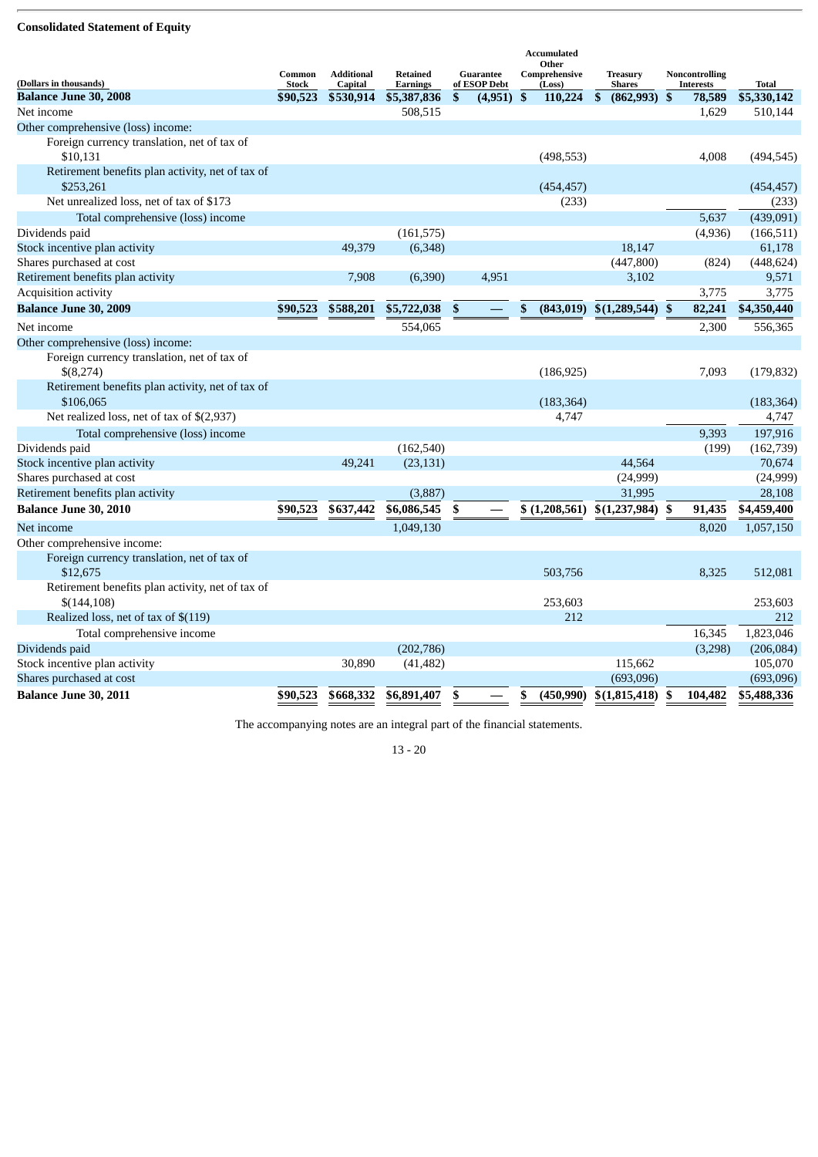# **Consolidated Statement of Equity**

| (Dollars in thousands)                                        | Common<br>Stock | <b>Additional</b><br>Capital | <b>Retained</b><br><b>Earnings</b> | Guarantee<br>of ESOP Debt | Accumulated<br>Other<br>Comprehensive<br>(Loss) |              | <b>Treasury</b><br><b>Shares</b> | Noncontrolling<br><b>Interests</b> | <b>Total</b>            |
|---------------------------------------------------------------|-----------------|------------------------------|------------------------------------|---------------------------|-------------------------------------------------|--------------|----------------------------------|------------------------------------|-------------------------|
| <b>Balance June 30, 2008</b>                                  | \$90,523        | \$530,914                    | \$5,387,836                        | \$<br>$(4,951)$ \$        | 110,224                                         | $\mathbf{s}$ | $(862,993)$ \$                   | 78,589                             | $\overline{$5,330,142}$ |
| Net income                                                    |                 |                              | 508,515                            |                           |                                                 |              |                                  | 1,629                              | 510,144                 |
| Other comprehensive (loss) income:                            |                 |                              |                                    |                           |                                                 |              |                                  |                                    |                         |
| Foreign currency translation, net of tax of                   |                 |                              |                                    |                           |                                                 |              |                                  |                                    |                         |
| \$10,131                                                      |                 |                              |                                    |                           | (498, 553)                                      |              |                                  | 4,008                              | (494, 545)              |
| Retirement benefits plan activity, net of tax of              |                 |                              |                                    |                           |                                                 |              |                                  |                                    |                         |
| \$253,261                                                     |                 |                              |                                    |                           | (454, 457)                                      |              |                                  |                                    | (454, 457)              |
| Net unrealized loss, net of tax of \$173                      |                 |                              |                                    |                           | (233)                                           |              |                                  |                                    | (233)                   |
| Total comprehensive (loss) income                             |                 |                              |                                    |                           |                                                 |              |                                  | 5,637                              | (439,091)               |
| Dividends paid                                                |                 |                              | (161, 575)                         |                           |                                                 |              |                                  | (4,936)                            | (166, 511)              |
| Stock incentive plan activity                                 |                 | 49,379                       | (6,348)                            |                           |                                                 |              | 18,147                           |                                    | 61,178                  |
| Shares purchased at cost                                      |                 |                              |                                    |                           |                                                 |              | (447, 800)                       | (824)                              | (448, 624)              |
| Retirement benefits plan activity                             |                 | 7,908                        | (6, 390)                           | 4,951                     |                                                 |              | 3,102                            |                                    | 9,571                   |
| Acquisition activity                                          |                 |                              |                                    |                           |                                                 |              |                                  | 3,775                              | 3,775                   |
| <b>Balance June 30, 2009</b>                                  | \$90,523        | \$588,201                    | \$5,722,038                        | \$                        | \$<br>(843, 019)                                |              | $$(1,289,544)$ \,                | 82,241                             | \$4,350,440             |
| Net income                                                    |                 |                              | 554,065                            |                           |                                                 |              |                                  | 2,300                              | 556,365                 |
| Other comprehensive (loss) income:                            |                 |                              |                                    |                           |                                                 |              |                                  |                                    |                         |
| Foreign currency translation, net of tax of<br>\$(8,274)      |                 |                              |                                    |                           | (186, 925)                                      |              |                                  | 7,093                              | (179, 832)              |
| Retirement benefits plan activity, net of tax of<br>\$106.065 |                 |                              |                                    |                           | (183, 364)                                      |              |                                  |                                    | (183, 364)              |
| Net realized loss, net of tax of \$(2,937)                    |                 |                              |                                    |                           | 4,747                                           |              |                                  |                                    | 4,747                   |
| Total comprehensive (loss) income                             |                 |                              |                                    |                           |                                                 |              |                                  | 9,393                              | 197,916                 |
| Dividends paid                                                |                 |                              | (162, 540)                         |                           |                                                 |              |                                  | (199)                              | (162, 739)              |
| Stock incentive plan activity                                 |                 | 49,241                       | (23, 131)                          |                           |                                                 |              | 44,564                           |                                    | 70,674                  |
| Shares purchased at cost                                      |                 |                              |                                    |                           |                                                 |              | (24,999)                         |                                    | (24, 999)               |
| Retirement benefits plan activity                             |                 |                              | (3,887)                            |                           |                                                 |              | 31,995                           |                                    | 28,108                  |
| <b>Balance June 30, 2010</b>                                  | \$90,523        | \$637,442                    | \$6,086,545                        | \$                        | \$(1,208,561)                                   |              | \$(1,237,984)                    | \$<br>91,435                       | \$4,459,400             |
| Net income                                                    |                 |                              | 1,049,130                          |                           |                                                 |              |                                  | 8,020                              | 1,057,150               |
| Other comprehensive income:                                   |                 |                              |                                    |                           |                                                 |              |                                  |                                    |                         |
| Foreign currency translation, net of tax of<br>\$12,675       |                 |                              |                                    |                           | 503,756                                         |              |                                  | 8,325                              | 512,081                 |
| Retirement benefits plan activity, net of tax of              |                 |                              |                                    |                           |                                                 |              |                                  |                                    |                         |
| \$(144, 108)                                                  |                 |                              |                                    |                           | 253,603                                         |              |                                  |                                    | 253,603                 |
| Realized loss, net of tax of \$(119)                          |                 |                              |                                    |                           | 212                                             |              |                                  |                                    | 212                     |
| Total comprehensive income                                    |                 |                              |                                    |                           |                                                 |              |                                  | 16,345                             | 1,823,046               |
| Dividends paid                                                |                 |                              | (202, 786)                         |                           |                                                 |              |                                  | (3,298)                            | (206, 084)              |
| Stock incentive plan activity                                 |                 | 30,890                       | (41, 482)                          |                           |                                                 |              | 115,662                          |                                    | 105,070                 |
| Shares purchased at cost                                      |                 |                              |                                    |                           |                                                 |              | (693,096)                        |                                    | (693,096)               |
| <b>Balance June 30, 2011</b>                                  | \$90,523        | \$668,332                    | \$6,891,407                        | \$                        | \$                                              |              | $(450,990)$ \$ $(1,815,418)$ \$  | 104,482                            | \$5,488,336             |

The accompanying notes are an integral part of the financial statements.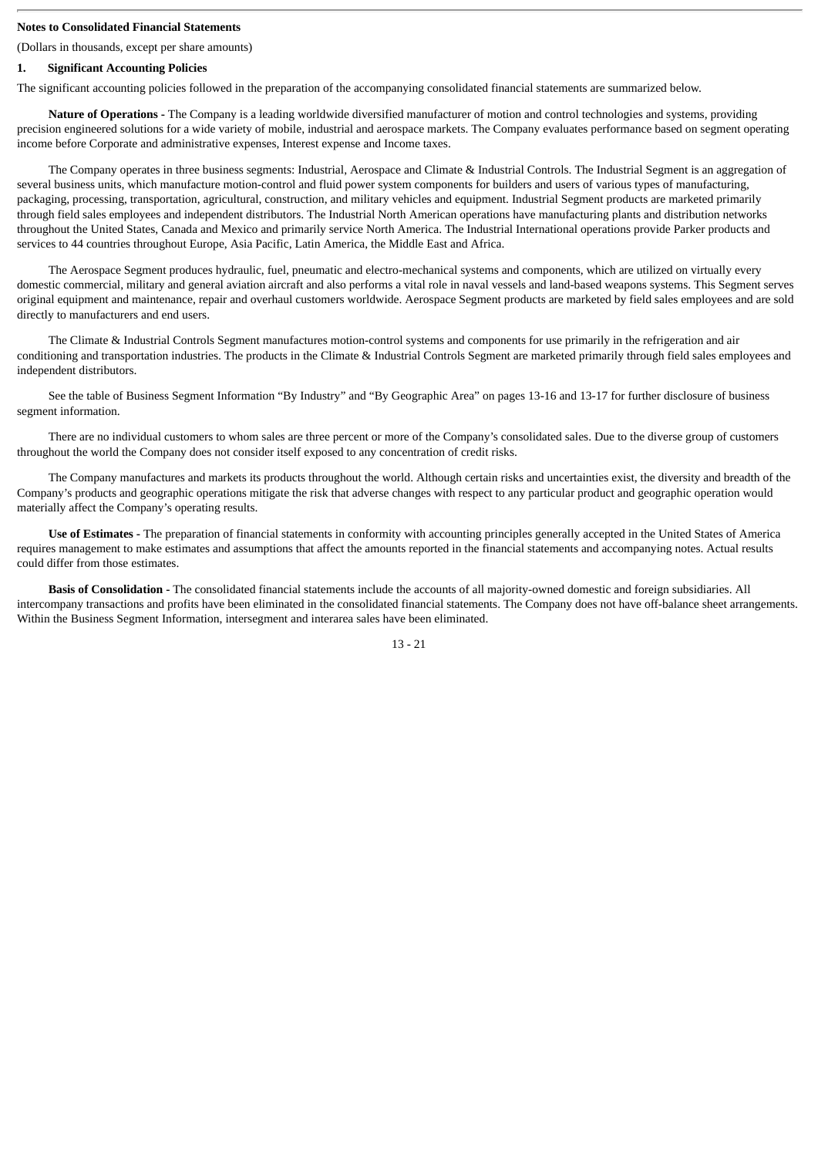### **Notes to Consolidated Financial Statements**

(Dollars in thousands, except per share amounts)

### **1. Significant Accounting Policies**

The significant accounting policies followed in the preparation of the accompanying consolidated financial statements are summarized below.

**Nature of Operations -** The Company is a leading worldwide diversified manufacturer of motion and control technologies and systems, providing precision engineered solutions for a wide variety of mobile, industrial and aerospace markets. The Company evaluates performance based on segment operating income before Corporate and administrative expenses, Interest expense and Income taxes.

The Company operates in three business segments: Industrial, Aerospace and Climate & Industrial Controls. The Industrial Segment is an aggregation of several business units, which manufacture motion-control and fluid power system components for builders and users of various types of manufacturing, packaging, processing, transportation, agricultural, construction, and military vehicles and equipment. Industrial Segment products are marketed primarily through field sales employees and independent distributors. The Industrial North American operations have manufacturing plants and distribution networks throughout the United States, Canada and Mexico and primarily service North America. The Industrial International operations provide Parker products and services to 44 countries throughout Europe, Asia Pacific, Latin America, the Middle East and Africa.

The Aerospace Segment produces hydraulic, fuel, pneumatic and electro-mechanical systems and components, which are utilized on virtually every domestic commercial, military and general aviation aircraft and also performs a vital role in naval vessels and land-based weapons systems. This Segment serves original equipment and maintenance, repair and overhaul customers worldwide. Aerospace Segment products are marketed by field sales employees and are sold directly to manufacturers and end users.

The Climate & Industrial Controls Segment manufactures motion-control systems and components for use primarily in the refrigeration and air conditioning and transportation industries. The products in the Climate & Industrial Controls Segment are marketed primarily through field sales employees and independent distributors.

See the table of Business Segment Information "By Industry" and "By Geographic Area" on pages 13-16 and 13-17 for further disclosure of business segment information.

There are no individual customers to whom sales are three percent or more of the Company's consolidated sales. Due to the diverse group of customers throughout the world the Company does not consider itself exposed to any concentration of credit risks.

The Company manufactures and markets its products throughout the world. Although certain risks and uncertainties exist, the diversity and breadth of the Company's products and geographic operations mitigate the risk that adverse changes with respect to any particular product and geographic operation would materially affect the Company's operating results.

**Use of Estimates -** The preparation of financial statements in conformity with accounting principles generally accepted in the United States of America requires management to make estimates and assumptions that affect the amounts reported in the financial statements and accompanying notes. Actual results could differ from those estimates.

**Basis of Consolidation -** The consolidated financial statements include the accounts of all majority-owned domestic and foreign subsidiaries. All intercompany transactions and profits have been eliminated in the consolidated financial statements. The Company does not have off-balance sheet arrangements. Within the Business Segment Information, intersegment and interarea sales have been eliminated.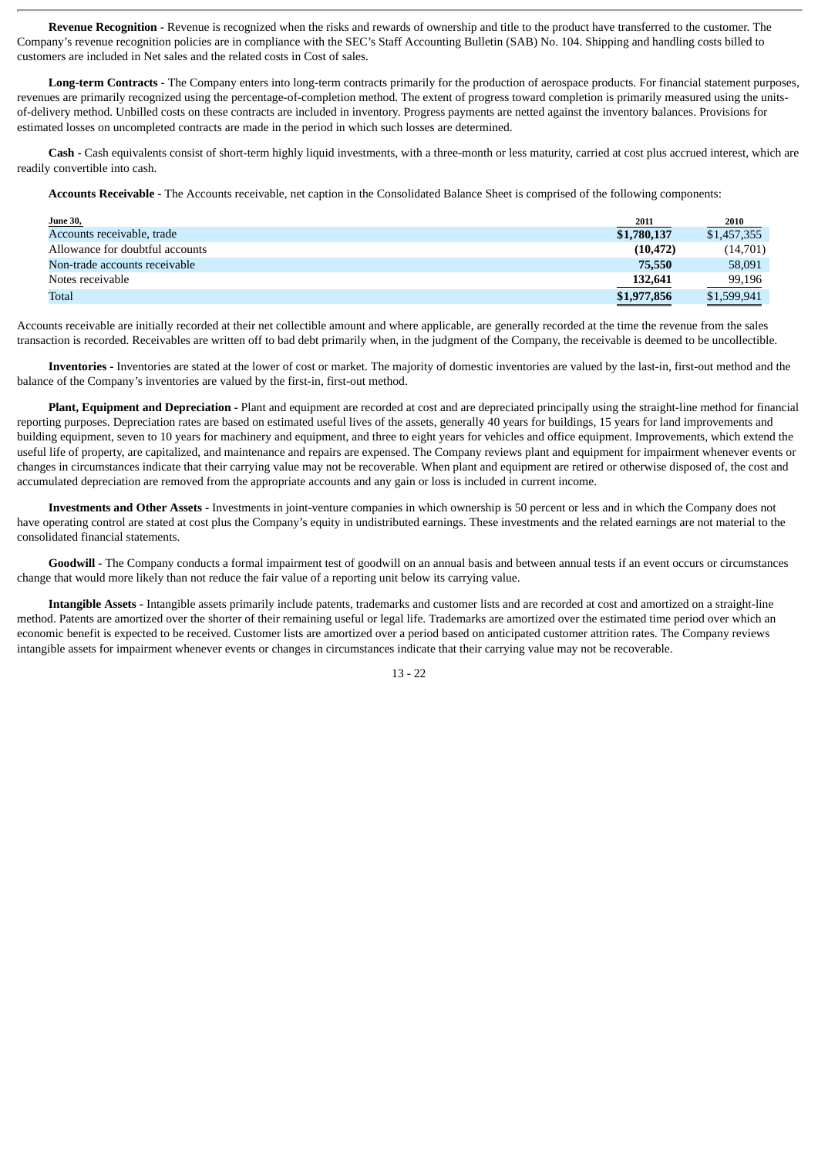**Revenue Recognition -** Revenue is recognized when the risks and rewards of ownership and title to the product have transferred to the customer. The Company's revenue recognition policies are in compliance with the SEC's Staff Accounting Bulletin (SAB) No. 104. Shipping and handling costs billed to customers are included in Net sales and the related costs in Cost of sales.

**Long-term Contracts -** The Company enters into long-term contracts primarily for the production of aerospace products. For financial statement purposes, revenues are primarily recognized using the percentage-of-completion method. The extent of progress toward completion is primarily measured using the unitsof-delivery method. Unbilled costs on these contracts are included in inventory. Progress payments are netted against the inventory balances. Provisions for estimated losses on uncompleted contracts are made in the period in which such losses are determined.

**Cash -** Cash equivalents consist of short-term highly liquid investments, with a three-month or less maturity, carried at cost plus accrued interest, which are readily convertible into cash.

**Accounts Receivable -** The Accounts receivable, net caption in the Consolidated Balance Sheet is comprised of the following components:

| <b>June 30,</b>                 | 2011        | 2010        |
|---------------------------------|-------------|-------------|
| Accounts receivable, trade      | \$1,780,137 | \$1,457,355 |
| Allowance for doubtful accounts | (10, 472)   | (14,701)    |
| Non-trade accounts receivable   | 75,550      | 58,091      |
| Notes receivable                | 132,641     | 99,196      |
| Total                           | \$1,977,856 | \$1,599,941 |

Accounts receivable are initially recorded at their net collectible amount and where applicable, are generally recorded at the time the revenue from the sales transaction is recorded. Receivables are written off to bad debt primarily when, in the judgment of the Company, the receivable is deemed to be uncollectible.

**Inventories -** Inventories are stated at the lower of cost or market. The majority of domestic inventories are valued by the last-in, first-out method and the balance of the Company's inventories are valued by the first-in, first-out method.

**Plant, Equipment and Depreciation -** Plant and equipment are recorded at cost and are depreciated principally using the straight-line method for financial reporting purposes. Depreciation rates are based on estimated useful lives of the assets, generally 40 years for buildings, 15 years for land improvements and building equipment, seven to 10 years for machinery and equipment, and three to eight years for vehicles and office equipment. Improvements, which extend the useful life of property, are capitalized, and maintenance and repairs are expensed. The Company reviews plant and equipment for impairment whenever events or changes in circumstances indicate that their carrying value may not be recoverable. When plant and equipment are retired or otherwise disposed of, the cost and accumulated depreciation are removed from the appropriate accounts and any gain or loss is included in current income.

**Investments and Other Assets -** Investments in joint-venture companies in which ownership is 50 percent or less and in which the Company does not have operating control are stated at cost plus the Company's equity in undistributed earnings. These investments and the related earnings are not material to the consolidated financial statements.

**Goodwill -** The Company conducts a formal impairment test of goodwill on an annual basis and between annual tests if an event occurs or circumstances change that would more likely than not reduce the fair value of a reporting unit below its carrying value.

**Intangible Assets -** Intangible assets primarily include patents, trademarks and customer lists and are recorded at cost and amortized on a straight-line method. Patents are amortized over the shorter of their remaining useful or legal life. Trademarks are amortized over the estimated time period over which an economic benefit is expected to be received. Customer lists are amortized over a period based on anticipated customer attrition rates. The Company reviews intangible assets for impairment whenever events or changes in circumstances indicate that their carrying value may not be recoverable.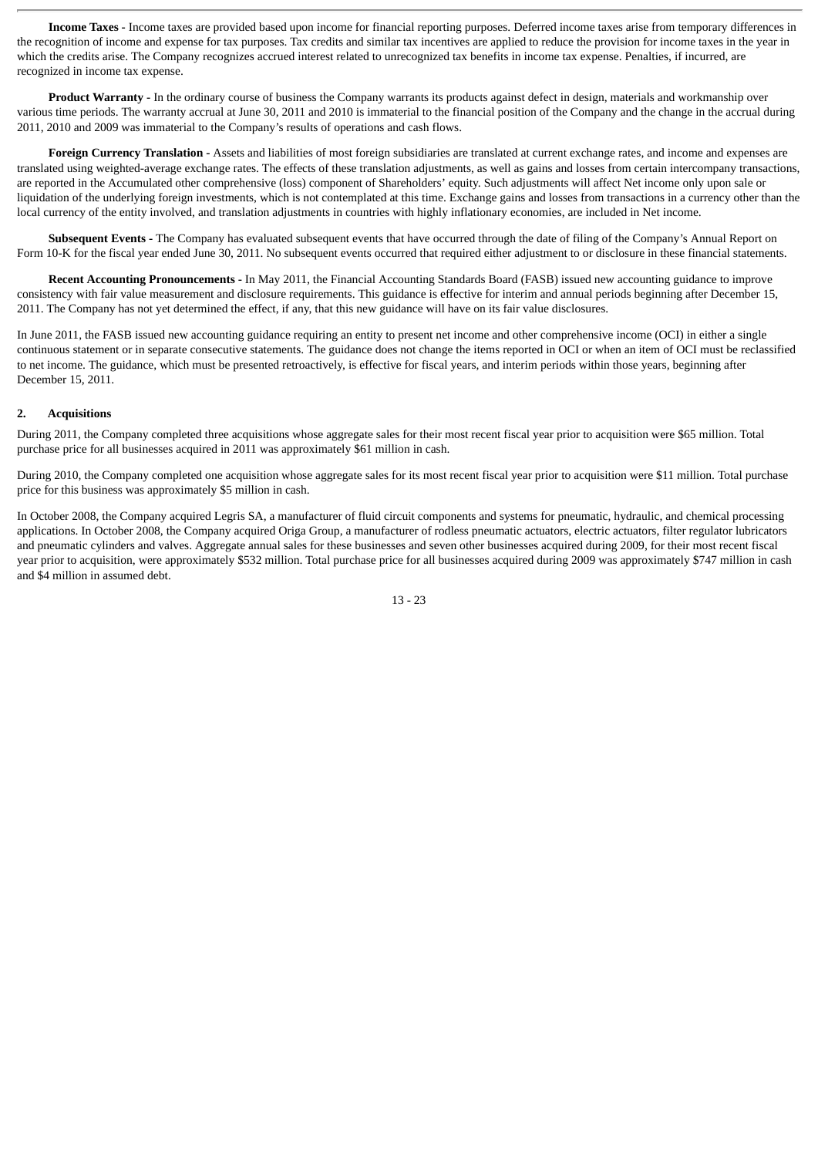**Income Taxes -** Income taxes are provided based upon income for financial reporting purposes. Deferred income taxes arise from temporary differences in the recognition of income and expense for tax purposes. Tax credits and similar tax incentives are applied to reduce the provision for income taxes in the year in which the credits arise. The Company recognizes accrued interest related to unrecognized tax benefits in income tax expense. Penalties, if incurred, are recognized in income tax expense.

**Product Warranty -** In the ordinary course of business the Company warrants its products against defect in design, materials and workmanship over various time periods. The warranty accrual at June 30, 2011 and 2010 is immaterial to the financial position of the Company and the change in the accrual during 2011, 2010 and 2009 was immaterial to the Company's results of operations and cash flows.

**Foreign Currency Translation -** Assets and liabilities of most foreign subsidiaries are translated at current exchange rates, and income and expenses are translated using weighted-average exchange rates. The effects of these translation adjustments, as well as gains and losses from certain intercompany transactions, are reported in the Accumulated other comprehensive (loss) component of Shareholders' equity. Such adjustments will affect Net income only upon sale or liquidation of the underlying foreign investments, which is not contemplated at this time. Exchange gains and losses from transactions in a currency other than the local currency of the entity involved, and translation adjustments in countries with highly inflationary economies, are included in Net income.

**Subsequent Events -** The Company has evaluated subsequent events that have occurred through the date of filing of the Company's Annual Report on Form 10-K for the fiscal year ended June 30, 2011. No subsequent events occurred that required either adjustment to or disclosure in these financial statements.

**Recent Accounting Pronouncements -** In May 2011, the Financial Accounting Standards Board (FASB) issued new accounting guidance to improve consistency with fair value measurement and disclosure requirements. This guidance is effective for interim and annual periods beginning after December 15, 2011. The Company has not yet determined the effect, if any, that this new guidance will have on its fair value disclosures.

In June 2011, the FASB issued new accounting guidance requiring an entity to present net income and other comprehensive income (OCI) in either a single continuous statement or in separate consecutive statements. The guidance does not change the items reported in OCI or when an item of OCI must be reclassified to net income. The guidance, which must be presented retroactively, is effective for fiscal years, and interim periods within those years, beginning after December 15, 2011.

## **2. Acquisitions**

During 2011, the Company completed three acquisitions whose aggregate sales for their most recent fiscal year prior to acquisition were \$65 million. Total purchase price for all businesses acquired in 2011 was approximately \$61 million in cash.

During 2010, the Company completed one acquisition whose aggregate sales for its most recent fiscal year prior to acquisition were \$11 million. Total purchase price for this business was approximately \$5 million in cash.

In October 2008, the Company acquired Legris SA, a manufacturer of fluid circuit components and systems for pneumatic, hydraulic, and chemical processing applications. In October 2008, the Company acquired Origa Group, a manufacturer of rodless pneumatic actuators, electric actuators, filter regulator lubricators and pneumatic cylinders and valves. Aggregate annual sales for these businesses and seven other businesses acquired during 2009, for their most recent fiscal year prior to acquisition, were approximately \$532 million. Total purchase price for all businesses acquired during 2009 was approximately \$747 million in cash and \$4 million in assumed debt.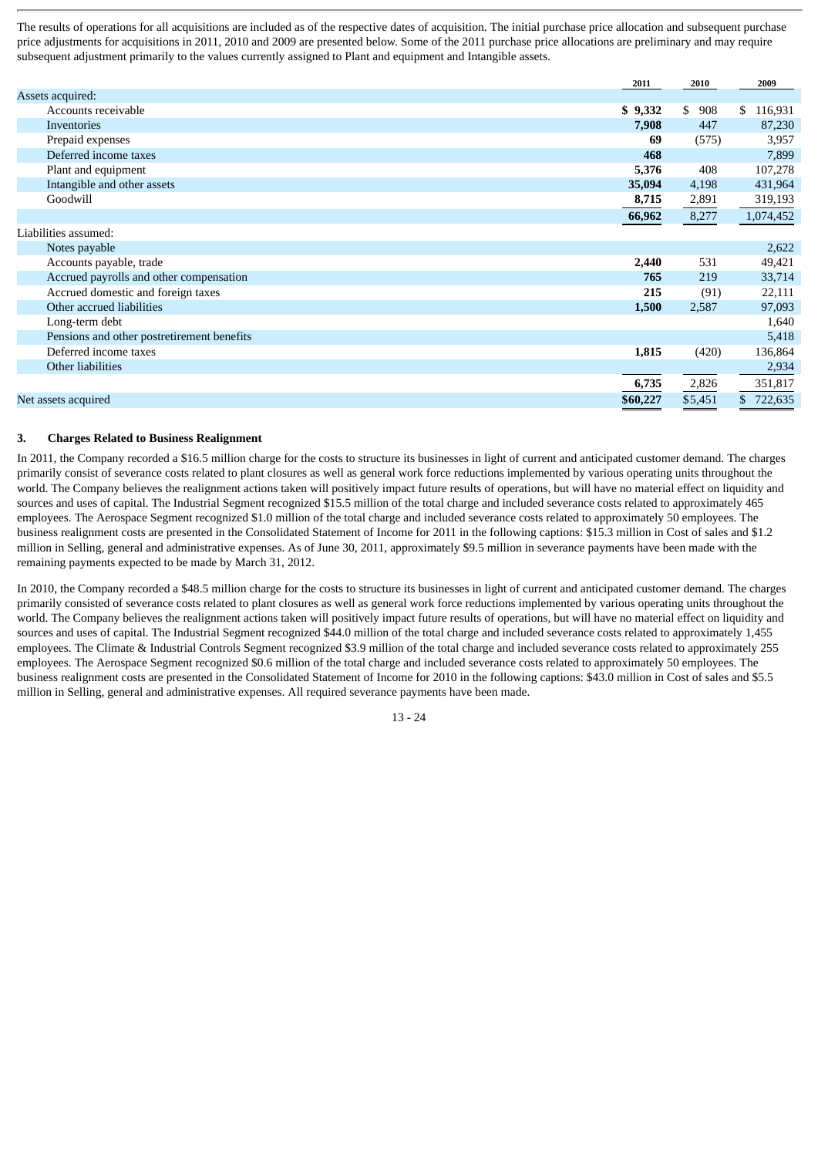The results of operations for all acquisitions are included as of the respective dates of acquisition. The initial purchase price allocation and subsequent purchase price adjustments for acquisitions in 2011, 2010 and 2009 are presented below. Some of the 2011 purchase price allocations are preliminary and may require subsequent adjustment primarily to the values currently assigned to Plant and equipment and Intangible assets.

|                                            | 2011     | 2010      | 2009          |
|--------------------------------------------|----------|-----------|---------------|
| Assets acquired:                           |          |           |               |
| Accounts receivable                        | \$9,332  | \$<br>908 | \$<br>116,931 |
| <b>Inventories</b>                         | 7,908    | 447       | 87,230        |
| Prepaid expenses                           | 69       | (575)     | 3,957         |
| Deferred income taxes                      | 468      |           | 7,899         |
| Plant and equipment                        | 5,376    | 408       | 107,278       |
| Intangible and other assets                | 35,094   | 4,198     | 431,964       |
| Goodwill                                   | 8,715    | 2,891     | 319,193       |
|                                            | 66,962   | 8,277     | 1,074,452     |
| Liabilities assumed:                       |          |           |               |
| Notes payable                              |          |           | 2,622         |
| Accounts payable, trade                    | 2,440    | 531       | 49,421        |
| Accrued payrolls and other compensation    | 765      | 219       | 33,714        |
| Accrued domestic and foreign taxes         | 215      | (91)      | 22,111        |
| Other accrued liabilities                  | 1,500    | 2,587     | 97,093        |
| Long-term debt                             |          |           | 1,640         |
| Pensions and other postretirement benefits |          |           | 5,418         |
| Deferred income taxes                      | 1,815    | (420)     | 136,864       |
| Other liabilities                          |          |           | 2,934         |
|                                            | 6,735    | 2,826     | 351,817       |
| Net assets acquired                        | \$60,227 | \$5,451   | \$<br>722,635 |

### **3. Charges Related to Business Realignment**

In 2011, the Company recorded a \$16.5 million charge for the costs to structure its businesses in light of current and anticipated customer demand. The charges primarily consist of severance costs related to plant closures as well as general work force reductions implemented by various operating units throughout the world. The Company believes the realignment actions taken will positively impact future results of operations, but will have no material effect on liquidity and sources and uses of capital. The Industrial Segment recognized \$15.5 million of the total charge and included severance costs related to approximately 465 employees. The Aerospace Segment recognized \$1.0 million of the total charge and included severance costs related to approximately 50 employees. The business realignment costs are presented in the Consolidated Statement of Income for 2011 in the following captions: \$15.3 million in Cost of sales and \$1.2 million in Selling, general and administrative expenses. As of June 30, 2011, approximately \$9.5 million in severance payments have been made with the remaining payments expected to be made by March 31, 2012.

In 2010, the Company recorded a \$48.5 million charge for the costs to structure its businesses in light of current and anticipated customer demand. The charges primarily consisted of severance costs related to plant closures as well as general work force reductions implemented by various operating units throughout the world. The Company believes the realignment actions taken will positively impact future results of operations, but will have no material effect on liquidity and sources and uses of capital. The Industrial Segment recognized \$44.0 million of the total charge and included severance costs related to approximately 1,455 employees. The Climate & Industrial Controls Segment recognized \$3.9 million of the total charge and included severance costs related to approximately 255 employees. The Aerospace Segment recognized \$0.6 million of the total charge and included severance costs related to approximately 50 employees. The business realignment costs are presented in the Consolidated Statement of Income for 2010 in the following captions: \$43.0 million in Cost of sales and \$5.5 million in Selling, general and administrative expenses. All required severance payments have been made.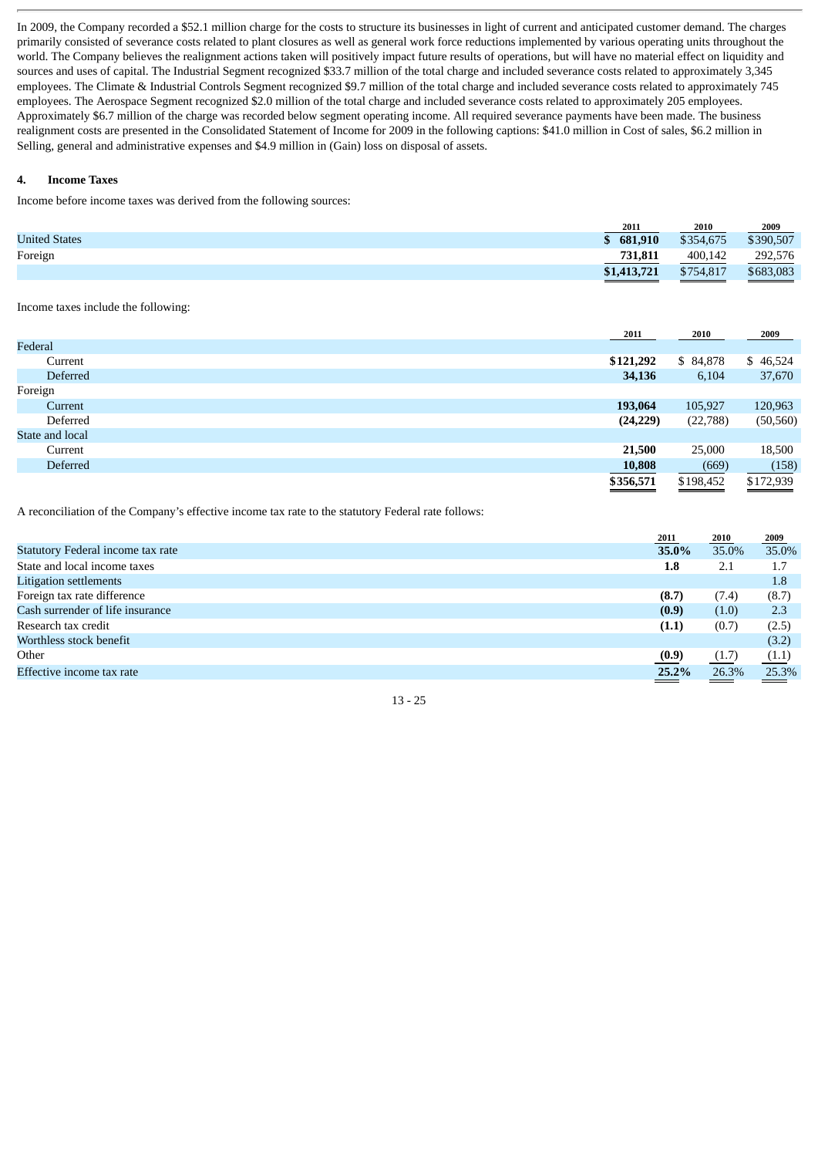In 2009, the Company recorded a \$52.1 million charge for the costs to structure its businesses in light of current and anticipated customer demand. The charges primarily consisted of severance costs related to plant closures as well as general work force reductions implemented by various operating units throughout the world. The Company believes the realignment actions taken will positively impact future results of operations, but will have no material effect on liquidity and sources and uses of capital. The Industrial Segment recognized \$33.7 million of the total charge and included severance costs related to approximately 3,345 employees. The Climate & Industrial Controls Segment recognized \$9.7 million of the total charge and included severance costs related to approximately 745 employees. The Aerospace Segment recognized \$2.0 million of the total charge and included severance costs related to approximately 205 employees. Approximately \$6.7 million of the charge was recorded below segment operating income. All required severance payments have been made. The business realignment costs are presented in the Consolidated Statement of Income for 2009 in the following captions: \$41.0 million in Cost of sales, \$6.2 million in Selling, general and administrative expenses and \$4.9 million in (Gain) loss on disposal of assets.

## **4. Income Taxes**

Income before income taxes was derived from the following sources:

|                      | 2011        | 2010                   | 2009                                                      |
|----------------------|-------------|------------------------|-----------------------------------------------------------|
| <b>United States</b> | 681,910     | \$354,675              | \$390,507                                                 |
| Foreign              | 731,811     | 400,142                | 292,576                                                   |
|                      | \$1,413,721 | \$754,817<br>_________ | \$683,083<br>the control of the control of the control of |

Income taxes include the following:

|                 | 2011      | 2010      | 2009      |
|-----------------|-----------|-----------|-----------|
| Federal         |           |           |           |
| Current         | \$121,292 | \$84,878  | \$46,524  |
| Deferred        | 34,136    | 6,104     | 37,670    |
| Foreign         |           |           |           |
| Current         | 193,064   | 105,927   | 120,963   |
| Deferred        | (24, 229) | (22,788)  | (50, 560) |
| State and local |           |           |           |
| Current         | 21,500    | 25,000    | 18,500    |
| Deferred        | 10,808    | (669)     | (158)     |
|                 | \$356,571 | \$198,452 | \$172,939 |

A reconciliation of the Company's effective income tax rate to the statutory Federal rate follows:

|                                   | 2011  | 2010  | 2009  |
|-----------------------------------|-------|-------|-------|
| Statutory Federal income tax rate | 35.0% | 35.0% | 35.0% |
| State and local income taxes      | 1.8   | 2.1   | 1.7   |
| <b>Litigation settlements</b>     |       |       | 1.8   |
| Foreign tax rate difference       | (8.7) | (7.4) | (8.7) |
| Cash surrender of life insurance  | (0.9) | (1.0) | 2.3   |
| Research tax credit               | (1.1) | (0.7) | (2.5) |
| Worthless stock benefit           |       |       | (3.2) |
| Other                             | (0.9) | (1.7) | (1.1) |
| Effective income tax rate         | 25.2% | 26.3% | 25.3% |
|                                   |       |       |       |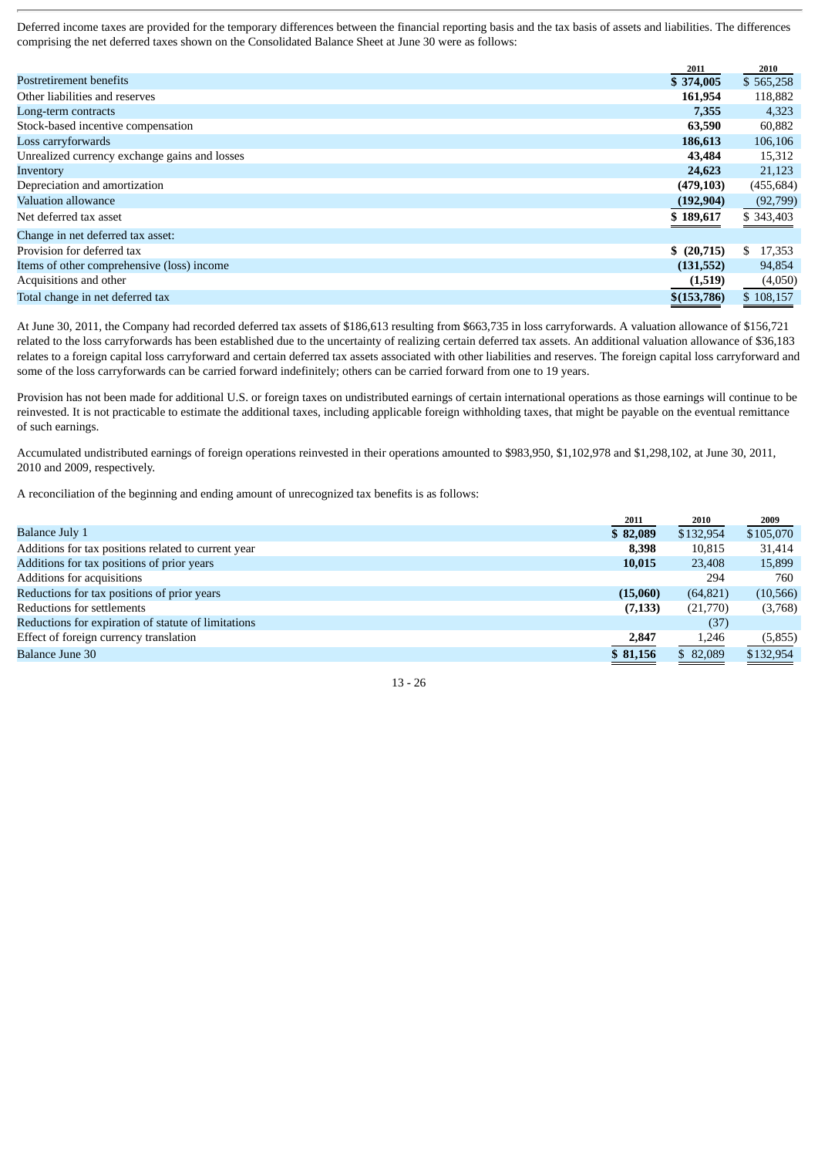Deferred income taxes are provided for the temporary differences between the financial reporting basis and the tax basis of assets and liabilities. The differences comprising the net deferred taxes shown on the Consolidated Balance Sheet at June 30 were as follows:

|                                               | 2011        | 2010         |
|-----------------------------------------------|-------------|--------------|
| Postretirement benefits                       | \$374,005   | \$565,258    |
| Other liabilities and reserves                | 161,954     | 118,882      |
| Long-term contracts                           | 7,355       | 4,323        |
| Stock-based incentive compensation            | 63,590      | 60,882       |
| Loss carryforwards                            | 186,613     | 106,106      |
| Unrealized currency exchange gains and losses | 43,484      | 15,312       |
| Inventory                                     | 24,623      | 21,123       |
| Depreciation and amortization                 | (479, 103)  | (455, 684)   |
| Valuation allowance                           | (192, 904)  | (92,799)     |
| Net deferred tax asset                        | \$189,617   | \$343,403    |
| Change in net deferred tax asset:             |             |              |
| Provision for deferred tax                    | \$(20,715)  | S.<br>17,353 |
| Items of other comprehensive (loss) income    | (131,552)   | 94,854       |
| Acquisitions and other                        | (1,519)     | (4,050)      |
| Total change in net deferred tax              | \$(153,786) | \$108,157    |

At June 30, 2011, the Company had recorded deferred tax assets of \$186,613 resulting from \$663,735 in loss carryforwards. A valuation allowance of \$156,721 related to the loss carryforwards has been established due to the uncertainty of realizing certain deferred tax assets. An additional valuation allowance of \$36,183 relates to a foreign capital loss carryforward and certain deferred tax assets associated with other liabilities and reserves. The foreign capital loss carryforward and some of the loss carryforwards can be carried forward indefinitely; others can be carried forward from one to 19 years.

Provision has not been made for additional U.S. or foreign taxes on undistributed earnings of certain international operations as those earnings will continue to be reinvested. It is not practicable to estimate the additional taxes, including applicable foreign withholding taxes, that might be payable on the eventual remittance of such earnings.

Accumulated undistributed earnings of foreign operations reinvested in their operations amounted to \$983,950, \$1,102,978 and \$1,298,102, at June 30, 2011, 2010 and 2009, respectively.

A reconciliation of the beginning and ending amount of unrecognized tax benefits is as follows:

|                                                     | 2011     | 2010      | 2009      |
|-----------------------------------------------------|----------|-----------|-----------|
| <b>Balance July 1</b>                               | \$82,089 | \$132,954 | \$105,070 |
| Additions for tax positions related to current year | 8,398    | 10,815    | 31,414    |
| Additions for tax positions of prior years          | 10,015   | 23,408    | 15,899    |
| Additions for acquisitions                          |          | 294       | 760       |
| Reductions for tax positions of prior years         | (15,060) | (64, 821) | (10, 566) |
| Reductions for settlements                          | (7, 133) | (21,770)  | (3,768)   |
| Reductions for expiration of statute of limitations |          | (37)      |           |
| Effect of foreign currency translation              | 2,847    | 1,246     | (5,855)   |
| Balance June 30                                     | \$81,156 | \$82,089  | \$132,954 |
|                                                     |          |           |           |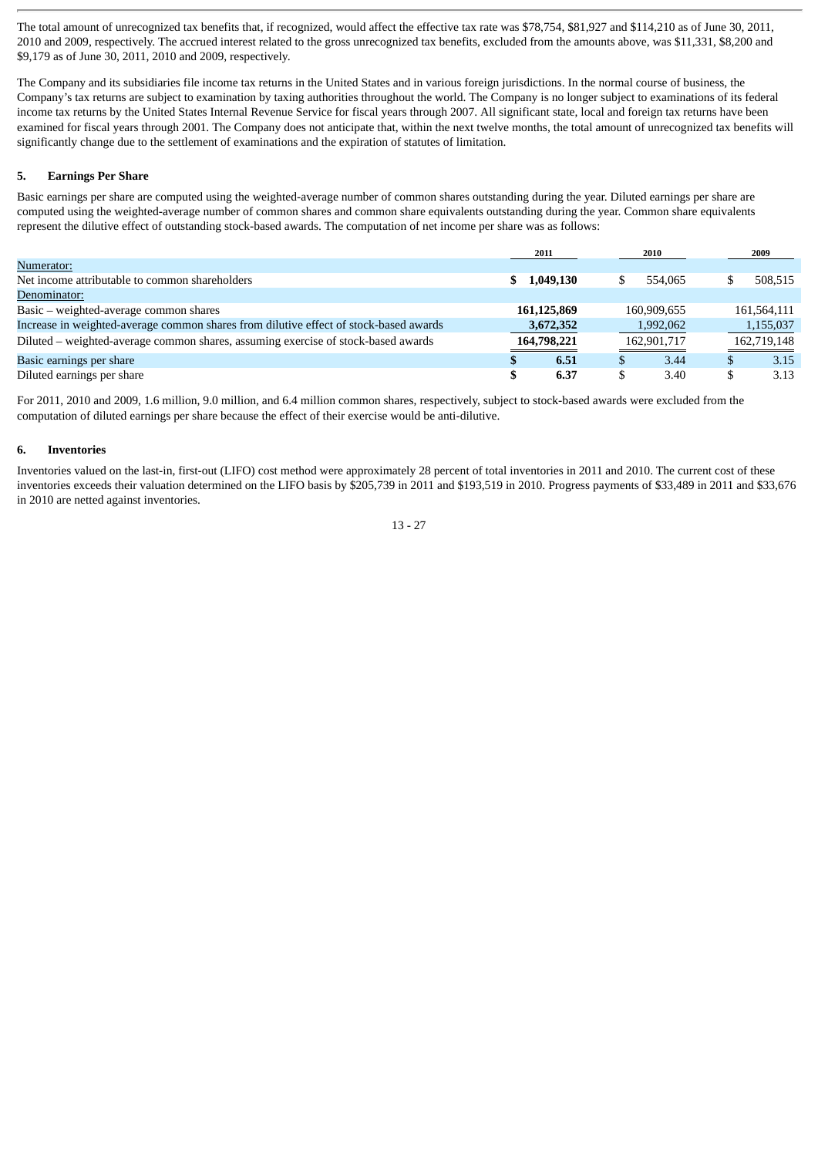The total amount of unrecognized tax benefits that, if recognized, would affect the effective tax rate was \$78,754, \$81,927 and \$114,210 as of June 30, 2011, 2010 and 2009, respectively. The accrued interest related to the gross unrecognized tax benefits, excluded from the amounts above, was \$11,331, \$8,200 and \$9,179 as of June 30, 2011, 2010 and 2009, respectively.

The Company and its subsidiaries file income tax returns in the United States and in various foreign jurisdictions. In the normal course of business, the Company's tax returns are subject to examination by taxing authorities throughout the world. The Company is no longer subject to examinations of its federal income tax returns by the United States Internal Revenue Service for fiscal years through 2007. All significant state, local and foreign tax returns have been examined for fiscal years through 2001. The Company does not anticipate that, within the next twelve months, the total amount of unrecognized tax benefits will significantly change due to the settlement of examinations and the expiration of statutes of limitation.

## **5. Earnings Per Share**

Basic earnings per share are computed using the weighted-average number of common shares outstanding during the year. Diluted earnings per share are computed using the weighted-average number of common shares and common share equivalents outstanding during the year. Common share equivalents represent the dilutive effect of outstanding stock-based awards. The computation of net income per share was as follows:

|                                                                                       | 2011        |    | 2010        |    | 2009        |
|---------------------------------------------------------------------------------------|-------------|----|-------------|----|-------------|
| Numerator:                                                                            |             |    |             |    |             |
| Net income attributable to common shareholders                                        | 1,049,130   | S  | 554.065     |    | 508.515     |
| Denominator:                                                                          |             |    |             |    |             |
| Basic – weighted-average common shares                                                | 161,125,869 |    | 160,909,655 |    | 161,564,111 |
| Increase in weighted-average common shares from dilutive effect of stock-based awards | 3,672,352   |    | 1,992,062   |    | 1,155,037   |
| Diluted – weighted-average common shares, assuming exercise of stock-based awards     | 164,798,221 |    | 162,901,717 |    | 162,719,148 |
| Basic earnings per share                                                              | 6.51        | S. | 3.44        | -S | 3.15        |
| Diluted earnings per share                                                            | 6.37        |    | 3.40        | \$ | 3.13        |

For 2011, 2010 and 2009, 1.6 million, 9.0 million, and 6.4 million common shares, respectively, subject to stock-based awards were excluded from the computation of diluted earnings per share because the effect of their exercise would be anti-dilutive.

#### **6. Inventories**

Inventories valued on the last-in, first-out (LIFO) cost method were approximately 28 percent of total inventories in 2011 and 2010. The current cost of these inventories exceeds their valuation determined on the LIFO basis by \$205,739 in 2011 and \$193,519 in 2010. Progress payments of \$33,489 in 2011 and \$33,676 in 2010 are netted against inventories.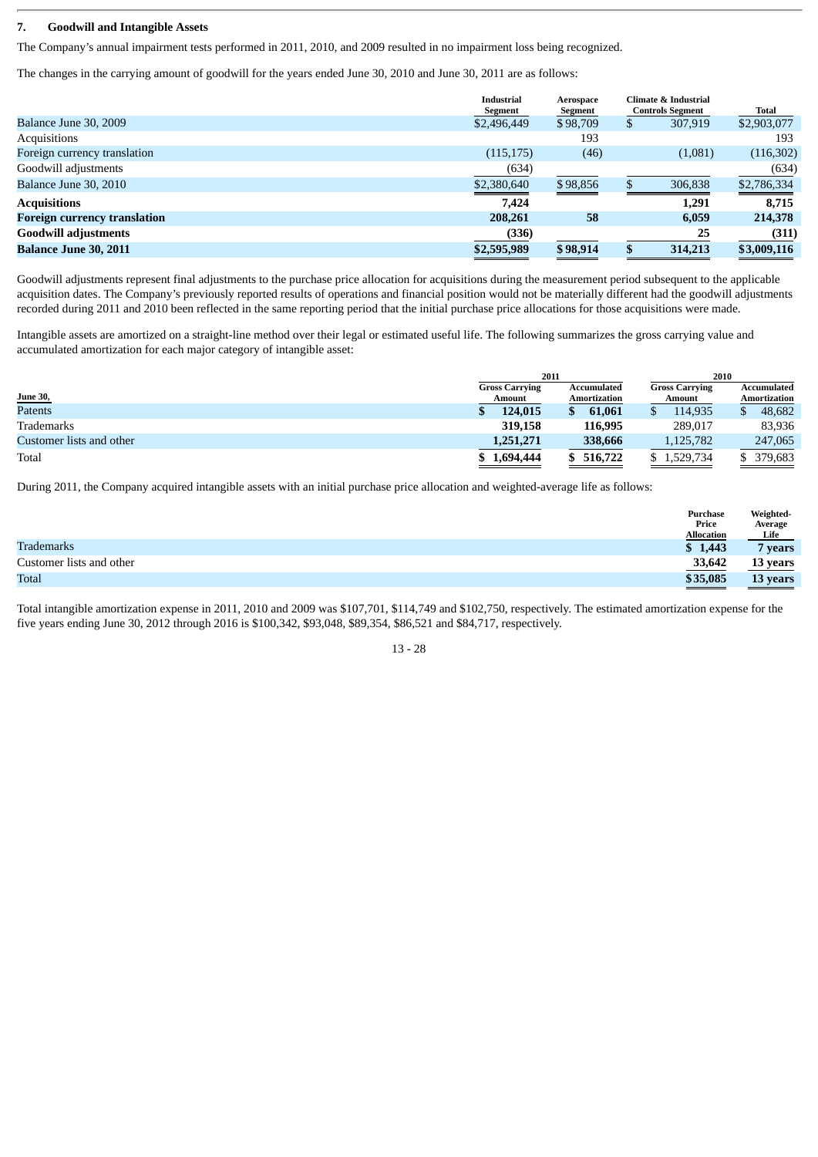## **7. Goodwill and Intangible Assets**

The Company's annual impairment tests performed in 2011, 2010, and 2009 resulted in no impairment loss being recognized.

The changes in the carrying amount of goodwill for the years ended June 30, 2010 and June 30, 2011 are as follows:

|                                     | <b>Industrial</b><br>Segment | Aerospace<br>Segment |   | Climate & Industrial<br><b>Controls Segment</b> | Total       |
|-------------------------------------|------------------------------|----------------------|---|-------------------------------------------------|-------------|
| Balance June 30, 2009               | \$2,496,449                  | \$98,709             | ъ | 307,919                                         | \$2,903,077 |
| Acquisitions                        |                              | 193                  |   |                                                 | 193         |
| Foreign currency translation        | (115, 175)                   | (46)                 |   | (1,081)                                         | (116, 302)  |
| Goodwill adjustments                | (634)                        |                      |   |                                                 | (634)       |
| Balance June 30, 2010               | \$2,380,640                  | \$98,856             |   | 306,838                                         | \$2,786,334 |
| <b>Acquisitions</b>                 | 7.424                        |                      |   | 1.291                                           | 8,715       |
| <b>Foreign currency translation</b> | 208,261                      | 58                   |   | 6,059                                           | 214,378     |
| <b>Goodwill adjustments</b>         | (336)                        |                      |   | 25                                              | (311)       |
| <b>Balance June 30, 2011</b>        | \$2,595,989                  | \$98,914             |   | 314,213                                         | \$3,009,116 |

Goodwill adjustments represent final adjustments to the purchase price allocation for acquisitions during the measurement period subsequent to the applicable acquisition dates. The Company's previously reported results of operations and financial position would not be materially different had the goodwill adjustments recorded during 2011 and 2010 been reflected in the same reporting period that the initial purchase price allocations for those acquisitions were made.

Intangible assets are amortized on a straight-line method over their legal or estimated useful life. The following summarizes the gross carrying value and accumulated amortization for each major category of intangible asset:

|                          | 2011                            |                                    | 2010                            |                                    |  |
|--------------------------|---------------------------------|------------------------------------|---------------------------------|------------------------------------|--|
| <b>June 30,</b>          | <b>Gross Carrying</b><br>Amount | Accumulated<br><b>Amortization</b> | <b>Gross Carrying</b><br>Amount | Accumulated<br><b>Amortization</b> |  |
| Patents                  | 124,015                         | 61,061                             | 114,935                         | 48,682                             |  |
| Trademarks               | 319,158                         | 116,995                            | 289,017                         | 83,936                             |  |
| Customer lists and other | 1,251,271                       | 338,666                            | 1,125,782                       | 247,065                            |  |
| Total                    | 1,694,444                       | 516,722                            | .529,734                        | 379.683                            |  |

During 2011, the Company acquired intangible assets with an initial purchase price allocation and weighted-average life as follows:

|                          | Purchase<br>Price<br><b>Allocation</b> | Weighted-<br>Average<br>Life |
|--------------------------|----------------------------------------|------------------------------|
| Trademarks               | \$1,443                                | 7 years                      |
| Customer lists and other | 33,642                                 | 13 years                     |
| <b>Total</b>             | \$35,085                               | 13 years                     |

Total intangible amortization expense in 2011, 2010 and 2009 was \$107,701, \$114,749 and \$102,750, respectively. The estimated amortization expense for the five years ending June 30, 2012 through 2016 is \$100,342, \$93,048, \$89,354, \$86,521 and \$84,717, respectively.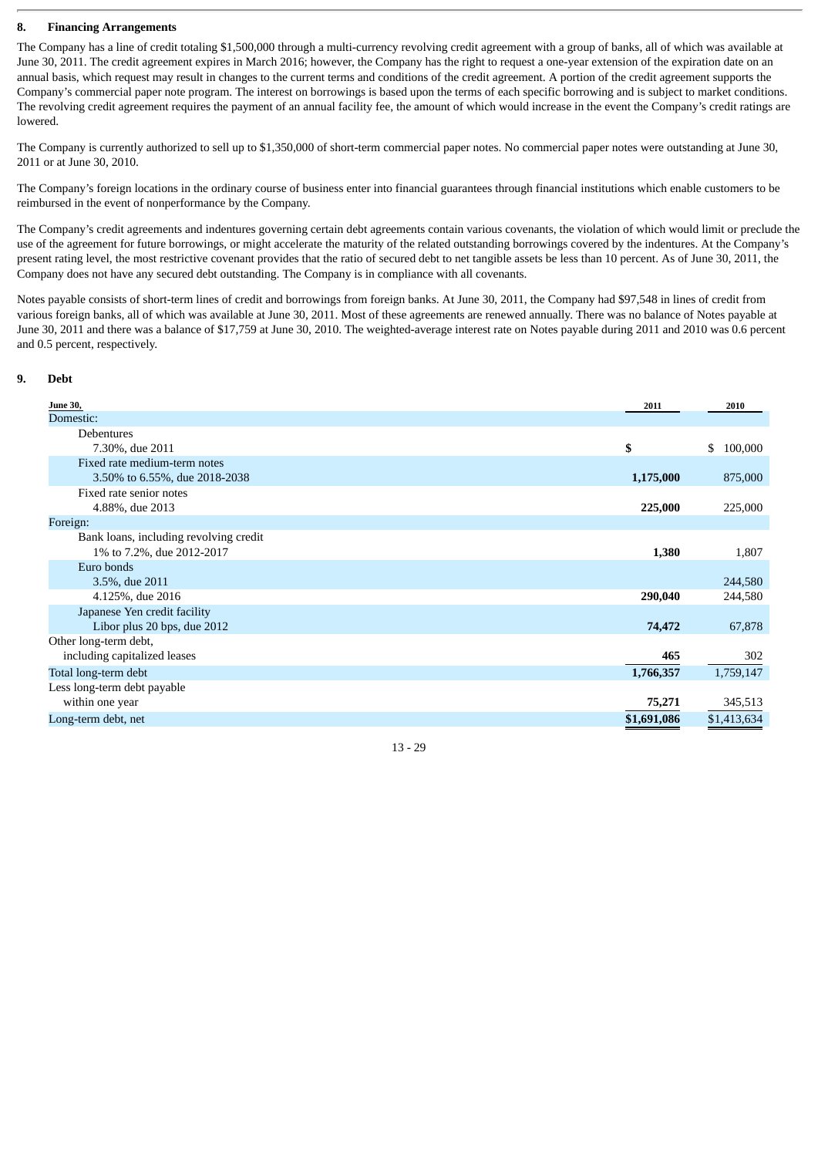## **8. Financing Arrangements**

The Company has a line of credit totaling \$1,500,000 through a multi-currency revolving credit agreement with a group of banks, all of which was available at June 30, 2011. The credit agreement expires in March 2016; however, the Company has the right to request a one-year extension of the expiration date on an annual basis, which request may result in changes to the current terms and conditions of the credit agreement. A portion of the credit agreement supports the Company's commercial paper note program. The interest on borrowings is based upon the terms of each specific borrowing and is subject to market conditions. The revolving credit agreement requires the payment of an annual facility fee, the amount of which would increase in the event the Company's credit ratings are lowered.

The Company is currently authorized to sell up to \$1,350,000 of short-term commercial paper notes. No commercial paper notes were outstanding at June 30, 2011 or at June 30, 2010.

The Company's foreign locations in the ordinary course of business enter into financial guarantees through financial institutions which enable customers to be reimbursed in the event of nonperformance by the Company.

The Company's credit agreements and indentures governing certain debt agreements contain various covenants, the violation of which would limit or preclude the use of the agreement for future borrowings, or might accelerate the maturity of the related outstanding borrowings covered by the indentures. At the Company's present rating level, the most restrictive covenant provides that the ratio of secured debt to net tangible assets be less than 10 percent. As of June 30, 2011, the Company does not have any secured debt outstanding. The Company is in compliance with all covenants.

Notes payable consists of short-term lines of credit and borrowings from foreign banks. At June 30, 2011, the Company had \$97,548 in lines of credit from various foreign banks, all of which was available at June 30, 2011. Most of these agreements are renewed annually. There was no balance of Notes payable at June 30, 2011 and there was a balance of \$17,759 at June 30, 2010. The weighted-average interest rate on Notes payable during 2011 and 2010 was 0.6 percent and 0.5 percent, respectively.

### **9. Debt**

| <b>June 30,</b>                        | 2011        | 2010          |
|----------------------------------------|-------------|---------------|
| Domestic:                              |             |               |
| <b>Debentures</b>                      |             |               |
| 7.30%, due 2011                        | \$          | \$<br>100,000 |
| Fixed rate medium-term notes           |             |               |
| 3.50% to 6.55%, due 2018-2038          | 1,175,000   | 875,000       |
| Fixed rate senior notes                |             |               |
| 4.88%, due 2013                        | 225,000     | 225,000       |
| Foreign:                               |             |               |
| Bank loans, including revolving credit |             |               |
| 1% to 7.2%, due 2012-2017              | 1,380       | 1,807         |
| Euro bonds                             |             |               |
| 3.5%, due 2011                         |             | 244,580       |
| 4.125%, due 2016                       | 290,040     | 244,580       |
| Japanese Yen credit facility           |             |               |
| Libor plus 20 bps, due 2012            | 74,472      | 67,878        |
| Other long-term debt,                  |             |               |
| including capitalized leases           | 465         | 302           |
| Total long-term debt                   | 1,766,357   | 1,759,147     |
| Less long-term debt payable            |             |               |
| within one year                        | 75,271      | 345,513       |
| Long-term debt, net                    | \$1,691,086 | \$1,413,634   |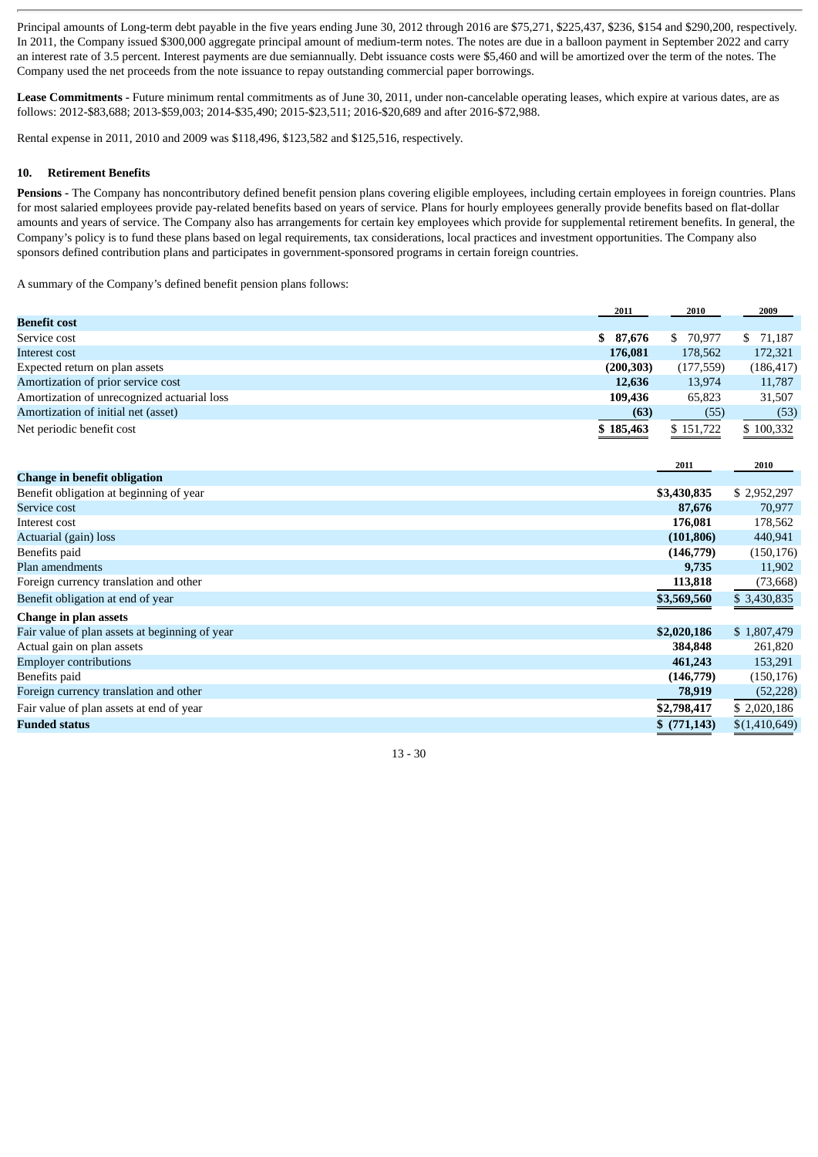Principal amounts of Long-term debt payable in the five years ending June 30, 2012 through 2016 are \$75,271, \$225,437, \$236, \$154 and \$290,200, respectively. In 2011, the Company issued \$300,000 aggregate principal amount of medium-term notes. The notes are due in a balloon payment in September 2022 and carry an interest rate of 3.5 percent. Interest payments are due semiannually. Debt issuance costs were \$5,460 and will be amortized over the term of the notes. The Company used the net proceeds from the note issuance to repay outstanding commercial paper borrowings.

**Lease Commitments -** Future minimum rental commitments as of June 30, 2011, under non-cancelable operating leases, which expire at various dates, are as follows: 2012-\$83,688; 2013-\$59,003; 2014-\$35,490; 2015-\$23,511; 2016-\$20,689 and after 2016-\$72,988.

Rental expense in 2011, 2010 and 2009 was \$118,496, \$123,582 and \$125,516, respectively.

## **10. Retirement Benefits**

**Pensions -** The Company has noncontributory defined benefit pension plans covering eligible employees, including certain employees in foreign countries. Plans for most salaried employees provide pay-related benefits based on years of service. Plans for hourly employees generally provide benefits based on flat-dollar amounts and years of service. The Company also has arrangements for certain key employees which provide for supplemental retirement benefits. In general, the Company's policy is to fund these plans based on legal requirements, tax considerations, local practices and investment opportunities. The Company also sponsors defined contribution plans and participates in government-sponsored programs in certain foreign countries.

A summary of the Company's defined benefit pension plans follows:

|                                             | 2011       | 2010       | 2009       |
|---------------------------------------------|------------|------------|------------|
| Benefit cost                                |            |            |            |
| Service cost                                | \$87,676   | \$ 70.977  | \$ 71,187  |
| Interest cost                               | 176,081    | 178.562    | 172,321    |
| Expected return on plan assets              | (200, 303) | (177, 559) | (186, 417) |
| Amortization of prior service cost          | 12,636     | 13,974     | 11,787     |
| Amortization of unrecognized actuarial loss | 109,436    | 65,823     | 31,507     |
| Amortization of initial net (asset)         | (63)       | (55)       | (53)       |
| Net periodic benefit cost                   | \$185,463  | \$151,722  | \$100,332  |
|                                             |            |            |            |

|                                                | 2011        | 2010          |
|------------------------------------------------|-------------|---------------|
| Change in benefit obligation                   |             |               |
| Benefit obligation at beginning of year        | \$3,430,835 | \$2,952,297   |
| Service cost                                   | 87,676      | 70,977        |
| Interest cost                                  | 176,081     | 178,562       |
| Actuarial (gain) loss                          | (101, 806)  | 440,941       |
| Benefits paid                                  | (146,779)   | (150, 176)    |
| Plan amendments                                | 9,735       | 11,902        |
| Foreign currency translation and other         | 113,818     | (73, 668)     |
| Benefit obligation at end of year              | \$3,569,560 | \$3,430,835   |
| Change in plan assets                          |             |               |
| Fair value of plan assets at beginning of year | \$2,020,186 | \$1,807,479   |
| Actual gain on plan assets                     | 384,848     | 261,820       |
| <b>Employer contributions</b>                  | 461,243     | 153,291       |
| Benefits paid                                  | (146,779)   | (150, 176)    |
| Foreign currency translation and other         | 78,919      | (52, 228)     |
| Fair value of plan assets at end of year       | \$2,798,417 | \$ 2,020,186  |
| <b>Funded status</b>                           | (771, 143)  | \$(1,410,649) |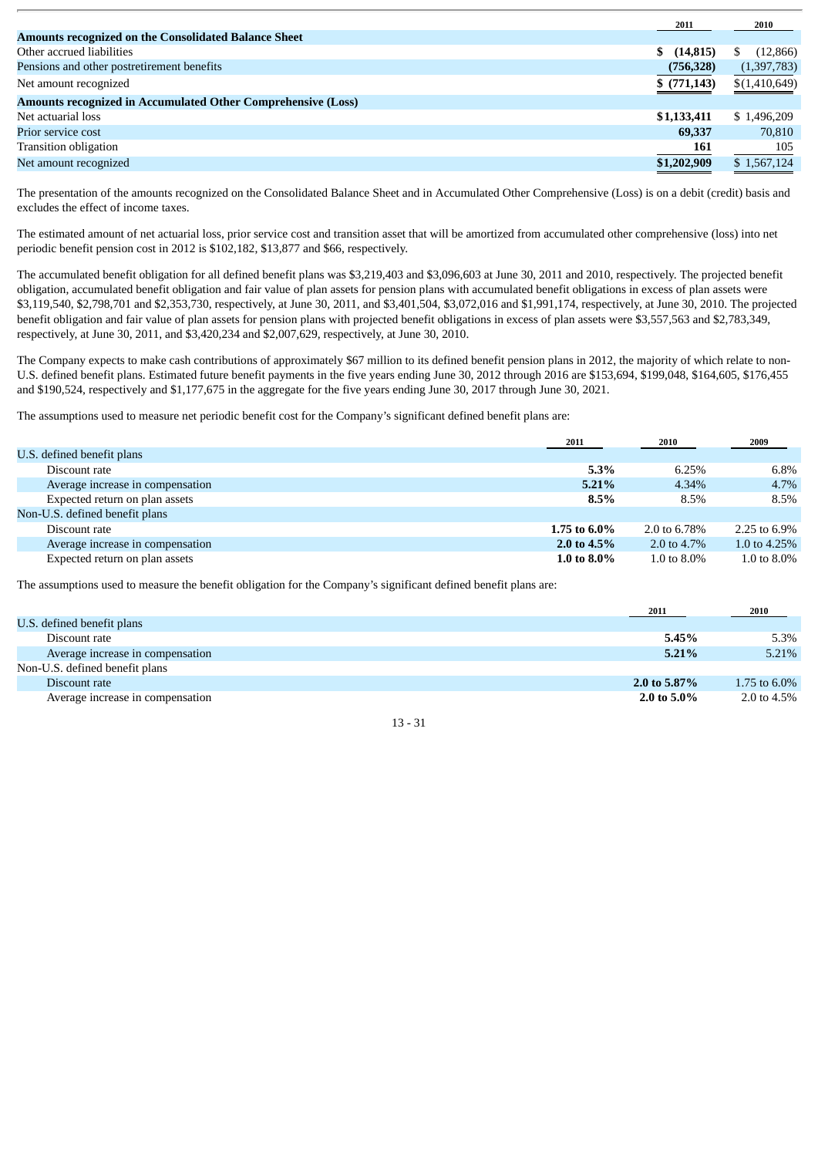|                                                              | 2011           | 2010          |
|--------------------------------------------------------------|----------------|---------------|
| <b>Amounts recognized on the Consolidated Balance Sheet</b>  |                |               |
| Other accrued liabilities                                    | S<br>(14, 815) | (12, 866)     |
| Pensions and other postretirement benefits                   | (756, 328)     | (1,397,783)   |
| Net amount recognized                                        | \$(771, 143)   | \$(1,410,649) |
| Amounts recognized in Accumulated Other Comprehensive (Loss) |                |               |
| Net actuarial loss                                           | \$1,133,411    | \$1,496,209   |
| Prior service cost                                           | 69,337         | 70,810        |
| <b>Transition obligation</b>                                 | 161            | 105           |
| Net amount recognized                                        | \$1,202,909    | \$1,567,124   |

The presentation of the amounts recognized on the Consolidated Balance Sheet and in Accumulated Other Comprehensive (Loss) is on a debit (credit) basis and excludes the effect of income taxes.

The estimated amount of net actuarial loss, prior service cost and transition asset that will be amortized from accumulated other comprehensive (loss) into net periodic benefit pension cost in 2012 is \$102,182, \$13,877 and \$66, respectively.

The accumulated benefit obligation for all defined benefit plans was \$3,219,403 and \$3,096,603 at June 30, 2011 and 2010, respectively. The projected benefit obligation, accumulated benefit obligation and fair value of plan assets for pension plans with accumulated benefit obligations in excess of plan assets were \$3,119,540, \$2,798,701 and \$2,353,730, respectively, at June 30, 2011, and \$3,401,504, \$3,072,016 and \$1,991,174, respectively, at June 30, 2010. The projected benefit obligation and fair value of plan assets for pension plans with projected benefit obligations in excess of plan assets were \$3,557,563 and \$2,783,349, respectively, at June 30, 2011, and \$3,420,234 and \$2,007,629, respectively, at June 30, 2010.

The Company expects to make cash contributions of approximately \$67 million to its defined benefit pension plans in 2012, the majority of which relate to non-U.S. defined benefit plans. Estimated future benefit payments in the five years ending June 30, 2012 through 2016 are \$153,694, \$199,048, \$164,605, \$176,455 and \$190,524, respectively and \$1,177,675 in the aggregate for the five years ending June 30, 2017 through June 30, 2021.

The assumptions used to measure net periodic benefit cost for the Company's significant defined benefit plans are:

|                                  | 2011           | 2010         | 2009         |
|----------------------------------|----------------|--------------|--------------|
| U.S. defined benefit plans       |                |              |              |
| Discount rate                    | $5.3\%$        | 6.25%        | $6.8\%$      |
| Average increase in compensation | $5.21\%$       | 4.34%        | 4.7%         |
| Expected return on plan assets   | $8.5\%$        | 8.5%         | 8.5%         |
| Non-U.S. defined benefit plans   |                |              |              |
| Discount rate                    | 1.75 to 6.0%   | 2.0 to 6.78% | 2.25 to 6.9% |
| Average increase in compensation | 2.0 to $4.5\%$ | 2.0 to 4.7%  | 1.0 to 4.25% |
| Expected return on plan assets   | 1.0 to 8.0%    | 1.0 to 8.0%  | 1.0 to 8.0%  |

The assumptions used to measure the benefit obligation for the Company's significant defined benefit plans are:

|                                  | 2011         | 2010            |
|----------------------------------|--------------|-----------------|
| U.S. defined benefit plans       |              |                 |
| Discount rate                    | 5.45%        | 5.3%            |
| Average increase in compensation | $5.21\%$     | 5.21%           |
| Non-U.S. defined benefit plans   |              |                 |
| Discount rate                    | 2.0 to 5.87% | 1.75 to $6.0\%$ |
| Average increase in compensation | 2.0 to 5.0%  | 2.0 to $4.5\%$  |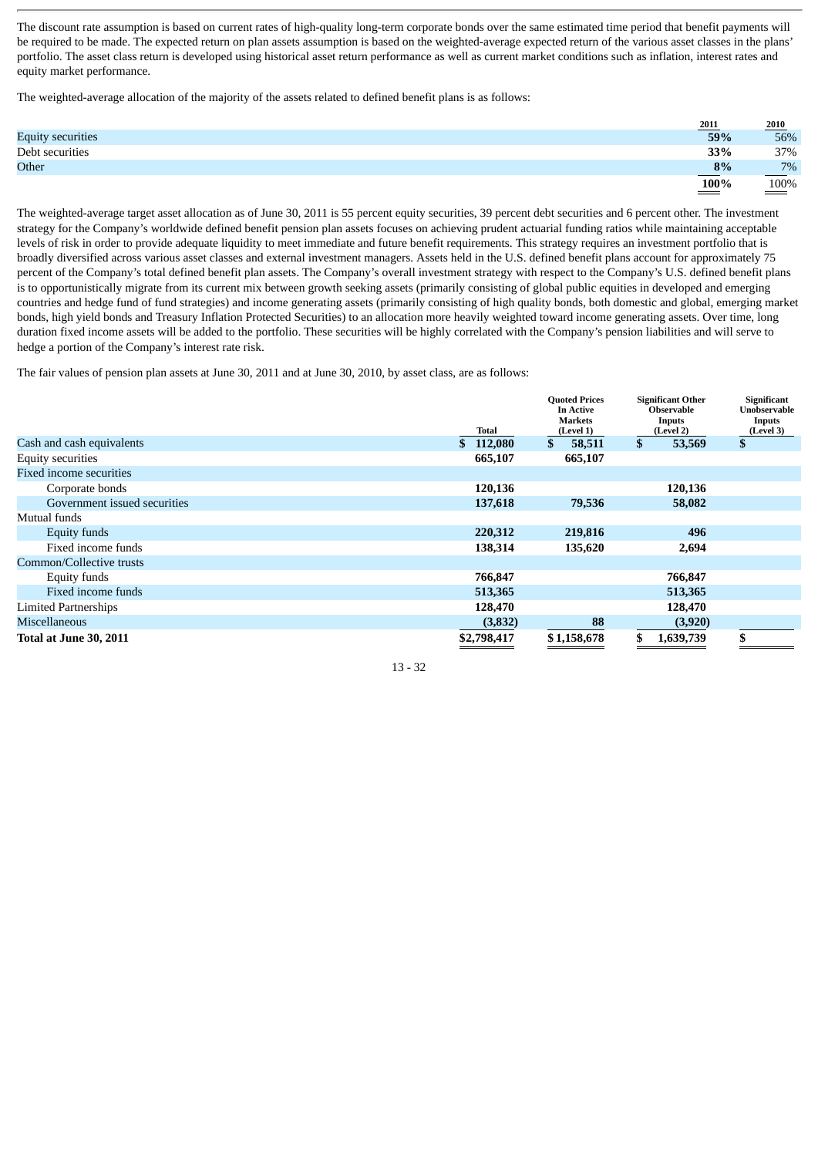The discount rate assumption is based on current rates of high-quality long-term corporate bonds over the same estimated time period that benefit payments will be required to be made. The expected return on plan assets assumption is based on the weighted-average expected return of the various asset classes in the plans' portfolio. The asset class return is developed using historical asset return performance as well as current market conditions such as inflation, interest rates and equity market performance.

The weighted-average allocation of the majority of the assets related to defined benefit plans is as follows:

|                          | 2011                                      | 2010 |
|--------------------------|-------------------------------------------|------|
| <b>Equity securities</b> | 59%                                       | 56%  |
| Debt securities          | 33%                                       | 37%  |
| Other                    | 8%<br>the contract of the contract of the | 7%   |
|                          | 100%                                      | 100% |

The weighted-average target asset allocation as of June 30, 2011 is 55 percent equity securities, 39 percent debt securities and 6 percent other. The investment strategy for the Company's worldwide defined benefit pension plan assets focuses on achieving prudent actuarial funding ratios while maintaining acceptable levels of risk in order to provide adequate liquidity to meet immediate and future benefit requirements. This strategy requires an investment portfolio that is broadly diversified across various asset classes and external investment managers. Assets held in the U.S. defined benefit plans account for approximately 75 percent of the Company's total defined benefit plan assets. The Company's overall investment strategy with respect to the Company's U.S. defined benefit plans is to opportunistically migrate from its current mix between growth seeking assets (primarily consisting of global public equities in developed and emerging countries and hedge fund of fund strategies) and income generating assets (primarily consisting of high quality bonds, both domestic and global, emerging market bonds, high yield bonds and Treasury Inflation Protected Securities) to an allocation more heavily weighted toward income generating assets. Over time, long duration fixed income assets will be added to the portfolio. These securities will be highly correlated with the Company's pension liabilities and will serve to hedge a portion of the Company's interest rate risk.

The fair values of pension plan assets at June 30, 2011 and at June 30, 2010, by asset class, are as follows:

|                              | Total       | <b>Quoted Prices</b><br><b>In Active</b><br><b>Markets</b><br>(Level 1) | <b>Significant Other</b><br><b>Observable</b><br>Inputs<br>(Level 2) | Significant<br>Unobservable<br>Inputs<br>(Level 3) |
|------------------------------|-------------|-------------------------------------------------------------------------|----------------------------------------------------------------------|----------------------------------------------------|
| Cash and cash equivalents    | \$112,080   | \$<br>58,511                                                            | \$<br>53,569                                                         | \$                                                 |
| Equity securities            | 665,107     | 665,107                                                                 |                                                                      |                                                    |
| Fixed income securities      |             |                                                                         |                                                                      |                                                    |
| Corporate bonds              | 120,136     |                                                                         | 120,136                                                              |                                                    |
| Government issued securities | 137,618     | 79,536                                                                  | 58,082                                                               |                                                    |
| Mutual funds                 |             |                                                                         |                                                                      |                                                    |
| <b>Equity funds</b>          | 220,312     | 219,816                                                                 | 496                                                                  |                                                    |
| Fixed income funds           | 138,314     | 135,620                                                                 | 2,694                                                                |                                                    |
| Common/Collective trusts     |             |                                                                         |                                                                      |                                                    |
| Equity funds                 | 766,847     |                                                                         | 766,847                                                              |                                                    |
| Fixed income funds           | 513,365     |                                                                         | 513,365                                                              |                                                    |
| Limited Partnerships         | 128,470     |                                                                         | 128,470                                                              |                                                    |
| Miscellaneous                | (3, 832)    | 88                                                                      | (3,920)                                                              |                                                    |
| Total at June 30, 2011       | \$2,798,417 | \$1,158,678                                                             | 1,639,739<br>\$                                                      |                                                    |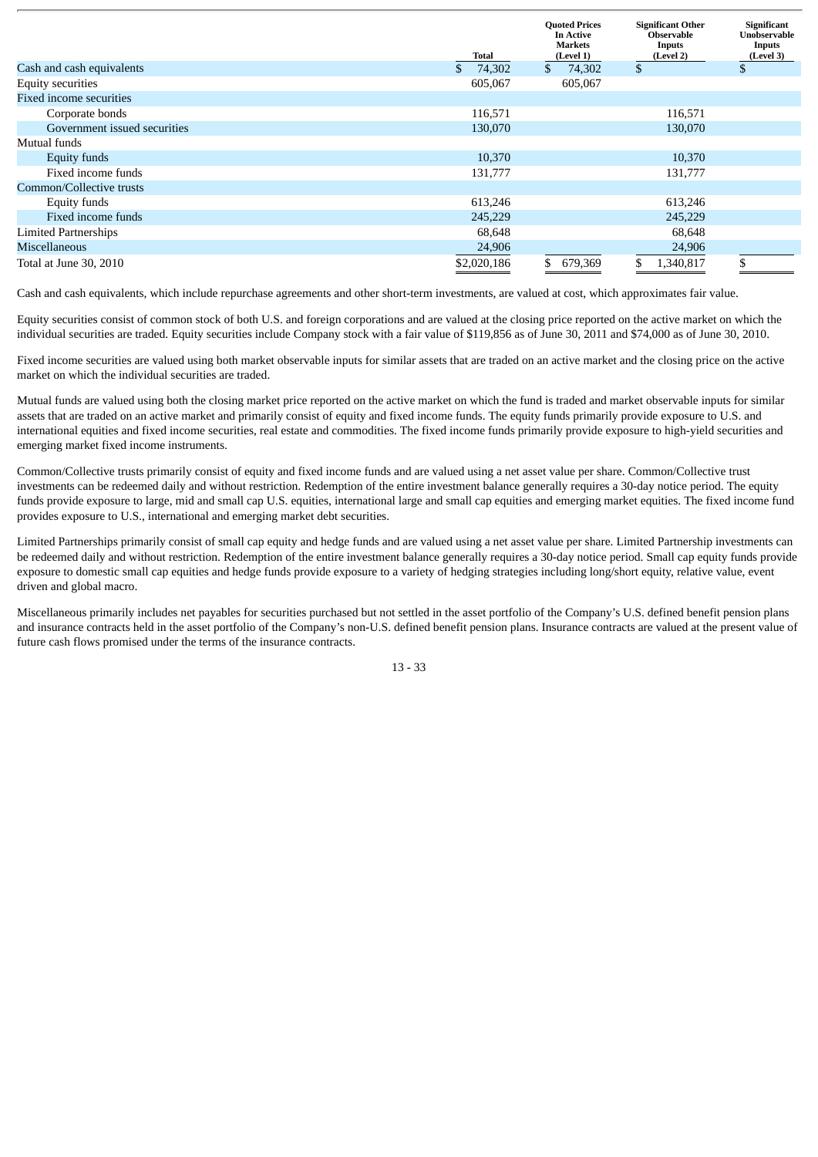|                                | <b>Total</b> | <b>Ouoted Prices</b><br><b>In Active</b><br><b>Markets</b><br>(Level 1) | <b>Significant Other</b><br><b>Observable</b><br>Inputs<br>(Level 2) | Significant<br><b>Unobservable</b><br>Inputs<br>(Level 3) |
|--------------------------------|--------------|-------------------------------------------------------------------------|----------------------------------------------------------------------|-----------------------------------------------------------|
| Cash and cash equivalents      | 74,302       | $\mathbb{S}$<br>74,302                                                  | $\mathbb{S}$                                                         | \$                                                        |
| <b>Equity securities</b>       | 605,067      | 605,067                                                                 |                                                                      |                                                           |
| <b>Fixed income securities</b> |              |                                                                         |                                                                      |                                                           |
| Corporate bonds                | 116,571      |                                                                         | 116,571                                                              |                                                           |
| Government issued securities   | 130,070      |                                                                         | 130,070                                                              |                                                           |
| Mutual funds                   |              |                                                                         |                                                                      |                                                           |
| Equity funds                   | 10,370       |                                                                         | 10,370                                                               |                                                           |
| Fixed income funds             | 131,777      |                                                                         | 131,777                                                              |                                                           |
| Common/Collective trusts       |              |                                                                         |                                                                      |                                                           |
| Equity funds                   | 613,246      |                                                                         | 613,246                                                              |                                                           |
| Fixed income funds             | 245,229      |                                                                         | 245,229                                                              |                                                           |
| <b>Limited Partnerships</b>    | 68,648       |                                                                         | 68,648                                                               |                                                           |
| Miscellaneous                  | 24,906       |                                                                         | 24,906                                                               |                                                           |
| Total at June 30, 2010         | \$2,020,186  | 679,369                                                                 | 1,340,817                                                            |                                                           |

Cash and cash equivalents, which include repurchase agreements and other short-term investments, are valued at cost, which approximates fair value.

Equity securities consist of common stock of both U.S. and foreign corporations and are valued at the closing price reported on the active market on which the individual securities are traded. Equity securities include Company stock with a fair value of \$119,856 as of June 30, 2011 and \$74,000 as of June 30, 2010.

Fixed income securities are valued using both market observable inputs for similar assets that are traded on an active market and the closing price on the active market on which the individual securities are traded.

Mutual funds are valued using both the closing market price reported on the active market on which the fund is traded and market observable inputs for similar assets that are traded on an active market and primarily consist of equity and fixed income funds. The equity funds primarily provide exposure to U.S. and international equities and fixed income securities, real estate and commodities. The fixed income funds primarily provide exposure to high-yield securities and emerging market fixed income instruments.

Common/Collective trusts primarily consist of equity and fixed income funds and are valued using a net asset value per share. Common/Collective trust investments can be redeemed daily and without restriction. Redemption of the entire investment balance generally requires a 30-day notice period. The equity funds provide exposure to large, mid and small cap U.S. equities, international large and small cap equities and emerging market equities. The fixed income fund provides exposure to U.S., international and emerging market debt securities.

Limited Partnerships primarily consist of small cap equity and hedge funds and are valued using a net asset value per share. Limited Partnership investments can be redeemed daily and without restriction. Redemption of the entire investment balance generally requires a 30-day notice period. Small cap equity funds provide exposure to domestic small cap equities and hedge funds provide exposure to a variety of hedging strategies including long/short equity, relative value, event driven and global macro.

Miscellaneous primarily includes net payables for securities purchased but not settled in the asset portfolio of the Company's U.S. defined benefit pension plans and insurance contracts held in the asset portfolio of the Company's non-U.S. defined benefit pension plans. Insurance contracts are valued at the present value of future cash flows promised under the terms of the insurance contracts.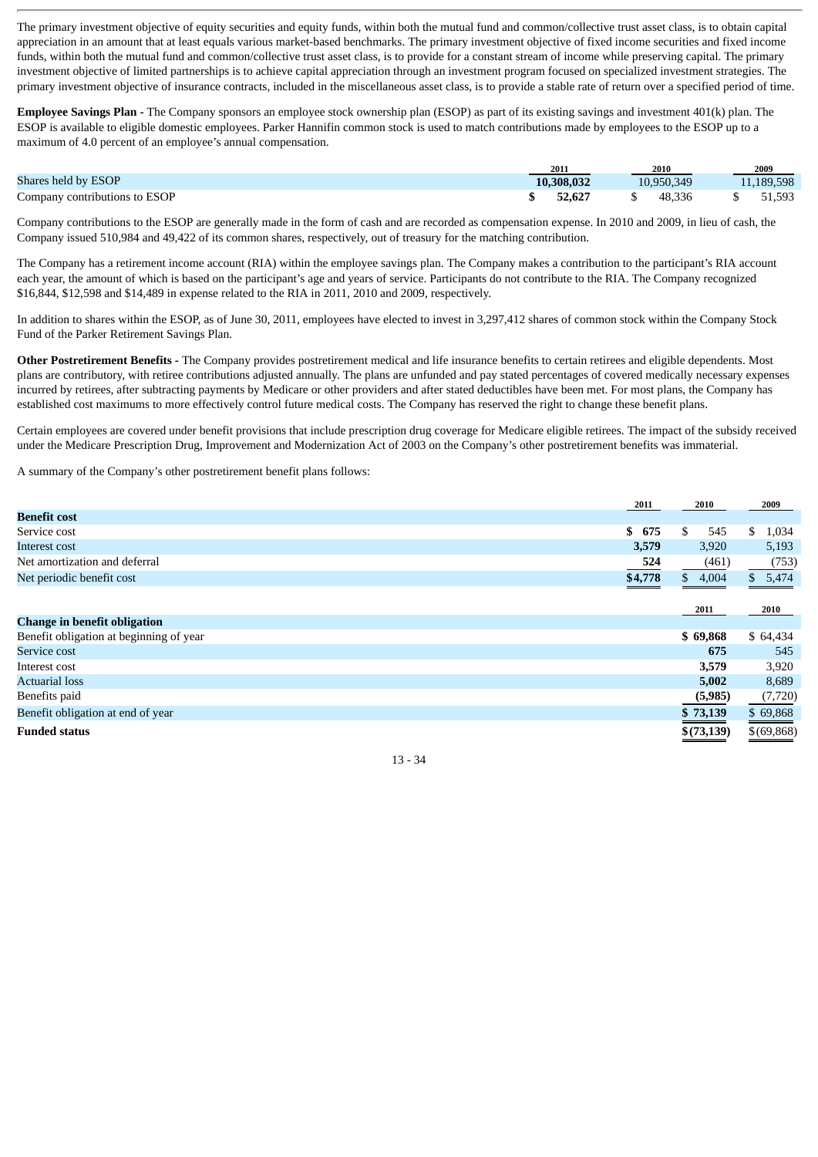The primary investment objective of equity securities and equity funds, within both the mutual fund and common/collective trust asset class, is to obtain capital appreciation in an amount that at least equals various market-based benchmarks. The primary investment objective of fixed income securities and fixed income funds, within both the mutual fund and common/collective trust asset class, is to provide for a constant stream of income while preserving capital. The primary investment objective of limited partnerships is to achieve capital appreciation through an investment program focused on specialized investment strategies. The primary investment objective of insurance contracts, included in the miscellaneous asset class, is to provide a stable rate of return over a specified period of time.

**Employee Savings Plan -** The Company sponsors an employee stock ownership plan (ESOP) as part of its existing savings and investment 401(k) plan. The ESOP is available to eligible domestic employees. Parker Hannifin common stock is used to match contributions made by employees to the ESOP up to a maximum of 4.0 percent of an employee's annual compensation.

|                               | 2011       | 2010       |   | 2009       |
|-------------------------------|------------|------------|---|------------|
| Shares held by ESOP           | 10.308.032 | 10.950.349 |   | 11,189,598 |
| Company contributions to ESOP | 52,627     | 48,336     | u | 51,593     |

Company contributions to the ESOP are generally made in the form of cash and are recorded as compensation expense. In 2010 and 2009, in lieu of cash, the Company issued 510,984 and 49,422 of its common shares, respectively, out of treasury for the matching contribution.

The Company has a retirement income account (RIA) within the employee savings plan. The Company makes a contribution to the participant's RIA account each year, the amount of which is based on the participant's age and years of service. Participants do not contribute to the RIA. The Company recognized \$16,844, \$12,598 and \$14,489 in expense related to the RIA in 2011, 2010 and 2009, respectively.

In addition to shares within the ESOP, as of June 30, 2011, employees have elected to invest in 3,297,412 shares of common stock within the Company Stock Fund of the Parker Retirement Savings Plan.

**Other Postretirement Benefits -** The Company provides postretirement medical and life insurance benefits to certain retirees and eligible dependents. Most plans are contributory, with retiree contributions adjusted annually. The plans are unfunded and pay stated percentages of covered medically necessary expenses incurred by retirees, after subtracting payments by Medicare or other providers and after stated deductibles have been met. For most plans, the Company has established cost maximums to more effectively control future medical costs. The Company has reserved the right to change these benefit plans.

Certain employees are covered under benefit provisions that include prescription drug coverage for Medicare eligible retirees. The impact of the subsidy received under the Medicare Prescription Drug, Improvement and Modernization Act of 2003 on the Company's other postretirement benefits was immaterial.

A summary of the Company's other postretirement benefit plans follows:

|                                         | 2011      | 2010        | 2009         |
|-----------------------------------------|-----------|-------------|--------------|
| <b>Benefit cost</b>                     |           |             |              |
| Service cost                            | \$<br>675 | \$<br>545   | 1,034<br>\$  |
| Interest cost                           | 3,579     | 3,920       | 5,193        |
| Net amortization and deferral           | 524       | (461)       | (753)        |
| Net periodic benefit cost               | \$4,778   | 4,004<br>\$ | \$5,474      |
|                                         |           |             |              |
|                                         |           | 2011        | 2010         |
| <b>Change in benefit obligation</b>     |           |             |              |
| Benefit obligation at beginning of year |           | \$69,868    | \$64,434     |
| Service cost                            |           | 675         | 545          |
| Interest cost                           |           | 3,579       | 3,920        |
| <b>Actuarial loss</b>                   |           | 5,002       | 8,689        |
| Benefits paid                           |           | (5,985)     | (7, 720)     |
| Benefit obligation at end of year       |           | \$73,139    | \$69,868     |
| <b>Funded status</b>                    |           | \$(73,139)  | \$ (69, 868) |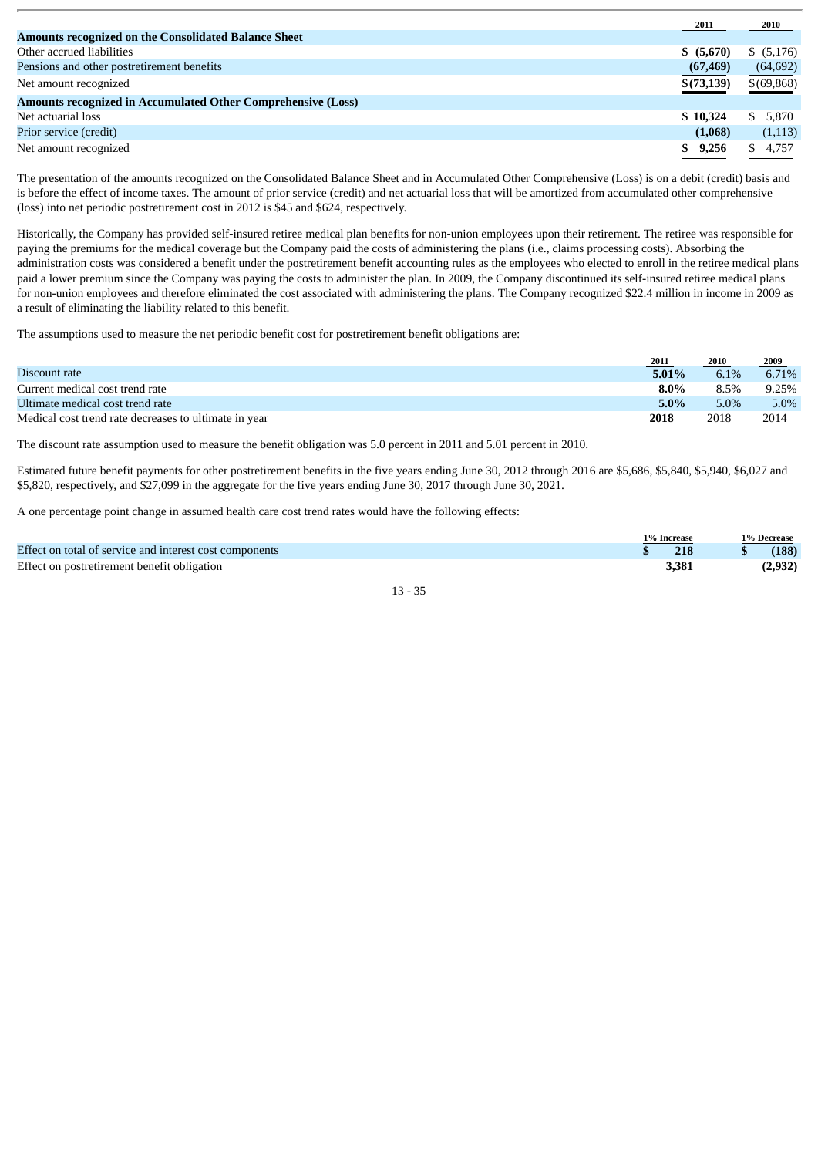|                                                                     | 2011       | 2010                  |
|---------------------------------------------------------------------|------------|-----------------------|
| <b>Amounts recognized on the Consolidated Balance Sheet</b>         |            |                       |
| Other accrued liabilities                                           | \$ (5,670) | \$ (5,176)            |
| Pensions and other postretirement benefits                          | (67, 469)  | (64, 692)             |
| Net amount recognized                                               | \$(73,139) | $\frac{$(69,868)}{2}$ |
| <b>Amounts recognized in Accumulated Other Comprehensive (Loss)</b> |            |                       |
| Net actuarial loss                                                  | \$10,324   | \$5,870               |
| Prior service (credit)                                              | (1,068)    | (1,113)               |
| Net amount recognized                                               | \$9,256    | \$4,757               |

The presentation of the amounts recognized on the Consolidated Balance Sheet and in Accumulated Other Comprehensive (Loss) is on a debit (credit) basis and is before the effect of income taxes. The amount of prior service (credit) and net actuarial loss that will be amortized from accumulated other comprehensive (loss) into net periodic postretirement cost in 2012 is \$45 and \$624, respectively.

Historically, the Company has provided self-insured retiree medical plan benefits for non-union employees upon their retirement. The retiree was responsible for paying the premiums for the medical coverage but the Company paid the costs of administering the plans (i.e., claims processing costs). Absorbing the administration costs was considered a benefit under the postretirement benefit accounting rules as the employees who elected to enroll in the retiree medical plans paid a lower premium since the Company was paying the costs to administer the plan. In 2009, the Company discontinued its self-insured retiree medical plans for non-union employees and therefore eliminated the cost associated with administering the plans. The Company recognized \$22.4 million in income in 2009 as a result of eliminating the liability related to this benefit.

The assumptions used to measure the net periodic benefit cost for postretirement benefit obligations are:

|                                                       | 2011     | 2010    | 2009    |
|-------------------------------------------------------|----------|---------|---------|
| Discount rate                                         | $5.01\%$ | $6.1\%$ | 6.71%   |
| Current medical cost trend rate                       | $8.0\%$  | 8.5%    | 9.25%   |
| Ultimate medical cost trend rate                      | $5.0\%$  | 5.0%    | $5.0\%$ |
| Medical cost trend rate decreases to ultimate in year | 2018     | 2018    | 2014    |

The discount rate assumption used to measure the benefit obligation was 5.0 percent in 2011 and 5.01 percent in 2010.

Estimated future benefit payments for other postretirement benefits in the five years ending June 30, 2012 through 2016 are \$5,686, \$5,840, \$5,940, \$6,027 and \$5,820, respectively, and \$27,099 in the aggregate for the five years ending June 30, 2017 through June 30, 2021.

A one percentage point change in assumed health care cost trend rates would have the following effects:

|                                                         | 1% Increase | 1% Decrease |  |
|---------------------------------------------------------|-------------|-------------|--|
| Effect on total of service and interest cost components | 218         | (188)       |  |
| Effect on postretirement benefit obligation             | 3.381       | (2.932)     |  |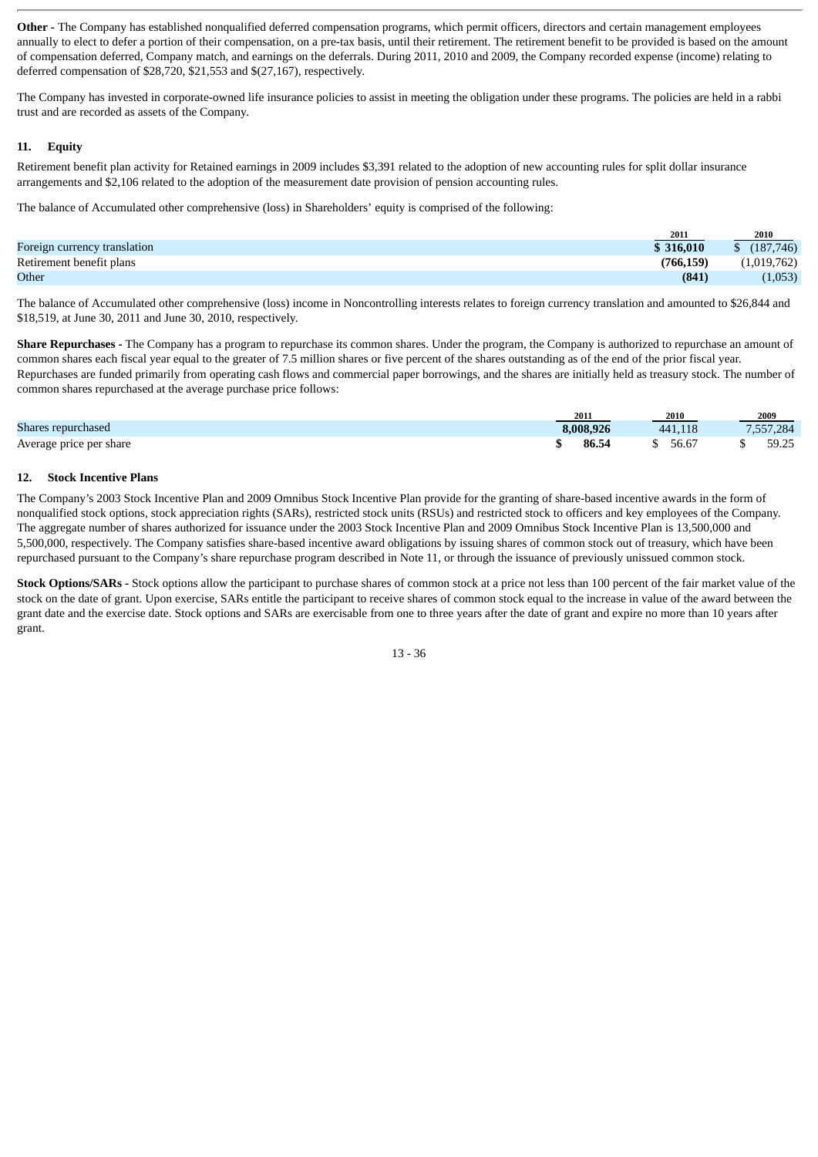**Other -** The Company has established nonqualified deferred compensation programs, which permit officers, directors and certain management employees annually to elect to defer a portion of their compensation, on a pre-tax basis, until their retirement. The retirement benefit to be provided is based on the amount of compensation deferred, Company match, and earnings on the deferrals. During 2011, 2010 and 2009, the Company recorded expense (income) relating to deferred compensation of \$28,720, \$21,553 and \$(27,167), respectively.

The Company has invested in corporate-owned life insurance policies to assist in meeting the obligation under these programs. The policies are held in a rabbi trust and are recorded as assets of the Company.

#### **11. Equity**

Retirement benefit plan activity for Retained earnings in 2009 includes \$3,391 related to the adoption of new accounting rules for split dollar insurance arrangements and \$2,106 related to the adoption of the measurement date provision of pension accounting rules.

The balance of Accumulated other comprehensive (loss) in Shareholders' equity is comprised of the following:

|                              | 2011       | 2010             |
|------------------------------|------------|------------------|
| Foreign currency translation | \$316,010  | $$^{(187,746)}$$ |
| Retirement benefit plans     | (766, 159) | (1,019,762)      |
| Other                        | (841)      | (1,053)          |

The balance of Accumulated other comprehensive (loss) income in Noncontrolling interests relates to foreign currency translation and amounted to \$26,844 and \$18,519, at June 30, 2011 and June 30, 2010, respectively.

**Share Repurchases -** The Company has a program to repurchase its common shares. Under the program, the Company is authorized to repurchase an amount of common shares each fiscal year equal to the greater of 7.5 million shares or five percent of the shares outstanding as of the end of the prior fiscal year. Repurchases are funded primarily from operating cash flows and commercial paper borrowings, and the shares are initially held as treasury stock. The number of common shares repurchased at the average purchase price follows:

|                         | 2011      | 2010 |         | 2009      |
|-------------------------|-----------|------|---------|-----------|
| Shares repurchased      | 8.008.926 |      | 441,118 | 7,557,284 |
| Average price per share | 86.54     |      | 56.67   | 59.25     |

#### **12. Stock Incentive Plans**

The Company's 2003 Stock Incentive Plan and 2009 Omnibus Stock Incentive Plan provide for the granting of share-based incentive awards in the form of nonqualified stock options, stock appreciation rights (SARs), restricted stock units (RSUs) and restricted stock to officers and key employees of the Company. The aggregate number of shares authorized for issuance under the 2003 Stock Incentive Plan and 2009 Omnibus Stock Incentive Plan is 13,500,000 and 5,500,000, respectively. The Company satisfies share-based incentive award obligations by issuing shares of common stock out of treasury, which have been repurchased pursuant to the Company's share repurchase program described in Note 11, or through the issuance of previously unissued common stock.

**Stock Options/SARs -** Stock options allow the participant to purchase shares of common stock at a price not less than 100 percent of the fair market value of the stock on the date of grant. Upon exercise, SARs entitle the participant to receive shares of common stock equal to the increase in value of the award between the grant date and the exercise date. Stock options and SARs are exercisable from one to three years after the date of grant and expire no more than 10 years after grant.

$$
13-36
$$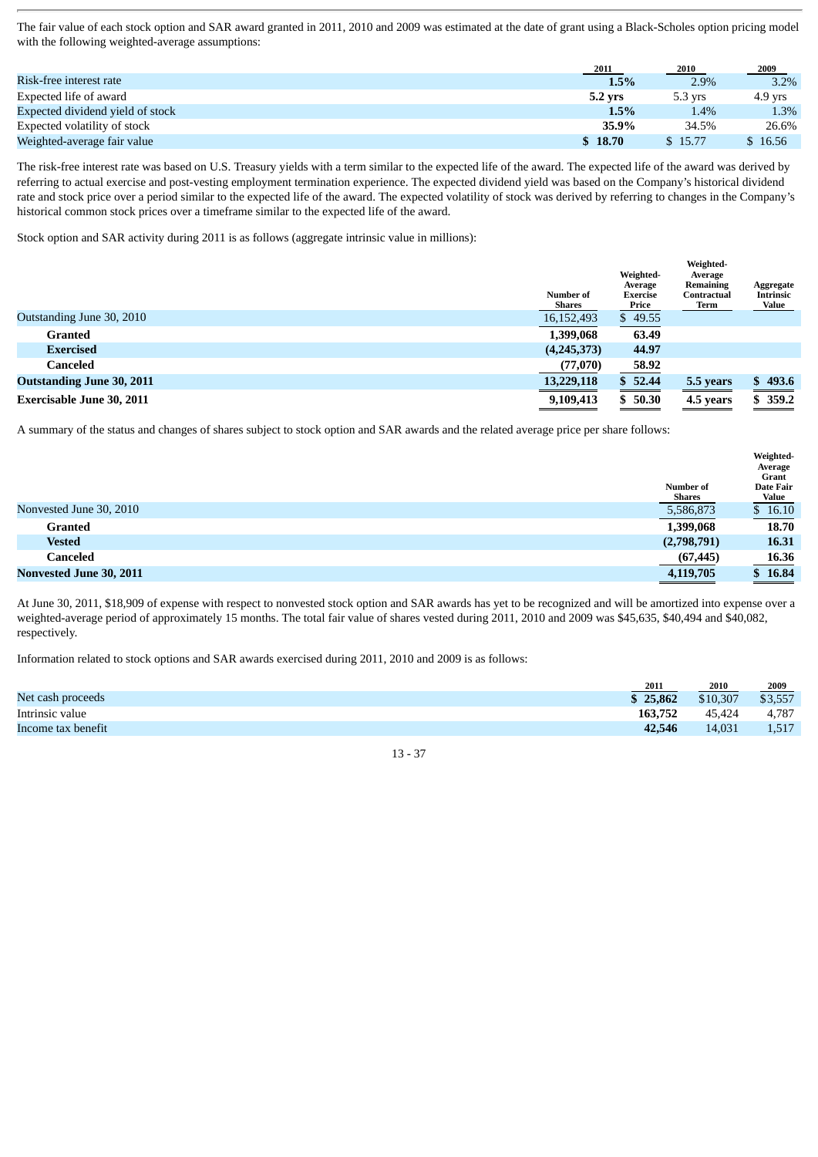The fair value of each stock option and SAR award granted in 2011, 2010 and 2009 was estimated at the date of grant using a Black-Scholes option pricing model with the following weighted-average assumptions:

|                                  | 2011      | 2010      | 2009      |
|----------------------------------|-----------|-----------|-----------|
| Risk-free interest rate          | 1.5%      | 2.9%      | $3.2\%$   |
| Expected life of award           | $5.2$ yrs | $5.3$ vrs | $4.9$ yrs |
| Expected dividend yield of stock | 1.5%      | $1.4\%$   | 1.3%      |
| Expected volatility of stock     | 35.9%     | 34.5%     | 26.6%     |
| Weighted-average fair value      | \$18.70   | \$15.77   | \$16.56   |

The risk-free interest rate was based on U.S. Treasury yields with a term similar to the expected life of the award. The expected life of the award was derived by referring to actual exercise and post-vesting employment termination experience. The expected dividend yield was based on the Company's historical dividend rate and stock price over a period similar to the expected life of the award. The expected volatility of stock was derived by referring to changes in the Company's historical common stock prices over a timeframe similar to the expected life of the award.

Stock option and SAR activity during 2011 is as follows (aggregate intrinsic value in millions):

|                                  | Number of<br>Shares | Weighted-<br>Average<br><b>Exercise</b><br>Price | Weighted-<br>Average<br>Remaining<br>Contractual<br>Term                                                                     | Aggregate<br>Intrinsic<br>Value |
|----------------------------------|---------------------|--------------------------------------------------|------------------------------------------------------------------------------------------------------------------------------|---------------------------------|
| Outstanding June 30, 2010        | 16,152,493          | \$49.55                                          |                                                                                                                              |                                 |
| Granted                          | 1,399,068           | 63.49                                            |                                                                                                                              |                                 |
| <b>Exercised</b>                 | (4,245,373)         | 44.97                                            |                                                                                                                              |                                 |
| Canceled                         | (77,070)            | 58.92                                            |                                                                                                                              |                                 |
| <b>Outstanding June 30, 2011</b> | 13,229,118          | \$52.44                                          | 5.5 years<br>the contract of the contract of the contract of the contract of the contract of the contract of the contract of | \$493.6                         |
| Exercisable June 30, 2011        | 9,109,413           | \$50.30                                          | 4.5 years                                                                                                                    | \$359.2                         |

A summary of the status and changes of shares subject to stock option and SAR awards and the related average price per share follows:

|                                | Number of<br>Shares | Weighted-<br>Average<br>Grant<br>Date Fair<br><b>Value</b> |
|--------------------------------|---------------------|------------------------------------------------------------|
| Nonvested June 30, 2010        | 5,586,873           | \$16.10                                                    |
| <b>Granted</b>                 | 1,399,068           | 18.70                                                      |
| <b>Vested</b>                  | (2,798,791)         | 16.31                                                      |
| <b>Canceled</b>                | (67, 445)           | 16.36                                                      |
| <b>Nonvested June 30, 2011</b> | 4,119,705           | \$16.84                                                    |

At June 30, 2011, \$18,909 of expense with respect to nonvested stock option and SAR awards has yet to be recognized and will be amortized into expense over a weighted-average period of approximately 15 months. The total fair value of shares vested during 2011, 2010 and 2009 was \$45,635, \$40,494 and \$40,082, respectively.

Information related to stock options and SAR awards exercised during 2011, 2010 and 2009 is as follows:

|                    | 2011     | 2010     | 2009    |
|--------------------|----------|----------|---------|
| Net cash proceeds  | \$25.862 | \$10,307 | \$3,557 |
| Intrinsic value    | 163,752  | 45,424   | 4,787   |
| Income tax benefit | 42,546   | 14,031   | 1,517   |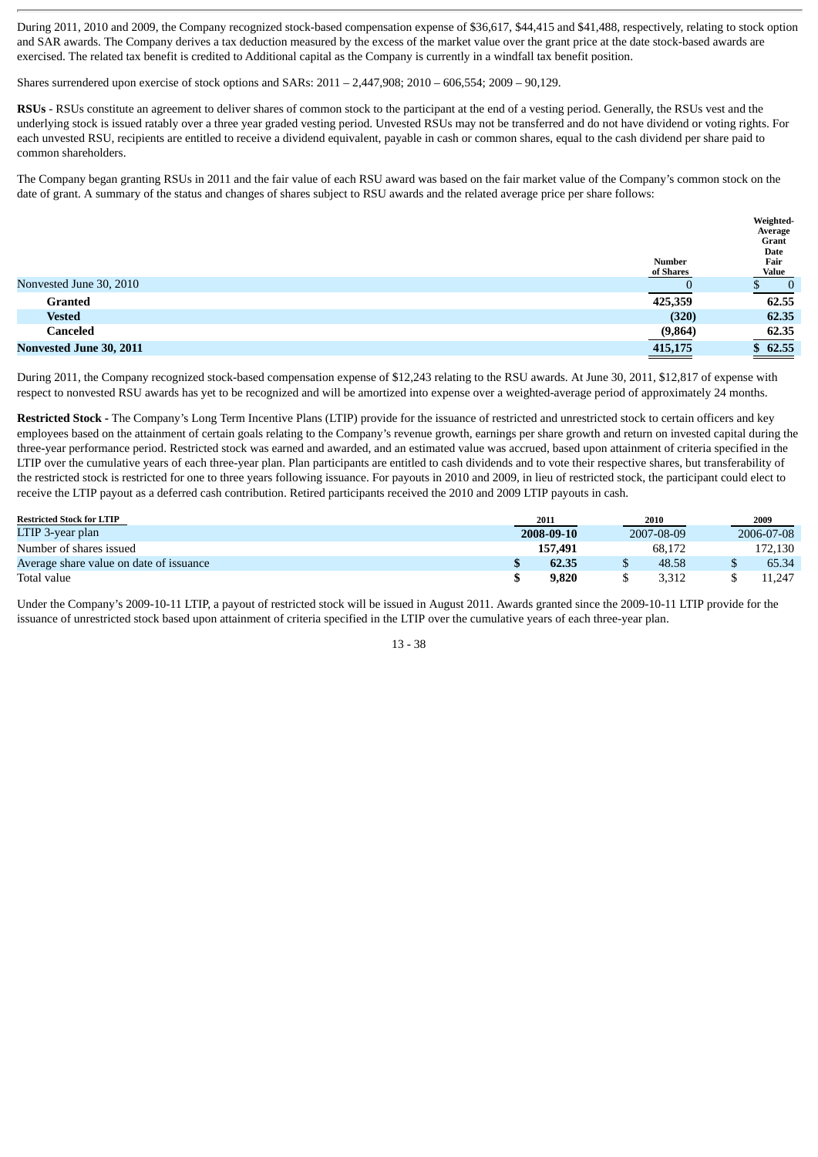During 2011, 2010 and 2009, the Company recognized stock-based compensation expense of \$36,617, \$44,415 and \$41,488, respectively, relating to stock option and SAR awards. The Company derives a tax deduction measured by the excess of the market value over the grant price at the date stock-based awards are exercised. The related tax benefit is credited to Additional capital as the Company is currently in a windfall tax benefit position.

Shares surrendered upon exercise of stock options and SARs: 2011 – 2,447,908; 2010 – 606,554; 2009 – 90,129.

**RSUs** - RSUs constitute an agreement to deliver shares of common stock to the participant at the end of a vesting period. Generally, the RSUs vest and the underlying stock is issued ratably over a three year graded vesting period. Unvested RSUs may not be transferred and do not have dividend or voting rights. For each unvested RSU, recipients are entitled to receive a dividend equivalent, payable in cash or common shares, equal to the cash dividend per share paid to common shareholders.

The Company began granting RSUs in 2011 and the fair value of each RSU award was based on the fair market value of the Company's common stock on the date of grant. A summary of the status and changes of shares subject to RSU awards and the related average price per share follows:

|                                |               | Weighted-      |
|--------------------------------|---------------|----------------|
|                                |               | Average        |
|                                |               | Grant          |
|                                |               | Date           |
|                                | <b>Number</b> | Fair           |
|                                | of Shares     | Value          |
| Nonvested June 30, 2010        |               | $\overline{0}$ |
| Granted                        | 425,359       | 62.55          |
| <b>Vested</b>                  | (320)         | 62.35          |
| <b>Canceled</b>                | (9, 864)      | 62.35          |
| <b>Nonvested June 30, 2011</b> | 415,175       | \$62.55        |

During 2011, the Company recognized stock-based compensation expense of \$12,243 relating to the RSU awards. At June 30, 2011, \$12,817 of expense with respect to nonvested RSU awards has yet to be recognized and will be amortized into expense over a weighted-average period of approximately 24 months.

**Restricted Stock -** The Company's Long Term Incentive Plans (LTIP) provide for the issuance of restricted and unrestricted stock to certain officers and key employees based on the attainment of certain goals relating to the Company's revenue growth, earnings per share growth and return on invested capital during the three-year performance period. Restricted stock was earned and awarded, and an estimated value was accrued, based upon attainment of criteria specified in the LTIP over the cumulative years of each three-year plan. Plan participants are entitled to cash dividends and to vote their respective shares, but transferability of the restricted stock is restricted for one to three years following issuance. For payouts in 2010 and 2009, in lieu of restricted stock, the participant could elect to receive the LTIP payout as a deferred cash contribution. Retired participants received the 2010 and 2009 LTIP payouts in cash.

| <b>Restricted Stock for LTIP</b>        | 2011       |         | 2010       | 2009       |
|-----------------------------------------|------------|---------|------------|------------|
| LTIP 3-year plan                        | 2008-09-10 |         | 2007-08-09 | 2006-07-08 |
| Number of shares issued                 |            | 157,491 | 68,172     | 172,130    |
| Average share value on date of issuance |            | 62.35   | 48.58      | 65.34      |
| Total value                             |            | 9,820   | 3.312      | 1.247      |

Under the Company's 2009-10-11 LTIP, a payout of restricted stock will be issued in August 2011. Awards granted since the 2009-10-11 LTIP provide for the issuance of unrestricted stock based upon attainment of criteria specified in the LTIP over the cumulative years of each three-year plan.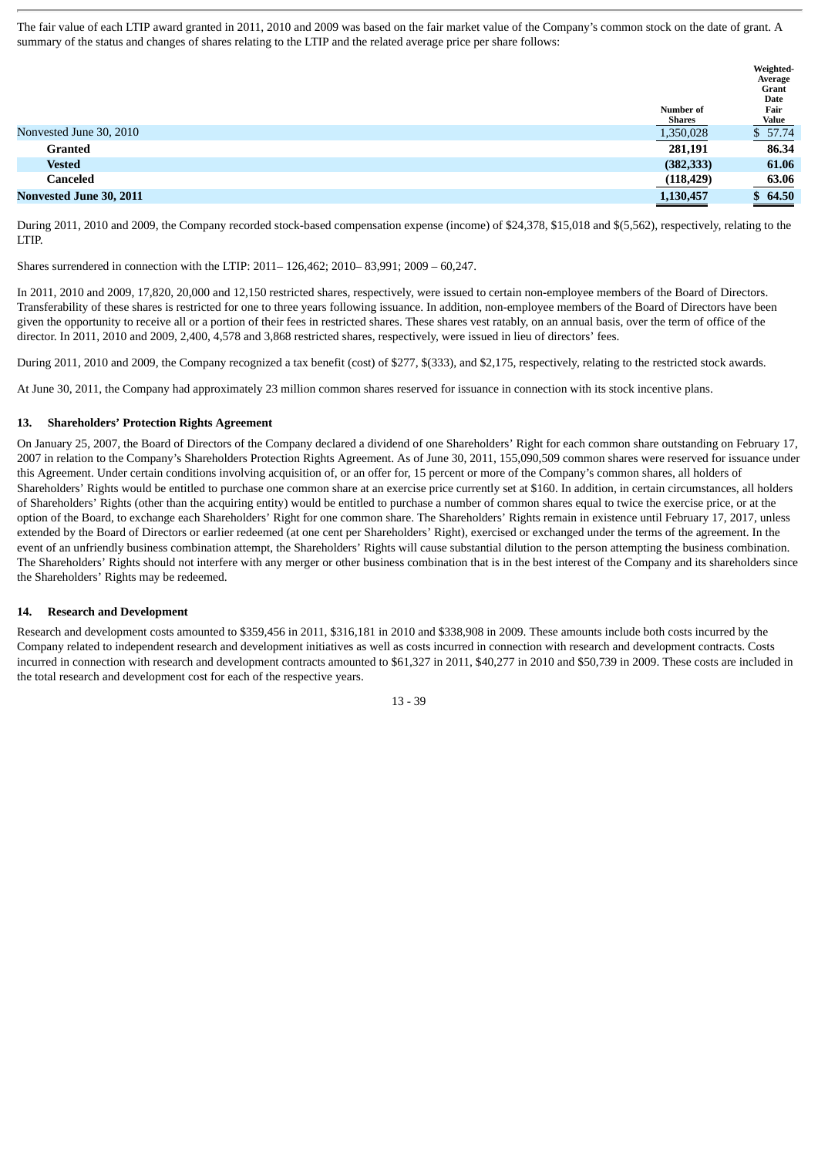The fair value of each LTIP award granted in 2011, 2010 and 2009 was based on the fair market value of the Company's common stock on the date of grant. A summary of the status and changes of shares relating to the LTIP and the related average price per share follows:

**Weighted-**

|                                |                     | weighteu-<br>Average<br>Grant<br>Date |
|--------------------------------|---------------------|---------------------------------------|
|                                | Number of<br>Shares | Fair<br>Value                         |
| Nonvested June 30, 2010        | 1,350,028           | \$57.74                               |
| <b>Granted</b>                 | 281,191             | 86.34                                 |
| <b>Vested</b>                  | (382, 333)          | 61.06                                 |
| Canceled                       | (118, 429)          | 63.06                                 |
| <b>Nonvested June 30, 2011</b> | 1,130,457           | \$64.50                               |
|                                |                     | ___                                   |

During 2011, 2010 and 2009, the Company recorded stock-based compensation expense (income) of \$24,378, \$15,018 and \$(5,562), respectively, relating to the LTIP.

Shares surrendered in connection with the LTIP: 2011– 126,462; 2010– 83,991; 2009 – 60,247.

In 2011, 2010 and 2009, 17,820, 20,000 and 12,150 restricted shares, respectively, were issued to certain non-employee members of the Board of Directors. Transferability of these shares is restricted for one to three years following issuance. In addition, non-employee members of the Board of Directors have been given the opportunity to receive all or a portion of their fees in restricted shares. These shares vest ratably, on an annual basis, over the term of office of the director. In 2011, 2010 and 2009, 2,400, 4,578 and 3,868 restricted shares, respectively, were issued in lieu of directors' fees.

During 2011, 2010 and 2009, the Company recognized a tax benefit (cost) of \$277, \$(333), and \$2,175, respectively, relating to the restricted stock awards.

At June 30, 2011, the Company had approximately 23 million common shares reserved for issuance in connection with its stock incentive plans.

## **13. Shareholders' Protection Rights Agreement**

On January 25, 2007, the Board of Directors of the Company declared a dividend of one Shareholders' Right for each common share outstanding on February 17, 2007 in relation to the Company's Shareholders Protection Rights Agreement. As of June 30, 2011, 155,090,509 common shares were reserved for issuance under this Agreement. Under certain conditions involving acquisition of, or an offer for, 15 percent or more of the Company's common shares, all holders of Shareholders' Rights would be entitled to purchase one common share at an exercise price currently set at \$160. In addition, in certain circumstances, all holders of Shareholders' Rights (other than the acquiring entity) would be entitled to purchase a number of common shares equal to twice the exercise price, or at the option of the Board, to exchange each Shareholders' Right for one common share. The Shareholders' Rights remain in existence until February 17, 2017, unless extended by the Board of Directors or earlier redeemed (at one cent per Shareholders' Right), exercised or exchanged under the terms of the agreement. In the event of an unfriendly business combination attempt, the Shareholders' Rights will cause substantial dilution to the person attempting the business combination. The Shareholders' Rights should not interfere with any merger or other business combination that is in the best interest of the Company and its shareholders since the Shareholders' Rights may be redeemed.

## **14. Research and Development**

Research and development costs amounted to \$359,456 in 2011, \$316,181 in 2010 and \$338,908 in 2009. These amounts include both costs incurred by the Company related to independent research and development initiatives as well as costs incurred in connection with research and development contracts. Costs incurred in connection with research and development contracts amounted to \$61,327 in 2011, \$40,277 in 2010 and \$50,739 in 2009. These costs are included in the total research and development cost for each of the respective years.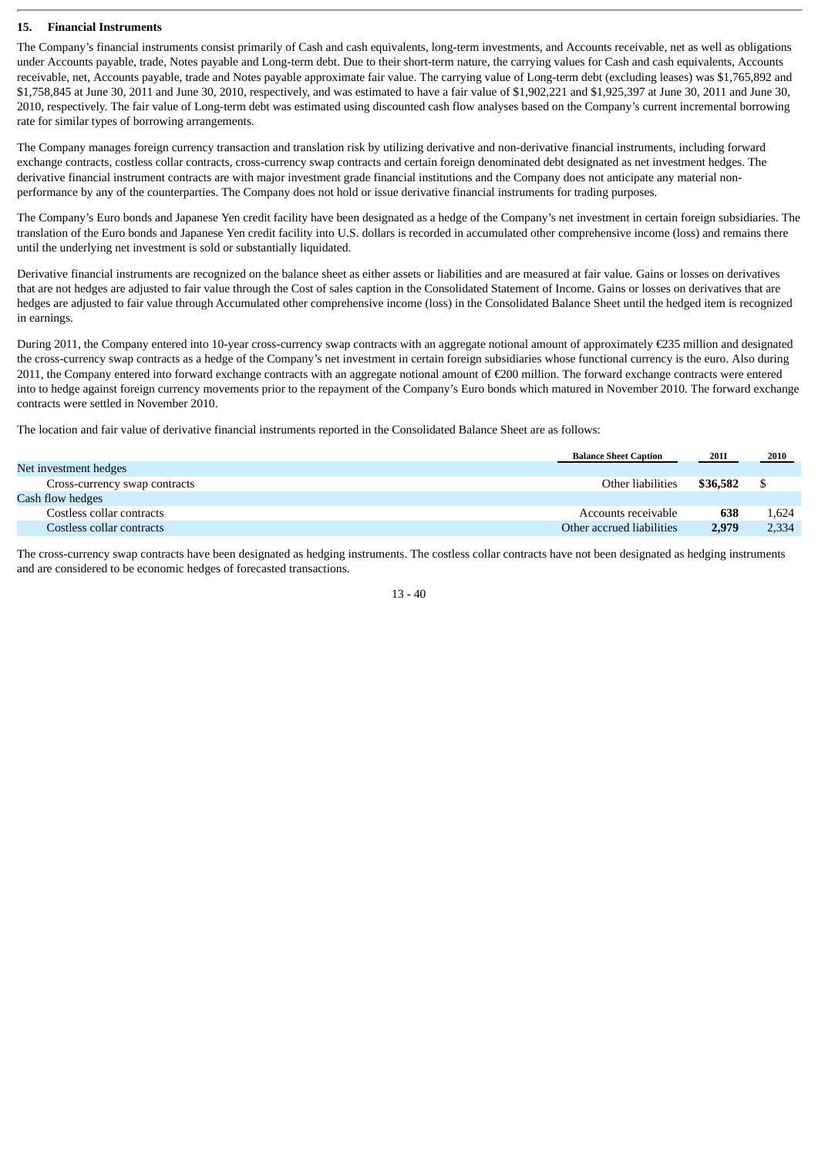#### **15. Financial Instruments**

The Company's financial instruments consist primarily of Cash and cash equivalents, long-term investments, and Accounts receivable, net as well as obligations under Accounts payable, trade, Notes payable and Long-term debt. Due to their short-term nature, the carrying values for Cash and cash equivalents, Accounts receivable, net, Accounts payable, trade and Notes payable approximate fair value. The carrying value of Long-term debt (excluding leases) was \$1,765,892 and \$1,758,845 at June 30, 2011 and June 30, 2010, respectively, and was estimated to have a fair value of \$1,902,221 and \$1,925,397 at June 30, 2011 and June 30, 2010, respectively. The fair value of Long-term debt was estimated using discounted cash flow analyses based on the Company's current incremental borrowing rate for similar types of borrowing arrangements.

The Company manages foreign currency transaction and translation risk by utilizing derivative and non-derivative financial instruments, including forward exchange contracts, costless collar contracts, cross-currency swap contracts and certain foreign denominated debt designated as net investment hedges. The derivative financial instrument contracts are with major investment grade financial institutions and the Company does not anticipate any material nonperformance by any of the counterparties. The Company does not hold or issue derivative financial instruments for trading purposes.

The Company's Euro bonds and Japanese Yen credit facility have been designated as a hedge of the Company's net investment in certain foreign subsidiaries. The translation of the Euro bonds and Japanese Yen credit facility into U.S. dollars is recorded in accumulated other comprehensive income (loss) and remains there until the underlying net investment is sold or substantially liquidated.

Derivative financial instruments are recognized on the balance sheet as either assets or liabilities and are measured at fair value. Gains or losses on derivatives that are not hedges are adjusted to fair value through the Cost of sales caption in the Consolidated Statement of Income. Gains or losses on derivatives that are hedges are adjusted to fair value through Accumulated other comprehensive income (loss) in the Consolidated Balance Sheet until the hedged item is recognized in earnings.

During 2011, the Company entered into 10-year cross-currency swap contracts with an aggregate notional amount of approximately €235 million and designated the cross-currency swap contracts as a hedge of the Company's net investment in certain foreign subsidiaries whose functional currency is the euro. Also during 2011, the Company entered into forward exchange contracts with an aggregate notional amount of €200 million. The forward exchange contracts were entered into to hedge against foreign currency movements prior to the repayment of the Company's Euro bonds which matured in November 2010. The forward exchange contracts were settled in November 2010.

The location and fair value of derivative financial instruments reported in the Consolidated Balance Sheet are as follows:

|                               | <b>Balance Sheet Caption</b> | 2011     | 2010  |
|-------------------------------|------------------------------|----------|-------|
| Net investment hedges         |                              |          |       |
| Cross-currency swap contracts | Other liabilities            | \$36,582 |       |
| Cash flow hedges              |                              |          |       |
| Costless collar contracts     | Accounts receivable          | 638      | 1,624 |
| Costless collar contracts     | Other accrued liabilities    | 2,979    | 2,334 |

The cross-currency swap contracts have been designated as hedging instruments. The costless collar contracts have not been designated as hedging instruments and are considered to be economic hedges of forecasted transactions.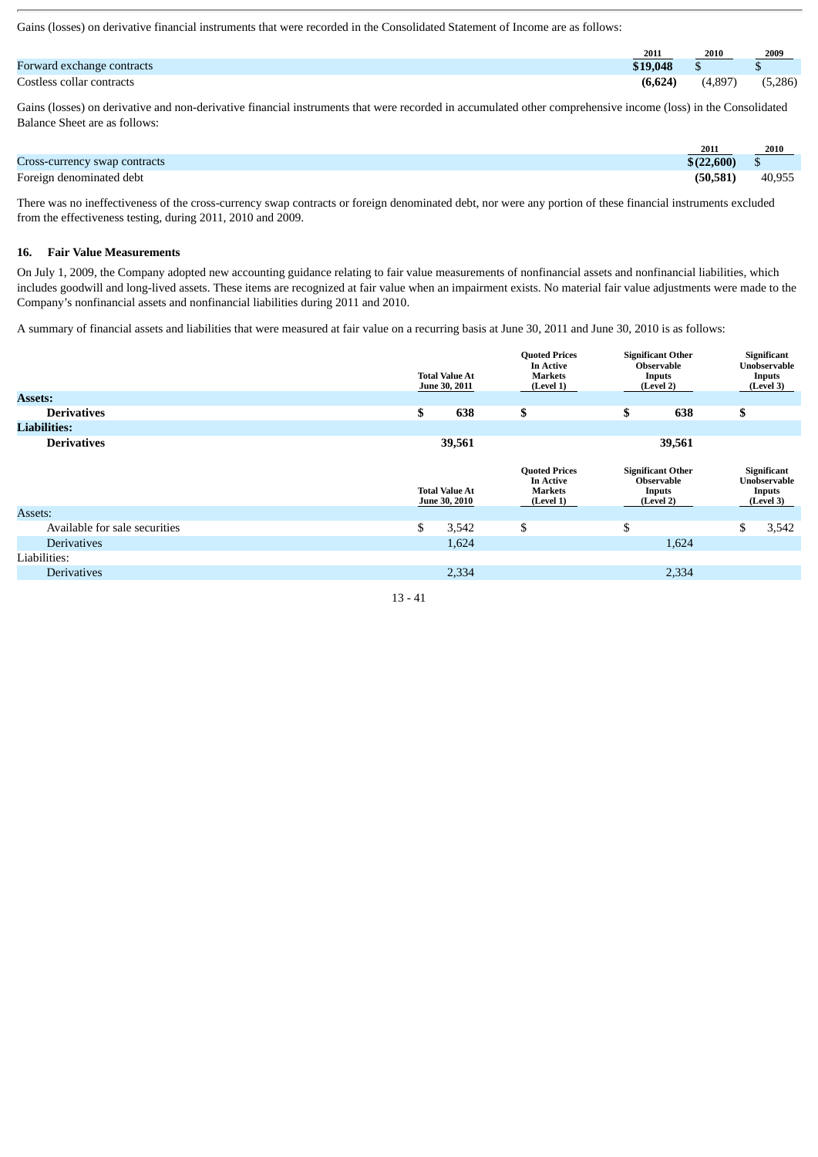Gains (losses) on derivative financial instruments that were recorded in the Consolidated Statement of Income are as follows:

|                            | 201      | 2010    | 2009  |
|----------------------------|----------|---------|-------|
| Forward exchange contracts | \$19.048 |         |       |
| Costless collar contracts  | (6,624)  | (4,897) | 5,286 |

Gains (losses) on derivative and non-derivative financial instruments that were recorded in accumulated other comprehensive income (loss) in the Consolidated Balance Sheet are as follows:

|                               | 2011       | 2010   |
|-------------------------------|------------|--------|
| Cross-currency swap contracts | \$(22,600) |        |
| Foreign denominated debt      | (50, 581)  | 40,955 |

There was no ineffectiveness of the cross-currency swap contracts or foreign denominated debt, nor were any portion of these financial instruments excluded from the effectiveness testing, during 2011, 2010 and 2009.

#### **16. Fair Value Measurements**

On July 1, 2009, the Company adopted new accounting guidance relating to fair value measurements of nonfinancial assets and nonfinancial liabilities, which includes goodwill and long-lived assets. These items are recognized at fair value when an impairment exists. No material fair value adjustments were made to the Company's nonfinancial assets and nonfinancial liabilities during 2011 and 2010.

A summary of financial assets and liabilities that were measured at fair value on a recurring basis at June 30, 2011 and June 30, 2010 is as follows:

|                               | <b>Total Value At</b><br>June 30, 2011 | <b>Quoted Prices</b><br><b>In Active</b><br><b>Markets</b><br>(Level 1) | <b>Significant Other</b><br><b>Observable</b><br>Inputs<br>(Level 2) | Significant<br><b>Unobservable</b><br><b>Inputs</b><br>(Level 3) |
|-------------------------------|----------------------------------------|-------------------------------------------------------------------------|----------------------------------------------------------------------|------------------------------------------------------------------|
| <b>Assets:</b>                |                                        |                                                                         |                                                                      |                                                                  |
| <b>Derivatives</b>            | \$<br>638                              | \$                                                                      | \$<br>638                                                            | \$                                                               |
| <b>Liabilities:</b>           |                                        |                                                                         |                                                                      |                                                                  |
| <b>Derivatives</b>            | 39,561                                 |                                                                         | 39,561                                                               |                                                                  |
|                               | <b>Total Value At</b><br>June 30, 2010 | <b>Quoted Prices</b><br><b>In Active</b><br>Markets<br>(Level 1)        | <b>Significant Other</b><br><b>Observable</b><br>Inputs<br>(Level 2) | Significant<br><b>Unobservable</b><br><b>Inputs</b><br>(Level 3) |
| Assets:                       |                                        |                                                                         |                                                                      |                                                                  |
| Available for sale securities | \$<br>3,542                            | \$                                                                      | \$                                                                   | \$<br>3,542                                                      |
| <b>Derivatives</b>            | 1,624                                  |                                                                         | 1,624                                                                |                                                                  |
| Liabilities:                  |                                        |                                                                         |                                                                      |                                                                  |
| <b>Derivatives</b>            | 2,334                                  |                                                                         | 2,334                                                                |                                                                  |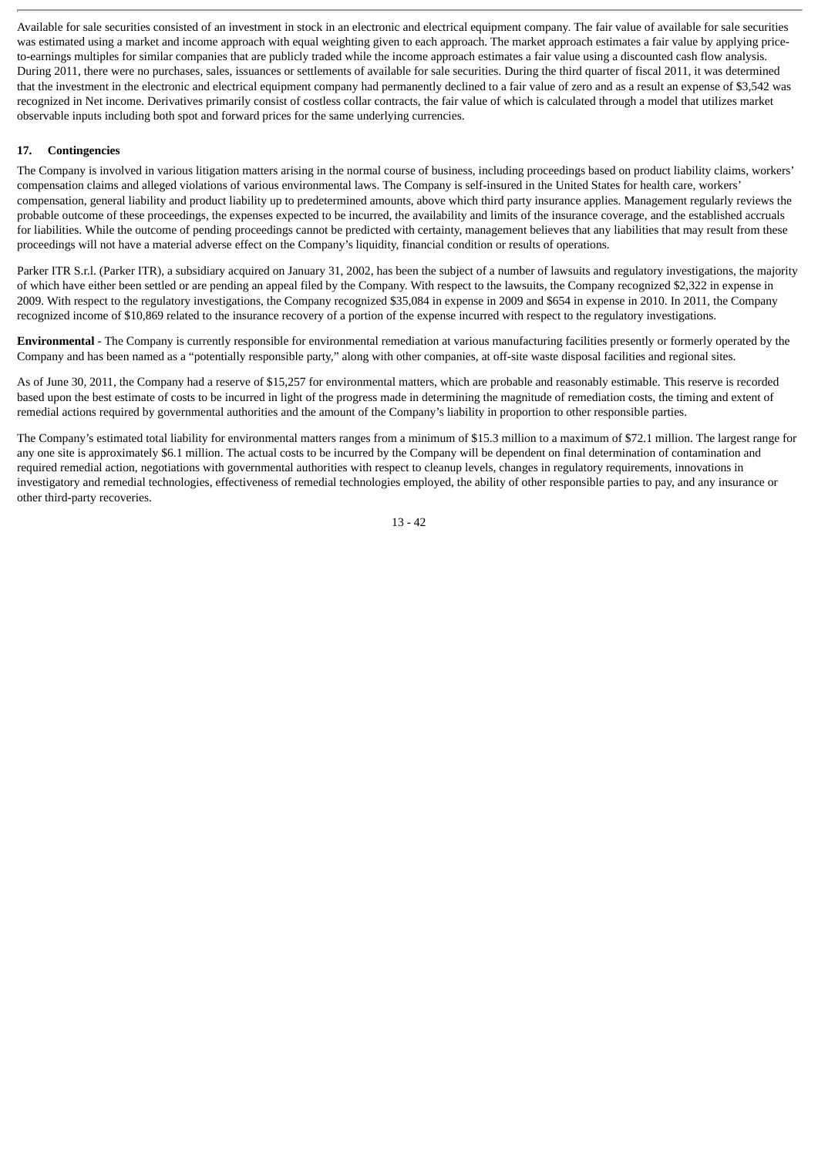Available for sale securities consisted of an investment in stock in an electronic and electrical equipment company. The fair value of available for sale securities was estimated using a market and income approach with equal weighting given to each approach. The market approach estimates a fair value by applying priceto-earnings multiples for similar companies that are publicly traded while the income approach estimates a fair value using a discounted cash flow analysis. During 2011, there were no purchases, sales, issuances or settlements of available for sale securities. During the third quarter of fiscal 2011, it was determined that the investment in the electronic and electrical equipment company had permanently declined to a fair value of zero and as a result an expense of \$3,542 was recognized in Net income. Derivatives primarily consist of costless collar contracts, the fair value of which is calculated through a model that utilizes market observable inputs including both spot and forward prices for the same underlying currencies.

# **17. Contingencies**

The Company is involved in various litigation matters arising in the normal course of business, including proceedings based on product liability claims, workers' compensation claims and alleged violations of various environmental laws. The Company is self-insured in the United States for health care, workers' compensation, general liability and product liability up to predetermined amounts, above which third party insurance applies. Management regularly reviews the probable outcome of these proceedings, the expenses expected to be incurred, the availability and limits of the insurance coverage, and the established accruals for liabilities. While the outcome of pending proceedings cannot be predicted with certainty, management believes that any liabilities that may result from these proceedings will not have a material adverse effect on the Company's liquidity, financial condition or results of operations.

Parker ITR S.r.l. (Parker ITR), a subsidiary acquired on January 31, 2002, has been the subject of a number of lawsuits and regulatory investigations, the majority of which have either been settled or are pending an appeal filed by the Company. With respect to the lawsuits, the Company recognized \$2,322 in expense in 2009. With respect to the regulatory investigations, the Company recognized \$35,084 in expense in 2009 and \$654 in expense in 2010. In 2011, the Company recognized income of \$10,869 related to the insurance recovery of a portion of the expense incurred with respect to the regulatory investigations.

**Environmental** - The Company is currently responsible for environmental remediation at various manufacturing facilities presently or formerly operated by the Company and has been named as a "potentially responsible party," along with other companies, at off-site waste disposal facilities and regional sites.

As of June 30, 2011, the Company had a reserve of \$15,257 for environmental matters, which are probable and reasonably estimable. This reserve is recorded based upon the best estimate of costs to be incurred in light of the progress made in determining the magnitude of remediation costs, the timing and extent of remedial actions required by governmental authorities and the amount of the Company's liability in proportion to other responsible parties.

The Company's estimated total liability for environmental matters ranges from a minimum of \$15.3 million to a maximum of \$72.1 million. The largest range for any one site is approximately \$6.1 million. The actual costs to be incurred by the Company will be dependent on final determination of contamination and required remedial action, negotiations with governmental authorities with respect to cleanup levels, changes in regulatory requirements, innovations in investigatory and remedial technologies, effectiveness of remedial technologies employed, the ability of other responsible parties to pay, and any insurance or other third-party recoveries.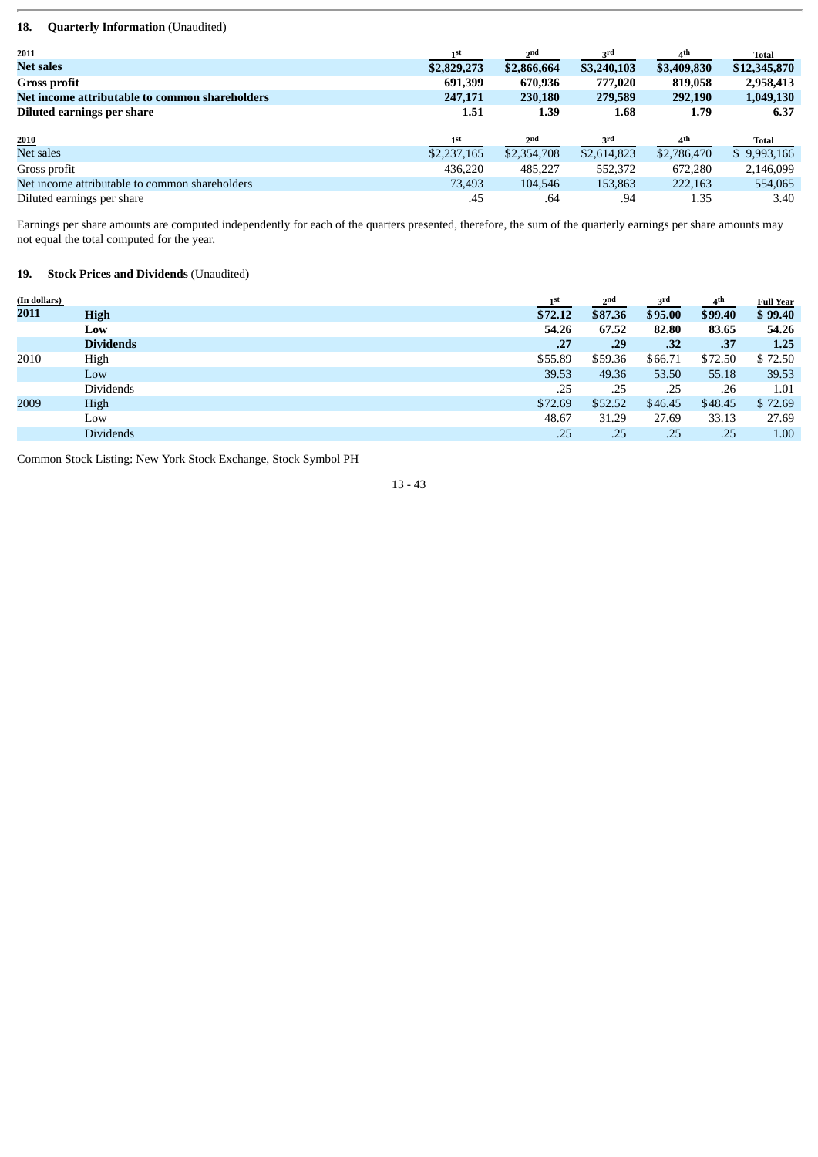# 18. **Quarterly Information** (Unaudited)

| 2011                                           | 1 <sup>st</sup> | 2nd             | 3rd         | 4 <sup>th</sup> | Total        |
|------------------------------------------------|-----------------|-----------------|-------------|-----------------|--------------|
| <b>Net sales</b>                               | \$2,829,273     | \$2,866,664     | \$3,240,103 | \$3,409,830     | \$12,345,870 |
| <b>Gross profit</b>                            | 691,399         | 670,936         | 777,020     | 819,058         | 2,958,413    |
| Net income attributable to common shareholders | 247,171         | 230,180         | 279,589     | 292,190         | 1,049,130    |
| Diluted earnings per share                     | 1.51            | 1.39            | 1.68        | 1.79            | 6.37         |
|                                                |                 |                 |             |                 |              |
|                                                |                 |                 |             |                 |              |
|                                                | 1 <sup>st</sup> | 2 <sub>nd</sub> | 3rd         | 4 <sup>th</sup> | Total        |
| 2010<br>Net sales                              | \$2,237,165     | \$2,354,708     | \$2,614,823 | \$2,786,470     | \$9,993,166  |
| Gross profit                                   | 436,220         | 485,227         | 552,372     | 672,280         | 2,146,099    |
| Net income attributable to common shareholders | 73,493          | 104.546         | 153,863     | 222,163         | 554,065      |

Earnings per share amounts are computed independently for each of the quarters presented, therefore, the sum of the quarterly earnings per share amounts may not equal the total computed for the year.

# **19. Stock Prices and Dividends** (Unaudited)

| (In dollars) |                  | 1 <sup>st</sup> | 2 <sub>nd</sub> | 3 <sup>rd</sup> | 4 <sup>th</sup> | <b>Full Year</b> |
|--------------|------------------|-----------------|-----------------|-----------------|-----------------|------------------|
| 2011         | <b>High</b>      | \$72.12         | \$87.36         | \$95.00         | \$99.40         | \$99.40          |
|              | Low              | 54.26           | 67.52           | 82.80           | 83.65           | 54.26            |
|              | <b>Dividends</b> | .27             | .29             | .32             | .37             | 1.25             |
| 2010         | High             | \$55.89         | \$59.36         | \$66.71         | \$72.50         | \$72.50          |
|              | Low              | 39.53           | 49.36           | 53.50           | 55.18           | 39.53            |
|              | Dividends        | .25             | .25             | .25             | .26             | 1.01             |
| 2009         | High             | \$72.69         | \$52.52         | \$46.45         | \$48.45         | \$72.69          |
|              | Low              | 48.67           | 31.29           | 27.69           | 33.13           | 27.69            |
|              | <b>Dividends</b> | .25             | .25             | .25             | .25             | 1.00             |
|              |                  |                 |                 |                 |                 |                  |

Common Stock Listing: New York Stock Exchange, Stock Symbol PH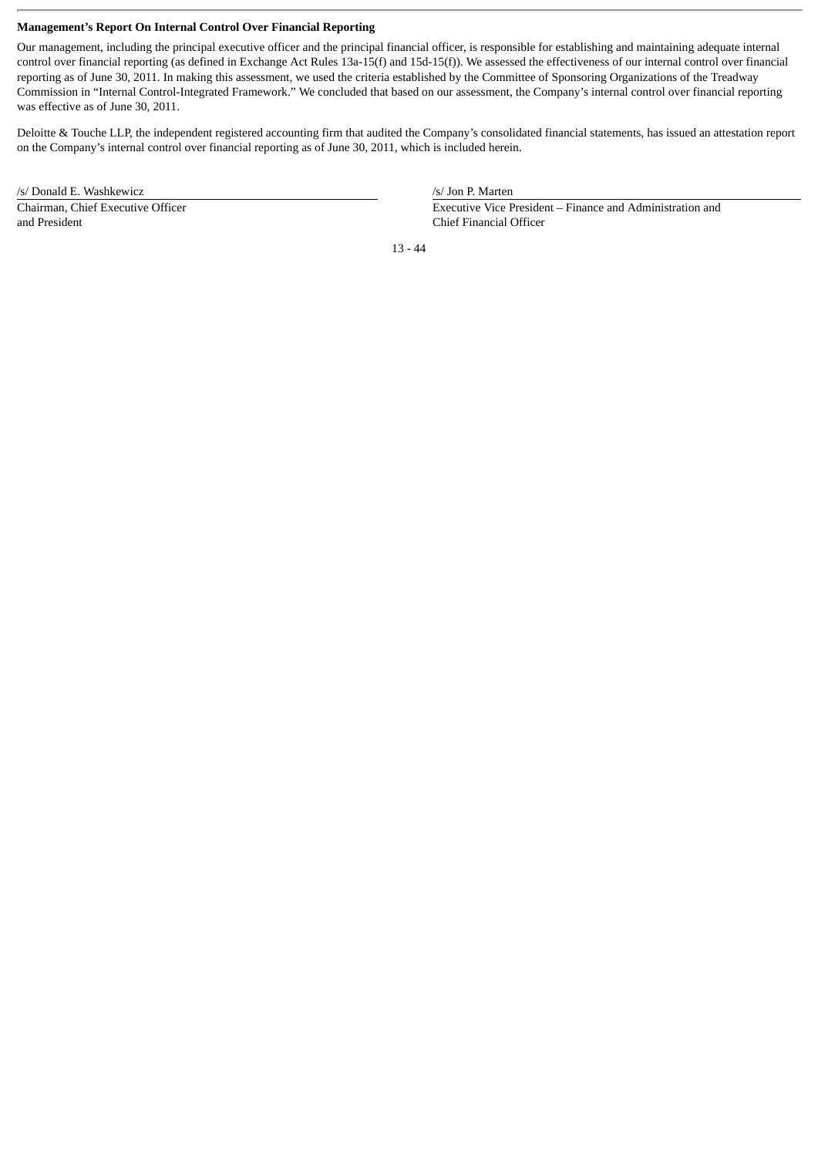## **Management's Report On Internal Control Over Financial Reporting**

Our management, including the principal executive officer and the principal financial officer, is responsible for establishing and maintaining adequate internal control over financial reporting (as defined in Exchange Act Rules 13a-15(f) and 15d-15(f)). We assessed the effectiveness of our internal control over financial reporting as of June 30, 2011. In making this assessment, we used the criteria established by the Committee of Sponsoring Organizations of the Treadway Commission in "Internal Control-Integrated Framework." We concluded that based on our assessment, the Company's internal control over financial reporting was effective as of June 30, 2011.

Deloitte & Touche LLP, the independent registered accounting firm that audited the Company's consolidated financial statements, has issued an attestation report on the Company's internal control over financial reporting as of June 30, 2011, which is included herein.

/s/ Donald E. Washkewicz /s/ Jon P. Marten

Chairman, Chief Executive Officer and President

Executive Vice President – Finance and Administration and Chief Financial Officer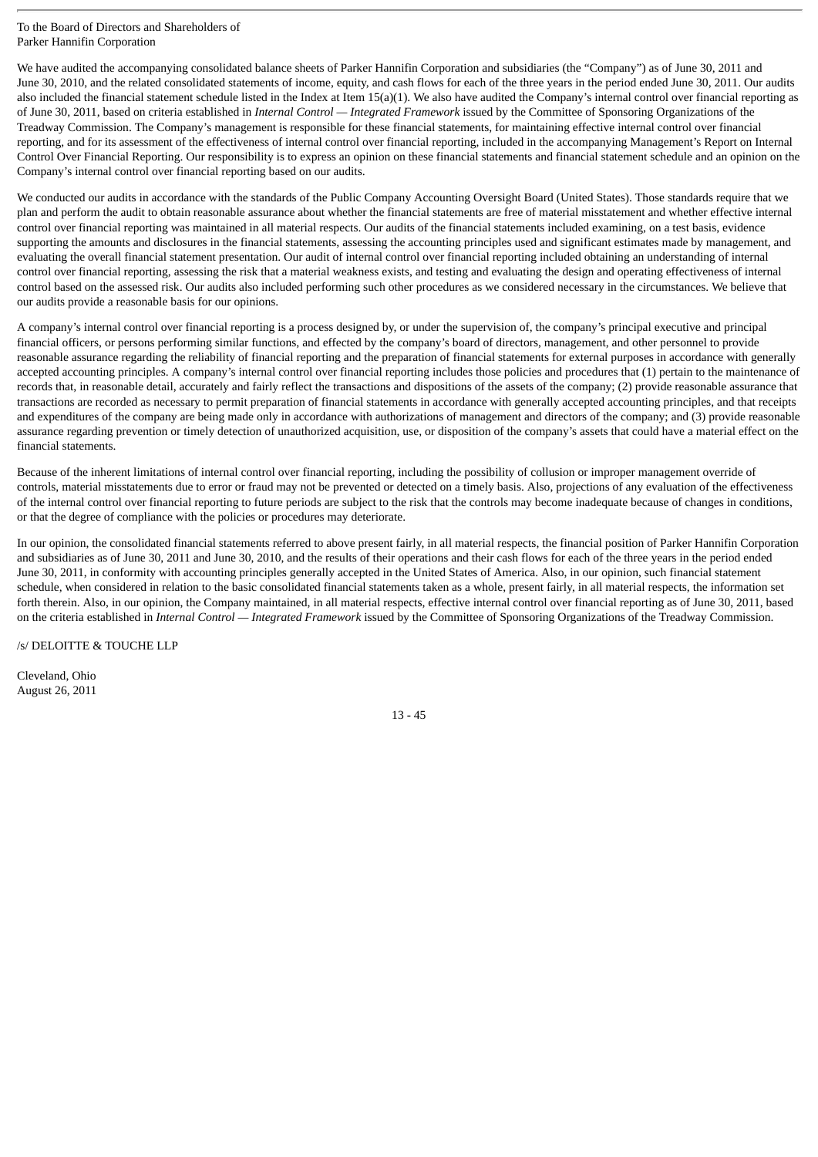To the Board of Directors and Shareholders of Parker Hannifin Corporation

We have audited the accompanying consolidated balance sheets of Parker Hannifin Corporation and subsidiaries (the "Company") as of June 30, 2011 and June 30, 2010, and the related consolidated statements of income, equity, and cash flows for each of the three years in the period ended June 30, 2011. Our audits also included the financial statement schedule listed in the Index at Item 15(a)(1). We also have audited the Company's internal control over financial reporting as of June 30, 2011, based on criteria established in *Internal Control — Integrated Framework* issued by the Committee of Sponsoring Organizations of the Treadway Commission. The Company's management is responsible for these financial statements, for maintaining effective internal control over financial reporting, and for its assessment of the effectiveness of internal control over financial reporting, included in the accompanying Management's Report on Internal Control Over Financial Reporting. Our responsibility is to express an opinion on these financial statements and financial statement schedule and an opinion on the Company's internal control over financial reporting based on our audits.

We conducted our audits in accordance with the standards of the Public Company Accounting Oversight Board (United States). Those standards require that we plan and perform the audit to obtain reasonable assurance about whether the financial statements are free of material misstatement and whether effective internal control over financial reporting was maintained in all material respects. Our audits of the financial statements included examining, on a test basis, evidence supporting the amounts and disclosures in the financial statements, assessing the accounting principles used and significant estimates made by management, and evaluating the overall financial statement presentation. Our audit of internal control over financial reporting included obtaining an understanding of internal control over financial reporting, assessing the risk that a material weakness exists, and testing and evaluating the design and operating effectiveness of internal control based on the assessed risk. Our audits also included performing such other procedures as we considered necessary in the circumstances. We believe that our audits provide a reasonable basis for our opinions.

A company's internal control over financial reporting is a process designed by, or under the supervision of, the company's principal executive and principal financial officers, or persons performing similar functions, and effected by the company's board of directors, management, and other personnel to provide reasonable assurance regarding the reliability of financial reporting and the preparation of financial statements for external purposes in accordance with generally accepted accounting principles. A company's internal control over financial reporting includes those policies and procedures that (1) pertain to the maintenance of records that, in reasonable detail, accurately and fairly reflect the transactions and dispositions of the assets of the company; (2) provide reasonable assurance that transactions are recorded as necessary to permit preparation of financial statements in accordance with generally accepted accounting principles, and that receipts and expenditures of the company are being made only in accordance with authorizations of management and directors of the company; and (3) provide reasonable assurance regarding prevention or timely detection of unauthorized acquisition, use, or disposition of the company's assets that could have a material effect on the financial statements.

Because of the inherent limitations of internal control over financial reporting, including the possibility of collusion or improper management override of controls, material misstatements due to error or fraud may not be prevented or detected on a timely basis. Also, projections of any evaluation of the effectiveness of the internal control over financial reporting to future periods are subject to the risk that the controls may become inadequate because of changes in conditions, or that the degree of compliance with the policies or procedures may deteriorate.

In our opinion, the consolidated financial statements referred to above present fairly, in all material respects, the financial position of Parker Hannifin Corporation and subsidiaries as of June 30, 2011 and June 30, 2010, and the results of their operations and their cash flows for each of the three years in the period ended June 30, 2011, in conformity with accounting principles generally accepted in the United States of America. Also, in our opinion, such financial statement schedule, when considered in relation to the basic consolidated financial statements taken as a whole, present fairly, in all material respects, the information set forth therein. Also, in our opinion, the Company maintained, in all material respects, effective internal control over financial reporting as of June 30, 2011, based on the criteria established in *Internal Control — Integrated Framework* issued by the Committee of Sponsoring Organizations of the Treadway Commission.

/s/ DELOITTE & TOUCHE LLP

Cleveland, Ohio August 26, 2011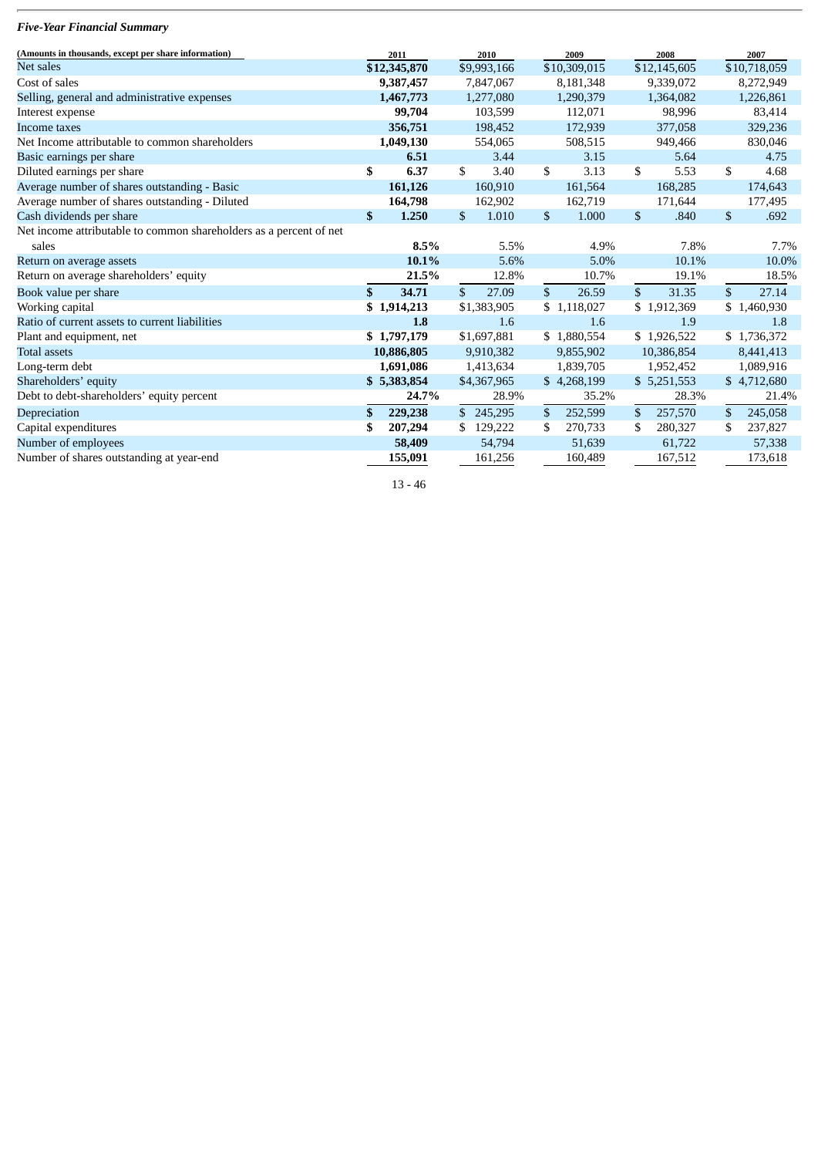# *Five-Year Financial Summary*

| 2011         |                                                                                                                                                                                                                                                                                               |       |                                                                                                                                                                                                                                                                     |           |                                                                                                         | 2008    |                                                                                                                                          | 2007         |
|--------------|-----------------------------------------------------------------------------------------------------------------------------------------------------------------------------------------------------------------------------------------------------------------------------------------------|-------|---------------------------------------------------------------------------------------------------------------------------------------------------------------------------------------------------------------------------------------------------------------------|-----------|---------------------------------------------------------------------------------------------------------|---------|------------------------------------------------------------------------------------------------------------------------------------------|--------------|
|              |                                                                                                                                                                                                                                                                                               |       |                                                                                                                                                                                                                                                                     |           |                                                                                                         |         |                                                                                                                                          | \$10,718,059 |
|              |                                                                                                                                                                                                                                                                                               |       |                                                                                                                                                                                                                                                                     | 8,181,348 |                                                                                                         |         |                                                                                                                                          | 8,272,949    |
|              |                                                                                                                                                                                                                                                                                               |       |                                                                                                                                                                                                                                                                     | 1,290,379 |                                                                                                         |         |                                                                                                                                          | 1,226,861    |
|              |                                                                                                                                                                                                                                                                                               |       |                                                                                                                                                                                                                                                                     | 112,071   |                                                                                                         | 98,996  |                                                                                                                                          | 83,414       |
|              |                                                                                                                                                                                                                                                                                               |       |                                                                                                                                                                                                                                                                     | 172,939   |                                                                                                         | 377,058 |                                                                                                                                          | 329,236      |
|              |                                                                                                                                                                                                                                                                                               |       |                                                                                                                                                                                                                                                                     | 508,515   |                                                                                                         | 949,466 |                                                                                                                                          | 830,046      |
|              |                                                                                                                                                                                                                                                                                               | 3.44  |                                                                                                                                                                                                                                                                     | 3.15      |                                                                                                         | 5.64    |                                                                                                                                          | 4.75         |
| \$           | \$                                                                                                                                                                                                                                                                                            | 3.40  | \$.                                                                                                                                                                                                                                                                 | 3.13      | \$                                                                                                      | 5.53    | \$                                                                                                                                       | 4.68         |
|              |                                                                                                                                                                                                                                                                                               |       |                                                                                                                                                                                                                                                                     | 161,564   |                                                                                                         | 168,285 |                                                                                                                                          | 174,643      |
|              |                                                                                                                                                                                                                                                                                               |       |                                                                                                                                                                                                                                                                     | 162,719   |                                                                                                         | 171,644 |                                                                                                                                          | 177,495      |
| $\mathbf{s}$ | \$                                                                                                                                                                                                                                                                                            |       | \$                                                                                                                                                                                                                                                                  | 1.000     | $\mathbb{S}$                                                                                            | .840    | \$                                                                                                                                       | .692         |
|              |                                                                                                                                                                                                                                                                                               |       |                                                                                                                                                                                                                                                                     |           |                                                                                                         |         |                                                                                                                                          |              |
|              |                                                                                                                                                                                                                                                                                               |       |                                                                                                                                                                                                                                                                     |           |                                                                                                         |         |                                                                                                                                          | 7.7%         |
|              |                                                                                                                                                                                                                                                                                               |       |                                                                                                                                                                                                                                                                     |           |                                                                                                         |         |                                                                                                                                          | 10.0%        |
|              |                                                                                                                                                                                                                                                                                               |       |                                                                                                                                                                                                                                                                     |           |                                                                                                         |         |                                                                                                                                          | 18.5%        |
| $\mathbf{s}$ | $\mathbf{s}$                                                                                                                                                                                                                                                                                  |       | $\mathbf{s}$                                                                                                                                                                                                                                                        | 26.59     | $\mathcal{S}$                                                                                           | 31.35   | $\mathbb{S}$                                                                                                                             | 27.14        |
|              |                                                                                                                                                                                                                                                                                               |       |                                                                                                                                                                                                                                                                     |           |                                                                                                         |         |                                                                                                                                          | \$1,460,930  |
|              |                                                                                                                                                                                                                                                                                               | 1.6   |                                                                                                                                                                                                                                                                     | 1.6       |                                                                                                         | 1.9     |                                                                                                                                          | 1.8          |
|              |                                                                                                                                                                                                                                                                                               |       |                                                                                                                                                                                                                                                                     |           |                                                                                                         |         |                                                                                                                                          | \$1,736,372  |
|              |                                                                                                                                                                                                                                                                                               |       |                                                                                                                                                                                                                                                                     | 9,855,902 |                                                                                                         |         |                                                                                                                                          | 8,441,413    |
|              |                                                                                                                                                                                                                                                                                               |       |                                                                                                                                                                                                                                                                     |           |                                                                                                         |         |                                                                                                                                          | 1,089,916    |
|              |                                                                                                                                                                                                                                                                                               |       |                                                                                                                                                                                                                                                                     |           |                                                                                                         |         |                                                                                                                                          | \$4,712,680  |
|              |                                                                                                                                                                                                                                                                                               | 28.9% |                                                                                                                                                                                                                                                                     | 35.2%     |                                                                                                         | 28.3%   |                                                                                                                                          | 21.4%        |
|              |                                                                                                                                                                                                                                                                                               |       | \$                                                                                                                                                                                                                                                                  | 252,599   | \$.                                                                                                     | 257,570 | \$                                                                                                                                       | 245,058      |
| \$           | \$                                                                                                                                                                                                                                                                                            |       | \$                                                                                                                                                                                                                                                                  | 270,733   | \$                                                                                                      | 280,327 | \$                                                                                                                                       | 237,827      |
|              |                                                                                                                                                                                                                                                                                               |       |                                                                                                                                                                                                                                                                     | 51,639    |                                                                                                         | 61,722  |                                                                                                                                          | 57,338       |
|              |                                                                                                                                                                                                                                                                                               |       |                                                                                                                                                                                                                                                                     | 160,489   |                                                                                                         | 167,512 |                                                                                                                                          | 173,618      |
|              | \$12,345,870<br>9,387,457<br>1,467,773<br>99,704<br>356,751<br>1,049,130<br>6.51<br>6.37<br>161,126<br>164,798<br>1.250<br>8.5%<br>10.1%<br>21.5%<br>34.71<br>\$1,914,213<br>1.8<br>\$1,797,179<br>10,886,805<br>1,691,086<br>\$5,383,854<br>24.7%<br>229,238<br>207,294<br>58,409<br>155,091 |       | 2010<br>\$9,993,166<br>7,847,067<br>1,277,080<br>103,599<br>198,452<br>554,065<br>160,910<br>162,902<br>1.010<br>5.5%<br>5.6%<br>12.8%<br>27.09<br>\$1,383,905<br>\$1,697,881<br>9,910,382<br>1,413,634<br>\$4,367,965<br>\$245,295<br>129,222<br>54,794<br>161,256 |           | 2009<br>\$10,309,015<br>4.9%<br>5.0%<br>10.7%<br>\$1,118,027<br>\$1,880,554<br>1,839,705<br>\$4,268,199 |         | \$12,145,605<br>9,339,072<br>1,364,082<br>7.8%<br>10.1%<br>19.1%<br>\$1,912,369<br>\$1,926,522<br>10,386,854<br>1,952,452<br>\$5,251,553 |              |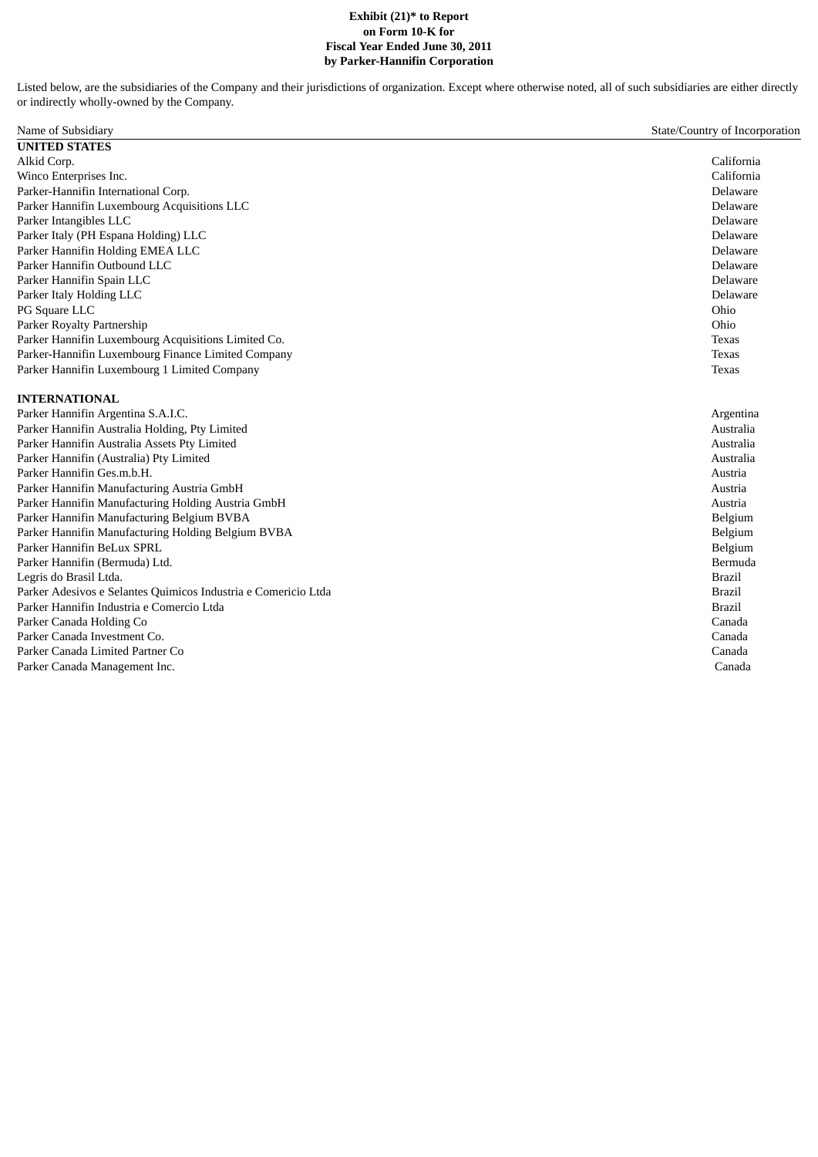# **Exhibit (21)\* to Report on Form 10-K for Fiscal Year Ended June 30, 2011 by Parker-Hannifin Corporation**

Listed below, are the subsidiaries of the Company and their jurisdictions of organization. Except where otherwise noted, all of such subsidiaries are either directly or indirectly wholly-owned by the Company.

| Name of Subsidiary                                             | State/Country of Incorporation |  |  |
|----------------------------------------------------------------|--------------------------------|--|--|
| <b>UNITED STATES</b>                                           |                                |  |  |
| Alkid Corp.                                                    | California                     |  |  |
| Winco Enterprises Inc.                                         | California                     |  |  |
| Parker-Hannifin International Corp.                            | Delaware                       |  |  |
| Parker Hannifin Luxembourg Acquisitions LLC                    | Delaware                       |  |  |
| Parker Intangibles LLC                                         | Delaware                       |  |  |
| Parker Italy (PH Espana Holding) LLC                           | Delaware                       |  |  |
| Parker Hannifin Holding EMEA LLC                               | Delaware                       |  |  |
| Parker Hannifin Outbound LLC                                   | Delaware                       |  |  |
| Parker Hannifin Spain LLC                                      | Delaware                       |  |  |
| Parker Italy Holding LLC                                       | Delaware                       |  |  |
| PG Square LLC                                                  | Ohio                           |  |  |
| Parker Royalty Partnership                                     | Ohio                           |  |  |
| Parker Hannifin Luxembourg Acquisitions Limited Co.            | <b>Texas</b>                   |  |  |
| Parker-Hannifin Luxembourg Finance Limited Company             | <b>Texas</b>                   |  |  |
| Parker Hannifin Luxembourg 1 Limited Company                   | <b>Texas</b>                   |  |  |
| <b>INTERNATIONAL</b>                                           |                                |  |  |
| Parker Hannifin Argentina S.A.I.C.                             | Argentina                      |  |  |
| Parker Hannifin Australia Holding, Pty Limited                 | Australia                      |  |  |
| Parker Hannifin Australia Assets Pty Limited                   | Australia                      |  |  |
| Parker Hannifin (Australia) Pty Limited                        | Australia                      |  |  |
| Parker Hannifin Ges.m.b.H.                                     | Austria                        |  |  |
| Parker Hannifin Manufacturing Austria GmbH                     | Austria                        |  |  |
| Parker Hannifin Manufacturing Holding Austria GmbH             | Austria                        |  |  |
| Parker Hannifin Manufacturing Belgium BVBA                     | Belgium                        |  |  |
| Parker Hannifin Manufacturing Holding Belgium BVBA             | Belgium                        |  |  |
| Parker Hannifin BeLux SPRL                                     | Belgium                        |  |  |
| Parker Hannifin (Bermuda) Ltd.                                 | Bermuda                        |  |  |
| Legris do Brasil Ltda.                                         | <b>Brazil</b>                  |  |  |
| Parker Adesivos e Selantes Quimicos Industria e Comericio Ltda | <b>Brazil</b>                  |  |  |
| Parker Hannifin Industria e Comercio Ltda                      | <b>Brazil</b>                  |  |  |
| Parker Canada Holding Co                                       | Canada                         |  |  |
| Parker Canada Investment Co.                                   | Canada                         |  |  |
| Parker Canada Limited Partner Co                               | Canada                         |  |  |
| Parker Canada Management Inc.                                  | Canada                         |  |  |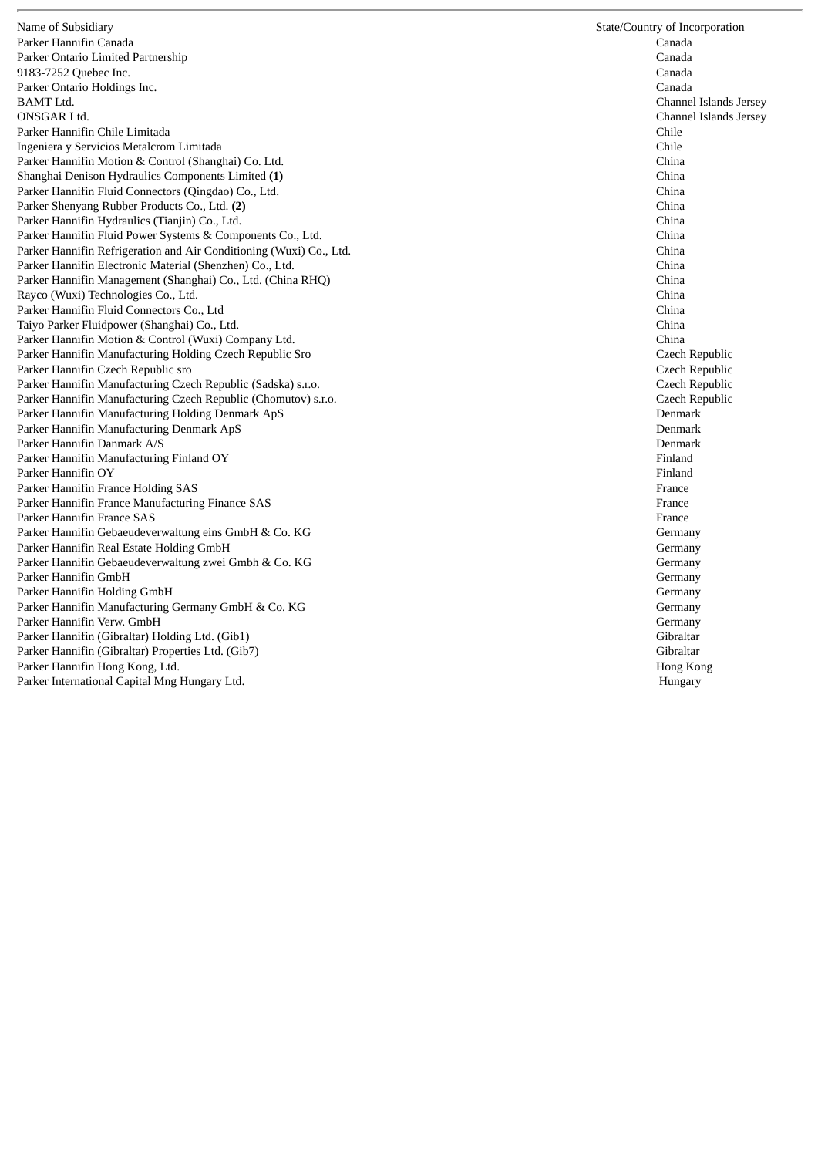| Name of Subsidiary                                                  | State/Country of Incorporation |
|---------------------------------------------------------------------|--------------------------------|
| Parker Hannifin Canada                                              | Canada                         |
| Parker Ontario Limited Partnership                                  | Canada                         |
| 9183-7252 Quebec Inc.                                               | Canada                         |
| Parker Ontario Holdings Inc.                                        | Canada                         |
| <b>BAMT</b> Ltd.                                                    | Channel Islands Jersey         |
| ONSGAR Ltd.                                                         | Channel Islands Jersey         |
| Parker Hannifin Chile Limitada                                      | Chile                          |
| Ingeniera y Servicios Metalcrom Limitada                            | Chile                          |
| Parker Hannifin Motion & Control (Shanghai) Co. Ltd.                | China                          |
| Shanghai Denison Hydraulics Components Limited (1)                  | China                          |
| Parker Hannifin Fluid Connectors (Qingdao) Co., Ltd.                | China                          |
| Parker Shenyang Rubber Products Co., Ltd. (2)                       | China                          |
| Parker Hannifin Hydraulics (Tianjin) Co., Ltd.                      | China                          |
| Parker Hannifin Fluid Power Systems & Components Co., Ltd.          | China                          |
| Parker Hannifin Refrigeration and Air Conditioning (Wuxi) Co., Ltd. | China                          |
| Parker Hannifin Electronic Material (Shenzhen) Co., Ltd.            | China                          |
| Parker Hannifin Management (Shanghai) Co., Ltd. (China RHQ)         | China                          |
| Rayco (Wuxi) Technologies Co., Ltd.                                 | China                          |
| Parker Hannifin Fluid Connectors Co., Ltd                           | China                          |
| Taiyo Parker Fluidpower (Shanghai) Co., Ltd.                        | China                          |
| Parker Hannifin Motion & Control (Wuxi) Company Ltd.                | China                          |
| Parker Hannifin Manufacturing Holding Czech Republic Sro            | Czech Republic                 |
| Parker Hannifin Czech Republic sro                                  | Czech Republic                 |
| Parker Hannifin Manufacturing Czech Republic (Sadska) s.r.o.        | Czech Republic                 |
| Parker Hannifin Manufacturing Czech Republic (Chomutov) s.r.o.      | Czech Republic                 |
| Parker Hannifin Manufacturing Holding Denmark ApS                   | Denmark                        |
| Parker Hannifin Manufacturing Denmark ApS                           | Denmark                        |
| Parker Hannifin Danmark A/S                                         | Denmark                        |
| Parker Hannifin Manufacturing Finland OY                            | Finland                        |
| Parker Hannifin OY                                                  | Finland                        |
| Parker Hannifin France Holding SAS                                  | France                         |
| Parker Hannifin France Manufacturing Finance SAS                    | France                         |
| Parker Hannifin France SAS                                          | France                         |
| Parker Hannifin Gebaeudeverwaltung eins GmbH & Co. KG               | Germany                        |
| Parker Hannifin Real Estate Holding GmbH                            | Germany                        |
| Parker Hannifin Gebaeudeverwaltung zwei Gmbh & Co. KG               | Germany                        |
| Parker Hannifin GmbH                                                | Germany                        |
| Parker Hannifin Holding GmbH                                        | Germany                        |
| Parker Hannifin Manufacturing Germany GmbH & Co. KG                 | Germany                        |
| Parker Hannifin Verw. GmbH                                          | Germany                        |
| Parker Hannifin (Gibraltar) Holding Ltd. (Gib1)                     | Gibraltar                      |
| Parker Hannifin (Gibraltar) Properties Ltd. (Gib7)                  | Gibraltar                      |
| Parker Hannifin Hong Kong, Ltd.                                     | Hong Kong                      |
| Parker International Capital Mng Hungary Ltd.                       | Hungary                        |
|                                                                     |                                |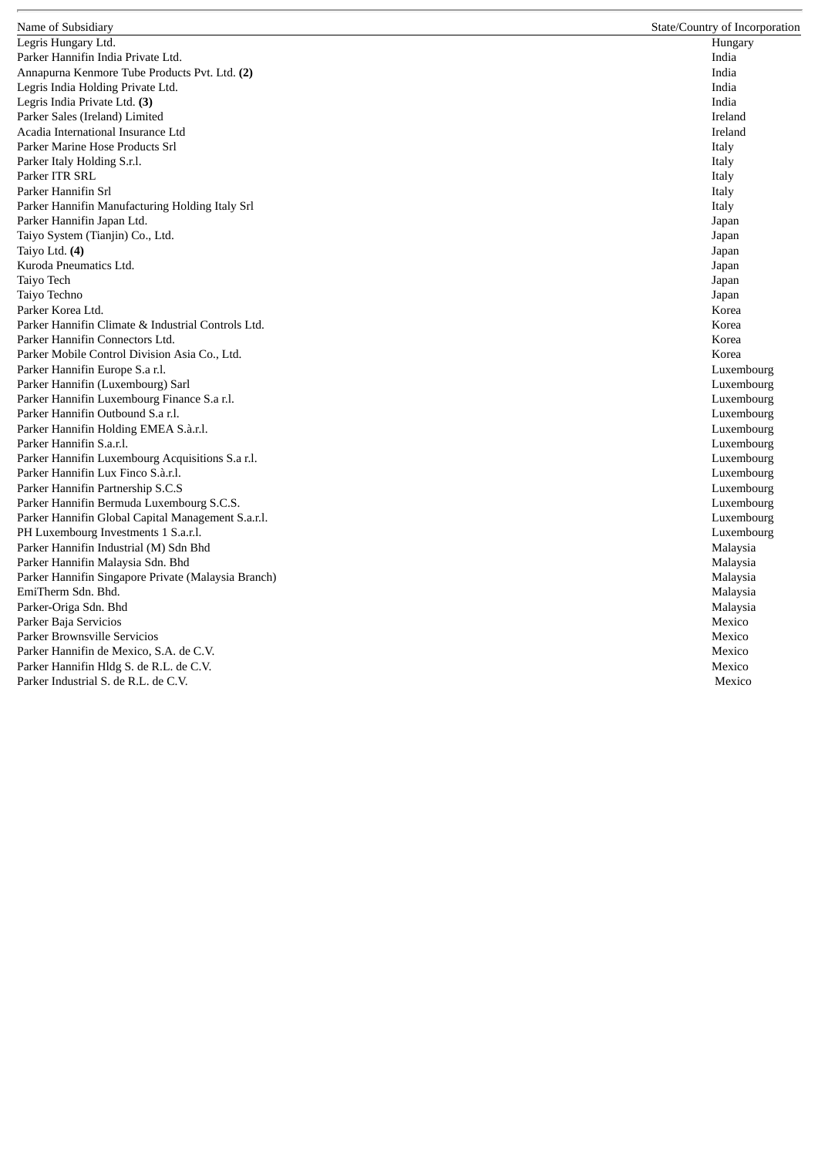| Name of Subsidiary                                  | State/Country of Incorporation |
|-----------------------------------------------------|--------------------------------|
| Legris Hungary Ltd.                                 | Hungary                        |
| Parker Hannifin India Private Ltd.                  | India                          |
| Annapurna Kenmore Tube Products Pvt. Ltd. (2)       | India                          |
| Legris India Holding Private Ltd.                   | India                          |
| Legris India Private Ltd. (3)                       | India                          |
| Parker Sales (Ireland) Limited                      | Ireland                        |
| Acadia International Insurance Ltd                  | Ireland                        |
| Parker Marine Hose Products Srl                     | Italy                          |
| Parker Italy Holding S.r.l.                         | Italy                          |
| Parker ITR SRL                                      | Italy                          |
| Parker Hannifin Srl                                 | Italy                          |
| Parker Hannifin Manufacturing Holding Italy Srl     | Italy                          |
| Parker Hannifin Japan Ltd.                          | Japan                          |
| Taiyo System (Tianjin) Co., Ltd.                    | Japan                          |
| Taiyo Ltd. (4)                                      | Japan                          |
| Kuroda Pneumatics Ltd.                              | Japan                          |
| Taiyo Tech                                          | Japan                          |
| Taiyo Techno                                        | Japan                          |
| Parker Korea Ltd.                                   | Korea                          |
| Parker Hannifin Climate & Industrial Controls Ltd.  | Korea                          |
| Parker Hannifin Connectors Ltd.                     | Korea                          |
| Parker Mobile Control Division Asia Co., Ltd.       | Korea                          |
| Parker Hannifin Europe S.a r.l.                     | Luxembourg                     |
| Parker Hannifin (Luxembourg) Sarl                   | Luxembourg                     |
| Parker Hannifin Luxembourg Finance S.a r.l.         | Luxembourg                     |
| Parker Hannifin Outbound S.a r.l.                   | Luxembourg                     |
| Parker Hannifin Holding EMEA S.à.r.l.               | Luxembourg                     |
| Parker Hannifin S.a.r.l.                            | Luxembourg                     |
| Parker Hannifin Luxembourg Acquisitions S.a r.l.    | Luxembourg                     |
| Parker Hannifin Lux Finco S.à.r.l.                  | Luxembourg                     |
| Parker Hannifin Partnership S.C.S                   | Luxembourg                     |
| Parker Hannifin Bermuda Luxembourg S.C.S.           | Luxembourg                     |
| Parker Hannifin Global Capital Management S.a.r.l.  | Luxembourg                     |
| PH Luxembourg Investments 1 S.a.r.l.                | Luxembourg                     |
| Parker Hannifin Industrial (M) Sdn Bhd              | Malaysia                       |
| Parker Hannifin Malaysia Sdn. Bhd                   | Malaysia                       |
| Parker Hannifin Singapore Private (Malaysia Branch) | Malaysia                       |
| EmiTherm Sdn. Bhd.                                  | Malaysia                       |
| Parker-Origa Sdn. Bhd                               | Malaysia                       |
| Parker Baja Servicios                               | Mexico                         |
| Parker Brownsville Servicios                        | Mexico                         |
| Parker Hannifin de Mexico, S.A. de C.V.             | Mexico                         |
| Parker Hannifin Hldg S. de R.L. de C.V.             | Mexico                         |
| Parker Industrial S. de R.L. de C.V.                | Mexico                         |
|                                                     |                                |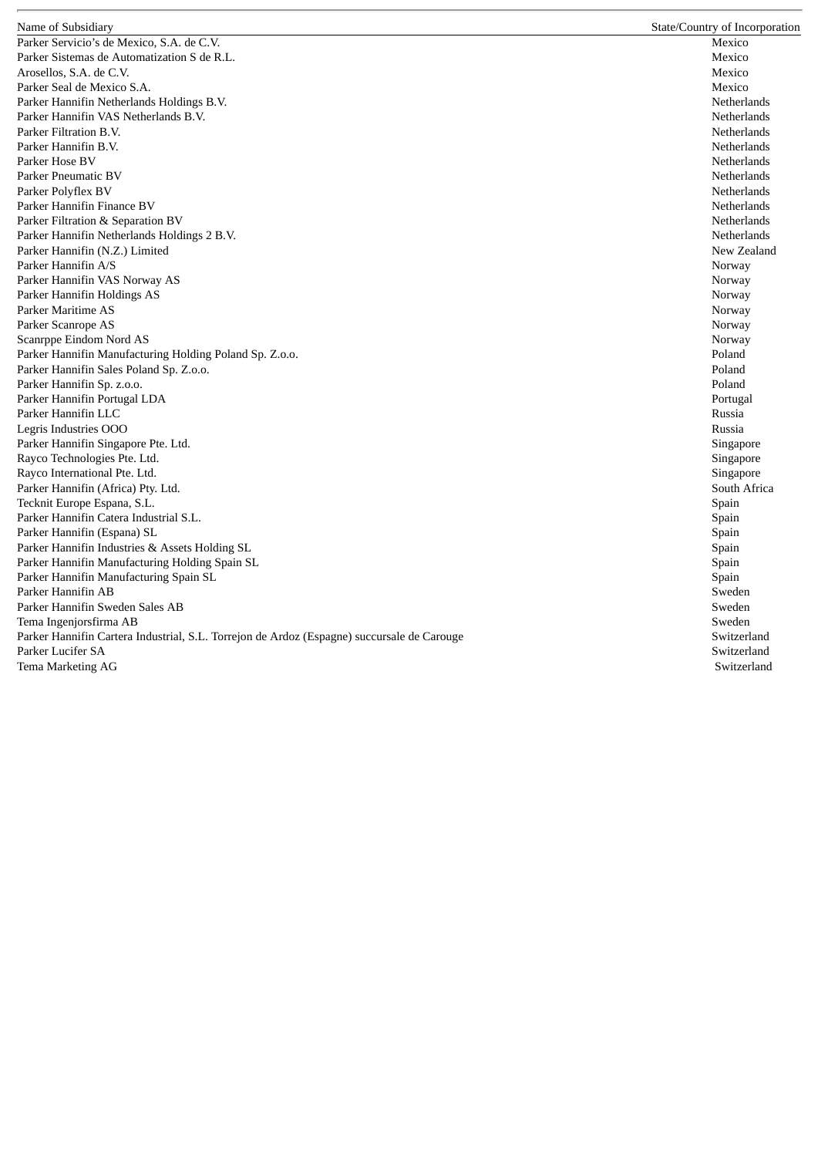| Name of Subsidiary                                                                         | State/Country of Incorporation |
|--------------------------------------------------------------------------------------------|--------------------------------|
| Parker Servicio's de Mexico, S.A. de C.V.                                                  | Mexico                         |
| Parker Sistemas de Automatization S de R.L.                                                | Mexico                         |
| Arosellos, S.A. de C.V.                                                                    | Mexico                         |
| Parker Seal de Mexico S.A.                                                                 | Mexico                         |
| Parker Hannifin Netherlands Holdings B.V.                                                  | Netherlands                    |
| Parker Hannifin VAS Netherlands B.V.                                                       | Netherlands                    |
| Parker Filtration B.V.                                                                     | Netherlands                    |
| Parker Hannifin B.V.                                                                       | Netherlands                    |
| Parker Hose BV                                                                             | Netherlands                    |
| Parker Pneumatic BV                                                                        | Netherlands                    |
| Parker Polyflex BV                                                                         | Netherlands                    |
| Parker Hannifin Finance BV                                                                 | Netherlands                    |
| Parker Filtration & Separation BV                                                          | Netherlands                    |
| Parker Hannifin Netherlands Holdings 2 B.V.                                                | Netherlands                    |
| Parker Hannifin (N.Z.) Limited                                                             | New Zealand                    |
| Parker Hannifin A/S                                                                        | Norway                         |
| Parker Hannifin VAS Norway AS                                                              | Norway                         |
| Parker Hannifin Holdings AS                                                                | Norway                         |
| Parker Maritime AS                                                                         | Norway                         |
| Parker Scanrope AS                                                                         | Norway                         |
| Scanrppe Eindom Nord AS                                                                    | Norway                         |
| Parker Hannifin Manufacturing Holding Poland Sp. Z.o.o.                                    | Poland                         |
| Parker Hannifin Sales Poland Sp. Z.o.o.                                                    | Poland                         |
| Parker Hannifin Sp. z.o.o.                                                                 | Poland                         |
| Parker Hannifin Portugal LDA                                                               | Portugal                       |
| Parker Hannifin LLC                                                                        | Russia                         |
| Legris Industries OOO                                                                      | Russia                         |
| Parker Hannifin Singapore Pte. Ltd.                                                        | Singapore                      |
| Rayco Technologies Pte. Ltd.                                                               | Singapore                      |
| Rayco International Pte. Ltd.                                                              | Singapore                      |
| Parker Hannifin (Africa) Pty. Ltd.                                                         | South Africa                   |
| Tecknit Europe Espana, S.L.                                                                | Spain                          |
| Parker Hannifin Catera Industrial S.L.                                                     | Spain                          |
| Parker Hannifin (Espana) SL                                                                | Spain                          |
| Parker Hannifin Industries & Assets Holding SL                                             | Spain                          |
| Parker Hannifin Manufacturing Holding Spain SL                                             | Spain                          |
| Parker Hannifin Manufacturing Spain SL                                                     | Spain                          |
| Parker Hannifin AB                                                                         | Sweden                         |
| Parker Hannifin Sweden Sales AB                                                            | Sweden                         |
| Tema Ingenjorsfirma AB                                                                     | Sweden                         |
| Parker Hannifin Cartera Industrial, S.L. Torrejon de Ardoz (Espagne) succursale de Carouge | Switzerland                    |
| Parker Lucifer SA                                                                          | Switzerland                    |
| Tema Marketing AG                                                                          | Switzerland                    |
|                                                                                            |                                |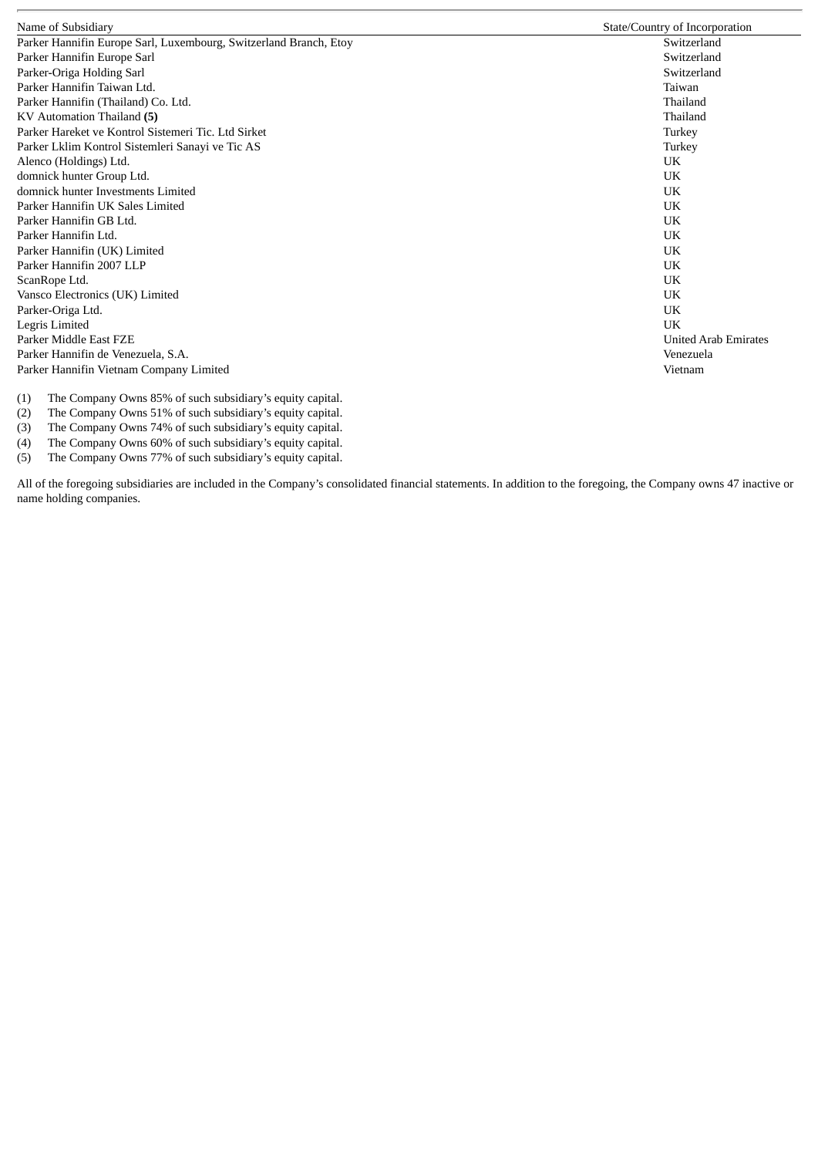| Name of Subsidiary                                                | State/Country of Incorporation |
|-------------------------------------------------------------------|--------------------------------|
| Parker Hannifin Europe Sarl, Luxembourg, Switzerland Branch, Etoy | Switzerland                    |
| Parker Hannifin Europe Sarl                                       | Switzerland                    |
| Parker-Origa Holding Sarl                                         | Switzerland                    |
| Parker Hannifin Taiwan Ltd.                                       | Taiwan                         |
| Parker Hannifin (Thailand) Co. Ltd.                               | Thailand                       |
| KV Automation Thailand (5)                                        | Thailand                       |
| Parker Hareket ve Kontrol Sistemeri Tic. Ltd Sirket               | Turkey                         |
| Parker Lklim Kontrol Sistemleri Sanayi ve Tic AS                  | Turkey                         |
| Alenco (Holdings) Ltd.                                            | UK                             |
| domnick hunter Group Ltd.                                         | UK                             |
| domnick hunter Investments Limited                                | UK                             |
| Parker Hannifin UK Sales Limited                                  | UK                             |
| Parker Hannifin GB Ltd.                                           | UK                             |
| Parker Hannifin Ltd.                                              | UK                             |
| Parker Hannifin (UK) Limited                                      | UK                             |
| Parker Hannifin 2007 LLP                                          | UK                             |
| ScanRope Ltd.                                                     | UK                             |
| Vansco Electronics (UK) Limited                                   | UK                             |
| Parker-Origa Ltd.                                                 | UK                             |
| Legris Limited                                                    | UK                             |
| Parker Middle East FZE                                            | <b>United Arab Emirates</b>    |
| Parker Hannifin de Venezuela, S.A.                                | Venezuela                      |
| Parker Hannifin Vietnam Company Limited                           | Vietnam                        |
|                                                                   |                                |

- (1) The Company Owns 85% of such subsidiary's equity capital.
- (2) The Company Owns 51% of such subsidiary's equity capital.<br>
(3) The Company Owns 74% of such subsidiary's equity capital.
- The Company Owns 74% of such subsidiary's equity capital.
- (4) The Company Owns 60% of such subsidiary's equity capital.
- (5) The Company Owns 77% of such subsidiary's equity capital.

All of the foregoing subsidiaries are included in the Company's consolidated financial statements. In addition to the foregoing, the Company owns 47 inactive or name holding companies.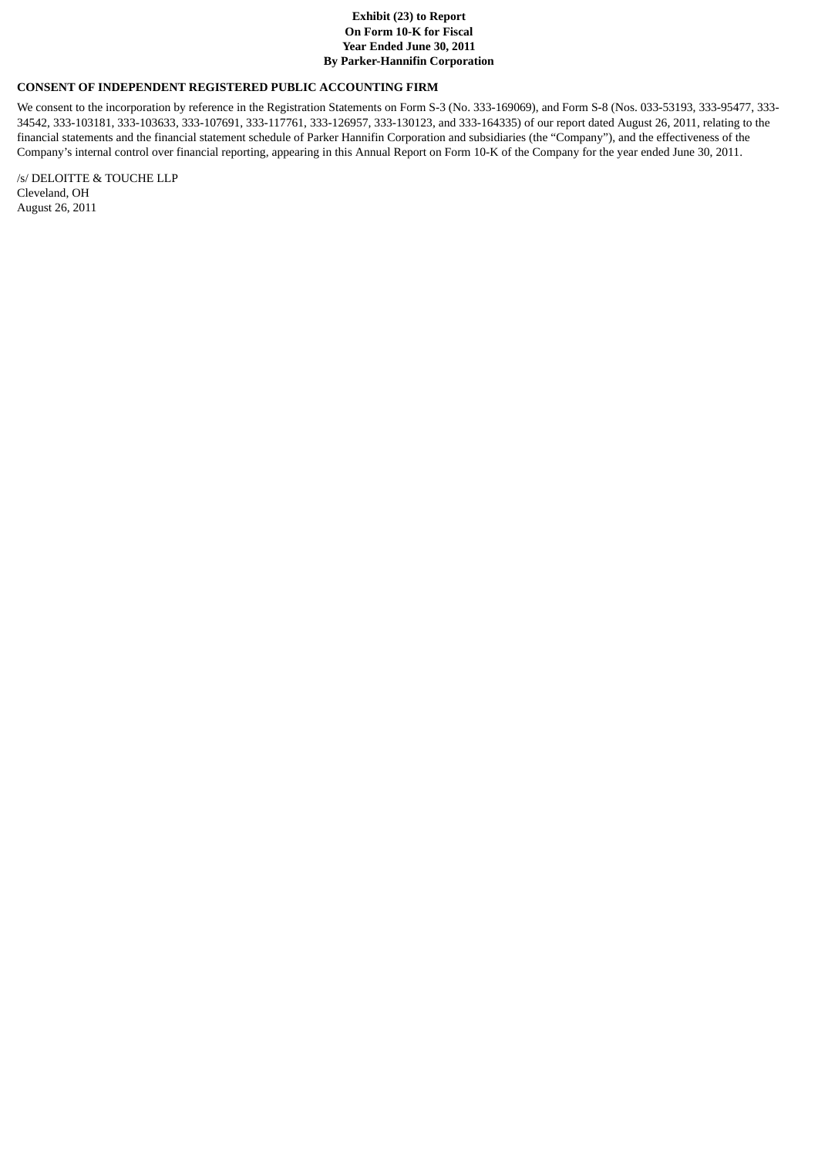### **Exhibit (23) to Report On Form 10-K for Fiscal Year Ended June 30, 2011 By Parker-Hannifin Corporation**

# **CONSENT OF INDEPENDENT REGISTERED PUBLIC ACCOUNTING FIRM**

We consent to the incorporation by reference in the Registration Statements on Form S-3 (No. 333-169069), and Form S-8 (Nos. 033-53193, 333-95477, 333- 34542, 333-103181, 333-103633, 333-107691, 333-117761, 333-126957, 333-130123, and 333-164335) of our report dated August 26, 2011, relating to the financial statements and the financial statement schedule of Parker Hannifin Corporation and subsidiaries (the "Company"), and the effectiveness of the Company's internal control over financial reporting, appearing in this Annual Report on Form 10-K of the Company for the year ended June 30, 2011.

/s/ DELOITTE & TOUCHE LLP Cleveland, OH August 26, 2011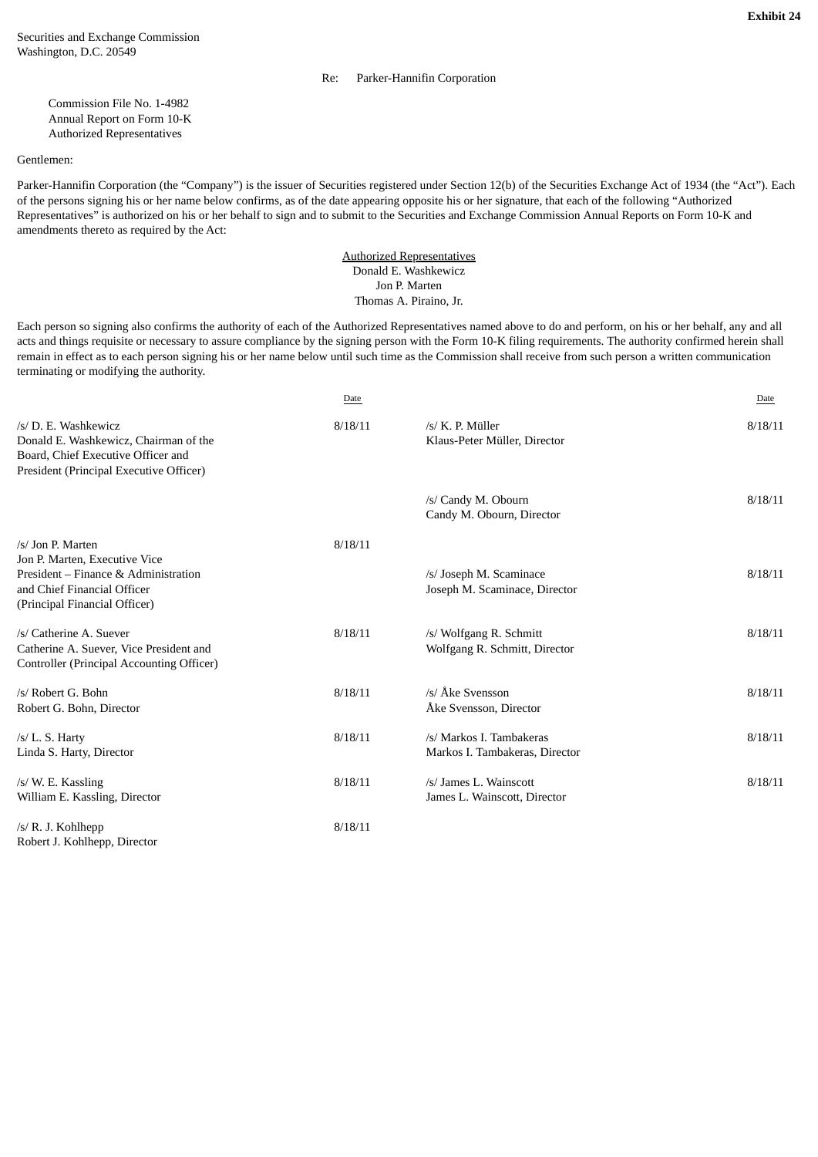**Exhibit 24**

Re: Parker-Hannifin Corporation

Commission File No. 1-4982 Annual Report on Form 10-K Authorized Representatives

## Gentlemen:

Parker-Hannifin Corporation (the "Company") is the issuer of Securities registered under Section 12(b) of the Securities Exchange Act of 1934 (the "Act"). Each of the persons signing his or her name below confirms, as of the date appearing opposite his or her signature, that each of the following "Authorized Representatives" is authorized on his or her behalf to sign and to submit to the Securities and Exchange Commission Annual Reports on Form 10-K and amendments thereto as required by the Act:

> Authorized Representatives Donald E. Washkewicz Jon P. Marten Thomas A. Piraino, Jr.

Each person so signing also confirms the authority of each of the Authorized Representatives named above to do and perform, on his or her behalf, any and all acts and things requisite or necessary to assure compliance by the signing person with the Form 10-K filing requirements. The authority confirmed herein shall remain in effect as to each person signing his or her name below until such time as the Commission shall receive from such person a written communication terminating or modifying the authority.

|                                                                                                                                                            | Date    |                                                            | Date    |
|------------------------------------------------------------------------------------------------------------------------------------------------------------|---------|------------------------------------------------------------|---------|
| /s/ D. E. Washkewicz<br>Donald E. Washkewicz, Chairman of the<br>Board, Chief Executive Officer and<br>President (Principal Executive Officer)             | 8/18/11 | /s/ K. P. Müller<br>Klaus-Peter Müller, Director           | 8/18/11 |
|                                                                                                                                                            |         | /s/ Candy M. Obourn<br>Candy M. Obourn, Director           | 8/18/11 |
| /s/ Jon P. Marten<br>Jon P. Marten, Executive Vice<br>President – Finance & Administration<br>and Chief Financial Officer<br>(Principal Financial Officer) | 8/18/11 | /s/ Joseph M. Scaminace<br>Joseph M. Scaminace, Director   | 8/18/11 |
| /s/ Catherine A. Suever<br>Catherine A. Suever, Vice President and<br>Controller (Principal Accounting Officer)                                            | 8/18/11 | /s/ Wolfgang R. Schmitt<br>Wolfgang R. Schmitt, Director   | 8/18/11 |
| /s/ Robert G. Bohn<br>Robert G. Bohn, Director                                                                                                             | 8/18/11 | /s/ Åke Svensson<br>Åke Svensson, Director                 | 8/18/11 |
| /s/ L. S. Harty<br>Linda S. Harty, Director                                                                                                                | 8/18/11 | /s/ Markos I. Tambakeras<br>Markos I. Tambakeras, Director | 8/18/11 |
| /s/ W. E. Kassling<br>William E. Kassling, Director                                                                                                        | 8/18/11 | /s/ James L. Wainscott<br>James L. Wainscott, Director     | 8/18/11 |
| /s/ R. J. Kohlhepp<br>Robert J. Kohlhepp, Director                                                                                                         | 8/18/11 |                                                            |         |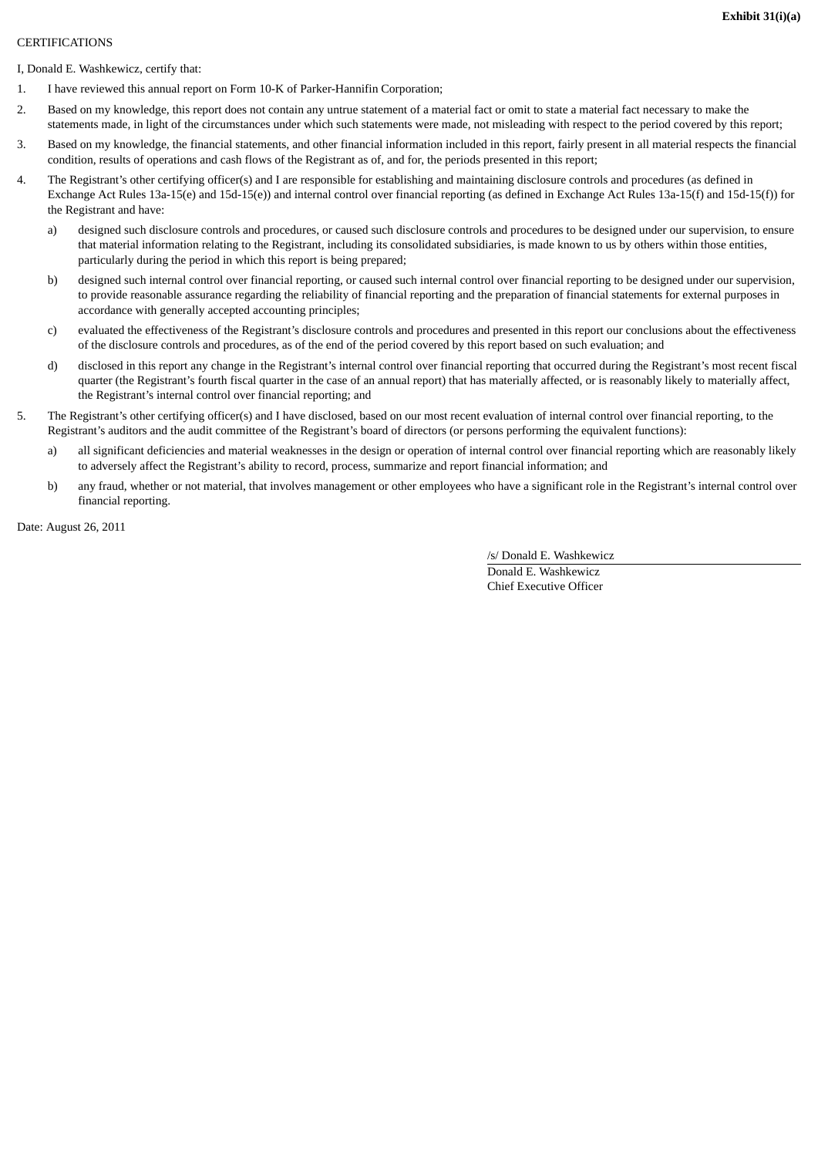#### CERTIFICATIONS

I, Donald E. Washkewicz, certify that:

- 1. I have reviewed this annual report on Form 10-K of Parker-Hannifin Corporation;
- 2. Based on my knowledge, this report does not contain any untrue statement of a material fact or omit to state a material fact necessary to make the statements made, in light of the circumstances under which such statements were made, not misleading with respect to the period covered by this report;
- 3. Based on my knowledge, the financial statements, and other financial information included in this report, fairly present in all material respects the financial condition, results of operations and cash flows of the Registrant as of, and for, the periods presented in this report;
- 4. The Registrant's other certifying officer(s) and I are responsible for establishing and maintaining disclosure controls and procedures (as defined in Exchange Act Rules 13a-15(e) and 15d-15(e)) and internal control over financial reporting (as defined in Exchange Act Rules 13a-15(f) and 15d-15(f)) for the Registrant and have:
	- a) designed such disclosure controls and procedures, or caused such disclosure controls and procedures to be designed under our supervision, to ensure that material information relating to the Registrant, including its consolidated subsidiaries, is made known to us by others within those entities, particularly during the period in which this report is being prepared;
	- b) designed such internal control over financial reporting, or caused such internal control over financial reporting to be designed under our supervision, to provide reasonable assurance regarding the reliability of financial reporting and the preparation of financial statements for external purposes in accordance with generally accepted accounting principles;
	- c) evaluated the effectiveness of the Registrant's disclosure controls and procedures and presented in this report our conclusions about the effectiveness of the disclosure controls and procedures, as of the end of the period covered by this report based on such evaluation; and
	- d) disclosed in this report any change in the Registrant's internal control over financial reporting that occurred during the Registrant's most recent fiscal quarter (the Registrant's fourth fiscal quarter in the case of an annual report) that has materially affected, or is reasonably likely to materially affect, the Registrant's internal control over financial reporting; and
- 5. The Registrant's other certifying officer(s) and I have disclosed, based on our most recent evaluation of internal control over financial reporting, to the Registrant's auditors and the audit committee of the Registrant's board of directors (or persons performing the equivalent functions):
	- a) all significant deficiencies and material weaknesses in the design or operation of internal control over financial reporting which are reasonably likely to adversely affect the Registrant's ability to record, process, summarize and report financial information; and
	- b) any fraud, whether or not material, that involves management or other employees who have a significant role in the Registrant's internal control over financial reporting.

Date: August 26, 2011

/s/ Donald E. Washkewicz Donald E. Washkewicz Chief Executive Officer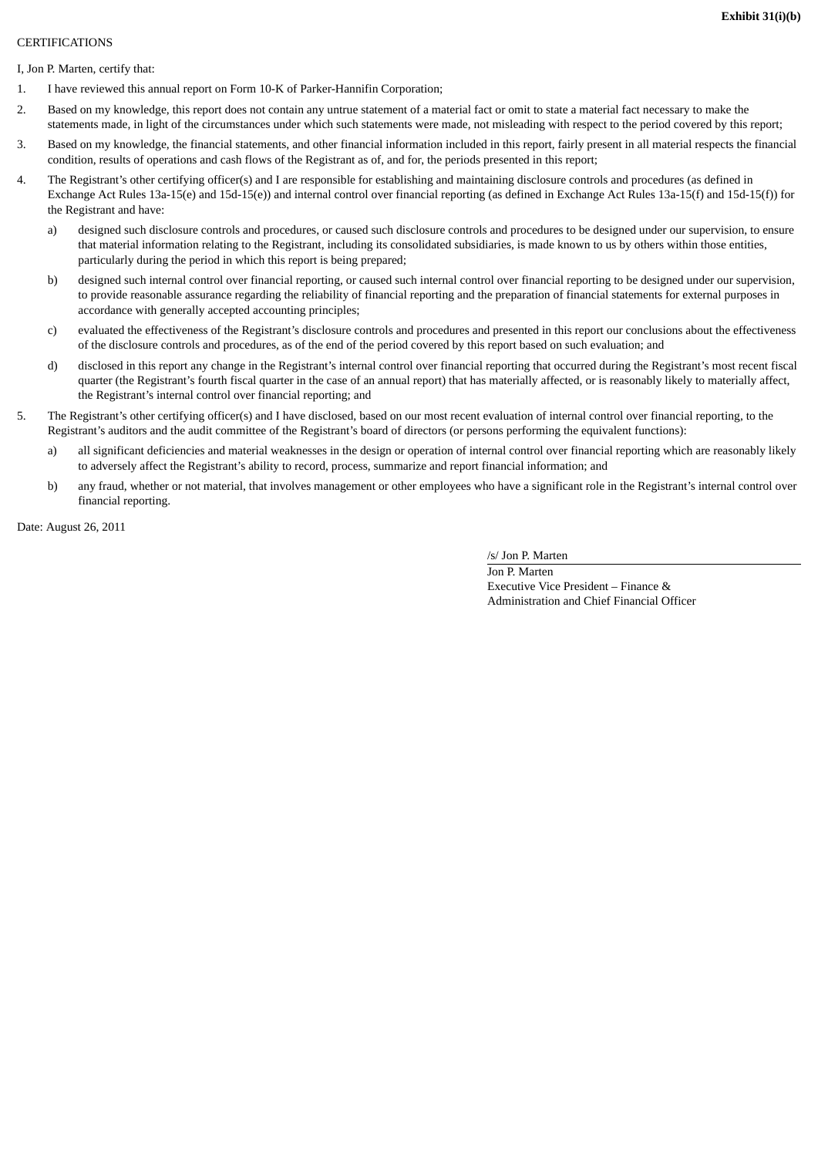#### **CERTIFICATIONS**

I, Jon P. Marten, certify that:

- 1. I have reviewed this annual report on Form 10-K of Parker-Hannifin Corporation;
- 2. Based on my knowledge, this report does not contain any untrue statement of a material fact or omit to state a material fact necessary to make the statements made, in light of the circumstances under which such statements were made, not misleading with respect to the period covered by this report;
- 3. Based on my knowledge, the financial statements, and other financial information included in this report, fairly present in all material respects the financial condition, results of operations and cash flows of the Registrant as of, and for, the periods presented in this report;
- 4. The Registrant's other certifying officer(s) and I are responsible for establishing and maintaining disclosure controls and procedures (as defined in Exchange Act Rules 13a-15(e) and 15d-15(e)) and internal control over financial reporting (as defined in Exchange Act Rules 13a-15(f) and 15d-15(f)) for the Registrant and have:
	- a) designed such disclosure controls and procedures, or caused such disclosure controls and procedures to be designed under our supervision, to ensure that material information relating to the Registrant, including its consolidated subsidiaries, is made known to us by others within those entities, particularly during the period in which this report is being prepared;
	- b) designed such internal control over financial reporting, or caused such internal control over financial reporting to be designed under our supervision, to provide reasonable assurance regarding the reliability of financial reporting and the preparation of financial statements for external purposes in accordance with generally accepted accounting principles;
	- c) evaluated the effectiveness of the Registrant's disclosure controls and procedures and presented in this report our conclusions about the effectiveness of the disclosure controls and procedures, as of the end of the period covered by this report based on such evaluation; and
	- d) disclosed in this report any change in the Registrant's internal control over financial reporting that occurred during the Registrant's most recent fiscal quarter (the Registrant's fourth fiscal quarter in the case of an annual report) that has materially affected, or is reasonably likely to materially affect, the Registrant's internal control over financial reporting; and
- 5. The Registrant's other certifying officer(s) and I have disclosed, based on our most recent evaluation of internal control over financial reporting, to the Registrant's auditors and the audit committee of the Registrant's board of directors (or persons performing the equivalent functions):
	- a) all significant deficiencies and material weaknesses in the design or operation of internal control over financial reporting which are reasonably likely to adversely affect the Registrant's ability to record, process, summarize and report financial information; and
	- b) any fraud, whether or not material, that involves management or other employees who have a significant role in the Registrant's internal control over financial reporting.

Date: August 26, 2011

/s/ Jon P. Marten

Jon P. Marten Executive Vice President – Finance & Administration and Chief Financial Officer